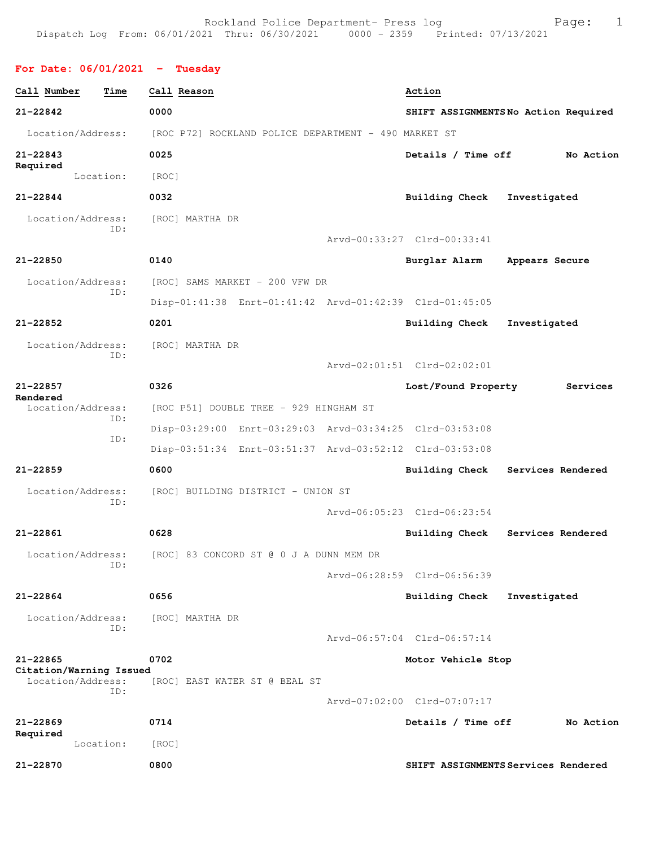Rockland Police Department- Press log entitled and Page: 1 Dispatch Log From: 06/01/2021 Thru: 06/30/2021 0000 - 2359 Printed: 07/13/2021

## **For Date: 06/01/2021 - Tuesday**

| Call Number                             | Time      | Call Reason                                             | Action                      |                                     |
|-----------------------------------------|-----------|---------------------------------------------------------|-----------------------------|-------------------------------------|
| 21-22842                                |           | 0000                                                    |                             | SHIFT ASSIGNMENTSNo Action Required |
| Location/Address:                       |           | [ROC P72] ROCKLAND POLICE DEPARTMENT - 490 MARKET ST    |                             |                                     |
| $21 - 22843$                            |           | 0025                                                    | Details / Time off          | No Action                           |
| Required                                | Location: | [ROC]                                                   |                             |                                     |
| 21-22844                                |           | 0032                                                    | <b>Building Check</b>       | Investigated                        |
| Location/Address:                       |           | [ROC] MARTHA DR                                         |                             |                                     |
|                                         | TD:       |                                                         | Arvd-00:33:27 Clrd-00:33:41 |                                     |
| $21 - 22850$                            |           | 0140                                                    | Burglar Alarm               | Appears Secure                      |
| Location/Address:                       |           | [ROC] SAMS MARKET - 200 VFW DR                          |                             |                                     |
|                                         | ID:       | Disp-01:41:38 Enrt-01:41:42 Arvd-01:42:39 Clrd-01:45:05 |                             |                                     |
| $21 - 22852$                            |           | 0201                                                    | Building Check              | Investigated                        |
| Location/Address:                       |           | [ROC] MARTHA DR                                         |                             |                                     |
|                                         | ID:       |                                                         | Arvd-02:01:51 Clrd-02:02:01 |                                     |
| $21 - 22857$                            |           | 0326                                                    | Lost/Found Property         | Services                            |
| Rendered<br>Location/Address:           | TD:       | [ROC P51] DOUBLE TREE - 929 HINGHAM ST                  |                             |                                     |
|                                         | ID:       | Disp-03:29:00 Enrt-03:29:03 Arvd-03:34:25 Clrd-03:53:08 |                             |                                     |
|                                         |           | Disp-03:51:34 Enrt-03:51:37 Arvd-03:52:12 Clrd-03:53:08 |                             |                                     |
| $21 - 22859$                            |           | 0600                                                    |                             | Building Check Services Rendered    |
| Location/Address:                       | ID:       | [ROC] BUILDING DISTRICT - UNION ST                      |                             |                                     |
|                                         |           |                                                         | Arvd-06:05:23 Clrd-06:23:54 |                                     |
| 21-22861                                |           | 0628                                                    |                             | Building Check Services Rendered    |
| Location/Address:                       | ID:       | [ROC] 83 CONCORD ST @ 0 J A DUNN MEM DR                 |                             |                                     |
|                                         |           |                                                         | Arvd-06:28:59 Clrd-06:56:39 |                                     |
| $21 - 22864$                            |           | 0656                                                    | Building Check              | Investigated                        |
| Location/Address:                       | ID:       | [ROC] MARTHA DR                                         |                             |                                     |
|                                         |           |                                                         | Arvd-06:57:04 Clrd-06:57:14 |                                     |
| $21 - 22865$<br>Citation/Warning Issued |           | 0702                                                    | Motor Vehicle Stop          |                                     |
| Location/Address:                       | TD:       | [ROC] EAST WATER ST @ BEAL ST                           |                             |                                     |
|                                         |           |                                                         | Arvd-07:02:00 Clrd-07:07:17 |                                     |
| $21 - 22869$<br>Required                |           | 0714                                                    | Details / Time off          | No Action                           |
|                                         | Location: | [ROC]                                                   |                             |                                     |
| 21-22870                                |           | 0800                                                    |                             | SHIFT ASSIGNMENTS Services Rendered |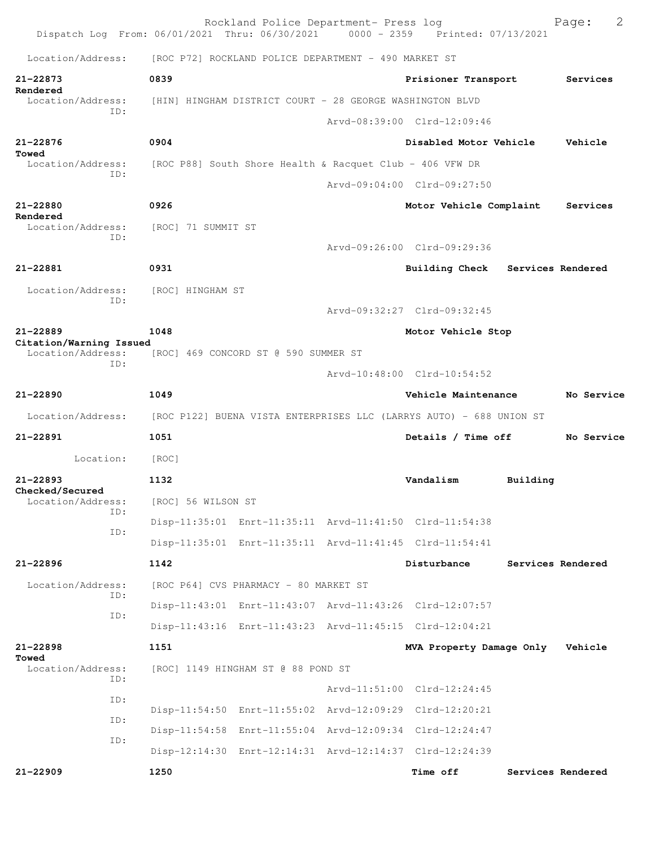|                                              |     |                    | Rockland Police Department- Press log                    | Dispatch Log From: 06/01/2021 Thru: 06/30/2021 0000 - 2359 Printed: 07/13/2021 |          | $\mathbf{2}$<br>Page: |
|----------------------------------------------|-----|--------------------|----------------------------------------------------------|--------------------------------------------------------------------------------|----------|-----------------------|
| Location/Address:                            |     |                    | [ROC P72] ROCKLAND POLICE DEPARTMENT - 490 MARKET ST     |                                                                                |          |                       |
| 21-22873                                     |     | 0839               |                                                          | Prisioner Transport                                                            |          | Services              |
| Rendered<br>Location/Address:                |     |                    | [HIN] HINGHAM DISTRICT COURT - 28 GEORGE WASHINGTON BLVD |                                                                                |          |                       |
| TD:                                          |     |                    |                                                          | Arvd-08:39:00 Clrd-12:09:46                                                    |          |                       |
| $21 - 22876$                                 |     | 0904               |                                                          | Disabled Motor Vehicle                                                         |          | Vehicle               |
| Towed<br>Location/Address:                   |     |                    | [ROC P88] South Shore Health & Racquet Club - 406 VFW DR |                                                                                |          |                       |
|                                              | TD: |                    |                                                          | Arvd-09:04:00 Clrd-09:27:50                                                    |          |                       |
| 21-22880                                     |     | 0926               |                                                          | Motor Vehicle Complaint                                                        |          | Services              |
| Rendered<br>Location/Address:                |     | [ROC] 71 SUMMIT ST |                                                          |                                                                                |          |                       |
| ID:                                          |     |                    |                                                          | Aryd-09:26:00 Clrd-09:29:36                                                    |          |                       |
| 21-22881                                     |     | 0931               |                                                          | Building Check                                                                 |          | Services Rendered     |
| Location/Address:                            |     | [ROC] HINGHAM ST   |                                                          |                                                                                |          |                       |
|                                              | ID: |                    |                                                          | Arvd-09:32:27 Clrd-09:32:45                                                    |          |                       |
| 21-22889                                     |     | 1048               |                                                          | Motor Vehicle Stop                                                             |          |                       |
| Citation/Warning Issued<br>Location/Address: |     |                    | [ROC] 469 CONCORD ST @ 590 SUMMER ST                     |                                                                                |          |                       |
|                                              | ID: |                    |                                                          | Arvd-10:48:00 Clrd-10:54:52                                                    |          |                       |
| 21-22890                                     |     | 1049               |                                                          | Vehicle Maintenance                                                            |          | No Service            |
| Location/Address:                            |     |                    |                                                          | [ROC P122] BUENA VISTA ENTERPRISES LLC (LARRYS AUTO) - 688 UNION ST            |          |                       |
| $21 - 22891$                                 |     | 1051               |                                                          | Details / Time off                                                             |          | No Service            |
| Location:                                    |     | [ROC]              |                                                          |                                                                                |          |                       |
| 21-22893                                     |     | 1132               |                                                          | Vandalism                                                                      | Building |                       |
| Checked/Secured<br>Location/Address:         |     | [ROC] 56 WILSON ST |                                                          |                                                                                |          |                       |
|                                              | ID: |                    |                                                          | Disp-11:35:01 Enrt-11:35:11 Arvd-11:41:50 Clrd-11:54:38                        |          |                       |
|                                              | ID: |                    |                                                          | Disp-11:35:01 Enrt-11:35:11 Arvd-11:41:45 Clrd-11:54:41                        |          |                       |
| 21-22896                                     |     | 1142               |                                                          | Disturbance                                                                    |          | Services Rendered     |
| Location/Address:                            | ID: |                    | [ROC P64] CVS PHARMACY - 80 MARKET ST                    |                                                                                |          |                       |
|                                              | ID: |                    |                                                          | Disp-11:43:01 Enrt-11:43:07 Arvd-11:43:26 Clrd-12:07:57                        |          |                       |
|                                              |     |                    |                                                          | Disp-11:43:16 Enrt-11:43:23 Arvd-11:45:15 Clrd-12:04:21                        |          |                       |
| 21-22898<br>Towed                            |     | 1151               |                                                          | MVA Property Damage Only                                                       |          | Vehicle               |
| Location/Address:                            | ID: |                    | [ROC] 1149 HINGHAM ST @ 88 POND ST                       |                                                                                |          |                       |
|                                              | ID: |                    |                                                          | Arvd-11:51:00 Clrd-12:24:45                                                    |          |                       |
|                                              | ID: |                    |                                                          | Disp-11:54:50 Enrt-11:55:02 Arvd-12:09:29 Clrd-12:20:21                        |          |                       |
|                                              | ID: |                    |                                                          | Disp-11:54:58 Enrt-11:55:04 Arvd-12:09:34 Clrd-12:24:47                        |          |                       |
|                                              |     |                    |                                                          | Disp-12:14:30 Enrt-12:14:31 Arvd-12:14:37 Clrd-12:24:39                        |          |                       |
| $21 - 22909$                                 |     | 1250               |                                                          | Time off                                                                       |          | Services Rendered     |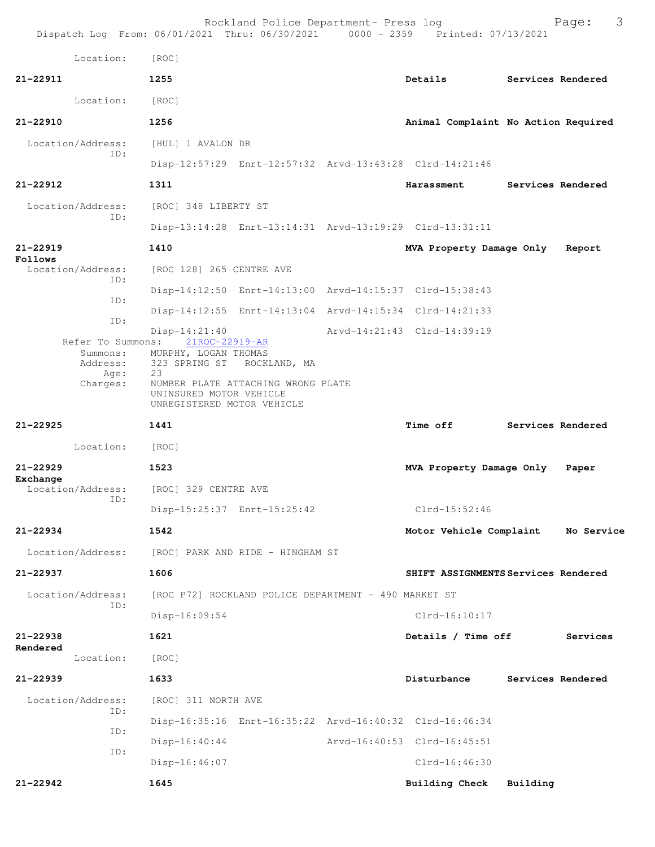Rockland Police Department- Press log Frank Page: 3 Dispatch Log From: 06/01/2021 Thru: 06/30/2021 0000 - 2359 Printed: 07/13/2021 Location: [ROC] **21-22911 1255 Details Services Rendered** Location: [ROC] **21-22910 1256 Animal Complaint No Action Required** Location/Address: [HUL] 1 AVALON DR ID: Disp-12:57:29 Enrt-12:57:32 Arvd-13:43:28 Clrd-14:21:46 **21-22912 1311 Harassment Services Rendered** Location/Address: [ROC] 348 LIBERTY ST ID: Disp-13:14:28 Enrt-13:14:31 Arvd-13:19:29 Clrd-13:31:11 **21-22919 1410 MVA Property Damage Only Report Follows**  Location/Address: [ROC 128] 265 CENTRE AVE ID: Disp-14:12:50 Enrt-14:13:00 Arvd-14:15:37 Clrd-15:38:43 ID: Disp-14:12:55 Enrt-14:13:04 Arvd-14:15:34 Clrd-14:21:33 ID: Disp-14:21:40 Arvd-14:21:43 Clrd-14:39:19 Refer To Summons: Summons: MURPHY, LOGAN THOMAS<br>Address: 323 SPRING ST ROCK 323 SPRING ST ROCKLAND, MA Age: 23 Charges: NUMBER PLATE ATTACHING WRONG PLATE UNINSURED MOTOR VEHICLE UNREGISTERED MOTOR VEHICLE **21-22925 1441 Time off Services Rendered** Location: [ROC] **21-22929 1523 MVA Property Damage Only Paper Exchange**  Location/Address: [ROC] 329 CENTRE AVE ID: Disp-15:25:37 Enrt-15:25:42 Clrd-15:52:46 **21-22934 1542 Motor Vehicle Complaint No Service** Location/Address: [ROC] PARK AND RIDE - HINGHAM ST **21-22937 1606 SHIFT ASSIGNMENTS Services Rendered** Location/Address: [ROC P72] ROCKLAND POLICE DEPARTMENT - 490 MARKET ST ID: Disp-16:09:54 Clrd-16:10:17 **21-22938 1621 Details / Time off Services Rendered**  Location: [ROC] **21-22939 1633 Disturbance Services Rendered** Location/Address: [ROC] 311 NORTH AVE ID: Disp-16:35:16 Enrt-16:35:22 Arvd-16:40:32 Clrd-16:46:34 ID: Disp-16:40:44 Arvd-16:40:53 Clrd-16:45:51 ID: Disp-16:46:07 Clrd-16:46:30 **21-22942 1645 Building Check Building**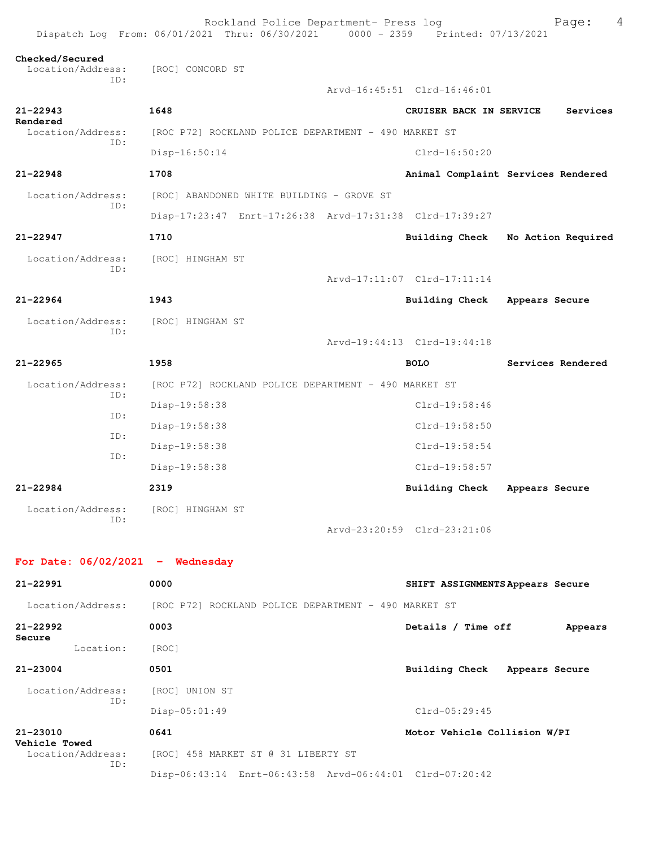|                                             | Rockland Police Department- Press log<br>Dispatch Log From: 06/01/2021 Thru: 06/30/2021 0000 - 2359 Printed: 07/13/2021 |                                    |                | 4<br>Page:         |
|---------------------------------------------|-------------------------------------------------------------------------------------------------------------------------|------------------------------------|----------------|--------------------|
| Checked/Secured<br>Location/Address:<br>ID: | [ROC] CONCORD ST                                                                                                        |                                    |                |                    |
|                                             |                                                                                                                         | Arvd-16:45:51 Clrd-16:46:01        |                |                    |
| $21 - 22943$                                | 1648                                                                                                                    | CRUISER BACK IN SERVICE            |                | Services           |
| Rendered<br>Location/Address:               | [ROC P72] ROCKLAND POLICE DEPARTMENT - 490 MARKET ST                                                                    |                                    |                |                    |
| ID:                                         | Disp-16:50:14                                                                                                           | $Clrd-16:50:20$                    |                |                    |
| $21 - 22948$                                | 1708                                                                                                                    | Animal Complaint Services Rendered |                |                    |
| Location/Address:<br>ID:                    | [ROC] ABANDONED WHITE BUILDING - GROVE ST                                                                               |                                    |                |                    |
|                                             | Disp-17:23:47 Enrt-17:26:38 Arvd-17:31:38 Clrd-17:39:27                                                                 |                                    |                |                    |
| 21-22947                                    | 1710                                                                                                                    | <b>Building Check</b>              |                | No Action Required |
| Location/Address:<br>ID:                    | [ROC] HINGHAM ST                                                                                                        |                                    |                |                    |
|                                             |                                                                                                                         | Arvd-17:11:07 Clrd-17:11:14        |                |                    |
| $21 - 22964$                                | 1943                                                                                                                    | Building Check                     | Appears Secure |                    |
| Location/Address:<br>ID:                    | [ROC] HINGHAM ST                                                                                                        |                                    |                |                    |
|                                             |                                                                                                                         | Arvd-19:44:13 Clrd-19:44:18        |                |                    |
| $21 - 22965$                                | 1958                                                                                                                    | <b>BOLO</b>                        |                | Services Rendered  |
| Location/Address:<br>ID:                    | [ROC P72] ROCKLAND POLICE DEPARTMENT - 490 MARKET ST                                                                    |                                    |                |                    |
| ID:                                         | Disp-19:58:38                                                                                                           | $Clrd-19:58:46$                    |                |                    |
| ID:                                         | Disp-19:58:38                                                                                                           | Clrd-19:58:50                      |                |                    |
| ID:                                         | Disp-19:58:38                                                                                                           | $Clrd-19:58:54$                    |                |                    |
|                                             | Disp-19:58:38                                                                                                           | Clrd-19:58:57                      |                |                    |
| $21 - 22984$                                | 2319                                                                                                                    | Building Check                     | Appears Secure |                    |
| Location/Address: [ROC] HINGHAM ST<br>ID:   |                                                                                                                         |                                    |                |                    |
|                                             |                                                                                                                         | Arvd-23:20:59 Clrd-23:21:06        |                |                    |
| For Date: $06/02/2021$ - Wednesday          |                                                                                                                         |                                    |                |                    |
| $21 - 22991$                                | 0000                                                                                                                    | SHIFT ASSIGNMENTS Appears Secure   |                |                    |
| Location/Address:                           | [ROC P72] ROCKLAND POLICE DEPARTMENT - 490 MARKET ST                                                                    |                                    |                |                    |
| $21 - 22992$<br>Secure                      | 0003                                                                                                                    | Details / Time off                 |                | Appears            |
| Location:                                   | [ROC]                                                                                                                   |                                    |                |                    |
| 21-23004                                    | 0501                                                                                                                    | Building Check Appears Secure      |                |                    |
| Location/Address:<br>ID:                    | [ROC] UNION ST                                                                                                          |                                    |                |                    |
|                                             | $Disp-05:01:49$                                                                                                         | $Clrd-05:29:45$                    |                |                    |
| $21 - 23010$<br>Vehicle Towed               | 0641                                                                                                                    | Motor Vehicle Collision W/PI       |                |                    |
| Location/Address:<br>ID:                    | [ROC] 458 MARKET ST @ 31 LIBERTY ST                                                                                     |                                    |                |                    |
|                                             | Disp-06:43:14 Enrt-06:43:58 Arvd-06:44:01 Clrd-07:20:42                                                                 |                                    |                |                    |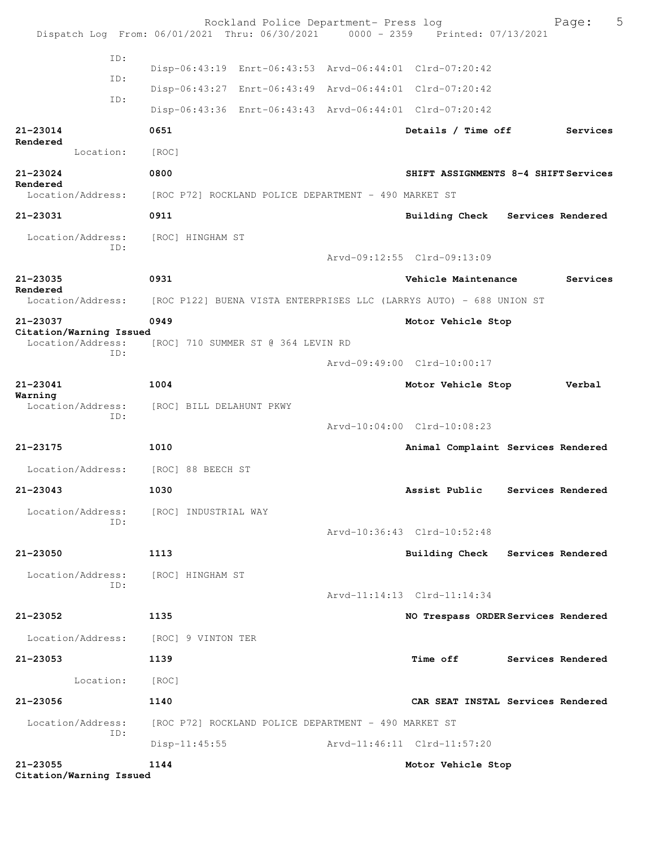|                                     | Dispatch Log From: 06/01/2021 Thru: 06/30/2021 0000 - 2359 Printed: 07/13/2021 | Rockland Police Department- Press log |                             | 5<br>Page:                           |
|-------------------------------------|--------------------------------------------------------------------------------|---------------------------------------|-----------------------------|--------------------------------------|
| ID:                                 |                                                                                |                                       |                             |                                      |
| ID:                                 | Disp-06:43:19 Enrt-06:43:53 Arvd-06:44:01 Clrd-07:20:42                        |                                       |                             |                                      |
| ID:                                 | Disp-06:43:27 Enrt-06:43:49 Arvd-06:44:01 Clrd-07:20:42                        |                                       |                             |                                      |
|                                     | Disp-06:43:36 Enrt-06:43:43 Arvd-06:44:01 Clrd-07:20:42                        |                                       |                             |                                      |
| 21-23014<br>Rendered                | 0651                                                                           |                                       | Details / Time off          | Services                             |
| Location:                           | [ROC]                                                                          |                                       |                             |                                      |
| 21-23024                            | 0800                                                                           |                                       |                             | SHIFT ASSIGNMENTS 8-4 SHIFT Services |
| Rendered<br>Location/Address:       | [ROC P72] ROCKLAND POLICE DEPARTMENT - 490 MARKET ST                           |                                       |                             |                                      |
| 21-23031                            | 0911                                                                           |                                       | <b>Building Check</b>       | Services Rendered                    |
| Location/Address:<br>ID:            | [ROC] HINGHAM ST                                                               |                                       |                             |                                      |
|                                     |                                                                                |                                       | Arvd-09:12:55 Clrd-09:13:09 |                                      |
| 21-23035<br>Rendered                | 0931                                                                           |                                       | Vehicle Maintenance         | Services                             |
| Location/Address:                   | [ROC P122] BUENA VISTA ENTERPRISES LLC (LARRYS AUTO) - 688 UNION ST            |                                       |                             |                                      |
| 21-23037<br>Citation/Warning Issued | 0949                                                                           |                                       | Motor Vehicle Stop          |                                      |
| Location/Address:<br>ID:            | [ROC] 710 SUMMER ST @ 364 LEVIN RD                                             |                                       |                             |                                      |
|                                     |                                                                                |                                       | Arvd-09:49:00 Clrd-10:00:17 |                                      |
| 21-23041                            | 1004                                                                           |                                       | Motor Vehicle Stop          | Verbal                               |
| Warning<br>Location/Address:<br>ID: | [ROC] BILL DELAHUNT PKWY                                                       |                                       |                             |                                      |
|                                     |                                                                                |                                       | Arvd-10:04:00 Clrd-10:08:23 |                                      |
| 21-23175                            | 1010                                                                           |                                       |                             | Animal Complaint Services Rendered   |
| Location/Address:                   | [ROC] 88 BEECH ST                                                              |                                       |                             |                                      |
| 21-23043                            | 1030                                                                           |                                       | Assist Public               | Services Rendered                    |
| Location/Address:                   | [ROC] INDUSTRIAL WAY                                                           |                                       |                             |                                      |
| ID:                                 |                                                                                |                                       | Arvd-10:36:43 Clrd-10:52:48 |                                      |
| 21-23050                            | 1113                                                                           |                                       |                             | Building Check Services Rendered     |
| Location/Address:                   | [ROC] HINGHAM ST                                                               |                                       |                             |                                      |
| ID:                                 |                                                                                |                                       | Arvd-11:14:13 Clrd-11:14:34 |                                      |
| 21-23052                            | 1135                                                                           |                                       |                             | NO Trespass ORDER Services Rendered  |
|                                     | Location/Address: [ROC] 9 VINTON TER                                           |                                       |                             |                                      |
| 21-23053                            | 1139                                                                           |                                       | <b>Time off</b>             | Services Rendered                    |
| Location:                           | [ROC]                                                                          |                                       |                             |                                      |
| 21-23056                            | 1140                                                                           |                                       |                             | CAR SEAT INSTAL Services Rendered    |
| Location/Address:                   | [ROC P72] ROCKLAND POLICE DEPARTMENT - 490 MARKET ST                           |                                       |                             |                                      |
| ID:                                 | $Disp-11:45:55$                                                                |                                       | Arvd-11:46:11 Clrd-11:57:20 |                                      |
| 21-23055<br>Citation/Warning Issued | 1144                                                                           |                                       | Motor Vehicle Stop          |                                      |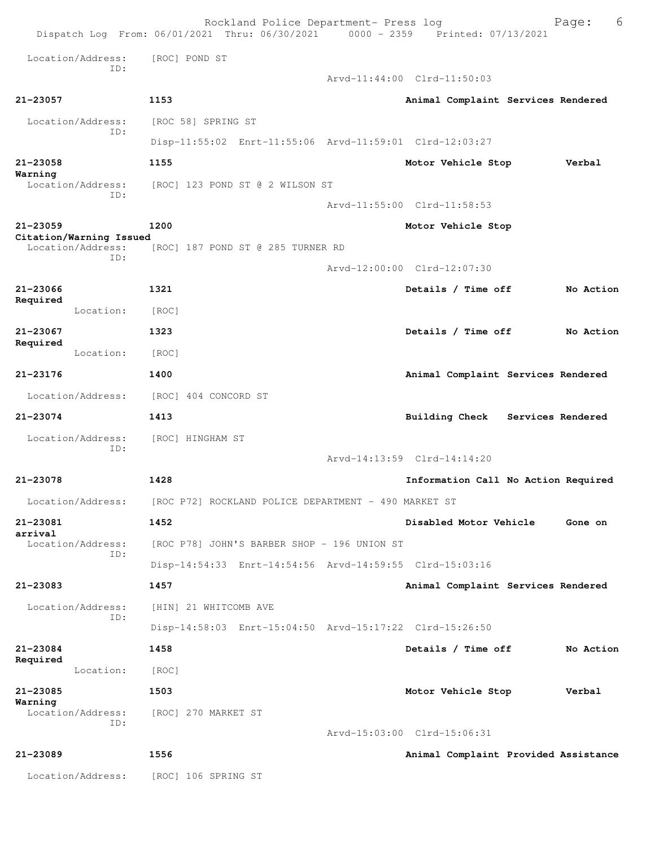|                                              | Rockland Police Department- Press log<br>Dispatch Log From: 06/01/2021 Thru: 06/30/2021 0000 - 2359 Printed: 07/13/2021 |                                      | 6<br>Page:        |
|----------------------------------------------|-------------------------------------------------------------------------------------------------------------------------|--------------------------------------|-------------------|
| Location/Address:<br>TD:                     | [ROC] POND ST                                                                                                           |                                      |                   |
|                                              |                                                                                                                         | Arvd-11:44:00 Clrd-11:50:03          |                   |
| 21-23057                                     | 1153                                                                                                                    | Animal Complaint Services Rendered   |                   |
| Location/Address:<br>ID:                     | [ROC 58] SPRING ST                                                                                                      |                                      |                   |
|                                              | Disp-11:55:02 Enrt-11:55:06 Arvd-11:59:01 Clrd-12:03:27                                                                 |                                      |                   |
| $21 - 23058$                                 | 1155                                                                                                                    | Motor Vehicle Stop                   | Verbal            |
| Warning<br>Location/Address:<br>TD:          | [ROC] 123 POND ST @ 2 WILSON ST                                                                                         |                                      |                   |
|                                              |                                                                                                                         | Arvd-11:55:00 Clrd-11:58:53          |                   |
| $21 - 23059$                                 | 1200                                                                                                                    | Motor Vehicle Stop                   |                   |
| Citation/Warning Issued<br>Location/Address: | [ROC] 187 POND ST @ 285 TURNER RD                                                                                       |                                      |                   |
| TD:                                          |                                                                                                                         | Arvd-12:00:00 Clrd-12:07:30          |                   |
| 21-23066                                     | 1321                                                                                                                    | Details / Time off                   | No Action         |
| Required<br>Location:                        | [ROC]                                                                                                                   |                                      |                   |
| 21-23067                                     | 1323                                                                                                                    | Details / Time off                   | No Action         |
| Required<br>Location:                        | [ROC]                                                                                                                   |                                      |                   |
| 21-23176                                     | 1400                                                                                                                    | Animal Complaint Services Rendered   |                   |
| Location/Address:                            | [ROC] 404 CONCORD ST                                                                                                    |                                      |                   |
| 21-23074                                     | 1413                                                                                                                    | <b>Building Check</b>                | Services Rendered |
| Location/Address:<br>ID:                     | [ROC] HINGHAM ST                                                                                                        |                                      |                   |
|                                              |                                                                                                                         | Arvd-14:13:59 Clrd-14:14:20          |                   |
| 21-23078                                     | 1428                                                                                                                    | Information Call No Action Required  |                   |
| Location/Address:                            | [ROC P72] ROCKLAND POLICE DEPARTMENT - 490 MARKET ST                                                                    |                                      |                   |
| 21-23081<br>arrival                          | 1452                                                                                                                    | Disabled Motor Vehicle               | Gone on           |
| Location/Address:<br>TD:                     | [ROC P78] JOHN'S BARBER SHOP - 196 UNION ST                                                                             |                                      |                   |
|                                              | Disp-14:54:33 Enrt-14:54:56 Arvd-14:59:55 Clrd-15:03:16                                                                 |                                      |                   |
| 21-23083                                     | 1457                                                                                                                    | Animal Complaint Services Rendered   |                   |
| Location/Address:<br>ID:                     | [HIN] 21 WHITCOMB AVE                                                                                                   |                                      |                   |
|                                              | Disp-14:58:03 Enrt-15:04:50 Arvd-15:17:22 Clrd-15:26:50                                                                 |                                      |                   |
| 21-23084<br>Required                         | 1458                                                                                                                    | Details / Time off                   | No Action         |
| Location:                                    | [ROC]                                                                                                                   |                                      |                   |
| 21-23085<br>Warning                          | 1503                                                                                                                    | Motor Vehicle Stop                   | Verbal            |
| Location/Address:<br>ID:                     | [ROC] 270 MARKET ST                                                                                                     |                                      |                   |
|                                              |                                                                                                                         | Arvd-15:03:00 Clrd-15:06:31          |                   |
| 21-23089                                     | 1556                                                                                                                    | Animal Complaint Provided Assistance |                   |
| Location/Address:                            | [ROC] 106 SPRING ST                                                                                                     |                                      |                   |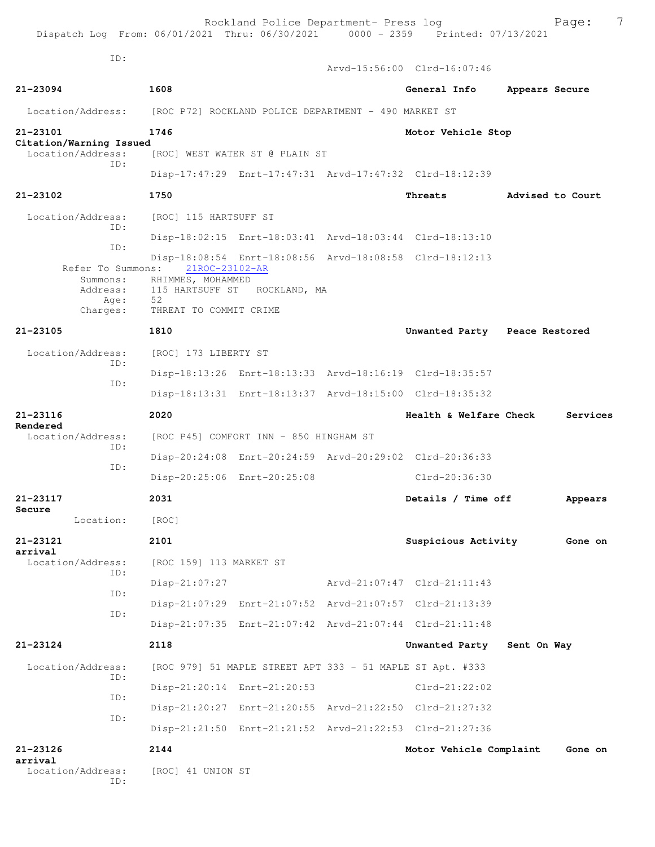| Dispatch Log From: 06/01/2021 Thru: 06/30/2021 0000 - 2359 Printed: 07/13/2021 |                                                      | Rockland Police Department- Press log                     |                                                         | 7<br>Page:       |
|--------------------------------------------------------------------------------|------------------------------------------------------|-----------------------------------------------------------|---------------------------------------------------------|------------------|
| TD:                                                                            |                                                      |                                                           | Arvd-15:56:00 Clrd-16:07:46                             |                  |
| 21-23094                                                                       | 1608                                                 |                                                           | General Info                                            | Appears Secure   |
| Location/Address:                                                              | [ROC P72] ROCKLAND POLICE DEPARTMENT - 490 MARKET ST |                                                           |                                                         |                  |
| 21-23101<br>Citation/Warning Issued                                            | 1746                                                 |                                                           | Motor Vehicle Stop                                      |                  |
| Location/Address:<br>ID:                                                       |                                                      | [ROC] WEST WATER ST @ PLAIN ST                            |                                                         |                  |
|                                                                                |                                                      |                                                           | Disp-17:47:29 Enrt-17:47:31 Arvd-17:47:32 Clrd-18:12:39 |                  |
| 21-23102                                                                       | 1750                                                 |                                                           | Threats                                                 | Advised to Court |
| Location/Address:<br>ID:                                                       | [ROC] 115 HARTSUFF ST                                |                                                           |                                                         |                  |
|                                                                                |                                                      |                                                           | Disp-18:02:15 Enrt-18:03:41 Arvd-18:03:44 Clrd-18:13:10 |                  |
| ID:<br>Refer To Summons:                                                       | 21ROC-23102-AR                                       |                                                           | Disp-18:08:54 Enrt-18:08:56 Arvd-18:08:58 Clrd-18:12:13 |                  |
| Summons:<br>Address:                                                           | RHIMMES, MOHAMMED                                    | 115 HARTSUFF ST ROCKLAND, MA                              |                                                         |                  |
| Age:<br>Charges:                                                               | 52<br>THREAT TO COMMIT CRIME                         |                                                           |                                                         |                  |
| 21-23105                                                                       | 1810                                                 |                                                           | Unwanted Party Peace Restored                           |                  |
| Location/Address:<br>ID:                                                       | [ROC] 173 LIBERTY ST                                 |                                                           |                                                         |                  |
| ID:                                                                            |                                                      |                                                           | Disp-18:13:26 Enrt-18:13:33 Arvd-18:16:19 Clrd-18:35:57 |                  |
|                                                                                |                                                      |                                                           | Disp-18:13:31 Enrt-18:13:37 Arvd-18:15:00 Clrd-18:35:32 |                  |
| $21 - 23116$                                                                   | 2020                                                 |                                                           | Health & Welfare Check                                  | Services         |
| Rendered<br>Location/Address:                                                  |                                                      | [ROC P45] COMFORT INN - 850 HINGHAM ST                    |                                                         |                  |
| ID:                                                                            |                                                      |                                                           | Disp-20:24:08 Enrt-20:24:59 Arvd-20:29:02 Clrd-20:36:33 |                  |
| ID:                                                                            |                                                      | Disp-20:25:06 Enrt-20:25:08                               | Clrd-20:36:30                                           |                  |
| 21-23117<br>Secure                                                             | 2031                                                 |                                                           | Details / Time off                                      | Appears          |
| Location:                                                                      | [ROC]                                                |                                                           |                                                         |                  |
| 21-23121<br>arrival                                                            | 2101                                                 |                                                           | Suspicious Activity                                     | Gone on          |
| Location/Address:                                                              |                                                      |                                                           |                                                         |                  |
|                                                                                | [ROC 159] 113 MARKET ST                              |                                                           |                                                         |                  |
| ID:                                                                            | $Disp-21:07:27$                                      |                                                           | Arvd-21:07:47 Clrd-21:11:43                             |                  |
| ID:                                                                            |                                                      |                                                           | Disp-21:07:29 Enrt-21:07:52 Arvd-21:07:57 Clrd-21:13:39 |                  |
| ID:                                                                            |                                                      |                                                           | Disp-21:07:35 Enrt-21:07:42 Arvd-21:07:44 Clrd-21:11:48 |                  |
| 21-23124                                                                       | 2118                                                 |                                                           | Unwanted Party                                          | Sent On Way      |
| Location/Address:                                                              |                                                      | [ROC 979] 51 MAPLE STREET APT 333 - 51 MAPLE ST Apt. #333 |                                                         |                  |
| ID:                                                                            |                                                      | Disp-21:20:14 Enrt-21:20:53                               | $Clrd-21:22:02$                                         |                  |
| ID:                                                                            |                                                      |                                                           | Disp-21:20:27 Enrt-21:20:55 Arvd-21:22:50 Clrd-21:27:32 |                  |
| ID:                                                                            |                                                      |                                                           | Disp-21:21:50 Enrt-21:21:52 Arvd-21:22:53 Clrd-21:27:36 |                  |
| 21-23126                                                                       | 2144                                                 |                                                           | Motor Vehicle Complaint                                 | Gone on          |
| arrival<br>Location/Address:<br>ID:                                            | [ROC] 41 UNION ST                                    |                                                           |                                                         |                  |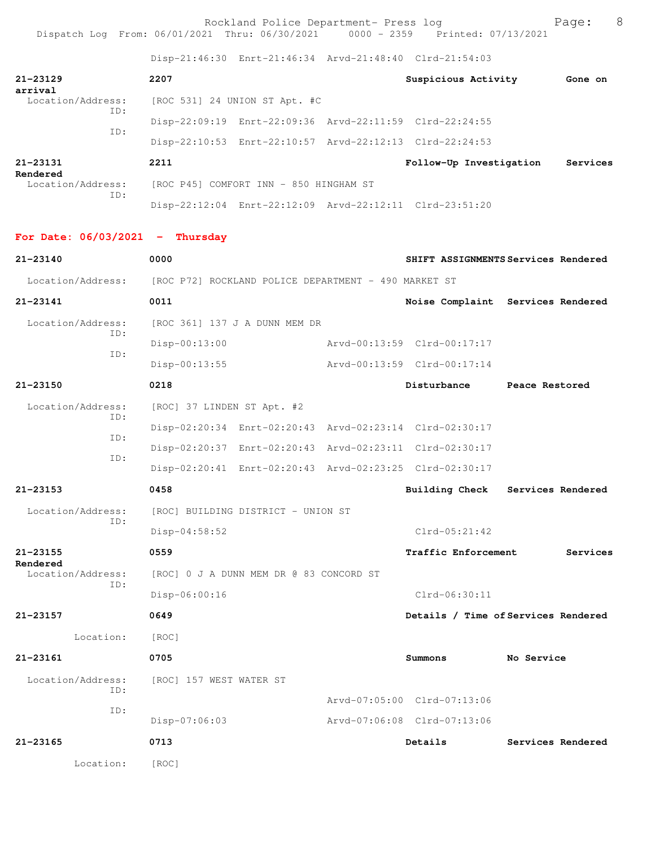Rockland Police Department- Press log entitled and Page: 8 Dispatch Log From: 06/01/2021 Thru: 06/30/2021 0000 - 2359 Printed: 07/13/2021

Disp-21:46:30 Enrt-21:46:34 Arvd-21:48:40 Clrd-21:54:03

|                                                                        |                                         |                                    |  | 01.00-21.40.00 pmlc-21.40.04 ALVG-21.40.40 CILG-21.04.00 |                                     |
|------------------------------------------------------------------------|-----------------------------------------|------------------------------------|--|----------------------------------------------------------|-------------------------------------|
| $21 - 23129$                                                           | 2207                                    |                                    |  | Suspicious Activity                                      | Gone on                             |
| arrival<br>Location/Address:                                           | [ROC 531] 24 UNION ST Apt. #C           |                                    |  |                                                          |                                     |
| ID:                                                                    |                                         |                                    |  | Disp-22:09:19 Enrt-22:09:36 Arvd-22:11:59 Clrd-22:24:55  |                                     |
| ID:                                                                    |                                         |                                    |  | Disp-22:10:53 Enrt-22:10:57 Arvd-22:12:13 Clrd-22:24:53  |                                     |
| 21-23131                                                               | 2211                                    |                                    |  | Follow-Up Investigation                                  | Services                            |
| Rendered<br>Location/Address:                                          | [ROC P45] COMFORT INN - 850 HINGHAM ST  |                                    |  |                                                          |                                     |
| ID:                                                                    |                                         |                                    |  | Disp-22:12:04 Enrt-22:12:09 Arvd-22:12:11 Clrd-23:51:20  |                                     |
|                                                                        |                                         |                                    |  |                                                          |                                     |
| For Date: $06/03/2021$ - Thursday                                      |                                         |                                    |  |                                                          |                                     |
| $21 - 23140$                                                           | 0000                                    |                                    |  |                                                          | SHIFT ASSIGNMENTS Services Rendered |
| Location/Address: [ROC P72] ROCKLAND POLICE DEPARTMENT - 490 MARKET ST |                                         |                                    |  |                                                          |                                     |
| 21-23141                                                               | 0011                                    |                                    |  |                                                          | Noise Complaint Services Rendered   |
| Location/Address:<br>ID:                                               | [ROC 361] 137 J A DUNN MEM DR           |                                    |  |                                                          |                                     |
| ID:                                                                    | Disp-00:13:00                           |                                    |  | Arvd-00:13:59 Clrd-00:17:17                              |                                     |
|                                                                        | $Disp-00:13:55$                         |                                    |  | Arvd-00:13:59 Clrd-00:17:14                              |                                     |
| 21-23150                                                               | 0218                                    |                                    |  | Disturbance                                              | Peace Restored                      |
| Location/Address:                                                      | [ROC] 37 LINDEN ST Apt. #2              |                                    |  |                                                          |                                     |
| ID:                                                                    |                                         |                                    |  | Disp-02:20:34 Enrt-02:20:43 Arvd-02:23:14 Clrd-02:30:17  |                                     |
| ID:                                                                    |                                         |                                    |  | Disp-02:20:37 Enrt-02:20:43 Arvd-02:23:11 Clrd-02:30:17  |                                     |
| ID:                                                                    |                                         |                                    |  | Disp-02:20:41 Enrt-02:20:43 Arvd-02:23:25 Clrd-02:30:17  |                                     |
| 21-23153                                                               | 0458                                    |                                    |  | <b>Building Check</b>                                    | Services Rendered                   |
| Location/Address:                                                      |                                         | [ROC] BUILDING DISTRICT - UNION ST |  |                                                          |                                     |
| ID:                                                                    | $Disp-04:58:52$                         |                                    |  | $Clrd-05:21:42$                                          |                                     |
| 21-23155                                                               | 0559                                    |                                    |  | Traffic Enforcement                                      | Services                            |
| Rendered<br>Location/Address:                                          | [ROC] 0 J A DUNN MEM DR @ 83 CONCORD ST |                                    |  |                                                          |                                     |
| ID:                                                                    | Disp-06:00:16                           |                                    |  | Clrd-06:30:11                                            |                                     |
| 21-23157                                                               | 0649                                    |                                    |  |                                                          | Details / Time of Services Rendered |
| Location:                                                              | [ROC]                                   |                                    |  |                                                          |                                     |
| $21 - 23161$                                                           | 0705                                    |                                    |  | Summons                                                  | No Service                          |
| Location/Address:<br>ID:                                               | [ROC] 157 WEST WATER ST                 |                                    |  |                                                          |                                     |
| ID:                                                                    |                                         |                                    |  | Arvd-07:05:00 Clrd-07:13:06                              |                                     |
|                                                                        | Disp-07:06:03                           |                                    |  | Arvd-07:06:08 Clrd-07:13:06                              |                                     |
| 21-23165                                                               | 0713                                    |                                    |  | Details                                                  | Services Rendered                   |
| Location:                                                              | [ROC]                                   |                                    |  |                                                          |                                     |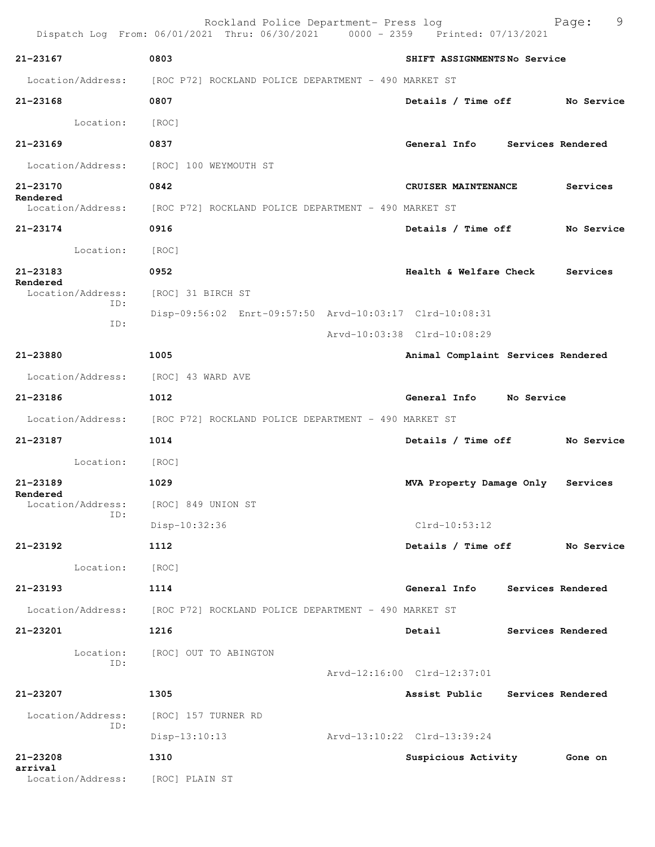|                                     | Rockland Police Department- Press log<br>Dispatch Log From: 06/01/2021 Thru: 06/30/2021 0000 - 2359 Printed: 07/13/2021 |                                    | 9<br>Page:        |
|-------------------------------------|-------------------------------------------------------------------------------------------------------------------------|------------------------------------|-------------------|
| $21 - 23167$                        | 0803                                                                                                                    | SHIFT ASSIGNMENTSNo Service        |                   |
|                                     | Location/Address: [ROC P72] ROCKLAND POLICE DEPARTMENT - 490 MARKET ST                                                  |                                    |                   |
| 21-23168                            | 0807                                                                                                                    | Details / Time off                 | No Service        |
| Location: [ROC]                     |                                                                                                                         |                                    |                   |
| $21 - 23169$                        | 0837                                                                                                                    | General Info Services Rendered     |                   |
|                                     | Location/Address: [ROC] 100 WEYMOUTH ST                                                                                 |                                    |                   |
| 21-23170                            | 0842                                                                                                                    | CRUISER MAINTENANCE                | Services          |
| Rendered                            | Location/Address: [ROC P72] ROCKLAND POLICE DEPARTMENT - 490 MARKET ST                                                  |                                    |                   |
| 21-23174                            | 0916                                                                                                                    | Details / Time off                 | No Service        |
| Location:                           | [ROC]                                                                                                                   |                                    |                   |
| $21 - 23183$                        | 0952                                                                                                                    | <b>Health &amp; Welfare Check</b>  | Services          |
| Rendered<br>Location/Address:       | [ROC] 31 BIRCH ST                                                                                                       |                                    |                   |
| ID:                                 | Disp-09:56:02 Enrt-09:57:50 Arvd-10:03:17 Clrd-10:08:31                                                                 |                                    |                   |
| ID:                                 |                                                                                                                         | Arvd-10:03:38 Clrd-10:08:29        |                   |
| 21-23880                            | 1005                                                                                                                    | Animal Complaint Services Rendered |                   |
| Location/Address: [ROC] 43 WARD AVE |                                                                                                                         |                                    |                   |
| 21-23186                            | 1012                                                                                                                    | General Info No Service            |                   |
|                                     | Location/Address: [ROC P72] ROCKLAND POLICE DEPARTMENT - 490 MARKET ST                                                  |                                    |                   |
| 21-23187                            | 1014                                                                                                                    | Details / Time off No Service      |                   |
| Location: [ROC]                     |                                                                                                                         |                                    |                   |
| 21-23189                            | 1029                                                                                                                    | MVA Property Damage Only           | Services          |
| Rendered<br>Location/Address:       | [ROC] 849 UNION ST                                                                                                      |                                    |                   |
| ID:                                 | Disp-10:32:36                                                                                                           | $Clrd-10:53:12$                    |                   |
| $21 - 23192$                        | 1112                                                                                                                    | Details / Time off                 | No Service        |
| Location:                           | [ROC]                                                                                                                   |                                    |                   |
| 21-23193                            | 1114                                                                                                                    | General Info                       | Services Rendered |
|                                     | Location/Address: [ROC P72] ROCKLAND POLICE DEPARTMENT - 490 MARKET ST                                                  |                                    |                   |
| 21-23201                            | 1216                                                                                                                    | Detail                             | Services Rendered |
| Location:                           | [ROC] OUT TO ABINGTON                                                                                                   |                                    |                   |
| ID:                                 |                                                                                                                         | Arvd-12:16:00 Clrd-12:37:01        |                   |
| 21-23207                            | 1305                                                                                                                    | Assist Public                      | Services Rendered |
| Location/Address:                   | [ROC] 157 TURNER RD                                                                                                     |                                    |                   |
| ID:                                 | $Disp-13:10:13$                                                                                                         | Arvd-13:10:22 Clrd-13:39:24        |                   |
| 21-23208                            | 1310                                                                                                                    | Suspicious Activity                | Gone on           |
| arrival<br>Location/Address:        | [ROC] PLAIN ST                                                                                                          |                                    |                   |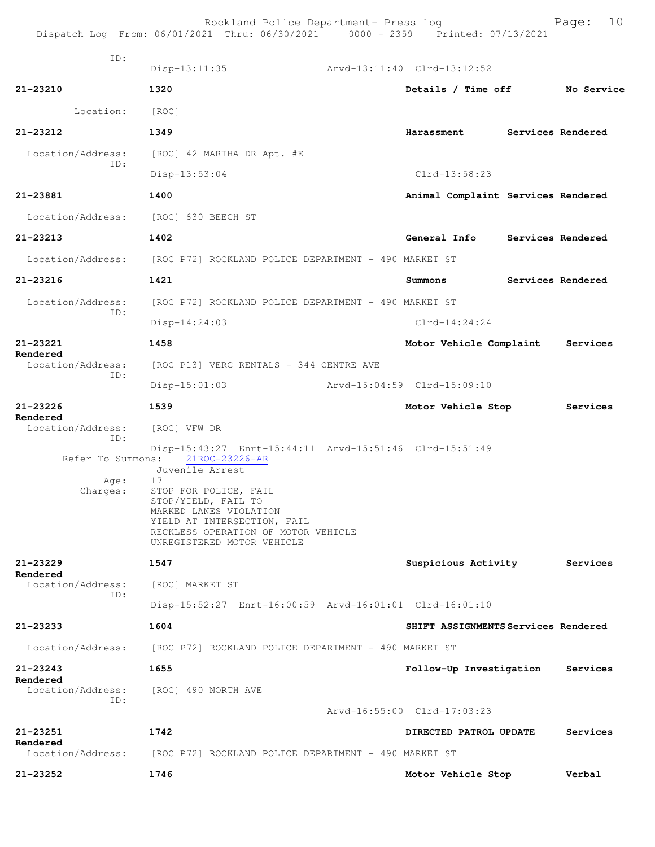|                                       | Rockland Police Department- Press log<br>Dispatch Log From: 06/01/2021 Thru: 06/30/2021 0000 - 2359 Printed: 07/13/2021                                                                                                                                                          |                                     | Page: |                   |
|---------------------------------------|----------------------------------------------------------------------------------------------------------------------------------------------------------------------------------------------------------------------------------------------------------------------------------|-------------------------------------|-------|-------------------|
| ID:                                   | $Disp-13:11:35$                                                                                                                                                                                                                                                                  | Arvd-13:11:40 Clrd-13:12:52         |       |                   |
| 21-23210                              | 1320                                                                                                                                                                                                                                                                             | Details / Time off                  |       | No Service        |
| Location:                             | [ROC]                                                                                                                                                                                                                                                                            |                                     |       |                   |
| $21 - 23212$                          | 1349                                                                                                                                                                                                                                                                             | Harassment                          |       | Services Rendered |
| Location/Address:                     | [ROC] 42 MARTHA DR Apt. #E                                                                                                                                                                                                                                                       |                                     |       |                   |
| ID:                                   | $Disp-13:53:04$                                                                                                                                                                                                                                                                  | $Clrd-13:58:23$                     |       |                   |
| 21-23881                              | 1400                                                                                                                                                                                                                                                                             | Animal Complaint Services Rendered  |       |                   |
| Location/Address:                     | [ROC] 630 BEECH ST                                                                                                                                                                                                                                                               |                                     |       |                   |
| 21-23213                              | 1402                                                                                                                                                                                                                                                                             | General Info                        |       | Services Rendered |
| Location/Address:                     | [ROC P72] ROCKLAND POLICE DEPARTMENT - 490 MARKET ST                                                                                                                                                                                                                             |                                     |       |                   |
| 21-23216                              | 1421                                                                                                                                                                                                                                                                             | Summons                             |       | Services Rendered |
| Location/Address:                     | [ROC P72] ROCKLAND POLICE DEPARTMENT - 490 MARKET ST                                                                                                                                                                                                                             |                                     |       |                   |
| ID:                                   | Disp-14:24:03                                                                                                                                                                                                                                                                    | $Clrd-14:24:24$                     |       |                   |
| 21-23221<br>Rendered                  | 1458                                                                                                                                                                                                                                                                             | Motor Vehicle Complaint             |       | Services          |
| Location/Address:<br>ID:              | [ROC P13] VERC RENTALS - 344 CENTRE AVE                                                                                                                                                                                                                                          |                                     |       |                   |
|                                       | $Disp-15:01:03$                                                                                                                                                                                                                                                                  | Arvd-15:04:59 Clrd-15:09:10         |       |                   |
| 21-23226                              | 1539                                                                                                                                                                                                                                                                             |                                     |       |                   |
|                                       |                                                                                                                                                                                                                                                                                  | Motor Vehicle Stop                  |       | Services          |
| Rendered<br>Location/Address:<br>ID:  | [ROC] VFW DR                                                                                                                                                                                                                                                                     |                                     |       |                   |
| Refer To Summons:<br>Aqe:<br>Charges: | Disp-15:43:27 Enrt-15:44:11 Arvd-15:51:46 Clrd-15:51:49<br>21ROC-23226-AR<br>Juvenile Arrest<br>17<br>STOP FOR POLICE, FAIL<br>STOP/YIELD, FAIL TO<br>MARKED LANES VIOLATION<br>YIELD AT INTERSECTION, FAIL<br>RECKLESS OPERATION OF MOTOR VEHICLE<br>UNREGISTERED MOTOR VEHICLE |                                     |       |                   |
| 21-23229                              | 1547                                                                                                                                                                                                                                                                             | Suspicious Activity                 |       | Services          |
| Rendered<br>Location/Address:         | [ROC] MARKET ST                                                                                                                                                                                                                                                                  |                                     |       |                   |
| ID:                                   | Disp-15:52:27 Enrt-16:00:59 Arvd-16:01:01 Clrd-16:01:10                                                                                                                                                                                                                          |                                     |       |                   |
| 21-23233                              | 1604                                                                                                                                                                                                                                                                             | SHIFT ASSIGNMENTS Services Rendered |       |                   |
| Location/Address:                     | [ROC P72] ROCKLAND POLICE DEPARTMENT - 490 MARKET ST                                                                                                                                                                                                                             |                                     |       |                   |
| 21-23243                              | 1655                                                                                                                                                                                                                                                                             | Follow-Up Investigation             |       | Services          |
| Rendered<br>Location/Address:         | [ROC] 490 NORTH AVE                                                                                                                                                                                                                                                              |                                     |       |                   |
| TD:                                   |                                                                                                                                                                                                                                                                                  | Arvd-16:55:00 Clrd-17:03:23         |       |                   |
| 21-23251                              | 1742                                                                                                                                                                                                                                                                             | DIRECTED PATROL UPDATE              |       | Services          |
| Rendered<br>Location/Address:         | [ROC P72] ROCKLAND POLICE DEPARTMENT - 490 MARKET ST                                                                                                                                                                                                                             |                                     |       |                   |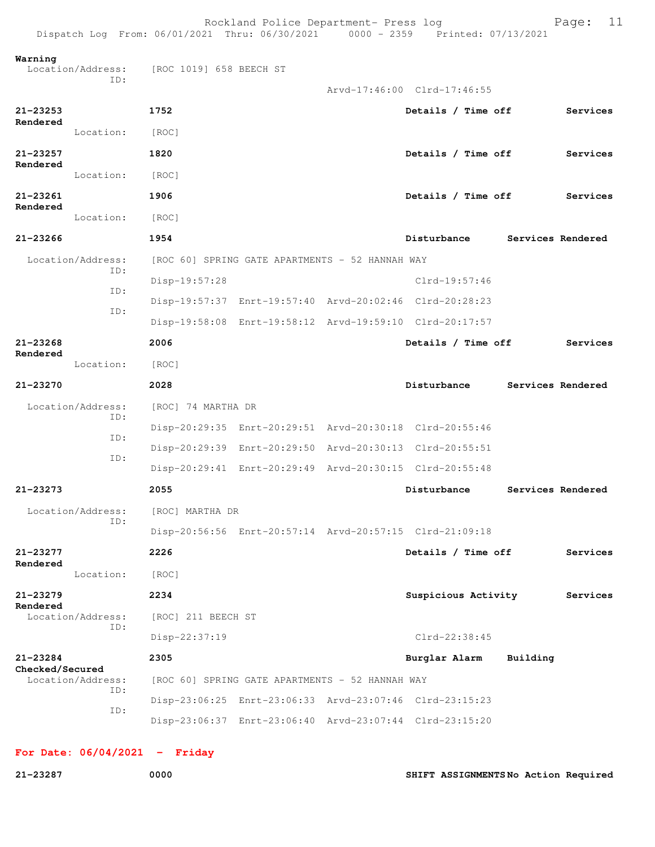Rockland Police Department- Press log Fage: 11 Dispatch Log From: 06/01/2021 Thru: 06/30/2021 0000 - 2359 Printed: 07/13/2021 **Warning**  Location/Address: [ROC 1019] 658 BEECH ST ID: Arvd-17:46:00 Clrd-17:46:55 **21-23253 1752 Details / Time off Services Rendered**  Location: [ROC] **21-23257 1820 Details / Time off Services Rendered**  Location: [ROC] **21-23261 1906 Details / Time off Services Rendered**  Location: [ROC] **21-23266 1954 Disturbance Services Rendered** Location/Address: [ROC 60] SPRING GATE APARTMENTS - 52 HANNAH WAY ID: Disp-19:57:28 Clrd-19:57:46 ID: Disp-19:57:37 Enrt-19:57:40 Arvd-20:02:46 Clrd-20:28:23 ID: Disp-19:58:08 Enrt-19:58:12 Arvd-19:59:10 Clrd-20:17:57 **21-23268 2006 Details / Time off Services Rendered**  Location: [ROC] **21-23270 2028 Disturbance Services Rendered** Location/Address: [ROC] 74 MARTHA DR ID: Disp-20:29:35 Enrt-20:29:51 Arvd-20:30:18 Clrd-20:55:46 ID: Disp-20:29:39 Enrt-20:29:50 Arvd-20:30:13 Clrd-20:55:51 ID: Disp-20:29:41 Enrt-20:29:49 Arvd-20:30:15 Clrd-20:55:48 **21-23273 2055 Disturbance Services Rendered** Location/Address: [ROC] MARTHA DR ID: Disp-20:56:56 Enrt-20:57:14 Arvd-20:57:15 Clrd-21:09:18 **21-23277 2226 Details / Time off Services Rendered**  Location: [ROC] **21-23279 2234 Suspicious Activity Services Rendered**  [ROC] 211 BEECH ST ID: Disp-22:37:19 Clrd-22:38:45 **21-23284 2305 Burglar Alarm Building Checked/Secured**  Location/Address: [ROC 60] SPRING GATE APARTMENTS - 52 HANNAH WAY ID: Disp-23:06:25 Enrt-23:06:33 Arvd-23:07:46 Clrd-23:15:23 ID: Disp-23:06:37 Enrt-23:06:40 Arvd-23:07:44 Clrd-23:15:20

**For Date: 06/04/2021 - Friday**

**21-23287 0000 SHIFT ASSIGNMENTS No Action Required**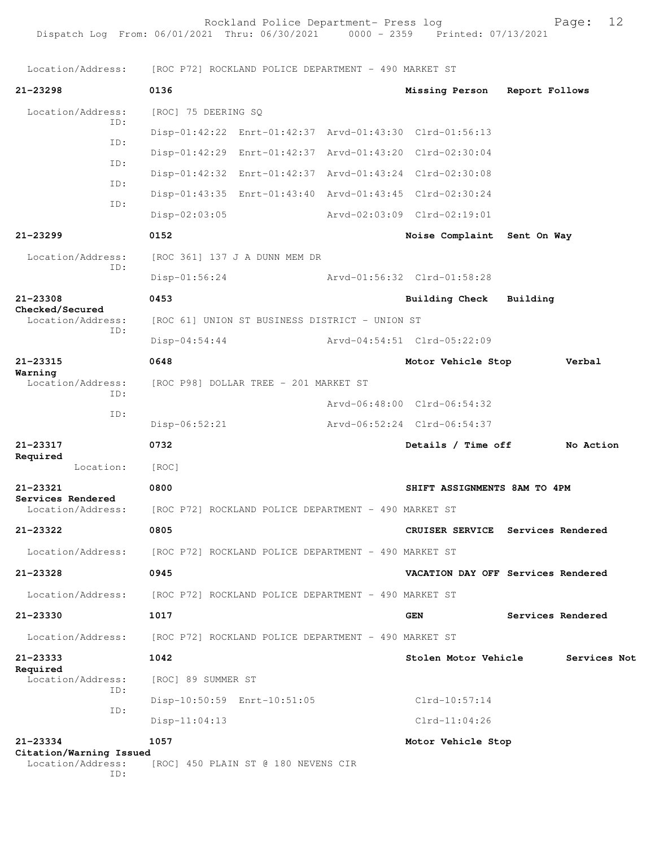Rockland Police Department- Press log entitled Page: 12

|                                              |     |                     | Location/Address: [ROC P72] ROCKLAND POLICE DEPARTMENT - 490 MARKET ST |                                                         |          |                   |
|----------------------------------------------|-----|---------------------|------------------------------------------------------------------------|---------------------------------------------------------|----------|-------------------|
| $21 - 23298$                                 |     | 0136                |                                                                        | Missing Person Report Follows                           |          |                   |
| Location/Address:                            | ID: | [ROC] 75 DEERING SQ |                                                                        |                                                         |          |                   |
|                                              | ID: |                     |                                                                        | Disp-01:42:22 Enrt-01:42:37 Arvd-01:43:30 Clrd-01:56:13 |          |                   |
|                                              | ID: |                     |                                                                        | Disp-01:42:29 Enrt-01:42:37 Arvd-01:43:20 Clrd-02:30:04 |          |                   |
|                                              | ID: |                     |                                                                        | Disp-01:42:32 Enrt-01:42:37 Arvd-01:43:24 Clrd-02:30:08 |          |                   |
|                                              | ID: |                     |                                                                        | Disp-01:43:35 Enrt-01:43:40 Arvd-01:43:45 Clrd-02:30:24 |          |                   |
|                                              |     | $Disp-02:03:05$     |                                                                        | Arvd-02:03:09 Clrd-02:19:01                             |          |                   |
| 21-23299                                     |     | 0152                |                                                                        | Noise Complaint Sent On Way                             |          |                   |
| Location/Address:                            | TD: |                     | [ROC 361] 137 J A DUNN MEM DR                                          |                                                         |          |                   |
|                                              |     | Disp-01:56:24       |                                                                        | Arvd-01:56:32 Clrd-01:58:28                             |          |                   |
| 21-23308                                     |     | 0453                |                                                                        | <b>Building Check</b>                                   | Building |                   |
| Checked/Secured<br>Location/Address:         |     |                     | [ROC 61] UNION ST BUSINESS DISTRICT - UNION ST                         |                                                         |          |                   |
|                                              | ID: | $Disp-04:54:44$     |                                                                        | Arvd-04:54:51 Clrd-05:22:09                             |          |                   |
| 21-23315                                     |     | 0648                |                                                                        | Motor Vehicle Stop                                      |          | Verbal            |
| Warning<br>Location/Address:<br>ID:          |     |                     | [ROC P98] DOLLAR TREE - 201 MARKET ST                                  |                                                         |          |                   |
|                                              |     |                     |                                                                        | Arvd-06:48:00 Clrd-06:54:32                             |          |                   |
|                                              | ID: | Disp-06:52:21       |                                                                        | Arvd-06:52:24 Clrd-06:54:37                             |          |                   |
| $21 - 23317$                                 |     | 0732                |                                                                        | Details / Time off                                      |          | No Action         |
| Required<br>Location:                        |     | [ROC]               |                                                                        |                                                         |          |                   |
| 21-23321                                     |     | 0800                |                                                                        | SHIFT ASSIGNMENTS 8AM TO 4PM                            |          |                   |
| Services Rendered<br>Location/Address:       |     |                     | [ROC P72] ROCKLAND POLICE DEPARTMENT - 490 MARKET ST                   |                                                         |          |                   |
| 21-23322                                     |     | 0805                |                                                                        | CRUISER SERVICE Services Rendered                       |          |                   |
| Location/Address:                            |     |                     | [ROC P72] ROCKLAND POLICE DEPARTMENT - 490 MARKET ST                   |                                                         |          |                   |
| 21-23328                                     |     | 0945                |                                                                        | VACATION DAY OFF Services Rendered                      |          |                   |
| Location/Address:                            |     |                     | [ROC P72] ROCKLAND POLICE DEPARTMENT - 490 MARKET ST                   |                                                         |          |                   |
| 21-23330                                     |     | 1017                |                                                                        | <b>GEN</b>                                              |          | Services Rendered |
| Location/Address:                            |     |                     | [ROC P72] ROCKLAND POLICE DEPARTMENT - 490 MARKET ST                   |                                                         |          |                   |
| 21-23333                                     |     | 1042                |                                                                        | Stolen Motor Vehicle                                    |          | Services Not      |
| Required<br>Location/Address:                |     | [ROC] 89 SUMMER ST  |                                                                        |                                                         |          |                   |
|                                              | ID: |                     | Disp-10:50:59 Enrt-10:51:05                                            | $Clrd-10:57:14$                                         |          |                   |
|                                              | ID: | $Disp-11:04:13$     |                                                                        | $Clrd-11:04:26$                                         |          |                   |
| 21-23334                                     |     | 1057                |                                                                        | Motor Vehicle Stop                                      |          |                   |
| Citation/Warning Issued<br>Location/Address: | ID: |                     | [ROC] 450 PLAIN ST @ 180 NEVENS CIR                                    |                                                         |          |                   |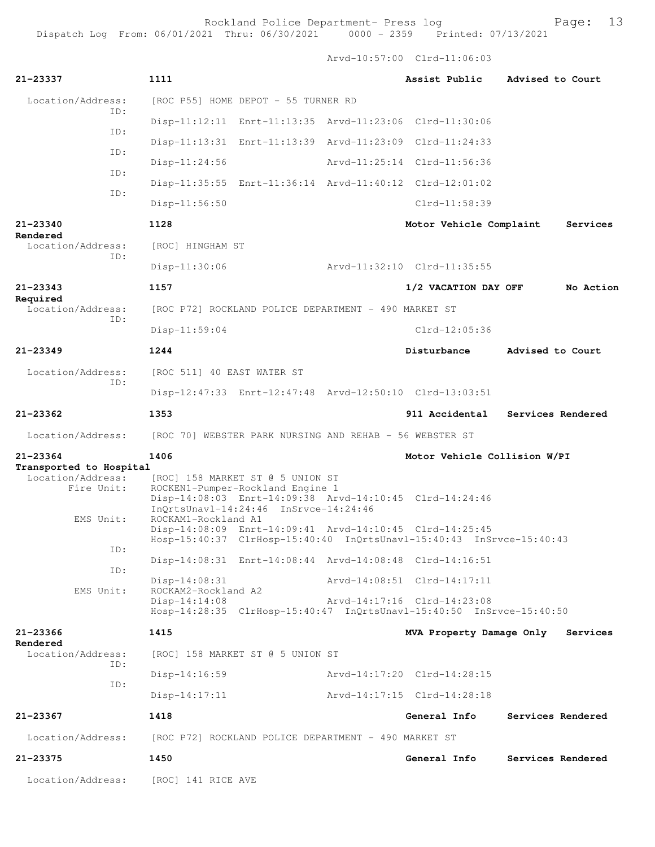Rockland Police Department- Press log entitled Page: 13

Arvd-10:57:00 Clrd-11:06:03

| 21-23337                                     | 1111                                                                                                                                                   | Assist Public                | Advised to Court  |
|----------------------------------------------|--------------------------------------------------------------------------------------------------------------------------------------------------------|------------------------------|-------------------|
| Location/Address:                            | [ROC P55] HOME DEPOT - 55 TURNER RD                                                                                                                    |                              |                   |
| ID:                                          | Disp-11:12:11 Enrt-11:13:35 Arvd-11:23:06 Clrd-11:30:06                                                                                                |                              |                   |
| ID:                                          | Disp-11:13:31 Enrt-11:13:39 Arvd-11:23:09 Clrd-11:24:33                                                                                                |                              |                   |
| ID:                                          | Disp-11:24:56                                                                                                                                          | Arvd-11:25:14 Clrd-11:56:36  |                   |
| ID:                                          | Disp-11:35:55 Enrt-11:36:14 Arvd-11:40:12 Clrd-12:01:02                                                                                                |                              |                   |
| ID:                                          | $Disp-11:56:50$                                                                                                                                        | $Clrd-11:58:39$              |                   |
| 21-23340                                     | 1128                                                                                                                                                   | Motor Vehicle Complaint      | Services          |
| Rendered<br>Location/Address:<br>ID:         | [ROC] HINGHAM ST                                                                                                                                       |                              |                   |
|                                              | Disp-11:30:06                                                                                                                                          | Arvd-11:32:10 Clrd-11:35:55  |                   |
| $21 - 23343$                                 | 1157                                                                                                                                                   | 1/2 VACATION DAY OFF         | No Action         |
| Required<br>Location/Address:                | [ROC P72] ROCKLAND POLICE DEPARTMENT - 490 MARKET ST                                                                                                   |                              |                   |
| ID:                                          | Disp-11:59:04                                                                                                                                          | $Clrd-12:05:36$              |                   |
| $21 - 23349$                                 | 1244                                                                                                                                                   | Disturbance                  | Advised to Court  |
| Location/Address:<br>ID:                     | [ROC 511] 40 EAST WATER ST                                                                                                                             |                              |                   |
|                                              | Disp-12:47:33 Enrt-12:47:48 Arvd-12:50:10 Clrd-13:03:51                                                                                                |                              |                   |
| $21 - 23362$                                 | 1353                                                                                                                                                   | 911 Accidental               | Services Rendered |
| Location/Address:                            | [ROC 70] WEBSTER PARK NURSING AND REHAB - 56 WEBSTER ST                                                                                                |                              |                   |
| 21-23364                                     | 1406                                                                                                                                                   | Motor Vehicle Collision W/PI |                   |
| Transported to Hospital<br>Location/Address: | [ROC] 158 MARKET ST @ 5 UNION ST                                                                                                                       |                              |                   |
| Fire Unit:                                   | ROCKEN1-Pumper-Rockland Engine 1<br>Disp-14:08:03 Enrt-14:09:38 Arvd-14:10:45 Clrd-14:24:46<br>InQrtsUnavl-14:24:46 InSrvce-14:24:46                   |                              |                   |
| EMS Unit:                                    | ROCKAM1-Rockland A1<br>Disp-14:08:09 Enrt-14:09:41 Arvd-14:10:45 Clrd-14:25:45<br>Hosp-15:40:37 ClrHosp-15:40:40 InQrtsUnavl-15:40:43 InSrvce-15:40:43 |                              |                   |
| ID:                                          | Disp-14:08:31 Enrt-14:08:44 Arvd-14:08:48 Clrd-14:16:51                                                                                                |                              |                   |
| ID:                                          | Disp-14:08:31                                                                                                                                          | Arvd-14:08:51 Clrd-14:17:11  |                   |
| EMS Unit:                                    | ROCKAM2-Rockland A2<br>$Disp-14:14:08$                                                                                                                 | Arvd-14:17:16 Clrd-14:23:08  |                   |
|                                              | Hosp-14:28:35 ClrHosp-15:40:47 InQrtsUnavl-15:40:50 InSrvce-15:40:50                                                                                   |                              |                   |
| 21-23366                                     | 1415                                                                                                                                                   | MVA Property Damage Only     | Services          |
| Rendered<br>Location/Address:                | [ROC] 158 MARKET ST @ 5 UNION ST                                                                                                                       |                              |                   |
| ID:                                          | Disp-14:16:59                                                                                                                                          | Arvd-14:17:20 Clrd-14:28:15  |                   |
| ID:                                          | $Disp-14:17:11$                                                                                                                                        | Arvd-14:17:15 Clrd-14:28:18  |                   |
| 21-23367                                     | 1418                                                                                                                                                   | General Info                 | Services Rendered |
| Location/Address:                            | [ROC P72] ROCKLAND POLICE DEPARTMENT - 490 MARKET ST                                                                                                   |                              |                   |
| 21-23375                                     | 1450                                                                                                                                                   | General Info                 | Services Rendered |
| Location/Address:                            | [ROC] 141 RICE AVE                                                                                                                                     |                              |                   |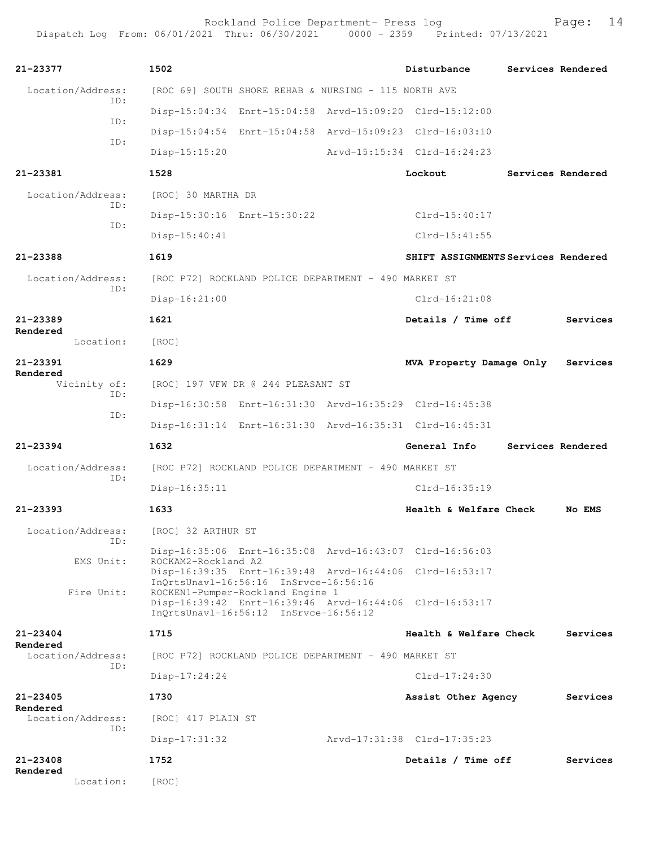Rockland Police Department- Press log entitled and Page: 14 Dispatch Log From: 06/01/2021 Thru: 06/30/2021 0000 - 2359 Printed: 07/13/2021

| 21-23377                        | 1502                                                                                             | Disturbance                         |  | Services Rendered |
|---------------------------------|--------------------------------------------------------------------------------------------------|-------------------------------------|--|-------------------|
|                                 |                                                                                                  |                                     |  |                   |
| Location/Address:<br>ID:        | [ROC 69] SOUTH SHORE REHAB & NURSING - 115 NORTH AVE                                             |                                     |  |                   |
| ID:                             | Disp-15:04:34 Enrt-15:04:58 Arvd-15:09:20 Clrd-15:12:00                                          |                                     |  |                   |
| ID:                             | Disp-15:04:54 Enrt-15:04:58 Arvd-15:09:23 Clrd-16:03:10                                          |                                     |  |                   |
|                                 | $Disp-15:15:20$                                                                                  | Arvd-15:15:34 Clrd-16:24:23         |  |                   |
| 21-23381                        | 1528                                                                                             | Lockout                             |  | Services Rendered |
| Location/Address:               | [ROC] 30 MARTHA DR                                                                               |                                     |  |                   |
| ID:                             | Disp-15:30:16 Enrt-15:30:22                                                                      | $Clrd-15:40:17$                     |  |                   |
| ID:                             | $Disp-15:40:41$                                                                                  | $Clrd-15:41:55$                     |  |                   |
| 21-23388                        | 1619                                                                                             | SHIFT ASSIGNMENTS Services Rendered |  |                   |
| Location/Address:               | [ROC P72] ROCKLAND POLICE DEPARTMENT - 490 MARKET ST                                             |                                     |  |                   |
| ID:                             | $Disp-16:21:00$                                                                                  | $C1rd-16:21:08$                     |  |                   |
| $21 - 23389$                    | 1621                                                                                             | Details / Time off                  |  | Services          |
| Rendered<br>Location:           | [ROC]                                                                                            |                                     |  |                   |
| $21 - 23391$                    | 1629                                                                                             | MVA Property Damage Only            |  | Services          |
| Rendered<br>Vicinity of:<br>ID: | [ROC] 197 VFW DR @ 244 PLEASANT ST                                                               |                                     |  |                   |
|                                 | Disp-16:30:58 Enrt-16:31:30 Arvd-16:35:29 Clrd-16:45:38                                          |                                     |  |                   |
| ID:                             | Disp-16:31:14 Enrt-16:31:30 Arvd-16:35:31 Clrd-16:45:31                                          |                                     |  |                   |
| $21 - 23394$                    | 1632                                                                                             | General Info                        |  | Services Rendered |
| Location/Address:               | [ROC P72] ROCKLAND POLICE DEPARTMENT - 490 MARKET ST                                             |                                     |  |                   |
| ID:                             | Disp-16:35:11                                                                                    | $Clrd-16:35:19$                     |  |                   |
| $21 - 23393$                    | 1633                                                                                             | Health & Welfare Check              |  | No EMS            |
| Location/Address:<br>ID:        | [ROC] 32 ARTHUR ST                                                                               |                                     |  |                   |
|                                 | Disp-16:35:06 Enrt-16:35:08 Arvd-16:43:07 Clrd-16:56:03<br>ROCKAM2-Rockland A2                   |                                     |  |                   |
| EMS Unit:                       | Disp-16:39:35 Enrt-16:39:48 Arvd-16:44:06 Clrd-16:53:17                                          |                                     |  |                   |
| Fire Unit:                      | InQrtsUnavl-16:56:16 InSrvce-16:56:16<br>ROCKEN1-Pumper-Rockland Engine 1                        |                                     |  |                   |
|                                 | Disp-16:39:42 Enrt-16:39:46 Arvd-16:44:06 Clrd-16:53:17<br>InQrtsUnavl-16:56:12 InSrvce-16:56:12 |                                     |  |                   |
| $21 - 23404$                    | 1715                                                                                             | Health & Welfare Check              |  | Services          |
| Rendered<br>Location/Address:   | [ROC P72] ROCKLAND POLICE DEPARTMENT - 490 MARKET ST                                             |                                     |  |                   |
| ID:                             | $Disp-17:24:24$                                                                                  | $Clrd-17:24:30$                     |  |                   |
| 21-23405                        | 1730                                                                                             | Assist Other Agency                 |  | Services          |
| Rendered<br>Location/Address:   | [ROC] 417 PLAIN ST                                                                               |                                     |  |                   |
| ID:                             | $Disp-17:31:32$                                                                                  | Arvd-17:31:38 Clrd-17:35:23         |  |                   |
| $21 - 23408$                    | 1752                                                                                             | Details / Time off                  |  | Services          |
| Rendered<br>Location:           | [ROC]                                                                                            |                                     |  |                   |
|                                 |                                                                                                  |                                     |  |                   |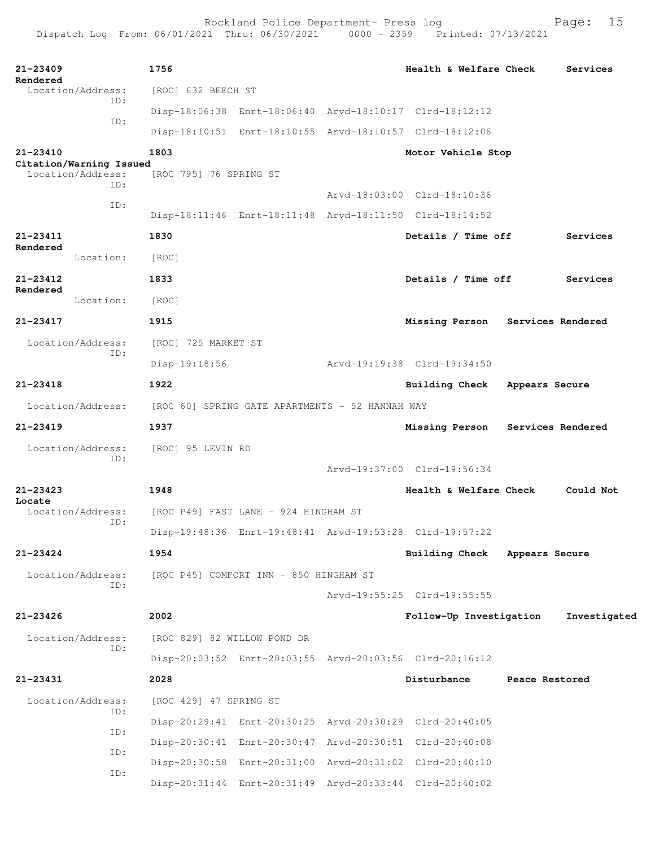Rockland Police Department- Press log entitled and Page: 15

| 21-23409     |                                              | 1756                        |                                                 | Health & Welfare Check                                  |                | Services          |
|--------------|----------------------------------------------|-----------------------------|-------------------------------------------------|---------------------------------------------------------|----------------|-------------------|
| Rendered     | Location/Address:                            | [ROC] 632 BEECH ST          |                                                 |                                                         |                |                   |
|              | ID:                                          |                             |                                                 | Disp-18:06:38 Enrt-18:06:40 Arvd-18:10:17 Clrd-18:12:12 |                |                   |
|              | ID:                                          |                             |                                                 | Disp-18:10:51 Enrt-18:10:55 Arvd-18:10:57 Clrd-18:12:06 |                |                   |
| 21-23410     |                                              | 1803                        |                                                 | Motor Vehicle Stop                                      |                |                   |
|              | Citation/Warning Issued<br>Location/Address: | [ROC 795] 76 SPRING ST      |                                                 |                                                         |                |                   |
|              | ID:                                          |                             |                                                 | Arvd-18:03:00 Clrd-18:10:36                             |                |                   |
|              | ID:                                          |                             |                                                 | Disp-18:11:46 Enrt-18:11:48 Arvd-18:11:50 Clrd-18:14:52 |                |                   |
| 21-23411     |                                              | 1830                        |                                                 | Details / Time off                                      |                | Services          |
| Rendered     | Location:                                    | [ROC]                       |                                                 |                                                         |                |                   |
| 21-23412     |                                              | 1833                        |                                                 | Details / Time off                                      |                | Services          |
| Rendered     | Location:                                    | [ROC]                       |                                                 |                                                         |                |                   |
| 21-23417     |                                              | 1915                        |                                                 | Missing Person Services Rendered                        |                |                   |
|              | Location/Address:                            | [ROC] 725 MARKET ST         |                                                 |                                                         |                |                   |
|              | ID:                                          | $Disp-19:18:56$             |                                                 | Arvd-19:19:38 Clrd-19:34:50                             |                |                   |
| $21 - 23418$ |                                              | 1922                        |                                                 | <b>Building Check</b>                                   | Appears Secure |                   |
|              | Location/Address:                            |                             | [ROC 60] SPRING GATE APARTMENTS - 52 HANNAH WAY |                                                         |                |                   |
| $21 - 23419$ |                                              | 1937                        |                                                 | Missing Person                                          |                | Services Rendered |
|              | Location/Address:                            | [ROC] 95 LEVIN RD           |                                                 |                                                         |                |                   |
|              | ID:                                          |                             |                                                 | Arvd-19:37:00 Clrd-19:56:34                             |                |                   |
| $21 - 23423$ |                                              | 1948                        |                                                 | Health & Welfare Check                                  |                | Could Not         |
| Locate       | Location/Address:                            |                             | [ROC P49] FAST LANE - 924 HINGHAM ST            |                                                         |                |                   |
|              | ID:                                          |                             |                                                 | Disp-19:48:36 Enrt-19:48:41 Arvd-19:53:28 Clrd-19:57:22 |                |                   |
| 21-23424     |                                              | 1954                        |                                                 | Building Check Appears Secure                           |                |                   |
|              | Location/Address:                            |                             | [ROC P45] COMFORT INN - 850 HINGHAM ST          |                                                         |                |                   |
|              | ID:                                          |                             |                                                 | Arvd-19:55:25 Clrd-19:55:55                             |                |                   |
| $21 - 23426$ |                                              | 2002                        |                                                 | Follow-Up Investigation                                 |                | Investigated      |
|              | Location/Address:                            | [ROC 829] 82 WILLOW POND DR |                                                 |                                                         |                |                   |
|              | ID:                                          |                             |                                                 | Disp-20:03:52 Enrt-20:03:55 Arvd-20:03:56 Clrd-20:16:12 |                |                   |
| 21-23431     |                                              | 2028                        |                                                 | Disturbance                                             | Peace Restored |                   |
|              | Location/Address:                            | [ROC 429] 47 SPRING ST      |                                                 |                                                         |                |                   |
|              | ID:                                          |                             |                                                 | Disp-20:29:41 Enrt-20:30:25 Arvd-20:30:29 Clrd-20:40:05 |                |                   |
|              | ID:                                          |                             |                                                 | Disp-20:30:41 Enrt-20:30:47 Arvd-20:30:51 Clrd-20:40:08 |                |                   |
|              | ID:                                          |                             |                                                 | Disp-20:30:58 Enrt-20:31:00 Arvd-20:31:02 Clrd-20:40:10 |                |                   |
|              | ID:                                          |                             |                                                 | Disp-20:31:44 Enrt-20:31:49 Arvd-20:33:44 Clrd-20:40:02 |                |                   |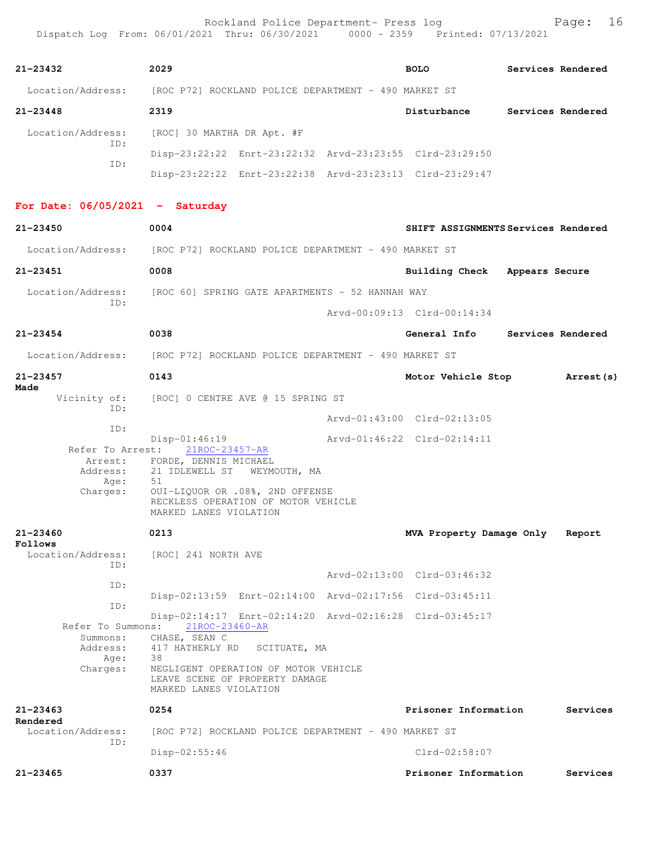| $21 - 23432$                      | 2029                                                                                             | <b>BOLO</b>                   | Services Rendered                   |  |
|-----------------------------------|--------------------------------------------------------------------------------------------------|-------------------------------|-------------------------------------|--|
|                                   | Location/Address: [ROC P72] ROCKLAND POLICE DEPARTMENT - 490 MARKET ST                           |                               |                                     |  |
| $21 - 23448$                      | 2319                                                                                             |                               | Disturbance Services Rendered       |  |
| Location/Address:<br>ID:          | [ROC] 30 MARTHA DR Apt. #F                                                                       |                               |                                     |  |
| ID:                               | Disp-23:22:22 Enrt-23:22:32 Arvd-23:23:55 Clrd-23:29:50                                          |                               |                                     |  |
|                                   | Disp-23:22:22 Enrt-23:22:38 Arvd-23:23:13 Clrd-23:29:47                                          |                               |                                     |  |
| For Date: $06/05/2021$ - Saturday |                                                                                                  |                               |                                     |  |
| $21 - 23450$                      | 0004                                                                                             |                               | SHIFT ASSIGNMENTS Services Rendered |  |
|                                   | Location/Address: [ROC P72] ROCKLAND POLICE DEPARTMENT - 490 MARKET ST                           |                               |                                     |  |
| $21 - 23451$                      | 0008                                                                                             | Building Check Appears Secure |                                     |  |
|                                   | Location/Address: [ROC 60] SPRING GATE APARTMENTS - 52 HANNAH WAY                                |                               |                                     |  |
| ID:                               |                                                                                                  | Arvd-00:09:13 Clrd-00:14:34   |                                     |  |
| $21 - 23454$                      | 0038                                                                                             |                               | General Info Services Rendered      |  |
|                                   | Location/Address: [ROC P72] ROCKLAND POLICE DEPARTMENT - 490 MARKET ST                           |                               |                                     |  |
| $21 - 23457$                      | 0143                                                                                             | Motor Vehicle Stop            | <b>Arrest (s)</b>                   |  |
| Made<br>Vicinity of:              | [ROC] 0 CENTRE AVE @ 15 SPRING ST                                                                |                               |                                     |  |
| ID:                               |                                                                                                  | Arvd-01:43:00 Clrd-02:13:05   |                                     |  |
| ID:                               | $Disp-01:46:19$                                                                                  | Arvd-01:46:22 Clrd-02:14:11   |                                     |  |
| Refer To Arrest:<br>Arrest:       | 21ROC-23457-AR<br>FORDE, DENNIS MICHAEL                                                          |                               |                                     |  |
| Address:<br>Age:                  | 21 IDLEWELL ST WEYMOUTH, MA<br>51                                                                |                               |                                     |  |
| Charges:                          | OUI-LIQUOR OR .08%, 2ND OFFENSE<br>RECKLESS OPERATION OF MOTOR VEHICLE<br>MARKED LANES VIOLATION |                               |                                     |  |
| 21-23460<br>Follows               | 0213                                                                                             | MVA Property Damage Only      | Report                              |  |
| Location/Address:<br>ID:          | [ROC] 241 NORTH AVE                                                                              |                               |                                     |  |
| ID:                               |                                                                                                  | Arvd-02:13:00 Clrd-03:46:32   |                                     |  |
| ID:                               | Disp-02:13:59 Enrt-02:14:00 Arvd-02:17:56 Clrd-03:45:11                                          |                               |                                     |  |
| Refer To Summons:                 | Disp-02:14:17 Enrt-02:14:20 Arvd-02:16:28 Clrd-03:45:17                                          |                               |                                     |  |
| Summons:                          | 21ROC-23460-AR<br>CHASE, SEAN C                                                                  |                               |                                     |  |
| Address:<br>Age:                  | 417 HATHERLY RD<br>SCITUATE, MA<br>38                                                            |                               |                                     |  |
| Charges:                          | NEGLIGENT OPERATION OF MOTOR VEHICLE<br>LEAVE SCENE OF PROPERTY DAMAGE<br>MARKED LANES VIOLATION |                               |                                     |  |
| $21 - 23463$                      | 0254                                                                                             | Prisoner Information          | Services                            |  |
| Rendered<br>Location/Address:     | [ROC P72] ROCKLAND POLICE DEPARTMENT - 490 MARKET ST                                             |                               |                                     |  |
| ID:                               | $Disp-02:55:46$                                                                                  | $Clrd-02:58:07$               |                                     |  |
| $21 - 23465$                      | 0337                                                                                             | Prisoner Information          | Services                            |  |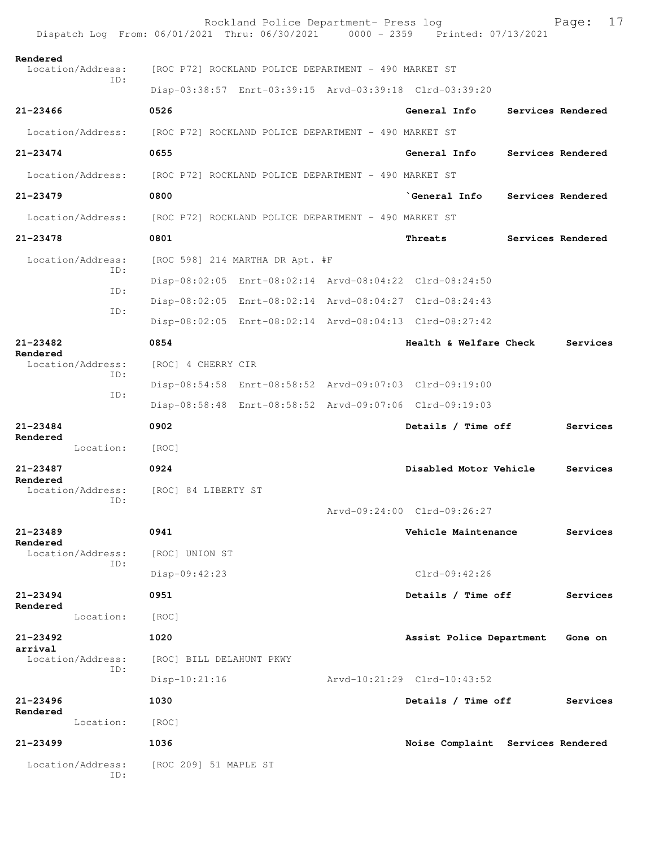|                                              | Rockland Police Department- Press log<br>Dispatch Log From: 06/01/2021 Thru: 06/30/2021 0000 - 2359 Printed: 07/13/2021 |                                   |                   | Page:    | 17 |
|----------------------------------------------|-------------------------------------------------------------------------------------------------------------------------|-----------------------------------|-------------------|----------|----|
| Rendered<br>Location/Address:                | [ROC P72] ROCKLAND POLICE DEPARTMENT - 490 MARKET ST                                                                    |                                   |                   |          |    |
| ID:                                          | Disp-03:38:57 Enrt-03:39:15 Arvd-03:39:18 Clrd-03:39:20                                                                 |                                   |                   |          |    |
| $21 - 23466$                                 | 0526                                                                                                                    | General Info                      | Services Rendered |          |    |
| Location/Address:                            | [ROC P72] ROCKLAND POLICE DEPARTMENT - 490 MARKET ST                                                                    |                                   |                   |          |    |
| $21 - 23474$                                 | 0655                                                                                                                    | General Info                      | Services Rendered |          |    |
| Location/Address:                            | [ROC P72] ROCKLAND POLICE DEPARTMENT - 490 MARKET ST                                                                    |                                   |                   |          |    |
| $21 - 23479$                                 | 0800                                                                                                                    | `General Info                     | Services Rendered |          |    |
| Location/Address:                            | [ROC P72] ROCKLAND POLICE DEPARTMENT - 490 MARKET ST                                                                    |                                   |                   |          |    |
| 21-23478                                     | 0801                                                                                                                    | Threats                           | Services Rendered |          |    |
| Location/Address:                            | [ROC 598] 214 MARTHA DR Apt. #F                                                                                         |                                   |                   |          |    |
| TD:                                          | Disp-08:02:05 Enrt-08:02:14 Arvd-08:04:22 Clrd-08:24:50                                                                 |                                   |                   |          |    |
| ID:                                          | Disp-08:02:05 Enrt-08:02:14 Arvd-08:04:27 Clrd-08:24:43                                                                 |                                   |                   |          |    |
| ID:                                          | Disp-08:02:05 Enrt-08:02:14 Arvd-08:04:13 Clrd-08:27:42                                                                 |                                   |                   |          |    |
| 21-23482<br>Rendered                         | 0854                                                                                                                    | Health & Welfare Check            |                   | Services |    |
| Location/Address:                            | [ROC] 4 CHERRY CIR                                                                                                      |                                   |                   |          |    |
| ID:<br>ID:                                   | Disp-08:54:58 Enrt-08:58:52 Arvd-09:07:03 Clrd-09:19:00                                                                 |                                   |                   |          |    |
|                                              | Disp-08:58:48 Enrt-08:58:52 Arvd-09:07:06 Clrd-09:19:03                                                                 |                                   |                   |          |    |
| $21 - 23484$<br>Rendered                     | 0902                                                                                                                    | Details / Time off                |                   | Services |    |
| Location:                                    | [ROC]                                                                                                                   |                                   |                   |          |    |
| $21 - 23487$<br>Rendered                     | 0924                                                                                                                    | Disabled Motor Vehicle            |                   | Services |    |
| Location/Address: [ROC] 84 LIBERTY ST<br>ID: |                                                                                                                         |                                   |                   |          |    |
|                                              |                                                                                                                         | Arvd-09:24:00 Clrd-09:26:27       |                   |          |    |
| $21 - 23489$<br>Rendered                     | 0941                                                                                                                    | Vehicle Maintenance               |                   | Services |    |
| Location/Address:<br>ID:                     | [ROC] UNION ST                                                                                                          |                                   |                   |          |    |
|                                              | Disp-09:42:23                                                                                                           | $Clrd-09:42:26$                   |                   |          |    |
| $21 - 23494$<br>Rendered                     | 0951                                                                                                                    | Details / Time off                |                   | Services |    |
| Location:                                    | [ROC]                                                                                                                   |                                   |                   |          |    |
| $21 - 23492$<br>arrival                      | 1020                                                                                                                    | Assist Police Department          |                   | Gone on  |    |
| Location/Address:<br>ID:                     | [ROC] BILL DELAHUNT PKWY                                                                                                |                                   |                   |          |    |
|                                              | $Disp-10:21:16$                                                                                                         | Arvd-10:21:29 Clrd-10:43:52       |                   |          |    |
| $21 - 23496$<br>Rendered                     | 1030                                                                                                                    | Details / Time off                |                   | Services |    |
| Location:                                    | [ROC]                                                                                                                   |                                   |                   |          |    |
| 21-23499                                     | 1036                                                                                                                    | Noise Complaint Services Rendered |                   |          |    |
| Location/Address:<br>ID:                     | [ROC 209] 51 MAPLE ST                                                                                                   |                                   |                   |          |    |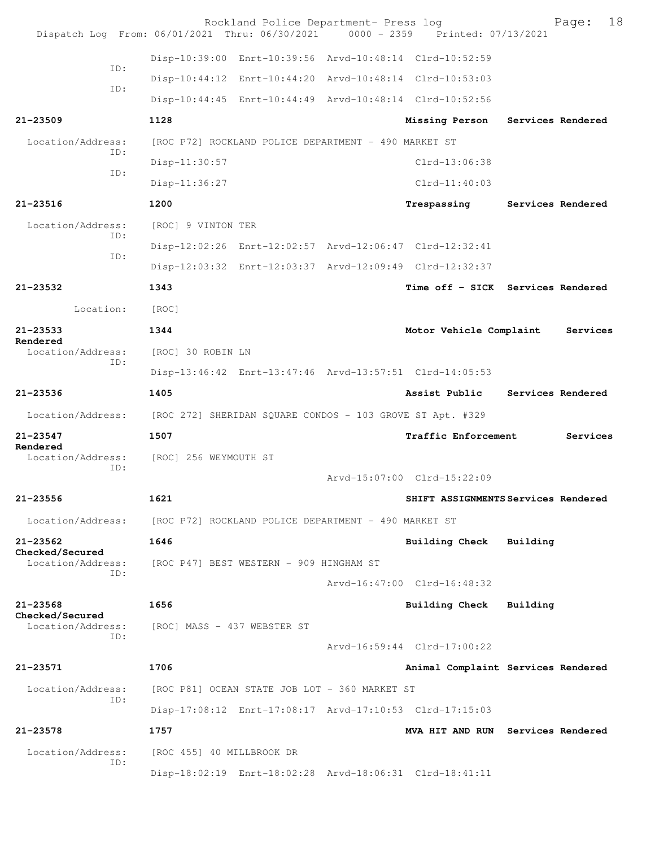| Dispatch Log From: 06/01/2021 Thru: 06/30/2021 0000 - 2359 Printed: 07/13/2021 |                                                           | Rockland Police Department- Press log                |                                                         |                   | Page:    | 18 |
|--------------------------------------------------------------------------------|-----------------------------------------------------------|------------------------------------------------------|---------------------------------------------------------|-------------------|----------|----|
|                                                                                |                                                           |                                                      | Disp-10:39:00 Enrt-10:39:56 Arvd-10:48:14 Clrd-10:52:59 |                   |          |    |
| TD:                                                                            |                                                           |                                                      | Disp-10:44:12 Enrt-10:44:20 Arvd-10:48:14 Clrd-10:53:03 |                   |          |    |
| ID:                                                                            |                                                           |                                                      | Disp-10:44:45 Enrt-10:44:49 Arvd-10:48:14 Clrd-10:52:56 |                   |          |    |
| $21 - 23509$                                                                   | 1128                                                      |                                                      | Missing Person                                          | Services Rendered |          |    |
| Location/Address:                                                              |                                                           | [ROC P72] ROCKLAND POLICE DEPARTMENT - 490 MARKET ST |                                                         |                   |          |    |
| ID:<br>ID:                                                                     | Disp-11:30:57                                             |                                                      | $Clrd-13:06:38$                                         |                   |          |    |
|                                                                                | Disp-11:36:27                                             |                                                      | $Clrd-11:40:03$                                         |                   |          |    |
| $21 - 23516$                                                                   | 1200                                                      |                                                      | Trespassing                                             | Services Rendered |          |    |
| Location/Address:<br>ID:                                                       | [ROC] 9 VINTON TER                                        |                                                      |                                                         |                   |          |    |
| ID:                                                                            |                                                           |                                                      | Disp-12:02:26 Enrt-12:02:57 Arvd-12:06:47 Clrd-12:32:41 |                   |          |    |
|                                                                                |                                                           |                                                      | Disp-12:03:32 Enrt-12:03:37 Arvd-12:09:49 Clrd-12:32:37 |                   |          |    |
| $21 - 23532$                                                                   | 1343                                                      |                                                      | Time off - SICK Services Rendered                       |                   |          |    |
| Location:                                                                      | [ROC]                                                     |                                                      |                                                         |                   |          |    |
| $21 - 23533$<br>Rendered                                                       | 1344                                                      |                                                      | Motor Vehicle Complaint                                 |                   | Services |    |
| Location/Address:<br>ID:                                                       | [ROC] 30 ROBIN LN                                         |                                                      |                                                         |                   |          |    |
|                                                                                |                                                           |                                                      | Disp-13:46:42 Enrt-13:47:46 Arvd-13:57:51 Clrd-14:05:53 |                   |          |    |
| $21 - 23536$                                                                   | 1405                                                      |                                                      | Assist Public Services Rendered                         |                   |          |    |
| Location/Address:                                                              | [ROC 272] SHERIDAN SQUARE CONDOS - 103 GROVE ST Apt. #329 |                                                      |                                                         |                   |          |    |
| $21 - 23547$<br>Rendered                                                       | 1507                                                      |                                                      | Traffic Enforcement                                     |                   | Services |    |
| Location/Address:<br>ID:                                                       | [ROC] 256 WEYMOUTH ST                                     |                                                      |                                                         |                   |          |    |
|                                                                                |                                                           |                                                      | Arvd-15:07:00 Clrd-15:22:09                             |                   |          |    |
| $21 - 23556$                                                                   | 1621                                                      |                                                      | SHIFT ASSIGNMENTS Services Rendered                     |                   |          |    |
| Location/Address:                                                              | [ROC P72] ROCKLAND POLICE DEPARTMENT - 490 MARKET ST      |                                                      |                                                         |                   |          |    |
| $21 - 23562$<br>Checked/Secured                                                | 1646                                                      |                                                      | <b>Building Check</b>                                   | Building          |          |    |
| Location/Address:<br>ID:                                                       |                                                           | [ROC P47] BEST WESTERN - 909 HINGHAM ST              |                                                         |                   |          |    |
|                                                                                |                                                           |                                                      | Arvd-16:47:00 Clrd-16:48:32                             |                   |          |    |
| $21 - 23568$<br>Checked/Secured                                                | 1656                                                      |                                                      | <b>Building Check</b>                                   | Building          |          |    |
| Location/Address:<br>ID:                                                       | [ROC] MASS - 437 WEBSTER ST                               |                                                      |                                                         |                   |          |    |
|                                                                                |                                                           |                                                      | Arvd-16:59:44 Clrd-17:00:22                             |                   |          |    |
| 21-23571                                                                       | 1706                                                      |                                                      | Animal Complaint Services Rendered                      |                   |          |    |
| Location/Address:<br>ID:                                                       |                                                           | [ROC P81] OCEAN STATE JOB LOT - 360 MARKET ST        |                                                         |                   |          |    |
|                                                                                |                                                           |                                                      | Disp-17:08:12 Enrt-17:08:17 Arvd-17:10:53 Clrd-17:15:03 |                   |          |    |
| 21-23578                                                                       | 1757                                                      |                                                      | MVA HIT AND RUN Services Rendered                       |                   |          |    |
| Location/Address:<br>ID:                                                       | [ROC 455] 40 MILLBROOK DR                                 |                                                      |                                                         |                   |          |    |
|                                                                                |                                                           |                                                      | Disp-18:02:19 Enrt-18:02:28 Arvd-18:06:31 Clrd-18:41:11 |                   |          |    |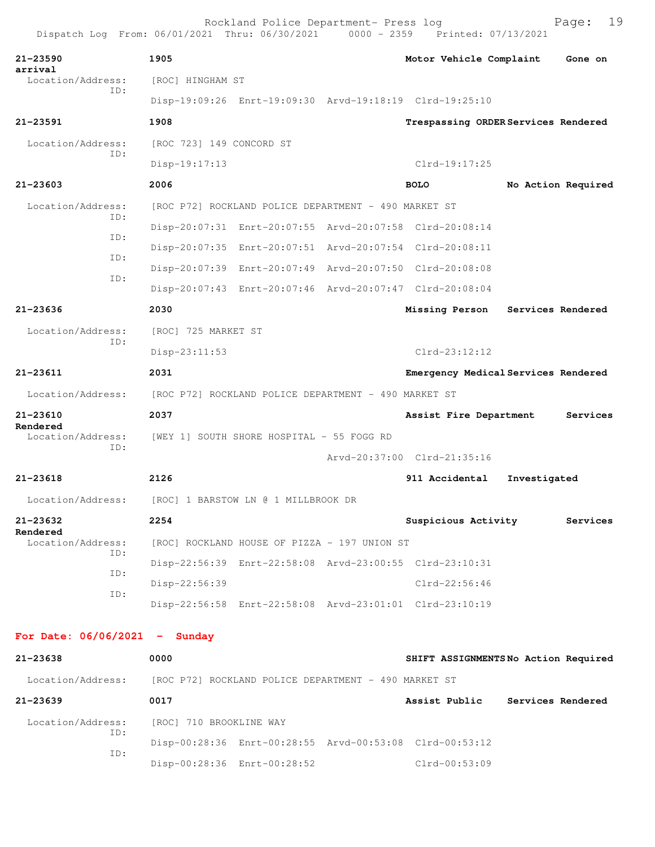|                                 | Dispatch Log From: 06/01/2021 Thru: 06/30/2021 0000 - 2359 Printed: 07/13/2021 | Rockland Police Department- Press log |                             | 19<br>Page:                         |
|---------------------------------|--------------------------------------------------------------------------------|---------------------------------------|-----------------------------|-------------------------------------|
| $21 - 23590$                    | 1905                                                                           |                                       | Motor Vehicle Complaint     | Gone on                             |
| arrival<br>Location/Address:    | [ROC] HINGHAM ST                                                               |                                       |                             |                                     |
| TD:                             | Disp-19:09:26 Enrt-19:09:30 Arvd-19:18:19 Clrd-19:25:10                        |                                       |                             |                                     |
| 21-23591                        | 1908                                                                           |                                       |                             | Trespassing ORDER Services Rendered |
| Location/Address:<br>ID:        | [ROC 723] 149 CONCORD ST                                                       |                                       |                             |                                     |
|                                 | $Disp-19:17:13$                                                                |                                       | $Clrd-19:17:25$             |                                     |
| 21-23603                        | 2006                                                                           |                                       | <b>BOLO</b>                 | No Action Required                  |
| Location/Address:<br>ID:        | [ROC P72] ROCKLAND POLICE DEPARTMENT - 490 MARKET ST                           |                                       |                             |                                     |
| ID:                             | Disp-20:07:31 Enrt-20:07:55 Arvd-20:07:58 Clrd-20:08:14                        |                                       |                             |                                     |
| ID:                             | Disp-20:07:35 Enrt-20:07:51 Arvd-20:07:54 Clrd-20:08:11                        |                                       |                             |                                     |
| ID:                             | Disp-20:07:39 Enrt-20:07:49 Arvd-20:07:50 Clrd-20:08:08                        |                                       |                             |                                     |
|                                 | Disp-20:07:43 Enrt-20:07:46 Arvd-20:07:47 Clrd-20:08:04                        |                                       |                             |                                     |
| $21 - 23636$                    | 2030                                                                           |                                       | Missing Person              | Services Rendered                   |
| Location/Address:<br>ID:        | [ROC] 725 MARKET ST                                                            |                                       |                             |                                     |
|                                 | Disp-23:11:53                                                                  |                                       | $Clrd-23:12:12$             |                                     |
| $21 - 23611$                    | 2031                                                                           |                                       |                             | Emergency Medical Services Rendered |
| Location/Address:               | [ROC P72] ROCKLAND POLICE DEPARTMENT - 490 MARKET ST                           |                                       |                             |                                     |
| 21-23610<br>Rendered            | 2037                                                                           |                                       | Assist Fire Department      | Services                            |
| Location/Address:<br>ID:        | [WEY 1] SOUTH SHORE HOSPITAL - 55 FOGG RD                                      |                                       |                             |                                     |
|                                 |                                                                                |                                       | Arvd-20:37:00 Clrd-21:35:16 |                                     |
| $21 - 23618$                    | 2126                                                                           |                                       | 911 Accidental              | Investigated                        |
| Location/Address:               | [ROC] 1 BARSTOW LN @ 1 MILLBROOK DR                                            |                                       |                             |                                     |
| 21-23632<br>Rendered            | 2254                                                                           |                                       | Suspicious Activity         | Services                            |
| Location/Address:<br>ID:        | [ROC] ROCKLAND HOUSE OF PIZZA - 197 UNION ST                                   |                                       |                             |                                     |
| ID:                             | Disp-22:56:39 Enrt-22:58:08 Arvd-23:00:55 Clrd-23:10:31                        |                                       |                             |                                     |
| ID:                             | Disp-22:56:39                                                                  |                                       | Clrd-22:56:46               |                                     |
|                                 | Disp-22:56:58 Enrt-22:58:08 Arvd-23:01:01 Clrd-23:10:19                        |                                       |                             |                                     |
| For Date: $06/06/2021$ - Sunday |                                                                                |                                       |                             |                                     |
| 21-23638                        | 0000                                                                           |                                       |                             | SHIFT ASSIGNMENTSNo Action Required |
| Location/Address:               | [ROC P72] ROCKLAND POLICE DEPARTMENT - 490 MARKET ST                           |                                       |                             |                                     |

**21-23639 0017 Assist Public Services Rendered** Location/Address: [ROC] 710 BROOKLINE WAY ID: Disp-00:28:36 Enrt-00:28:55 Arvd-00:53:08 Clrd-00:53:12 ID: Disp-00:28:36 Enrt-00:28:52 Clrd-00:53:09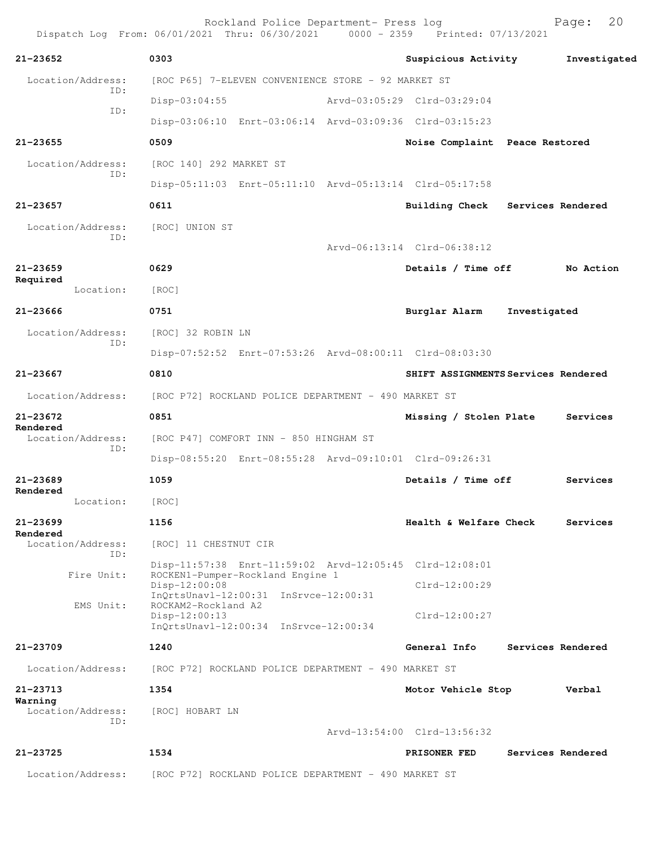|                               |                                                                                            | Rockland Police Department- Press log<br>Dispatch Log From: 06/01/2021 Thru: 06/30/2021 0000 - 2359 Printed: 07/13/2021 |                                | 20<br>Page:                         |
|-------------------------------|--------------------------------------------------------------------------------------------|-------------------------------------------------------------------------------------------------------------------------|--------------------------------|-------------------------------------|
| $21 - 23652$                  | 0303                                                                                       |                                                                                                                         | Suspicious Activity            | Investigated                        |
| Location/Address:             |                                                                                            | [ROC P65] 7-ELEVEN CONVENIENCE STORE - 92 MARKET ST                                                                     |                                |                                     |
| ID:                           | Disp-03:04:55                                                                              |                                                                                                                         | Arvd-03:05:29 Clrd-03:29:04    |                                     |
| ID:                           |                                                                                            | Disp-03:06:10 Enrt-03:06:14 Arvd-03:09:36 Clrd-03:15:23                                                                 |                                |                                     |
| $21 - 23655$                  | 0509                                                                                       |                                                                                                                         | Noise Complaint Peace Restored |                                     |
| Location/Address:             | [ROC 140] 292 MARKET ST                                                                    |                                                                                                                         |                                |                                     |
| ID:                           |                                                                                            | Disp-05:11:03 Enrt-05:11:10 Arvd-05:13:14 Clrd-05:17:58                                                                 |                                |                                     |
| $21 - 23657$                  | 0611                                                                                       |                                                                                                                         | <b>Building Check</b>          | Services Rendered                   |
| Location/Address:             | [ROC] UNION ST                                                                             |                                                                                                                         |                                |                                     |
| ID:                           |                                                                                            |                                                                                                                         | Arvd-06:13:14 Clrd-06:38:12    |                                     |
| $21 - 23659$                  | 0629                                                                                       |                                                                                                                         | Details / Time off             | No Action                           |
| Required<br>Location:         | [ROC]                                                                                      |                                                                                                                         |                                |                                     |
| 21-23666                      | 0751                                                                                       |                                                                                                                         | Burglar Alarm                  | Investigated                        |
| Location/Address:             | [ROC] 32 ROBIN LN                                                                          |                                                                                                                         |                                |                                     |
| TD:                           |                                                                                            | Disp-07:52:52 Enrt-07:53:26 Arvd-08:00:11 Clrd-08:03:30                                                                 |                                |                                     |
| 21-23667                      | 0810                                                                                       |                                                                                                                         |                                | SHIFT ASSIGNMENTS Services Rendered |
| Location/Address:             |                                                                                            | [ROC P72] ROCKLAND POLICE DEPARTMENT - 490 MARKET ST                                                                    |                                |                                     |
| 21-23672                      | 0851                                                                                       |                                                                                                                         | Missing / Stolen Plate         | Services                            |
| Rendered<br>Location/Address: | [ROC P47] COMFORT INN - 850 HINGHAM ST                                                     |                                                                                                                         |                                |                                     |
| ID:                           |                                                                                            | Disp-08:55:20 Enrt-08:55:28 Arvd-09:10:01 Clrd-09:26:31                                                                 |                                |                                     |
| $21 - 23689$                  | 1059                                                                                       |                                                                                                                         | Details / Time off             | Services                            |
| Rendered<br>Location:         | [ROC]                                                                                      |                                                                                                                         |                                |                                     |
| 21-23699                      | 1156                                                                                       |                                                                                                                         | Health & Welfare Check         | Services                            |
| Rendered<br>Location/Address: | [ROC] 11 CHESTNUT CIR                                                                      |                                                                                                                         |                                |                                     |
| ID:                           |                                                                                            | Disp-11:57:38 Enrt-11:59:02 Arvd-12:05:45 Clrd-12:08:01                                                                 |                                |                                     |
| Fire Unit:                    | ROCKEN1-Pumper-Rockland Engine 1<br>Disp-12:00:08<br>InOrtsUnav1-12:00:31 InSrvce-12:00:31 |                                                                                                                         | $Clrd-12:00:29$                |                                     |
| EMS Unit:                     | ROCKAM2-Rockland A2<br>$Disp-12:00:13$<br>InQrtsUnavl-12:00:34 InSrvce-12:00:34            |                                                                                                                         | $Clrd-12:00:27$                |                                     |
| 21-23709                      | 1240                                                                                       |                                                                                                                         | General Info                   | Services Rendered                   |
| Location/Address:             |                                                                                            | [ROC P72] ROCKLAND POLICE DEPARTMENT - 490 MARKET ST                                                                    |                                |                                     |
| 21-23713                      | 1354                                                                                       |                                                                                                                         | Motor Vehicle Stop             | Verbal                              |
| Warning<br>Location/Address:  | [ROC] HOBART LN                                                                            |                                                                                                                         |                                |                                     |
| ID:                           |                                                                                            |                                                                                                                         | Arvd-13:54:00 Clrd-13:56:32    |                                     |
| 21-23725                      | 1534                                                                                       |                                                                                                                         | PRISONER FED                   | Services Rendered                   |
| Location/Address:             |                                                                                            | [ROC P72] ROCKLAND POLICE DEPARTMENT - 490 MARKET ST                                                                    |                                |                                     |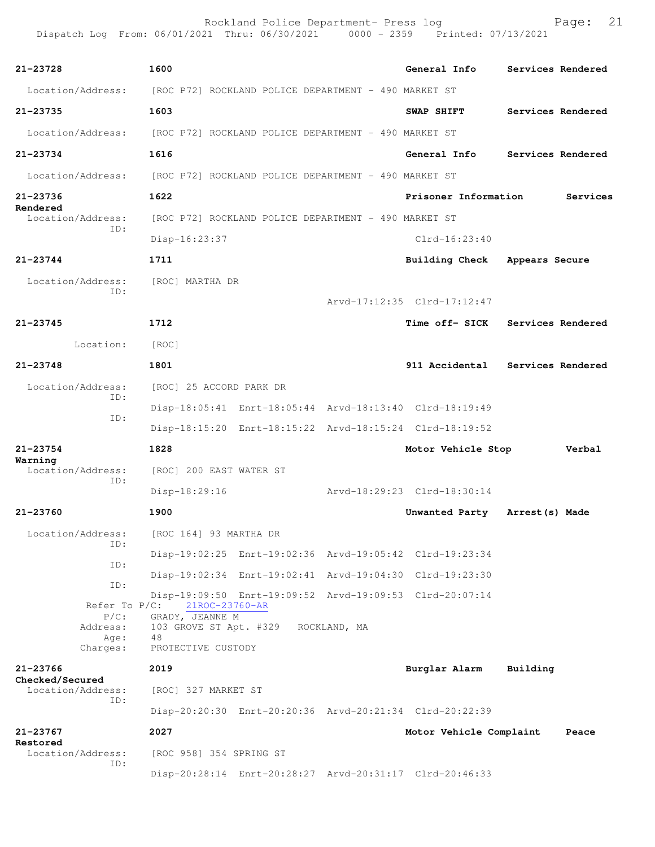| 21-23728                                    | 1600                                                 |                                                      | General Info                                            | Services Rendered |          |
|---------------------------------------------|------------------------------------------------------|------------------------------------------------------|---------------------------------------------------------|-------------------|----------|
| Location/Address:                           | [ROC P72] ROCKLAND POLICE DEPARTMENT - 490 MARKET ST |                                                      |                                                         |                   |          |
| 21–23735                                    | 1603                                                 |                                                      | <b>SWAP SHIFT</b>                                       | Services Rendered |          |
| Location/Address:                           | [ROC P72] ROCKLAND POLICE DEPARTMENT - 490 MARKET ST |                                                      |                                                         |                   |          |
| 21-23734                                    | 1616                                                 |                                                      | General Info                                            | Services Rendered |          |
| Location/Address:                           | [ROC P72] ROCKLAND POLICE DEPARTMENT - 490 MARKET ST |                                                      |                                                         |                   |          |
| 21-23736                                    | 1622                                                 |                                                      | Prisoner Information                                    |                   | Services |
| Rendered<br>Location/Address:               |                                                      | [ROC P72] ROCKLAND POLICE DEPARTMENT - 490 MARKET ST |                                                         |                   |          |
| ID:                                         | $Disp-16:23:37$                                      |                                                      | $Clrd-16:23:40$                                         |                   |          |
| 21-23744                                    | 1711                                                 |                                                      | <b>Building Check</b>                                   | Appears Secure    |          |
| Location/Address:<br>ID:                    | [ROC] MARTHA DR                                      |                                                      | Arvd-17:12:35 Clrd-17:12:47                             |                   |          |
| 21-23745                                    | 1712                                                 |                                                      | Time off- SICK                                          | Services Rendered |          |
| Location:                                   | [ROC]                                                |                                                      |                                                         |                   |          |
| 21-23748                                    | 1801                                                 |                                                      | 911 Accidental                                          | Services Rendered |          |
| Location/Address:                           | [ROC] 25 ACCORD PARK DR                              |                                                      |                                                         |                   |          |
| ID:                                         |                                                      |                                                      | Disp-18:05:41 Enrt-18:05:44 Arvd-18:13:40 Clrd-18:19:49 |                   |          |
| ID:                                         |                                                      |                                                      | Disp-18:15:20 Enrt-18:15:22 Arvd-18:15:24 Clrd-18:19:52 |                   |          |
| 21-23754                                    | 1828                                                 |                                                      | Motor Vehicle Stop                                      |                   | Verbal   |
| Warning<br>Location/Address:                | [ROC] 200 EAST WATER ST                              |                                                      |                                                         |                   |          |
| ID:                                         | Disp-18:29:16                                        |                                                      | Arvd-18:29:23 Clrd-18:30:14                             |                   |          |
| 21-23760                                    | 1900                                                 |                                                      |                                                         |                   |          |
|                                             |                                                      |                                                      | Unwanted Party                                          | Arrest (s) Made   |          |
| Location/Address:<br>ID:                    | [ROC 164] 93 MARTHA DR                               |                                                      |                                                         |                   |          |
| ID:                                         |                                                      |                                                      | Disp-19:02:25 Enrt-19:02:36 Arvd-19:05:42 Clrd-19:23:34 |                   |          |
| ID:                                         |                                                      |                                                      | Disp-19:02:34 Enrt-19:02:41 Arvd-19:04:30 Clrd-19:23:30 |                   |          |
| Refer To $P/C$ :<br>$P/C$ :<br>Address:     | 21ROC-23760-AR<br>GRADY, JEANNE M                    | 103 GROVE ST Apt. #329 ROCKLAND, MA                  | Disp-19:09:50 Enrt-19:09:52 Arvd-19:09:53 Clrd-20:07:14 |                   |          |
| Age:<br>Charges:                            | 48<br>PROTECTIVE CUSTODY                             |                                                      |                                                         |                   |          |
| 21-23766                                    | 2019                                                 |                                                      | Burglar Alarm                                           | Building          |          |
| Checked/Secured<br>Location/Address:<br>ID: | [ROC] 327 MARKET ST                                  |                                                      |                                                         |                   |          |
|                                             |                                                      |                                                      | Disp-20:20:30 Enrt-20:20:36 Arvd-20:21:34 Clrd-20:22:39 |                   |          |
| 21-23767<br>Restored<br>Location/Address:   | 2027<br>[ROC 958] 354 SPRING ST                      |                                                      | Motor Vehicle Complaint                                 |                   | Peace    |
| ID:                                         |                                                      |                                                      | Disp-20:28:14 Enrt-20:28:27 Arvd-20:31:17 Clrd-20:46:33 |                   |          |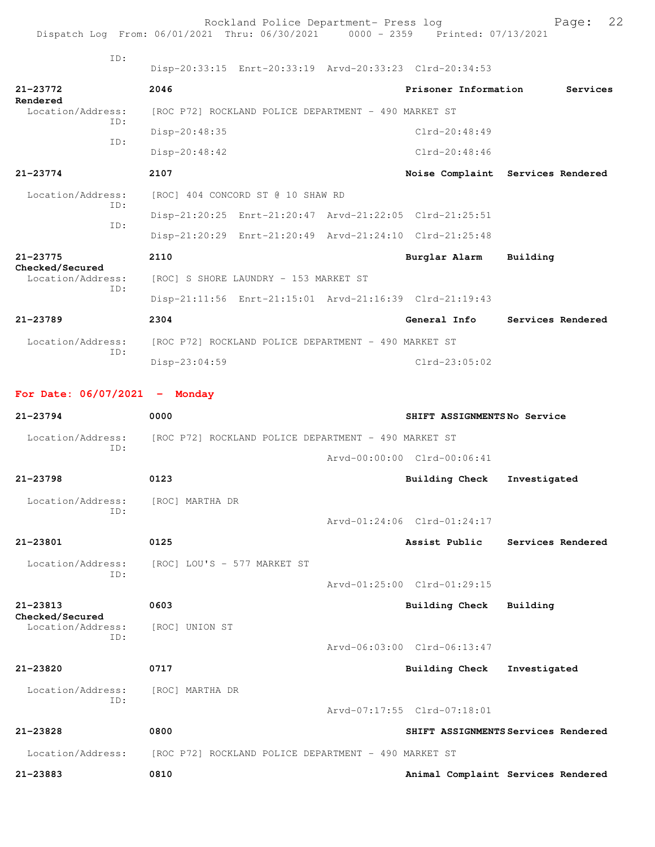|                                 | Rockland Police Department- Press log<br>Dispatch Log From: 06/01/2021 Thru: 06/30/2021 0000 - 2359 Printed: 07/13/2021 |                             | 22<br>Page:                       |
|---------------------------------|-------------------------------------------------------------------------------------------------------------------------|-----------------------------|-----------------------------------|
| ID:                             | Disp-20:33:15 Enrt-20:33:19 Arvd-20:33:23 Clrd-20:34:53                                                                 |                             |                                   |
| $21 - 23772$<br>Rendered        | 2046                                                                                                                    | Prisoner Information        | Services                          |
| Location/Address:<br>TD:        | [ROC P72] ROCKLAND POLICE DEPARTMENT - 490 MARKET ST                                                                    |                             |                                   |
| ID:                             | Disp-20:48:35                                                                                                           | $Clrd-20:48:49$             |                                   |
|                                 | Disp-20:48:42                                                                                                           | $Clrd-20:48:46$             |                                   |
| $21 - 23774$                    | 2107                                                                                                                    |                             | Noise Complaint Services Rendered |
| Location/Address:<br>TD:        | [ROC] 404 CONCORD ST @ 10 SHAW RD                                                                                       |                             |                                   |
| TD:                             | Disp-21:20:25 Enrt-21:20:47 Arvd-21:22:05 Clrd-21:25:51                                                                 |                             |                                   |
|                                 | Disp-21:20:29 Enrt-21:20:49 Arvd-21:24:10 Clrd-21:25:48                                                                 |                             |                                   |
| 21-23775<br>Checked/Secured     | 2110                                                                                                                    | Burglar Alarm               | Building                          |
| Location/Address:               | [ROC] S SHORE LAUNDRY - 153 MARKET ST                                                                                   |                             |                                   |
| ID:                             | Disp-21:11:56 Enrt-21:15:01 Arvd-21:16:39 Clrd-21:19:43                                                                 |                             |                                   |
| $21 - 23789$                    | 2304                                                                                                                    | General Info                | Services Rendered                 |
| Location/Address:               | [ROC P72] ROCKLAND POLICE DEPARTMENT - 490 MARKET ST                                                                    |                             |                                   |
| ID:                             | Disp-23:04:59                                                                                                           | $Clrd-23:05:02$             |                                   |
| For Date: $06/07/2021$ - Monday |                                                                                                                         |                             |                                   |
| $21 - 23794$                    | 0000                                                                                                                    | SHIFT ASSIGNMENTSNo Service |                                   |
| Location/Address:               | [ROC P72] ROCKLAND POLICE DEPARTMENT - 490 MARKET ST                                                                    |                             |                                   |
| ID:                             |                                                                                                                         | Arvd-00:00:00 Clrd-00:06:41 |                                   |
| 21-23798                        | 0123                                                                                                                    | <b>Building Check</b>       | Investigated                      |
| Location/Address:               | [ROC] MARTHA DR                                                                                                         |                             |                                   |

Arvd-01:24:06 Clrd-01:24:17

| 21-23801                 | 0125                        |                             | Assist Public | Services Rendered |  |
|--------------------------|-----------------------------|-----------------------------|---------------|-------------------|--|
| Location/Address:<br>ID: | [ROC] LOU'S - 577 MARKET ST | Arvd-01:25:00 Clrd-01:29:15 |               |                   |  |

**21-23813 0603 Building Check Building Checked/Secured**  Location/Address: [ROC] UNION ST ID: Arvd-06:03:00 Clrd-06:13:47

**21-23820 0717 Building Check Investigated** Location/Address: [ROC] MARTHA DR ID: Arvd-07:17:55 Clrd-07:18:01 **21-23828 0800 SHIFT ASSIGNMENTS Services Rendered**

Location/Address: [ROC P72] ROCKLAND POLICE DEPARTMENT - 490 MARKET ST

ID:

**21-23883 0810 Animal Complaint Services Rendered**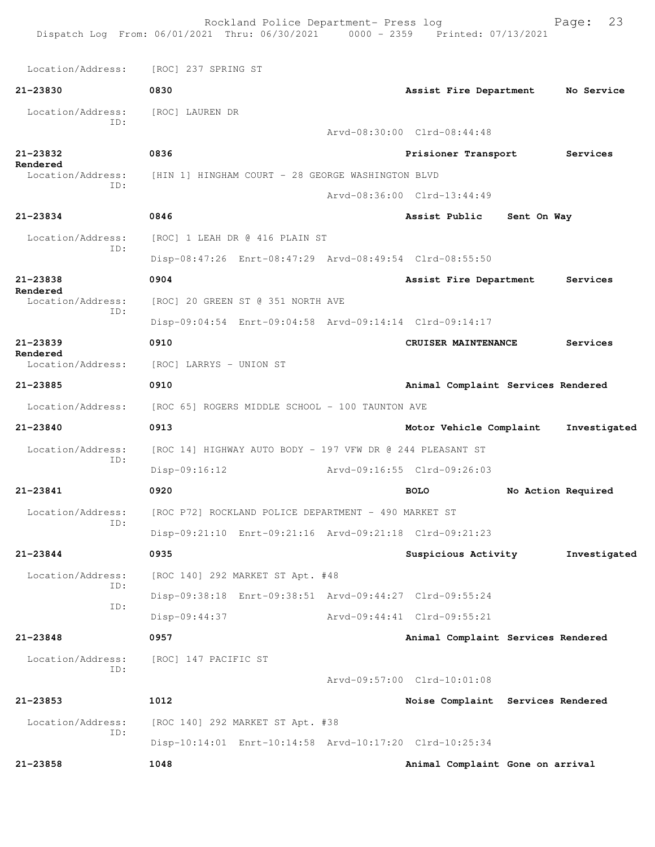Rockland Police Department- Press log Fage: 23 Dispatch Log From: 06/01/2021 Thru: 06/30/2021 0000 - 2359 Printed: 07/13/2021 Location/Address: [ROC] 237 SPRING ST **21-23830 0830 Assist Fire Department No Service** Location/Address: [ROC] LAUREN DR ID: Arvd-08:30:00 Clrd-08:44:48 **21-23832 0836 Prisioner Transport Services Rendered**<br>Location/Address: [HIN 1] HINGHAM COURT - 28 GEORGE WASHINGTON BLVD ID: Arvd-08:36:00 Clrd-13:44:49 **21-23834 0846 Assist Public Sent On Way** Location/Address: [ROC] 1 LEAH DR @ 416 PLAIN ST ID: Disp-08:47:26 Enrt-08:47:29 Arvd-08:49:54 Clrd-08:55:50 **21-23838 0904 Assist Fire Department Services Rendered**  Location/Address: [ROC] 20 GREEN ST @ 351 NORTH AVE ID: Disp-09:04:54 Enrt-09:04:58 Arvd-09:14:14 Clrd-09:14:17 **21-23839 0910 CRUISER MAINTENANCE Services Rendered**  Location/Address: [ROC] LARRYS - UNION ST **21-23885 0910 Animal Complaint Services Rendered** Location/Address: [ROC 65] ROGERS MIDDLE SCHOOL - 100 TAUNTON AVE **21-23840 0913 Motor Vehicle Complaint Investigated** Location/Address: [ROC 14] HIGHWAY AUTO BODY - 197 VFW DR @ 244 PLEASANT ST ID: Disp-09:16:12 Arvd-09:16:55 Clrd-09:26:03 **21-23841 0920 BOLO No Action Required** Location/Address: [ROC P72] ROCKLAND POLICE DEPARTMENT - 490 MARKET ST ID: Disp-09:21:10 Enrt-09:21:16 Arvd-09:21:18 Clrd-09:21:23 **21-23844 0935 Suspicious Activity Investigated** Location/Address: [ROC 140] 292 MARKET ST Apt. #48 ID: Disp-09:38:18 Enrt-09:38:51 Arvd-09:44:27 Clrd-09:55:24 ID: Disp-09:44:37 Arvd-09:44:41 Clrd-09:55:21 **21-23848 0957 Animal Complaint Services Rendered** Location/Address: [ROC] 147 PACIFIC ST ID: Arvd-09:57:00 Clrd-10:01:08 **21-23853 1012 Noise Complaint Services Rendered** Location/Address: [ROC 140] 292 MARKET ST Apt. #38 ID: Disp-10:14:01 Enrt-10:14:58 Arvd-10:17:20 Clrd-10:25:34 **21-23858 1048 Animal Complaint Gone on arrival**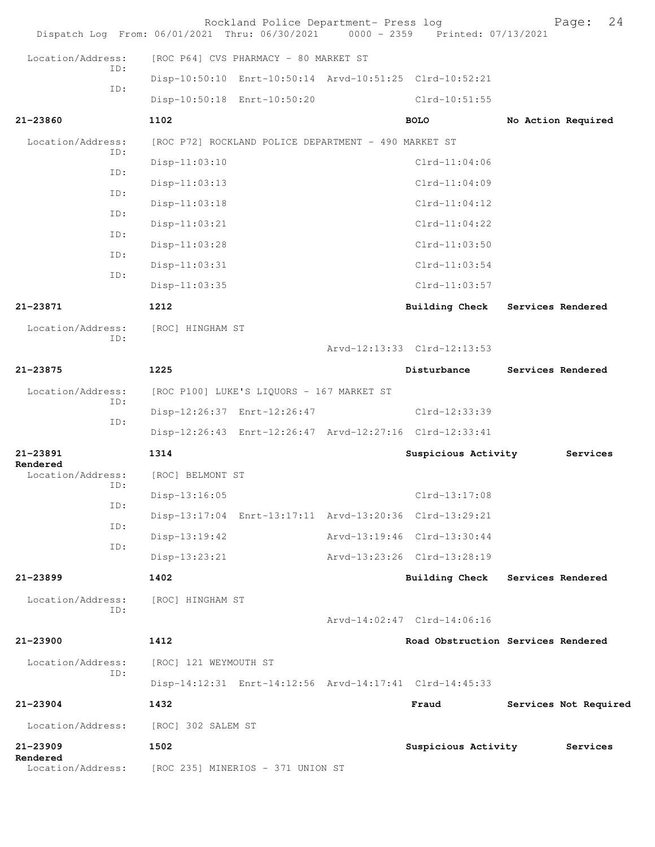| Dispatch Log From: 06/01/2021 Thru: 06/30/2021 0000 - 2359 Printed: 07/13/2021 |                                   | Rockland Police Department- Press log                |                                                         | 24<br>Page:           |
|--------------------------------------------------------------------------------|-----------------------------------|------------------------------------------------------|---------------------------------------------------------|-----------------------|
| Location/Address:                                                              |                                   | [ROC P64] CVS PHARMACY - 80 MARKET ST                |                                                         |                       |
| ID:                                                                            |                                   |                                                      | Disp-10:50:10 Enrt-10:50:14 Arvd-10:51:25 Clrd-10:52:21 |                       |
| ID:                                                                            |                                   | Disp-10:50:18 Enrt-10:50:20                          | Clrd-10:51:55                                           |                       |
| 21-23860                                                                       | 1102                              |                                                      | <b>BOLO</b>                                             | No Action Required    |
| Location/Address:                                                              |                                   | [ROC P72] ROCKLAND POLICE DEPARTMENT - 490 MARKET ST |                                                         |                       |
| ID:                                                                            | $Disp-11:03:10$                   |                                                      | $Clrd-11:04:06$                                         |                       |
| ID:<br>ID:                                                                     | $Disp-11:03:13$                   |                                                      | $Clrd-11:04:09$                                         |                       |
| ID:                                                                            | $Disp-11:03:18$                   |                                                      | $Clrd-11:04:12$                                         |                       |
| ID:                                                                            | $Disp-11:03:21$                   |                                                      | $Clrd-11:04:22$                                         |                       |
| ID:                                                                            | Disp-11:03:28                     |                                                      | $Clrd-11:03:50$                                         |                       |
| ID:                                                                            | $Disp-11:03:31$                   |                                                      | $Clrd-11:03:54$                                         |                       |
|                                                                                | Disp-11:03:35                     |                                                      | $Clrd-11:03:57$                                         |                       |
| $21 - 23871$                                                                   | 1212                              |                                                      | <b>Building Check</b>                                   | Services Rendered     |
| Location/Address:<br>ID:                                                       | [ROC] HINGHAM ST                  |                                                      |                                                         |                       |
|                                                                                |                                   |                                                      | Arvd-12:13:33 Clrd-12:13:53                             |                       |
| 21-23875                                                                       | 1225                              |                                                      | Disturbance                                             | Services Rendered     |
| Location/Address:<br>ID:                                                       |                                   | [ROC P100] LUKE'S LIQUORS - 167 MARKET ST            |                                                         |                       |
| ID:                                                                            |                                   | Disp-12:26:37 Enrt-12:26:47                          | Clrd-12:33:39                                           |                       |
|                                                                                |                                   |                                                      | Disp-12:26:43 Enrt-12:26:47 Arvd-12:27:16 Clrd-12:33:41 |                       |
| 21-23891<br>Rendered                                                           | 1314                              |                                                      | Suspicious Activity                                     | Services              |
| Location/Address:<br>ID:                                                       | [ROC] BELMONT ST                  |                                                      |                                                         |                       |
| ID:                                                                            | $Disp-13:16:05$                   |                                                      | $Clrd-13:17:08$                                         |                       |
| ID:                                                                            |                                   |                                                      | Disp-13:17:04 Enrt-13:17:11 Arvd-13:20:36 Clrd-13:29:21 |                       |
| ID:                                                                            | $Disp-13:19:42$                   |                                                      | Arvd-13:19:46 Clrd-13:30:44                             |                       |
|                                                                                | Disp-13:23:21                     |                                                      | Arvd-13:23:26 Clrd-13:28:19                             |                       |
| $21 - 23899$                                                                   | 1402                              |                                                      | <b>Building Check</b>                                   | Services Rendered     |
| Location/Address:<br>ID:                                                       | [ROC] HINGHAM ST                  |                                                      |                                                         |                       |
|                                                                                |                                   |                                                      | Arvd-14:02:47 Clrd-14:06:16                             |                       |
| 21-23900                                                                       | 1412                              |                                                      | Road Obstruction Services Rendered                      |                       |
| Location/Address:<br>ID:                                                       | [ROC] 121 WEYMOUTH ST             |                                                      |                                                         |                       |
|                                                                                |                                   |                                                      | Disp-14:12:31 Enrt-14:12:56 Arvd-14:17:41 Clrd-14:45:33 |                       |
| $21 - 23904$                                                                   | 1432                              |                                                      | Fraud                                                   | Services Not Required |
| Location/Address:                                                              | [ROC] 302 SALEM ST                |                                                      |                                                         |                       |
| $21 - 23909$<br>Rendered                                                       | 1502                              |                                                      | Suspicious Activity                                     | Services              |
| Location/Address:                                                              | [ROC 235] MINERIOS - 371 UNION ST |                                                      |                                                         |                       |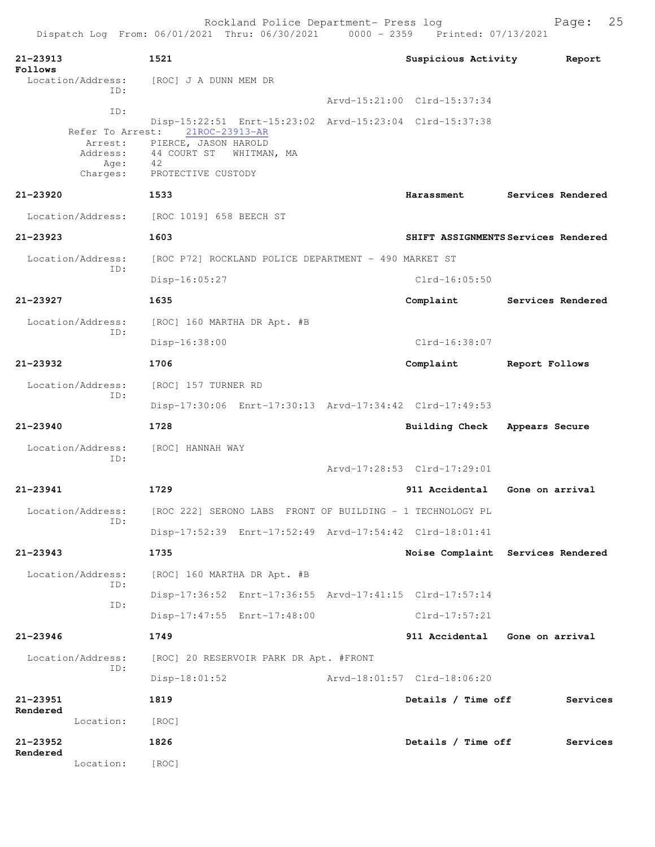|                                                 | Rockland Police Department- Press log<br>Dispatch Log From: 06/01/2021 Thru: 06/30/2021 0000 - 2359 Printed: 07/13/2021 |                                     |                   | Page:    | 25 |
|-------------------------------------------------|-------------------------------------------------------------------------------------------------------------------------|-------------------------------------|-------------------|----------|----|
| 21-23913<br>Follows                             | 1521                                                                                                                    | Suspicious Activity                 |                   | Report   |    |
| Location/Address:<br>ID:                        | [ROC] J A DUNN MEM DR                                                                                                   |                                     |                   |          |    |
| ID:                                             |                                                                                                                         | Arvd-15:21:00 Clrd-15:37:34         |                   |          |    |
|                                                 | Disp-15:22:51 Enrt-15:23:02 Arvd-15:23:04 Clrd-15:37:38                                                                 |                                     |                   |          |    |
| Refer To Arrest:<br>Arrest:<br>Address:<br>Age: | 21ROC-23913-AR<br>PIERCE, JASON HAROLD<br>44 COURT ST<br>WHITMAN, MA<br>42                                              |                                     |                   |          |    |
| Charges:                                        | PROTECTIVE CUSTODY                                                                                                      |                                     |                   |          |    |
| 21-23920                                        | 1533                                                                                                                    | Harassment                          | Services Rendered |          |    |
| Location/Address:                               | [ROC 1019] 658 BEECH ST                                                                                                 |                                     |                   |          |    |
| $21 - 23923$                                    | 1603                                                                                                                    | SHIFT ASSIGNMENTS Services Rendered |                   |          |    |
| Location/Address:                               | [ROC P72] ROCKLAND POLICE DEPARTMENT - 490 MARKET ST                                                                    |                                     |                   |          |    |
| ID:                                             | Disp-16:05:27                                                                                                           | $Clrd-16:05:50$                     |                   |          |    |
| 21-23927                                        | 1635                                                                                                                    | Complaint                           | Services Rendered |          |    |
| Location/Address:                               | [ROC] 160 MARTHA DR Apt. #B                                                                                             |                                     |                   |          |    |
| ID:                                             | Disp-16:38:00                                                                                                           | Clrd-16:38:07                       |                   |          |    |
| 21-23932                                        | 1706                                                                                                                    | Complaint                           | Report Follows    |          |    |
| Location/Address:                               | [ROC] 157 TURNER RD                                                                                                     |                                     |                   |          |    |
| ID:                                             | Disp-17:30:06 Enrt-17:30:13 Arvd-17:34:42 Clrd-17:49:53                                                                 |                                     |                   |          |    |
| $21 - 23940$                                    | 1728                                                                                                                    | <b>Building Check</b>               | Appears Secure    |          |    |
| Location/Address:                               | [ROC] HANNAH WAY                                                                                                        |                                     |                   |          |    |
| ID:                                             |                                                                                                                         | Arvd-17:28:53 Clrd-17:29:01         |                   |          |    |
| $21 - 23941$                                    | 1729                                                                                                                    | 911 Accidental                      | Gone on arrival   |          |    |
| Location/Address:                               | [ROC 222] SERONO LABS FRONT OF BUILDING - 1 TECHNOLOGY PL                                                               |                                     |                   |          |    |
| ID:                                             | Disp-17:52:39 Enrt-17:52:49 Arvd-17:54:42 Clrd-18:01:41                                                                 |                                     |                   |          |    |
| 21-23943                                        | 1735                                                                                                                    | Noise Complaint Services Rendered   |                   |          |    |
| Location/Address:                               | [ROC] 160 MARTHA DR Apt. #B                                                                                             |                                     |                   |          |    |
| ID:                                             |                                                                                                                         |                                     |                   |          |    |
| ID:                                             | Disp-17:36:52 Enrt-17:36:55 Arvd-17:41:15 Clrd-17:57:14                                                                 |                                     |                   |          |    |
|                                                 | Disp-17:47:55 Enrt-17:48:00                                                                                             | $Clrd-17:57:21$                     |                   |          |    |
| $21 - 23946$                                    | 1749                                                                                                                    | 911 Accidental Gone on arrival      |                   |          |    |
| Location/Address:<br>ID:                        | [ROC] 20 RESERVOIR PARK DR Apt. #FRONT                                                                                  |                                     |                   |          |    |
|                                                 | $Disp-18:01:52$                                                                                                         | Arvd-18:01:57 Clrd-18:06:20         |                   |          |    |
| 21-23951<br>Rendered                            | 1819                                                                                                                    | Details / Time off                  |                   | Services |    |
| Location:                                       | [ROC]                                                                                                                   |                                     |                   |          |    |
| $21 - 23952$<br>Rendered                        | 1826                                                                                                                    | Details / Time off                  |                   | Services |    |
| Location:                                       | [ROC]                                                                                                                   |                                     |                   |          |    |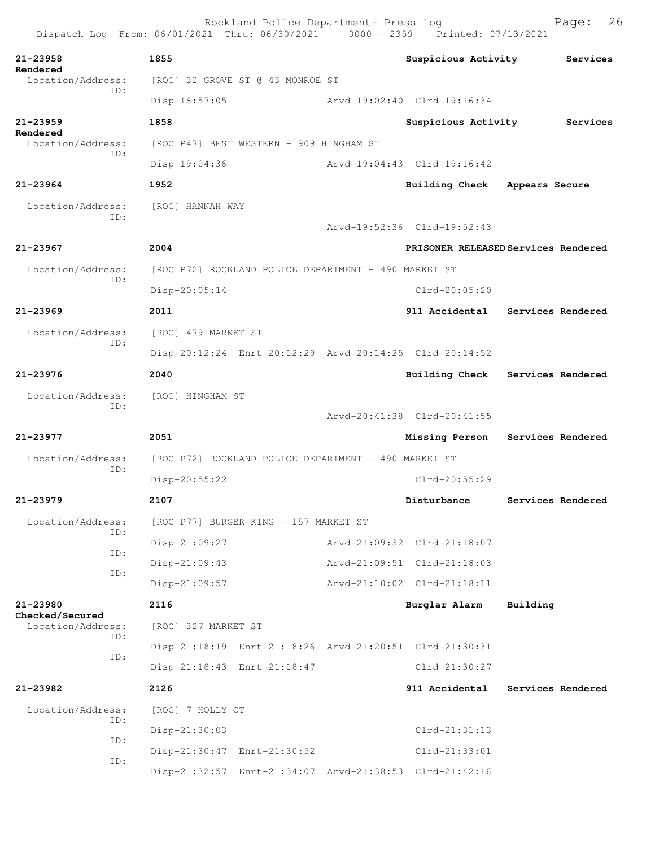Rockland Police Department- Press log Page: 26 Dispatch Log From: 06/01/2021 Thru: 06/30/2021 **21-23958 1855 Suspicious Activity Services Rendered**  [ROC] 32 GROVE ST @ 43 MONROE ST ID: Disp-18:57:05 Arvd-19:02:40 Clrd-19:16:34 **21-23959 1858 Suspicious Activity Services Rendered**  Location/Address: [ROC P47] BEST WESTERN - 909 HINGHAM ST ID: Disp-19:04:36 Arvd-19:04:43 Clrd-19:16:42 **21-23964 1952 Building Check Appears Secure** Location/Address: [ROC] HANNAH WAY ID: Arvd-19:52:36 Clrd-19:52:43 **21-23967 2004 PRISONER RELEASED Services Rendered** Location/Address: [ROC P72] ROCKLAND POLICE DEPARTMENT - 490 MARKET ST ID: Disp-20:05:14 Clrd-20:05:20 **21-23969 2011 911 Accidental Services Rendered** Location/Address: [ROC] 479 MARKET ST ID: Disp-20:12:24 Enrt-20:12:29 Arvd-20:14:25 Clrd-20:14:52 **21-23976 2040 Building Check Services Rendered** Location/Address: [ROC] HINGHAM ST ID: Arvd-20:41:38 Clrd-20:41:55 **21-23977 2051 Missing Person Services Rendered** Location/Address: [ROC P72] ROCKLAND POLICE DEPARTMENT - 490 MARKET ST ID: Disp-20:55:22 Clrd-20:55:29 **21-23979 2107 Disturbance Services Rendered** Location/Address: [ROC P77] BURGER KING - 157 MARKET ST ID: Disp-21:09:27 Arvd-21:09:32 Clrd-21:18:07 ID: Disp-21:09:43 Arvd-21:09:51 Clrd-21:18:03 ID: Disp-21:09:57 Arvd-21:10:02 Clrd-21:18:11 **21-23980 2116 Burglar Alarm Building Checked/Secured**  Location/Address: [ROC] 327 MARKET ST ID: Disp-21:18:19 Enrt-21:18:26 Arvd-21:20:51 Clrd-21:30:31 ID: Disp-21:18:43 Enrt-21:18:47 Clrd-21:30:27 **21-23982 2126 911 Accidental Services Rendered** Location/Address: [ROC] 7 HOLLY CT ID: Disp-21:30:03 Clrd-21:31:13 ID: Disp-21:30:47 Enrt-21:30:52 Clrd-21:33:01 ID: Disp-21:32:57 Enrt-21:34:07 Arvd-21:38:53 Clrd-21:42:16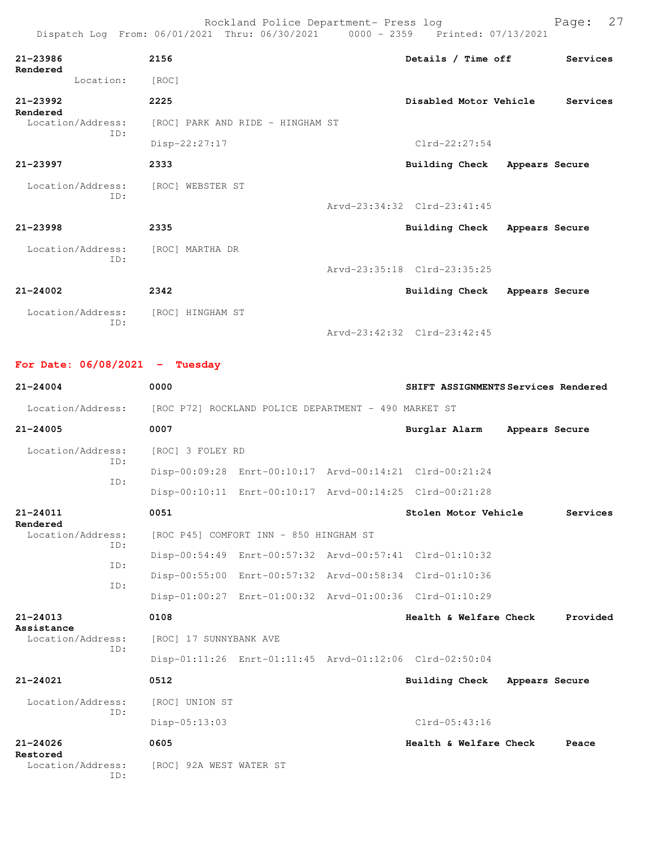|                                   | Rockland Police Department- Press log<br>Dispatch Log From: 06/01/2021 Thru: 06/30/2021 0000 - 2359 Printed: 07/13/2021 |                             |                | Page: 27 |
|-----------------------------------|-------------------------------------------------------------------------------------------------------------------------|-----------------------------|----------------|----------|
| $21 - 23986$<br>Rendered          | 2156                                                                                                                    | Details / Time off          |                | Services |
| Location:                         | [ROC]                                                                                                                   |                             |                |          |
| $21 - 23992$<br>Rendered          | 2225                                                                                                                    | Disabled Motor Vehicle      |                | Services |
| Location/Address:                 | [ROC] PARK AND RIDE - HINGHAM ST                                                                                        |                             |                |          |
| ID:                               | Disp-22:27:17                                                                                                           | $Clrd-22:27:54$             |                |          |
| $21 - 23997$                      | 2333                                                                                                                    | Building Check              | Appears Secure |          |
| Location/Address:                 | [ROC] WEBSTER ST                                                                                                        |                             |                |          |
| ID:                               |                                                                                                                         | Arvd-23:34:32 Clrd-23:41:45 |                |          |
| $21 - 23998$                      | 2335                                                                                                                    | Building Check              | Appears Secure |          |
| Location/Address: [ROC] MARTHA DR |                                                                                                                         |                             |                |          |
| TD:                               |                                                                                                                         | Arvd-23:35:18 Clrd-23:35:25 |                |          |
| $21 - 24002$                      | 2342                                                                                                                    | <b>Building Check</b>       | Appears Secure |          |
| Location/Address:                 | [ROC] HINGHAM ST                                                                                                        |                             |                |          |
| ID:                               |                                                                                                                         | Arvd-23:42:32 Clrd-23:42:45 |                |          |

**For Date: 06/08/2021 - Tuesday**

ID:

**21-24004 0000 SHIFT ASSIGNMENTS Services Rendered** Location/Address: [ROC P72] ROCKLAND POLICE DEPARTMENT - 490 MARKET ST **21-24005 0007 Burglar Alarm Appears Secure** Location/Address: [ROC] 3 FOLEY RD ID: Disp-00:09:28 Enrt-00:10:17 Arvd-00:14:21 Clrd-00:21:24 ID: Disp-00:10:11 Enrt-00:10:17 Arvd-00:14:25 Clrd-00:21:28 **21-24011 0051 Stolen Motor Vehicle Services Rendered**  [ROC P45] COMFORT INN - 850 HINGHAM ST ID: Disp-00:54:49 Enrt-00:57:32 Arvd-00:57:41 Clrd-01:10:32 ID: Disp-00:55:00 Enrt-00:57:32 Arvd-00:58:34 Clrd-01:10:36 ID: Disp-01:00:27 Enrt-01:00:32 Arvd-01:00:36 Clrd-01:10:29 **21-24013 0108 Health & Welfare Check Provided Assistance**  Location/Address: [ROC] 17 SUNNYBANK AVE ID: Disp-01:11:26 Enrt-01:11:45 Arvd-01:12:06 Clrd-02:50:04 **21-24021 0512 Building Check Appears Secure** Location/Address: [ROC] UNION ST ID: Disp-05:13:03 Clrd-05:43:16 **21-24026 0605 Health & Welfare Check Peace Restored**  [ROC] 92A WEST WATER ST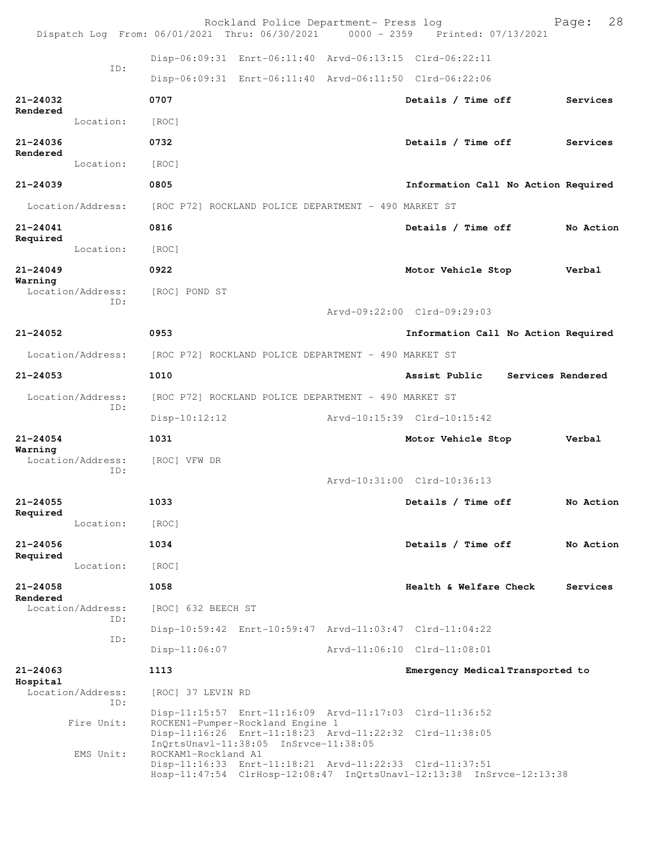|                          |                          | Rockland Police Department- Press log<br>Dispatch Log From: 06/01/2021 Thru: 06/30/2021 0000 - 2359 Printed: 07/13/2021                                     |  |                                     | 28<br>Page:       |  |  |  |
|--------------------------|--------------------------|-------------------------------------------------------------------------------------------------------------------------------------------------------------|--|-------------------------------------|-------------------|--|--|--|
|                          |                          | Disp-06:09:31 Enrt-06:11:40 Arvd-06:13:15 Clrd-06:22:11                                                                                                     |  |                                     |                   |  |  |  |
|                          | TD:                      | Disp-06:09:31 Enrt-06:11:40 Arvd-06:11:50 Clrd-06:22:06                                                                                                     |  |                                     |                   |  |  |  |
| $21 - 24032$             |                          | 0707                                                                                                                                                        |  | Details / Time off                  | Services          |  |  |  |
| Rendered                 | Location:                | [ROC]                                                                                                                                                       |  |                                     |                   |  |  |  |
| $21 - 24036$             |                          | 0732                                                                                                                                                        |  | Details / Time off                  | Services          |  |  |  |
| Rendered                 | Location:                | [ROC]                                                                                                                                                       |  |                                     |                   |  |  |  |
| $21 - 24039$             |                          | 0805                                                                                                                                                        |  | Information Call No Action Required |                   |  |  |  |
|                          | Location/Address:        | [ROC P72] ROCKLAND POLICE DEPARTMENT - 490 MARKET ST                                                                                                        |  |                                     |                   |  |  |  |
| $21 - 24041$             |                          | 0816                                                                                                                                                        |  | Details / Time off                  | No Action         |  |  |  |
| Required                 | Location:                | [ROC]                                                                                                                                                       |  |                                     |                   |  |  |  |
| $21 - 24049$             |                          | 0922                                                                                                                                                        |  | Motor Vehicle Stop                  | Verbal            |  |  |  |
| Warning                  | Location/Address:        | [ROC] POND ST                                                                                                                                               |  |                                     |                   |  |  |  |
|                          | ID:                      |                                                                                                                                                             |  | Arvd-09:22:00 Clrd-09:29:03         |                   |  |  |  |
| $21 - 24052$             |                          | 0953                                                                                                                                                        |  | Information Call No Action Required |                   |  |  |  |
| Location/Address:        |                          | [ROC P72] ROCKLAND POLICE DEPARTMENT - 490 MARKET ST                                                                                                        |  |                                     |                   |  |  |  |
| $21 - 24053$             |                          | 1010                                                                                                                                                        |  | Assist Public                       | Services Rendered |  |  |  |
|                          | Location/Address:        | [ROC P72] ROCKLAND POLICE DEPARTMENT - 490 MARKET ST                                                                                                        |  |                                     |                   |  |  |  |
|                          | ID:                      | $Disp-10:12:12$                                                                                                                                             |  | Arvd-10:15:39 Clrd-10:15:42         |                   |  |  |  |
| $21 - 24054$             |                          | 1031                                                                                                                                                        |  | Motor Vehicle Stop                  | Verbal            |  |  |  |
| Warning                  | Location/Address:<br>ID: | [ROC] VFW DR                                                                                                                                                |  |                                     |                   |  |  |  |
|                          |                          |                                                                                                                                                             |  | Arvd-10:31:00 Clrd-10:36:13         |                   |  |  |  |
| $21 - 24055$<br>Required |                          | 1033                                                                                                                                                        |  | Details / Time off                  | No Action         |  |  |  |
|                          | Location:                | [ROC]                                                                                                                                                       |  |                                     |                   |  |  |  |
| $21 - 24056$<br>Required |                          | 1034                                                                                                                                                        |  | Details / Time off                  | No Action         |  |  |  |
|                          | Location:                | [ROC]                                                                                                                                                       |  |                                     |                   |  |  |  |
| 21-24058<br>Rendered     |                          | 1058                                                                                                                                                        |  | Health & Welfare Check              | Services          |  |  |  |
|                          | Location/Address:<br>ID: | [ROC] 632 BEECH ST                                                                                                                                          |  |                                     |                   |  |  |  |
|                          | ID:                      | Disp-10:59:42 Enrt-10:59:47 Arvd-11:03:47 Clrd-11:04:22                                                                                                     |  |                                     |                   |  |  |  |
|                          |                          | $Disp-11:06:07$                                                                                                                                             |  | Arvd-11:06:10 Clrd-11:08:01         |                   |  |  |  |
| $21 - 24063$<br>Hospital | Location/Address:        | 1113<br>[ROC] 37 LEVIN RD                                                                                                                                   |  | Emergency Medical Transported to    |                   |  |  |  |
|                          | ID:                      | Disp-11:15:57 Enrt-11:16:09 Arvd-11:17:03 Clrd-11:36:52                                                                                                     |  |                                     |                   |  |  |  |
|                          | Fire Unit:<br>EMS Unit:  | ROCKEN1-Pumper-Rockland Engine 1<br>Disp-11:16:26 Enrt-11:18:23 Arvd-11:22:32 Clrd-11:38:05<br>InQrtsUnavl-11:38:05 InSrvce-11:38:05<br>ROCKAM1-Rockland A1 |  |                                     |                   |  |  |  |
|                          |                          | Disp-11:16:33 Enrt-11:18:21 Arvd-11:22:33 Clrd-11:37:51<br>Hosp-11:47:54 ClrHosp-12:08:47 InQrtsUnavl-12:13:38 InSrvce-12:13:38                             |  |                                     |                   |  |  |  |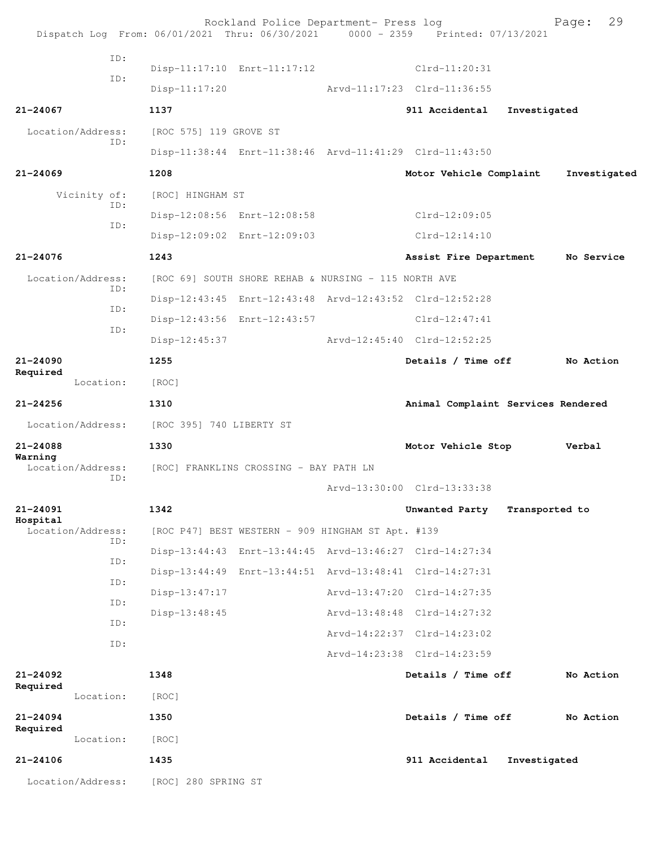|                              |           | Rockland Police Department- Press log<br>Dispatch Log From: 06/01/2021 Thru: 06/30/2021 0000 - 2359 Printed: 07/13/2021 |                             | 29<br>Page:                        |
|------------------------------|-----------|-------------------------------------------------------------------------------------------------------------------------|-----------------------------|------------------------------------|
|                              | ID:       |                                                                                                                         |                             |                                    |
|                              | ID:       | Disp-11:17:10 Enrt-11:17:12                                                                                             | $Clrd-11:20:31$             |                                    |
|                              |           | $Disp-11:17:20$                                                                                                         | Arvd-11:17:23 Clrd-11:36:55 |                                    |
| $21 - 24067$                 |           | 1137                                                                                                                    | 911 Accidental              | Investigated                       |
| Location/Address:            | ID:       | [ROC 575] 119 GROVE ST                                                                                                  |                             |                                    |
|                              |           | Disp-11:38:44 Enrt-11:38:46 Arvd-11:41:29 Clrd-11:43:50                                                                 |                             |                                    |
| $21 - 24069$                 |           | 1208                                                                                                                    | Motor Vehicle Complaint     | Investigated                       |
| Vicinity of:                 |           | [ROC] HINGHAM ST                                                                                                        |                             |                                    |
|                              | ID:       | Disp-12:08:56 Enrt-12:08:58                                                                                             | $Clrd-12:09:05$             |                                    |
|                              | ID:       | Disp-12:09:02 Enrt-12:09:03                                                                                             | $Clrd-12:14:10$             |                                    |
| $21 - 24076$                 |           | 1243                                                                                                                    | Assist Fire Department      | No Service                         |
| Location/Address:            |           | [ROC 69] SOUTH SHORE REHAB & NURSING - 115 NORTH AVE                                                                    |                             |                                    |
|                              | ID:       | Disp-12:43:45 Enrt-12:43:48 Arvd-12:43:52 Clrd-12:52:28                                                                 |                             |                                    |
|                              | ID:       | Disp-12:43:56 Enrt-12:43:57                                                                                             | $Clrd-12:47:41$             |                                    |
|                              | ID:       | $Disp-12:45:37$                                                                                                         | Arvd-12:45:40 Clrd-12:52:25 |                                    |
| $21 - 24090$                 |           | 1255                                                                                                                    | Details / Time off          | No Action                          |
| Required                     | Location: | [ROC]                                                                                                                   |                             |                                    |
| $21 - 24256$                 |           | 1310                                                                                                                    |                             | Animal Complaint Services Rendered |
| Location/Address:            |           | [ROC 395] 740 LIBERTY ST                                                                                                |                             |                                    |
| 21-24088                     |           | 1330                                                                                                                    | Motor Vehicle Stop          | Verbal                             |
| Warning<br>Location/Address: | ID:       | [ROC] FRANKLINS CROSSING - BAY PATH LN                                                                                  |                             |                                    |
|                              |           |                                                                                                                         | Arvd-13:30:00 Clrd-13:33:38 |                                    |
| 21-24091<br>Hospital         |           | 1342                                                                                                                    | Unwanted Party              | Transported to                     |
| Location/Address:            | ID:       | [ROC P47] BEST WESTERN - 909 HINGHAM ST Apt. #139                                                                       |                             |                                    |
|                              | ID:       | Disp-13:44:43 Enrt-13:44:45 Arvd-13:46:27 Clrd-14:27:34                                                                 |                             |                                    |
|                              | ID:       | Disp-13:44:49 Enrt-13:44:51 Arvd-13:48:41 Clrd-14:27:31                                                                 |                             |                                    |
|                              | ID:       | Disp-13:47:17                                                                                                           | Arvd-13:47:20 Clrd-14:27:35 |                                    |
|                              | ID:       | Disp-13:48:45                                                                                                           | Arvd-13:48:48 Clrd-14:27:32 |                                    |
|                              | ID:       |                                                                                                                         | Arvd-14:22:37 Clrd-14:23:02 |                                    |
|                              |           |                                                                                                                         | Arvd-14:23:38 Clrd-14:23:59 |                                    |
| $21 - 24092$<br>Required     |           | 1348                                                                                                                    | Details / Time off          | No Action                          |
|                              | Location: | [ROC]                                                                                                                   |                             |                                    |
| $21 - 24094$<br>Required     |           | 1350                                                                                                                    | Details / Time off          | No Action                          |
|                              | Location: | [ROC]                                                                                                                   |                             |                                    |
| $21 - 24106$                 |           | 1435                                                                                                                    | 911 Accidental              | Investigated                       |
| Location/Address:            |           | [ROC] 280 SPRING ST                                                                                                     |                             |                                    |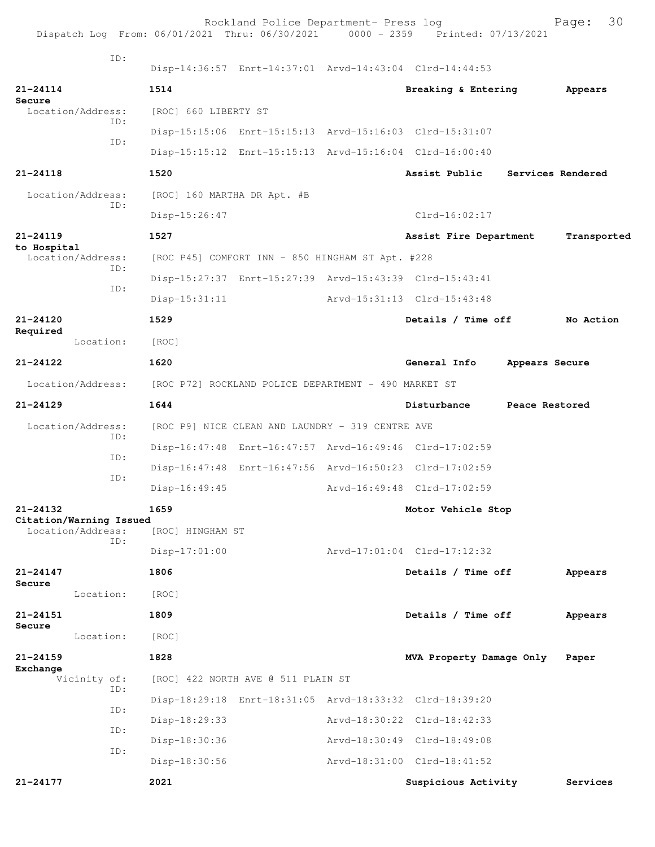|                                    |                                              |                                                      | Rockland Police Department- Press log            | Dispatch Log From: 06/01/2021 Thru: 06/30/2021 0000 - 2359 Printed: 07/13/2021 |                | 30<br>Page:       |
|------------------------------------|----------------------------------------------|------------------------------------------------------|--------------------------------------------------|--------------------------------------------------------------------------------|----------------|-------------------|
|                                    | ID:                                          |                                                      |                                                  | Disp-14:36:57 Enrt-14:37:01 Arvd-14:43:04 Clrd-14:44:53                        |                |                   |
| $21 - 24114$                       |                                              | 1514                                                 |                                                  | Breaking & Entering                                                            |                | Appears           |
| Secure<br>Location/Address:<br>ID: |                                              | [ROC] 660 LIBERTY ST                                 |                                                  |                                                                                |                |                   |
|                                    | ID:                                          |                                                      |                                                  | Disp-15:15:06 Enrt-15:15:13 Arvd-15:16:03 Clrd-15:31:07                        |                |                   |
|                                    |                                              |                                                      |                                                  | Disp-15:15:12 Enrt-15:15:13 Arvd-15:16:04 Clrd-16:00:40                        |                |                   |
| $21 - 24118$                       |                                              | 1520                                                 |                                                  | Assist Public                                                                  |                | Services Rendered |
| Location/Address:                  |                                              | [ROC] 160 MARTHA DR Apt. #B                          |                                                  |                                                                                |                |                   |
|                                    | ID:                                          | Disp-15:26:47                                        |                                                  | $Clrd-16:02:17$                                                                |                |                   |
| $21 - 24119$                       |                                              | 1527                                                 |                                                  | Assist Fire Department                                                         |                | Transported       |
| to Hospital                        | Location/Address:                            |                                                      | [ROC P45] COMFORT INN - 850 HINGHAM ST Apt. #228 |                                                                                |                |                   |
|                                    | ID:                                          |                                                      |                                                  | Disp-15:27:37 Enrt-15:27:39 Arvd-15:43:39 Clrd-15:43:41                        |                |                   |
|                                    | ID:                                          | $Disp-15:31:11$                                      |                                                  | Arvd-15:31:13 Clrd-15:43:48                                                    |                |                   |
| 21-24120                           |                                              | 1529                                                 |                                                  | Details / Time off                                                             |                | No Action         |
| Required<br>Location:              |                                              | [ROC]                                                |                                                  |                                                                                |                |                   |
| $21 - 24122$                       |                                              | 1620                                                 |                                                  | General Info                                                                   | Appears Secure |                   |
|                                    | Location/Address:                            | [ROC P72] ROCKLAND POLICE DEPARTMENT - 490 MARKET ST |                                                  |                                                                                |                |                   |
| $21 - 24129$                       |                                              | 1644                                                 |                                                  | Disturbance                                                                    | Peace Restored |                   |
|                                    | Location/Address:                            |                                                      | [ROC P9] NICE CLEAN AND LAUNDRY - 319 CENTRE AVE |                                                                                |                |                   |
|                                    | ID:                                          |                                                      |                                                  | Disp-16:47:48 Enrt-16:47:57 Arvd-16:49:46 Clrd-17:02:59                        |                |                   |
|                                    | ID:                                          |                                                      |                                                  | Disp-16:47:48 Enrt-16:47:56 Arvd-16:50:23 Clrd-17:02:59                        |                |                   |
|                                    | ID:                                          | Disp-16:49:45                                        |                                                  | Arvd-16:49:48 Clrd-17:02:59                                                    |                |                   |
| $21 - 24132$                       |                                              | 1659                                                 |                                                  | Motor Vehicle Stop                                                             |                |                   |
|                                    | Citation/Warning Issued<br>Location/Address: | [ROC] HINGHAM ST                                     |                                                  |                                                                                |                |                   |
|                                    | TD:                                          | $Disp-17:01:00$                                      |                                                  | Arvd-17:01:04 Clrd-17:12:32                                                    |                |                   |
| $21 - 24147$                       |                                              | 1806                                                 |                                                  | Details / Time off                                                             |                | Appears           |
| Secure                             | Location:                                    | [ROC]                                                |                                                  |                                                                                |                |                   |
| 21-24151                           |                                              | 1809                                                 |                                                  | Details / Time off                                                             |                | Appears           |
| Secure                             | Location:                                    | [ROC]                                                |                                                  |                                                                                |                |                   |
| $21 - 24159$                       |                                              | 1828                                                 |                                                  | MVA Property Damage Only                                                       |                | Paper             |
| Exchange                           | Vicinity of:                                 |                                                      | [ROC] 422 NORTH AVE @ 511 PLAIN ST               |                                                                                |                |                   |
|                                    | ID:                                          |                                                      |                                                  | Disp-18:29:18 Enrt-18:31:05 Arvd-18:33:32 Clrd-18:39:20                        |                |                   |
|                                    | ID:                                          | Disp-18:29:33                                        |                                                  | Arvd-18:30:22 Clrd-18:42:33                                                    |                |                   |
|                                    | ID:                                          | Disp-18:30:36                                        |                                                  | Arvd-18:30:49 Clrd-18:49:08                                                    |                |                   |
|                                    | ID:                                          | Disp-18:30:56                                        |                                                  | Arvd-18:31:00 Clrd-18:41:52                                                    |                |                   |
| 21-24177                           |                                              | 2021                                                 |                                                  | Suspicious Activity                                                            |                | Services          |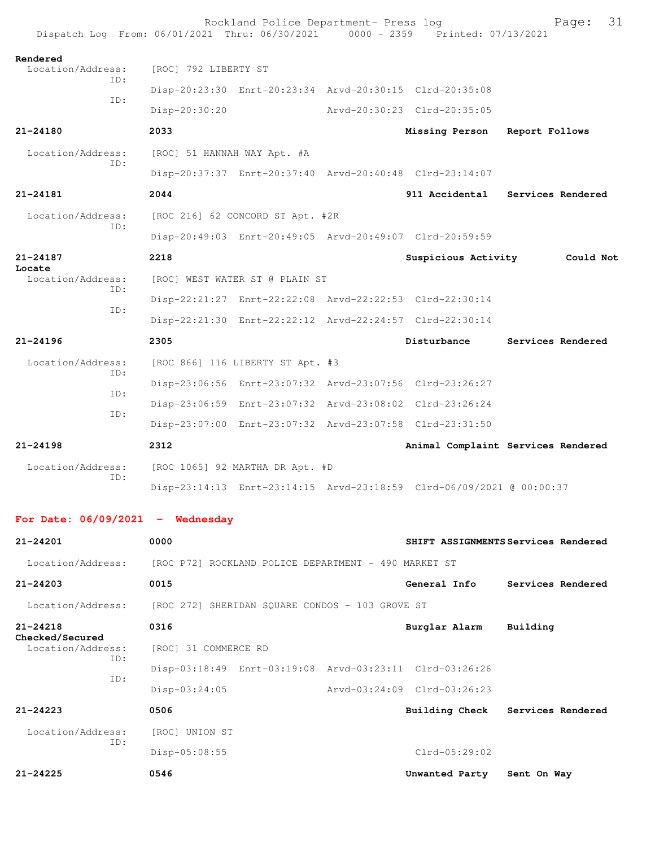|                                      | Rockland Police Department- Press log<br>Dispatch Log From: 06/01/2021 Thru: 06/30/2021 0000 - 2359 Printed: 07/13/2021 |                             | 31<br>Page:                         |
|--------------------------------------|-------------------------------------------------------------------------------------------------------------------------|-----------------------------|-------------------------------------|
| Rendered<br>Location/Address:        | [ROC] 792 LIBERTY ST                                                                                                    |                             |                                     |
| TD:                                  | Disp-20:23:30 Enrt-20:23:34 Arvd-20:30:15 Clrd-20:35:08                                                                 |                             |                                     |
| ID:                                  | Disp-20:30:20                                                                                                           | Arvd-20:30:23 Clrd-20:35:05 |                                     |
| $21 - 24180$                         | 2033                                                                                                                    | Missing Person              | Report Follows                      |
| Location/Address:                    | [ROC] 51 HANNAH WAY Apt. #A                                                                                             |                             |                                     |
| ID:                                  | Disp-20:37:37 Enrt-20:37:40 Arvd-20:40:48 Clrd-23:14:07                                                                 |                             |                                     |
| 21-24181                             | 2044                                                                                                                    |                             | 911 Accidental Services Rendered    |
| Location/Address:                    | [ROC 216] 62 CONCORD ST Apt. #2R                                                                                        |                             |                                     |
| ID:                                  | Disp-20:49:03 Enrt-20:49:05 Arvd-20:49:07 Clrd-20:59:59                                                                 |                             |                                     |
| $21 - 24187$                         | 2218                                                                                                                    | Suspicious Activity         | Could Not                           |
| Locate<br>Location/Address:          | [ROC] WEST WATER ST @ PLAIN ST                                                                                          |                             |                                     |
| ID:                                  | Disp-22:21:27 Enrt-22:22:08 Arvd-22:22:53 Clrd-22:30:14                                                                 |                             |                                     |
| ID:                                  | Disp-22:21:30 Enrt-22:22:12 Arvd-22:24:57 Clrd-22:30:14                                                                 |                             |                                     |
| $21 - 24196$                         | 2305                                                                                                                    | Disturbance                 | Services Rendered                   |
| Location/Address:                    | [ROC 866] 116 LIBERTY ST Apt. #3                                                                                        |                             |                                     |
| TD:                                  | Disp-23:06:56 Enrt-23:07:32 Arvd-23:07:56 Clrd-23:26:27                                                                 |                             |                                     |
| ID:                                  | Disp-23:06:59 Enrt-23:07:32 Arvd-23:08:02 Clrd-23:26:24                                                                 |                             |                                     |
| ID:                                  | Disp-23:07:00 Enrt-23:07:32 Arvd-23:07:58 Clrd-23:31:50                                                                 |                             |                                     |
| $21 - 24198$                         | 2312                                                                                                                    |                             | Animal Complaint Services Rendered  |
| Location/Address:<br>ID:             | [ROC 1065] 92 MARTHA DR Apt. #D                                                                                         |                             |                                     |
|                                      | Disp-23:14:13 Enrt-23:14:15 Arvd-23:18:59 Clrd-06/09/2021 @ 00:00:37                                                    |                             |                                     |
| For Date: $06/09/2021$ - Wednesday   |                                                                                                                         |                             |                                     |
| $21 - 24201$                         | 0000                                                                                                                    |                             | SHIFT ASSIGNMENTS Services Rendered |
| Location/Address:                    | [ROC P72] ROCKLAND POLICE DEPARTMENT - 490 MARKET ST                                                                    |                             |                                     |
| $21 - 24203$                         | 0015                                                                                                                    | General Info                | Services Rendered                   |
| Location/Address:                    | [ROC 272] SHERIDAN SQUARE CONDOS - 103 GROVE ST                                                                         |                             |                                     |
| $21 - 24218$                         | 0316                                                                                                                    | Burglar Alarm               | Building                            |
| Checked/Secured<br>Location/Address: | [ROC] 31 COMMERCE RD                                                                                                    |                             |                                     |
| ID:<br>ID:                           | Disp-03:18:49 Enrt-03:19:08 Arvd-03:23:11 Clrd-03:26:26                                                                 |                             |                                     |
|                                      | Disp-03:24:05                                                                                                           | Arvd-03:24:09 Clrd-03:26:23 |                                     |
| $21 - 24223$                         | 0506                                                                                                                    | Building Check              | Services Rendered                   |
| Location/Address:<br>ID:             | [ROC] UNION ST                                                                                                          |                             |                                     |
|                                      | $Disp-05:08:55$                                                                                                         | $Clrd-05:29:02$             |                                     |
| 21-24225                             | 0546                                                                                                                    | Unwanted Party              | Sent On Way                         |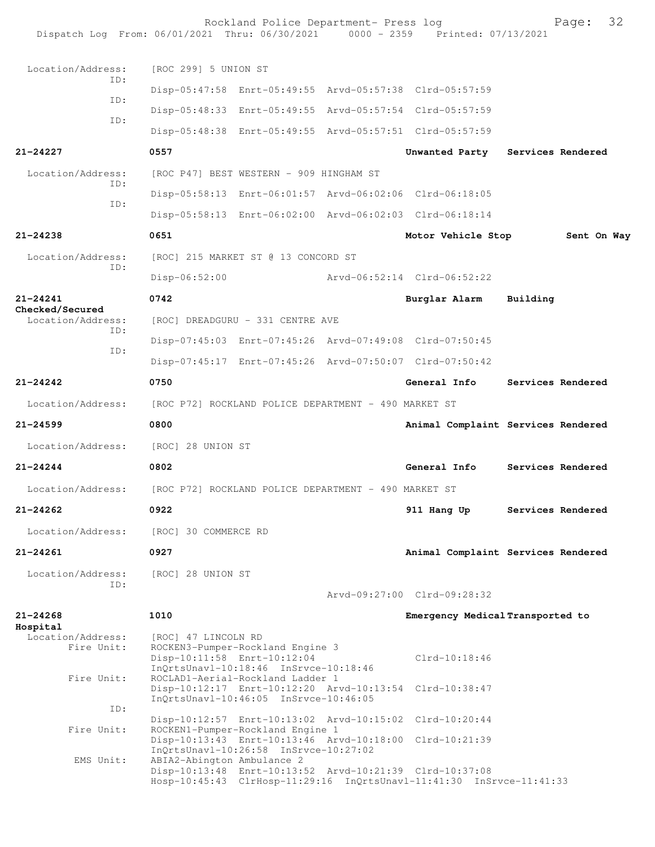| Dispatch Log From: 06/01/2021 Thru: 06/30/2021 0000 - 2359 Printed: 07/13/2021 |                                                                                                                                 | Rockland Police Department- Press log                |  |                                                                                                                                 |          | 32<br>Page:       |  |
|--------------------------------------------------------------------------------|---------------------------------------------------------------------------------------------------------------------------------|------------------------------------------------------|--|---------------------------------------------------------------------------------------------------------------------------------|----------|-------------------|--|
| Location/Address:                                                              | [ROC 299] 5 UNION ST                                                                                                            |                                                      |  |                                                                                                                                 |          |                   |  |
| TD:                                                                            |                                                                                                                                 |                                                      |  | Disp-05:47:58 Enrt-05:49:55 Arvd-05:57:38 Clrd-05:57:59                                                                         |          |                   |  |
| ID:                                                                            |                                                                                                                                 |                                                      |  | Disp-05:48:33 Enrt-05:49:55 Arvd-05:57:54 Clrd-05:57:59                                                                         |          |                   |  |
| ID:                                                                            |                                                                                                                                 |                                                      |  | Disp-05:48:38 Enrt-05:49:55 Arvd-05:57:51 Clrd-05:57:59                                                                         |          |                   |  |
| $21 - 24227$                                                                   | 0557                                                                                                                            |                                                      |  | Unwanted Party                                                                                                                  |          | Services Rendered |  |
| Location/Address:                                                              | [ROC P47] BEST WESTERN - 909 HINGHAM ST                                                                                         |                                                      |  |                                                                                                                                 |          |                   |  |
| ID:                                                                            |                                                                                                                                 |                                                      |  | Disp-05:58:13 Enrt-06:01:57 Arvd-06:02:06 Clrd-06:18:05                                                                         |          |                   |  |
| ID:                                                                            |                                                                                                                                 |                                                      |  | Disp-05:58:13 Enrt-06:02:00 Arvd-06:02:03 Clrd-06:18:14                                                                         |          |                   |  |
| $21 - 24238$                                                                   | 0651                                                                                                                            |                                                      |  | Motor Vehicle Stop                                                                                                              |          | Sent On Way       |  |
| Location/Address:                                                              | [ROC] 215 MARKET ST @ 13 CONCORD ST                                                                                             |                                                      |  |                                                                                                                                 |          |                   |  |
| ID:                                                                            | $Disp-06:52:00$                                                                                                                 |                                                      |  | Arvd-06:52:14 Clrd-06:52:22                                                                                                     |          |                   |  |
| 21-24241                                                                       | 0742                                                                                                                            |                                                      |  | Burglar Alarm                                                                                                                   | Building |                   |  |
| Checked/Secured<br>Location/Address:                                           | [ROC] DREADGURU - 331 CENTRE AVE                                                                                                |                                                      |  |                                                                                                                                 |          |                   |  |
| ID:                                                                            |                                                                                                                                 |                                                      |  | Disp-07:45:03 Enrt-07:45:26 Arvd-07:49:08 Clrd-07:50:45                                                                         |          |                   |  |
| ID:                                                                            |                                                                                                                                 |                                                      |  | Disp-07:45:17 Enrt-07:45:26 Arvd-07:50:07 Clrd-07:50:42                                                                         |          |                   |  |
| $21 - 24242$                                                                   | 0750                                                                                                                            |                                                      |  | General Info                                                                                                                    |          | Services Rendered |  |
| Location/Address:                                                              | [ROC P72] ROCKLAND POLICE DEPARTMENT - 490 MARKET ST                                                                            |                                                      |  |                                                                                                                                 |          |                   |  |
| $21 - 24599$                                                                   | 0800                                                                                                                            |                                                      |  | Animal Complaint Services Rendered                                                                                              |          |                   |  |
| Location/Address:                                                              | [ROC] 28 UNION ST                                                                                                               |                                                      |  |                                                                                                                                 |          |                   |  |
| $21 - 24244$                                                                   | 0802                                                                                                                            |                                                      |  | General Info                                                                                                                    |          | Services Rendered |  |
| Location/Address:                                                              |                                                                                                                                 | [ROC P72] ROCKLAND POLICE DEPARTMENT - 490 MARKET ST |  |                                                                                                                                 |          |                   |  |
| $21 - 24262$                                                                   | 0922                                                                                                                            |                                                      |  | 911 Hang Up                                                                                                                     |          | Services Rendered |  |
| Location/Address:                                                              | [ROC] 30 COMMERCE RD                                                                                                            |                                                      |  |                                                                                                                                 |          |                   |  |
| $21 - 24261$                                                                   | 0927                                                                                                                            |                                                      |  | Animal Complaint Services Rendered                                                                                              |          |                   |  |
| Location/Address:<br>ID:                                                       | [ROC] 28 UNION ST                                                                                                               |                                                      |  | Arvd-09:27:00 Clrd-09:28:32                                                                                                     |          |                   |  |
| $21 - 24268$                                                                   | 1010                                                                                                                            |                                                      |  | Emergency Medical Transported to                                                                                                |          |                   |  |
| Hospital                                                                       |                                                                                                                                 |                                                      |  |                                                                                                                                 |          |                   |  |
| Location/Address:<br>Fire Unit:                                                | [ROC] 47 LINCOLN RD<br>ROCKEN3-Pumper-Rockland Engine 3<br>Disp-10:11:58 Enrt-10:12:04<br>InQrtsUnavl-10:18:46 InSrvce-10:18:46 |                                                      |  | $Clrd-10:18:46$                                                                                                                 |          |                   |  |
| Fire Unit:                                                                     | ROCLAD1-Aerial-Rockland Ladder 1<br>Disp-10:12:17 Enrt-10:12:20 Arvd-10:13:54<br>InQrtsUnavl-10:46:05 InSrvce-10:46:05          |                                                      |  | $Clrd-10:38:47$                                                                                                                 |          |                   |  |
| ID:                                                                            |                                                                                                                                 |                                                      |  | Disp-10:12:57 Enrt-10:13:02 Arvd-10:15:02 Clrd-10:20:44                                                                         |          |                   |  |
| Fire Unit:<br>EMS Unit:                                                        | ROCKEN1-Pumper-Rockland Engine 1<br>InQrtsUnavl-10:26:58 InSrvce-10:27:02<br>ABIA2-Abington Ambulance 2                         |                                                      |  | Disp-10:13:43 Enrt-10:13:46 Arvd-10:18:00 Clrd-10:21:39                                                                         |          |                   |  |
|                                                                                |                                                                                                                                 |                                                      |  | Disp-10:13:48 Enrt-10:13:52 Arvd-10:21:39 Clrd-10:37:08<br>Hosp-10:45:43 ClrHosp-11:29:16 InQrtsUnavl-11:41:30 InSrvce-11:41:33 |          |                   |  |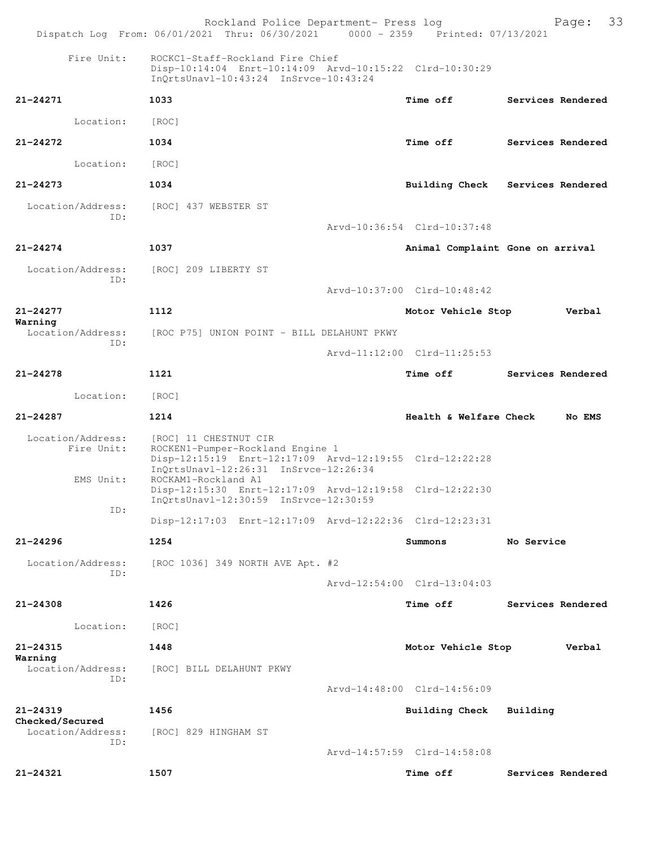|                                              | Rockland Police Department- Press log<br>Dispatch Log From: 06/01/2021 Thru: 06/30/2021 0000 - 2359 Printed: 07/13/2021                                                              |                                  | 33<br>Page:                      |
|----------------------------------------------|--------------------------------------------------------------------------------------------------------------------------------------------------------------------------------------|----------------------------------|----------------------------------|
| Fire Unit:                                   | ROCKC1-Staff-Rockland Fire Chief<br>Disp-10:14:04 Enrt-10:14:09 Arvd-10:15:22 Clrd-10:30:29<br>InQrtsUnavl-10:43:24 InSrvce-10:43:24                                                 |                                  |                                  |
| 21-24271                                     | 1033                                                                                                                                                                                 | <b>Time off</b>                  | Services Rendered                |
| Location:                                    | [ROC]                                                                                                                                                                                |                                  |                                  |
| $21 - 24272$                                 | 1034                                                                                                                                                                                 | <b>Time off</b>                  | Services Rendered                |
| Location:                                    | [ROC]                                                                                                                                                                                |                                  |                                  |
| $21 - 24273$                                 | 1034                                                                                                                                                                                 |                                  | Building Check Services Rendered |
| Location/Address:<br>ID:                     | [ROC] 437 WEBSTER ST                                                                                                                                                                 | Arvd-10:36:54 Clrd-10:37:48      |                                  |
| $21 - 24274$                                 | 1037                                                                                                                                                                                 | Animal Complaint Gone on arrival |                                  |
| Location/Address:<br>ID:                     | [ROC] 209 LIBERTY ST                                                                                                                                                                 |                                  |                                  |
|                                              |                                                                                                                                                                                      | Arvd-10:37:00 Clrd-10:48:42      |                                  |
| $21 - 24277$<br>Warning                      | 1112                                                                                                                                                                                 | Motor Vehicle Stop               | Verbal                           |
| Location/Address:<br>ID:                     | [ROC P75] UNION POINT - BILL DELAHUNT PKWY                                                                                                                                           |                                  |                                  |
|                                              |                                                                                                                                                                                      | Arvd-11:12:00 Clrd-11:25:53      |                                  |
| $21 - 24278$                                 | 1121                                                                                                                                                                                 | <b>Time off</b>                  | Services Rendered                |
| Location:                                    | [ROC]                                                                                                                                                                                |                                  |                                  |
| 21-24287                                     | 1214                                                                                                                                                                                 | Health & Welfare Check           | No EMS                           |
| Location/Address:<br>Fire Unit:<br>EMS Unit: | [ROC] 11 CHESTNUT CIR<br>ROCKEN1-Pumper-Rockland Engine 1<br>Disp-12:15:19 Enrt-12:17:09 Arvd-12:19:55 Clrd-12:22:28<br>InQrtsUnavl-12:26:31 InSrvce-12:26:34<br>ROCKAM1-Rockland A1 |                                  |                                  |
| ID:                                          | Disp-12:15:30 Enrt-12:17:09 Arvd-12:19:58 Clrd-12:22:30<br>InQrtsUnavl-12:30:59 InSrvce-12:30:59                                                                                     |                                  |                                  |
|                                              | Disp-12:17:03 Enrt-12:17:09 Arvd-12:22:36 Clrd-12:23:31                                                                                                                              |                                  |                                  |
| $21 - 24296$                                 | 1254                                                                                                                                                                                 | Summons                          | No Service                       |
| Location/Address:<br>ID:                     | [ROC 1036] 349 NORTH AVE Apt. #2                                                                                                                                                     |                                  |                                  |
|                                              |                                                                                                                                                                                      | Arvd-12:54:00 Clrd-13:04:03      |                                  |
| $21 - 24308$                                 | 1426                                                                                                                                                                                 | <b>Time off</b>                  | Services Rendered                |
| Location:                                    | [ROC]                                                                                                                                                                                |                                  |                                  |
| 21-24315<br>Warning                          | 1448                                                                                                                                                                                 | Motor Vehicle Stop               | Verbal                           |
| Location/Address:<br>ID:                     | [ROC] BILL DELAHUNT PKWY                                                                                                                                                             | Arvd-14:48:00 Clrd-14:56:09      |                                  |
| $21 - 24319$                                 | 1456                                                                                                                                                                                 | Building Check                   | Building                         |
| Checked/Secured<br>Location/Address:<br>ID:  | [ROC] 829 HINGHAM ST                                                                                                                                                                 |                                  |                                  |
|                                              |                                                                                                                                                                                      | Arvd-14:57:59 Clrd-14:58:08      |                                  |
| 21-24321                                     | 1507                                                                                                                                                                                 | <b>Time off</b>                  | Services Rendered                |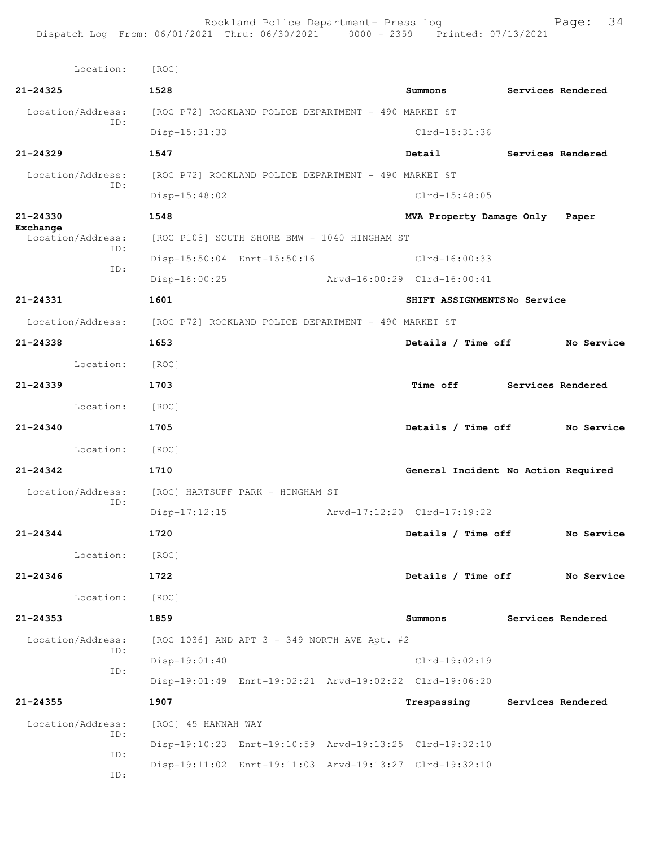Rockland Police Department- Press log Page: 34 Dispatch Log From: 06/01/2021 Thru: 06/30/2021 0000 - 2359 Printed: 07/13/2021

 Location: [ROC] **21-24325 1528 Summons Services Rendered** Location/Address: [ROC P72] ROCKLAND POLICE DEPARTMENT - 490 MARKET ST ID: Disp-15:31:33 Clrd-15:31:36 **21-24329 1547 Detail Services Rendered** Location/Address: [ROC P72] ROCKLAND POLICE DEPARTMENT - 490 MARKET ST ID: Disp-15:48:02 Clrd-15:48:05 **21-24330 1548 MVA Property Damage Only Paper Exchange**<br>Location/Address: [ROC P108] SOUTH SHORE BMW - 1040 HINGHAM ST ID: Disp-15:50:04 Enrt-15:50:16 Clrd-16:00:33 ID: Disp-16:00:25 Arvd-16:00:29 Clrd-16:00:41 **21-24331 1601 SHIFT ASSIGNMENTS No Service** Location/Address: [ROC P72] ROCKLAND POLICE DEPARTMENT - 490 MARKET ST **21-24338 1653 Details / Time off No Service** Location: [ROC] **21-24339 1703 Time off Services Rendered** Location: [ROC] **21-24340 1705 Details / Time off No Service** Location: [ROC] **21-24342 1710 General Incident No Action Required** Location/Address: [ROC] HARTSUFF PARK - HINGHAM ST ID: Disp-17:12:15 Arvd-17:12:20 Clrd-17:19:22 **21-24344 1720 Details / Time off No Service** Location: [ROC] **21-24346 1722 Details / Time off No Service** Location: [ROC] **21-24353 1859 Summons Services Rendered** Location/Address: [ROC 1036] AND APT 3 - 349 NORTH AVE Apt. #2 ID: Disp-19:01:40 Clrd-19:02:19 ID: Disp-19:01:49 Enrt-19:02:21 Arvd-19:02:22 Clrd-19:06:20 **21-24355 1907 Trespassing Services Rendered** Location/Address: [ROC] 45 HANNAH WAY ID: Disp-19:10:23 Enrt-19:10:59 Arvd-19:13:25 Clrd-19:32:10 ID: Disp-19:11:02 Enrt-19:11:03 Arvd-19:13:27 Clrd-19:32:10 ID: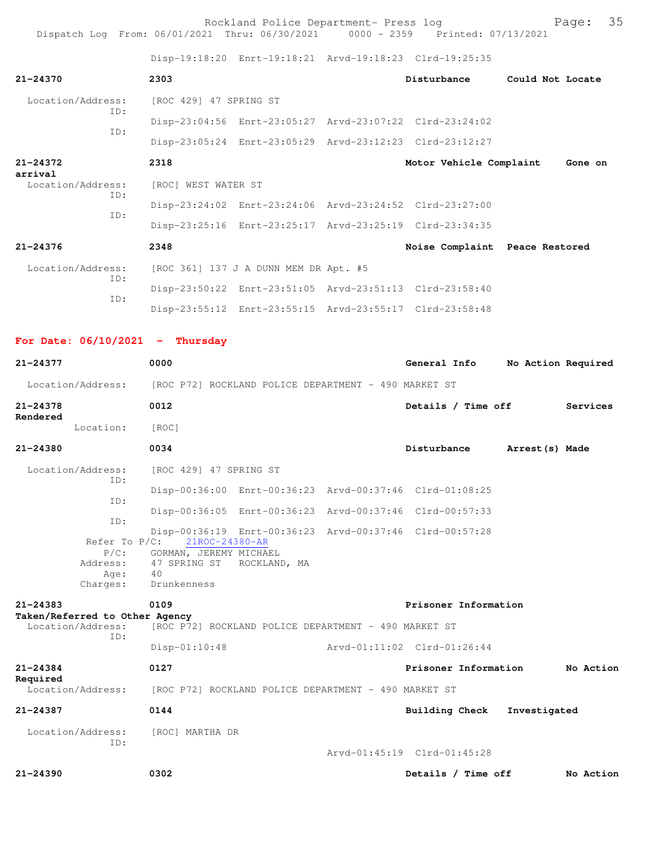Rockland Police Department- Press log Page: 35 Dispatch Log From: 06/01/2021 Thru: 06/30/2021 0000 - 2359 Printed: 07/13/2021

Disp-19:18:20 Enrt-19:18:21 Arvd-19:18:23 Clrd-19:25:35

| $21 - 24370$                                                           | 2303                   |                                       |  | Disturbance                                             | Could Not Locate   |          |  |  |
|------------------------------------------------------------------------|------------------------|---------------------------------------|--|---------------------------------------------------------|--------------------|----------|--|--|
| Location/Address:                                                      | [ROC 429] 47 SPRING ST |                                       |  |                                                         |                    |          |  |  |
| TD:                                                                    |                        |                                       |  | Disp-23:04:56 Enrt-23:05:27 Arvd-23:07:22 Clrd-23:24:02 |                    |          |  |  |
| TD:                                                                    |                        |                                       |  | Disp-23:05:24 Enrt-23:05:29 Arvd-23:12:23 Clrd-23:12:27 |                    |          |  |  |
| $21 - 24372$<br>arrival                                                | 2318                   |                                       |  | Motor Vehicle Complaint                                 |                    | Gone on  |  |  |
| Location/Address:                                                      | [ROC] WEST WATER ST    |                                       |  |                                                         |                    |          |  |  |
| TD:<br>TD:                                                             |                        |                                       |  | Disp-23:24:02 Enrt-23:24:06 Arvd-23:24:52 Clrd-23:27:00 |                    |          |  |  |
|                                                                        |                        |                                       |  | Disp-23:25:16 Enrt-23:25:17 Arvd-23:25:19 Clrd-23:34:35 |                    |          |  |  |
| $21 - 24376$                                                           | 2348                   |                                       |  | Noise Complaint Peace Restored                          |                    |          |  |  |
| Location/Address:                                                      |                        | [ROC 361] 137 J A DUNN MEM DR Apt. #5 |  |                                                         |                    |          |  |  |
| TD:                                                                    |                        |                                       |  | Disp-23:50:22 Enrt-23:51:05 Arvd-23:51:13 Clrd-23:58:40 |                    |          |  |  |
| TD:                                                                    |                        |                                       |  | Disp-23:55:12 Enrt-23:55:15 Arvd-23:55:17 Clrd-23:58:48 |                    |          |  |  |
| For Date: $06/10/2021$ - Thursday                                      |                        |                                       |  |                                                         |                    |          |  |  |
| $21 - 24377$                                                           | 0000                   |                                       |  | General Info                                            | No Action Required |          |  |  |
| Location/Address: [ROC P72] ROCKLAND POLICE DEPARTMENT - 490 MARKET ST |                        |                                       |  |                                                         |                    |          |  |  |
| $21 - 24378$                                                           | 0012                   |                                       |  | Details / Time off                                      |                    | Services |  |  |
| Rendered<br>Location:                                                  | [ROC]                  |                                       |  |                                                         |                    |          |  |  |
| $21 - 24380$                                                           | 0034                   |                                       |  | Disturbance                                             | Arrest(s) Made     |          |  |  |
| Location/Address:                                                      | [ROC 429] 47 SPRING ST |                                       |  |                                                         |                    |          |  |  |

| ID:      |                                    |                                                         |  |
|----------|------------------------------------|---------------------------------------------------------|--|
|          |                                    | Disp-00:36:00 Enrt-00:36:23 Arvd-00:37:46 Clrd-01:08:25 |  |
| ID:      |                                    |                                                         |  |
|          |                                    | Disp-00:36:05 Enrt-00:36:23 Arvd-00:37:46 Clrd-00:57:33 |  |
| ID:      |                                    |                                                         |  |
|          |                                    | Disp-00:36:19 Enrt-00:36:23 Arvd-00:37:46 Clrd-00:57:28 |  |
|          | Refer To P/C: 21ROC-24380-AR       |                                                         |  |
|          | P/C: GORMAN, JEREMY MICHAEL        |                                                         |  |
|          | Address: 47 SPRING ST ROCKLAND, MA |                                                         |  |
| Age:     | 40                                 |                                                         |  |
| Charges: | Drunkenness                        |                                                         |  |

**21-24383 0109 Prisoner Information Taken/Referred to Other Agency**  Location/Address: [ROC P72] ROCKLAND POLICE DEPARTMENT - 490 MARKET ST ID:

 Disp-01:10:48 Arvd-01:11:02 Clrd-01:26:44 **21-24384 0127 Prisoner Information No Action**

**Required**  [ROC P72] ROCKLAND POLICE DEPARTMENT - 490 MARKET ST

**21-24387 0144 Building Check Investigated** Location/Address: [ROC] MARTHA DR ID:

Arvd-01:45:19 Clrd-01:45:28

**21-24390 0302 Details / Time off No Action**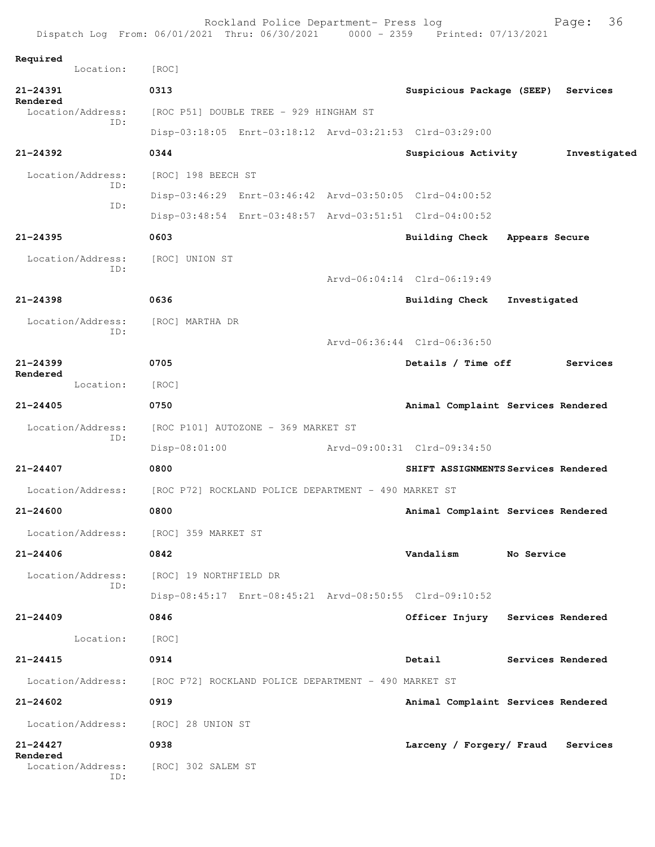|                                      | Rockland Police Department- Press log<br>Dispatch Log From: 06/01/2021 Thru: 06/30/2021 0000 - 2359 Printed: 07/13/2021 |  |                                     |                | 36<br>Page:       |  |
|--------------------------------------|-------------------------------------------------------------------------------------------------------------------------|--|-------------------------------------|----------------|-------------------|--|
| Required                             |                                                                                                                         |  |                                     |                |                   |  |
| Location:                            | [ROC]                                                                                                                   |  |                                     |                |                   |  |
| $21 - 24391$<br>Rendered             | 0313                                                                                                                    |  | Suspicious Package (SEEP) Services  |                |                   |  |
| Location/Address:<br>TD:             | [ROC P51] DOUBLE TREE - 929 HINGHAM ST                                                                                  |  |                                     |                |                   |  |
|                                      | Disp-03:18:05 Enrt-03:18:12 Arvd-03:21:53 Clrd-03:29:00                                                                 |  |                                     |                |                   |  |
| $21 - 24392$                         | 0344                                                                                                                    |  | Suspicious Activity                 |                | Investigated      |  |
| Location/Address:<br>ID:             | [ROC] 198 BEECH ST                                                                                                      |  |                                     |                |                   |  |
| ID:                                  | Disp-03:46:29 Enrt-03:46:42 Arvd-03:50:05 Clrd-04:00:52                                                                 |  |                                     |                |                   |  |
|                                      | Disp-03:48:54 Enrt-03:48:57 Arvd-03:51:51 Clrd-04:00:52                                                                 |  |                                     |                |                   |  |
| $21 - 24395$                         | 0603                                                                                                                    |  | <b>Building Check</b>               | Appears Secure |                   |  |
| Location/Address:                    | [ROC] UNION ST                                                                                                          |  |                                     |                |                   |  |
| ID:                                  |                                                                                                                         |  | Arvd-06:04:14 Clrd-06:19:49         |                |                   |  |
| $21 - 24398$                         | 0636                                                                                                                    |  | Building Check                      | Investigated   |                   |  |
| Location/Address:                    | [ROC] MARTHA DR                                                                                                         |  |                                     |                |                   |  |
| ID:                                  |                                                                                                                         |  | Arvd-06:36:44 Clrd-06:36:50         |                |                   |  |
| $21 - 24399$                         | 0705                                                                                                                    |  | Details / Time off                  |                | Services          |  |
| Rendered<br>Location:                | [ROC]                                                                                                                   |  |                                     |                |                   |  |
| $21 - 24405$                         | 0750                                                                                                                    |  | Animal Complaint Services Rendered  |                |                   |  |
| Location/Address:                    | [ROC P101] AUTOZONE - 369 MARKET ST                                                                                     |  |                                     |                |                   |  |
| ID:                                  | $Disp-08:01:00$                                                                                                         |  | Arvd-09:00:31 Clrd-09:34:50         |                |                   |  |
| $21 - 24407$                         | 0800                                                                                                                    |  | SHIFT ASSIGNMENTS Services Rendered |                |                   |  |
| Location/Address:                    | [ROC P72] ROCKLAND POLICE DEPARTMENT - 490 MARKET ST                                                                    |  |                                     |                |                   |  |
| $21 - 24600$                         | 0800                                                                                                                    |  | Animal Complaint Services Rendered  |                |                   |  |
|                                      | Location/Address: [ROC] 359 MARKET ST                                                                                   |  |                                     |                |                   |  |
| $21 - 24406$                         | 0842                                                                                                                    |  | Vandalism                           | No Service     |                   |  |
| Location/Address:                    | [ROC] 19 NORTHFIELD DR                                                                                                  |  |                                     |                |                   |  |
| ID:                                  | Disp-08:45:17 Enrt-08:45:21 Arvd-08:50:55 Clrd-09:10:52                                                                 |  |                                     |                |                   |  |
| $21 - 24409$                         | 0846                                                                                                                    |  | Officer Injury Services Rendered    |                |                   |  |
| Location:                            | [ROC]                                                                                                                   |  |                                     |                |                   |  |
| $21 - 24415$                         | 0914                                                                                                                    |  | Detail                              |                | Services Rendered |  |
| Location/Address:                    | [ROC P72] ROCKLAND POLICE DEPARTMENT - 490 MARKET ST                                                                    |  |                                     |                |                   |  |
| $21 - 24602$                         | 0919                                                                                                                    |  | Animal Complaint Services Rendered  |                |                   |  |
| Location/Address:                    | [ROC] 28 UNION ST                                                                                                       |  |                                     |                |                   |  |
| $21 - 24427$                         | 0938                                                                                                                    |  | Larceny / Forgery/ Fraud            |                | Services          |  |
| Rendered<br>Location/Address:<br>ID: | [ROC] 302 SALEM ST                                                                                                      |  |                                     |                |                   |  |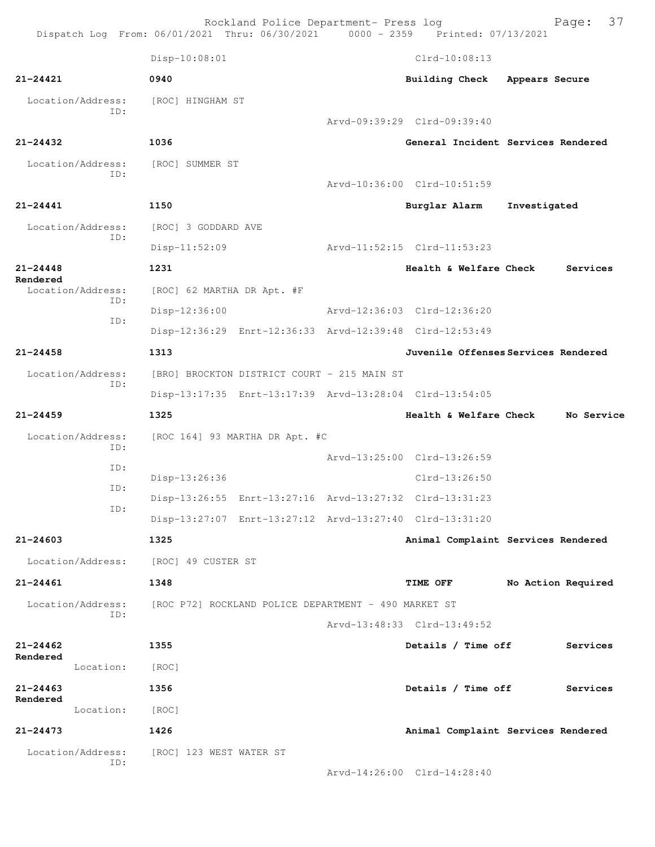|                   |                          |                                             | Rockland Police Department- Press log                   | Dispatch Log From: 06/01/2021 Thru: 06/30/2021 0000 - 2359 Printed: 07/13/2021 |                    | Page: 37   |  |
|-------------------|--------------------------|---------------------------------------------|---------------------------------------------------------|--------------------------------------------------------------------------------|--------------------|------------|--|
|                   |                          | Disp-10:08:01                               |                                                         | $Clrd-10:08:13$                                                                |                    |            |  |
| $21 - 24421$      |                          | 0940                                        |                                                         | Building Check Appears Secure                                                  |                    |            |  |
|                   | Location/Address:        | [ROC] HINGHAM ST                            |                                                         |                                                                                |                    |            |  |
|                   | TD:                      |                                             |                                                         | Arvd-09:39:29 Clrd-09:39:40                                                    |                    |            |  |
| 21-24432          |                          | 1036                                        |                                                         | General Incident Services Rendered                                             |                    |            |  |
|                   | Location/Address:        | [ROC] SUMMER ST                             |                                                         |                                                                                |                    |            |  |
|                   | TD:                      |                                             |                                                         | Arvd-10:36:00 Clrd-10:51:59                                                    |                    |            |  |
| 21-24441          |                          | 1150                                        |                                                         | Burglar Alarm Investigated                                                     |                    |            |  |
|                   | Location/Address:        | [ROC] 3 GODDARD AVE                         |                                                         |                                                                                |                    |            |  |
|                   | ID:                      | $Disp-11:52:09$                             |                                                         | Arvd-11:52:15 Clrd-11:53:23                                                    |                    |            |  |
| $21 - 24448$      |                          | 1231                                        |                                                         | <b>Health &amp; Welfare Check</b>                                              |                    | Services   |  |
| Rendered          | Location/Address:        | [ROC] 62 MARTHA DR Apt. #F                  |                                                         |                                                                                |                    |            |  |
|                   | ID:                      | Disp-12:36:00                               |                                                         | Arvd-12:36:03 Clrd-12:36:20                                                    |                    |            |  |
|                   | ID:                      |                                             |                                                         | Disp-12:36:29 Enrt-12:36:33 Arvd-12:39:48 Clrd-12:53:49                        |                    |            |  |
| $21 - 24458$      |                          | 1313                                        |                                                         | Juvenile Offenses Services Rendered                                            |                    |            |  |
| Location/Address: |                          | [BRO] BROCKTON DISTRICT COURT - 215 MAIN ST |                                                         |                                                                                |                    |            |  |
|                   | ID:                      |                                             |                                                         | Disp-13:17:35 Enrt-13:17:39 Arvd-13:28:04 Clrd-13:54:05                        |                    |            |  |
| $21 - 24459$      |                          | 1325                                        |                                                         | Health & Welfare Check                                                         |                    | No Service |  |
|                   | Location/Address:        | [ROC 164] 93 MARTHA DR Apt. #C              |                                                         |                                                                                |                    |            |  |
|                   | ID:                      |                                             |                                                         | Arvd-13:25:00 Clrd-13:26:59                                                    |                    |            |  |
|                   | ID:                      | Disp-13:26:36                               |                                                         | $Clrd-13:26:50$                                                                |                    |            |  |
|                   | ID:                      |                                             | Disp-13:26:55 Enrt-13:27:16 Arvd-13:27:32 Clrd-13:31:23 |                                                                                |                    |            |  |
|                   | ID:                      |                                             | Disp-13:27:07 Enrt-13:27:12 Arvd-13:27:40 Clrd-13:31:20 |                                                                                |                    |            |  |
| 21-24603          |                          | 1325                                        |                                                         | Animal Complaint Services Rendered                                             |                    |            |  |
|                   | Location/Address:        | [ROC] 49 CUSTER ST                          |                                                         |                                                                                |                    |            |  |
| $21 - 24461$      |                          | 1348                                        |                                                         | <b>TIME OFF</b>                                                                | No Action Required |            |  |
|                   | Location/Address:        |                                             | [ROC P72] ROCKLAND POLICE DEPARTMENT - 490 MARKET ST    |                                                                                |                    |            |  |
|                   | ID:                      |                                             |                                                         | Arvd-13:48:33 Clrd-13:49:52                                                    |                    |            |  |
| $21 - 24462$      |                          | 1355                                        |                                                         | Details / Time off                                                             |                    | Services   |  |
| Rendered          | Location:                | [ROC]                                       |                                                         |                                                                                |                    |            |  |
| $21 - 24463$      |                          | 1356                                        |                                                         | Details / Time off                                                             |                    | Services   |  |
| Rendered          | Location:                | [ROC]                                       |                                                         |                                                                                |                    |            |  |
| $21 - 24473$      |                          | 1426                                        |                                                         | Animal Complaint Services Rendered                                             |                    |            |  |
|                   | Location/Address:<br>ID: | [ROC] 123 WEST WATER ST                     |                                                         |                                                                                |                    |            |  |

Arvd-14:26:00 Clrd-14:28:40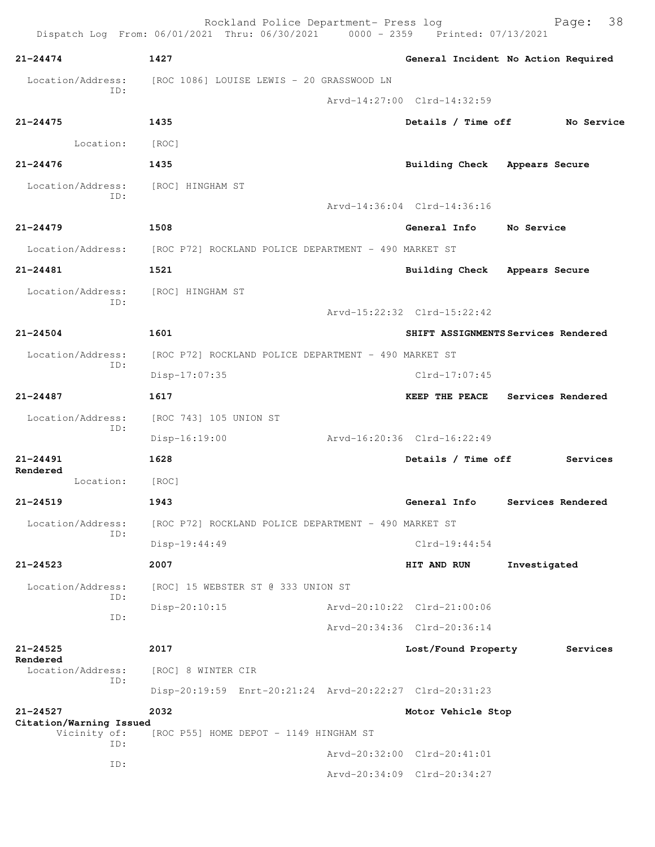|                                           | Rockland Police Department- Press log<br>Dispatch Log From: 06/01/2021 Thru: 06/30/2021 0000 - 2359 Printed: 07/13/2021 |                               | 38<br>Page:                         |
|-------------------------------------------|-------------------------------------------------------------------------------------------------------------------------|-------------------------------|-------------------------------------|
| $21 - 24474$                              | 1427                                                                                                                    |                               | General Incident No Action Required |
| Location/Address:                         | [ROC 1086] LOUISE LEWIS - 20 GRASSWOOD LN                                                                               |                               |                                     |
| ID:                                       |                                                                                                                         | Arvd-14:27:00 Clrd-14:32:59   |                                     |
| $21 - 24475$                              | 1435                                                                                                                    | Details / Time off            | No Service                          |
| Location:                                 | [ROC]                                                                                                                   |                               |                                     |
| $21 - 24476$                              | 1435                                                                                                                    | Building Check Appears Secure |                                     |
| Location/Address: [ROC] HINGHAM ST<br>ID: |                                                                                                                         | Arvd-14:36:04 Clrd-14:36:16   |                                     |
| $21 - 24479$                              | 1508                                                                                                                    | General Info                  | No Service                          |
|                                           |                                                                                                                         |                               |                                     |
|                                           | Location/Address: [ROC P72] ROCKLAND POLICE DEPARTMENT - 490 MARKET ST                                                  |                               |                                     |
| $21 - 24481$                              | 1521                                                                                                                    | Building Check Appears Secure |                                     |
| Location/Address:<br>ID:                  | [ROC] HINGHAM ST                                                                                                        |                               |                                     |
|                                           |                                                                                                                         | Arvd-15:22:32 Clrd-15:22:42   |                                     |
| $21 - 24504$                              | 1601                                                                                                                    |                               | SHIFT ASSIGNMENTS Services Rendered |
| Location/Address:<br>ID:                  | [ROC P72] ROCKLAND POLICE DEPARTMENT - 490 MARKET ST                                                                    |                               |                                     |
|                                           | Disp-17:07:35                                                                                                           | Clrd-17:07:45                 |                                     |
| $21 - 24487$                              | 1617                                                                                                                    | <b>KEEP THE PEACE</b>         | Services Rendered                   |
| Location/Address:<br>ID:                  | [ROC 743] 105 UNION ST                                                                                                  |                               |                                     |
|                                           | $Disp-16:19:00$                                                                                                         | Arvd-16:20:36 Clrd-16:22:49   |                                     |
| $21 - 24491$<br>Rendered                  | 1628                                                                                                                    | Details / Time off            | Services                            |
| Location:                                 | [ROC]                                                                                                                   |                               |                                     |
| 21-24519                                  | 1943                                                                                                                    | General Info                  | Services Rendered                   |
| Location/Address:<br>ID:                  | [ROC P72] ROCKLAND POLICE DEPARTMENT - 490 MARKET ST                                                                    |                               |                                     |
|                                           | Disp-19:44:49                                                                                                           | $Clrd-19:44:54$               |                                     |
| $21 - 24523$                              | 2007                                                                                                                    | HIT AND RUN                   | Investigated                        |
| Location/Address:<br>ID:                  | [ROC] 15 WEBSTER ST @ 333 UNION ST                                                                                      |                               |                                     |
| ID:                                       | $Disp-20:10:15$                                                                                                         | Arvd-20:10:22 Clrd-21:00:06   |                                     |
|                                           |                                                                                                                         | Arvd-20:34:36 Clrd-20:36:14   |                                     |
| $21 - 24525$                              | 2017                                                                                                                    | Lost/Found Property           | Services                            |
| Rendered<br>Location/Address:             | [ROC] 8 WINTER CIR                                                                                                      |                               |                                     |
| ID:                                       | Disp-20:19:59 Enrt-20:21:24 Arvd-20:22:27 Clrd-20:31:23                                                                 |                               |                                     |
| $21 - 24527$                              | 2032                                                                                                                    | Motor Vehicle Stop            |                                     |
| Citation/Warning Issued<br>Vicinity of:   | [ROC P55] HOME DEPOT - 1149 HINGHAM ST                                                                                  |                               |                                     |
| ID:                                       |                                                                                                                         | Arvd-20:32:00 Clrd-20:41:01   |                                     |
| ID:                                       |                                                                                                                         | Arvd-20:34:09 Clrd-20:34:27   |                                     |
|                                           |                                                                                                                         |                               |                                     |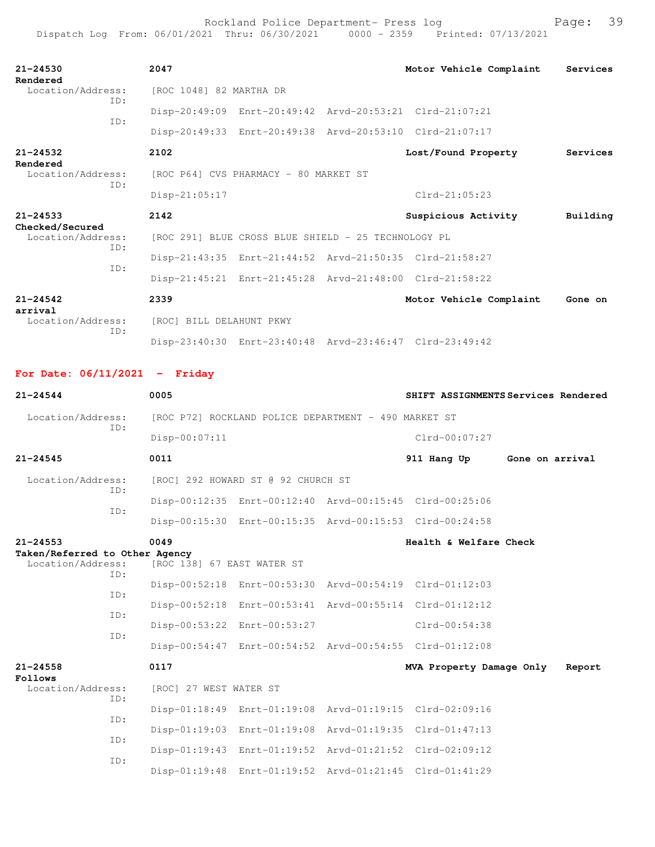Rockland Police Department- Press log entitled and Page: 39

| $21 - 24530$<br>Rendered                    | 2047                     |                                                     | Motor Vehicle Complaint                                 | Services |
|---------------------------------------------|--------------------------|-----------------------------------------------------|---------------------------------------------------------|----------|
| Location/Address:<br>TD:                    | [ROC 1048] 82 MARTHA DR  |                                                     |                                                         |          |
| TD:                                         |                          |                                                     | Disp-20:49:09 Enrt-20:49:42 Arvd-20:53:21 Clrd-21:07:21 |          |
|                                             |                          |                                                     | Disp-20:49:33 Enrt-20:49:38 Arvd-20:53:10 Clrd-21:07:17 |          |
| $21 - 24532$<br>Rendered                    | 2102                     |                                                     | Lost/Found Property                                     | Services |
| Location/Address:<br>TD:                    |                          | [ROC P64] CVS PHARMACY - 80 MARKET ST               |                                                         |          |
|                                             | Disp-21:05:17            |                                                     | $C1rd-21:05:23$                                         |          |
| $21 - 24533$                                | 2142                     |                                                     | Suspicious Activity                                     | Building |
| Checked/Secured<br>Location/Address:<br>ID: |                          | [ROC 291] BLUE CROSS BLUE SHIELD - 25 TECHNOLOGY PL |                                                         |          |
| TD:                                         |                          |                                                     | Disp-21:43:35 Enrt-21:44:52 Arvd-21:50:35 Clrd-21:58:27 |          |
|                                             |                          |                                                     | Disp-21:45:21 Enrt-21:45:28 Arvd-21:48:00 Clrd-21:58:22 |          |
| $21 - 24542$<br>arrival                     | 2339                     |                                                     | Motor Vehicle Complaint                                 | Gone on  |
| Location/Address:                           | [ROC] BILL DELAHUNT PKWY |                                                     |                                                         |          |
| TD:                                         |                          |                                                     |                                                         |          |

**For Date: 06/11/2021 - Friday**

| $21 - 24544$                                   | 0005                                                 |                                    |  | SHIFT ASSIGNMENTS Services Rendered                     |                 |        |  |
|------------------------------------------------|------------------------------------------------------|------------------------------------|--|---------------------------------------------------------|-----------------|--------|--|
| Location/Address:                              | [ROC P72] ROCKLAND POLICE DEPARTMENT - 490 MARKET ST |                                    |  |                                                         |                 |        |  |
| TD:                                            | Disp-00:07:11                                        |                                    |  | $Clrd-00:07:27$                                         |                 |        |  |
| $21 - 24545$                                   | 0011                                                 |                                    |  | 911 Hang Up                                             | Gone on arrival |        |  |
| Location/Address:<br>ID:                       |                                                      | [ROC] 292 HOWARD ST @ 92 CHURCH ST |  |                                                         |                 |        |  |
|                                                |                                                      |                                    |  | Disp-00:12:35 Enrt-00:12:40 Arvd-00:15:45 Clrd-00:25:06 |                 |        |  |
| ID:                                            |                                                      |                                    |  | Disp-00:15:30 Enrt-00:15:35 Arvd-00:15:53 Clrd-00:24:58 |                 |        |  |
| $21 - 24553$<br>Taken/Referred to Other Agency | 0049                                                 |                                    |  | Health & Welfare Check                                  |                 |        |  |
| Location/Address:<br>ID:                       | [ROC 138] 67 EAST WATER ST                           |                                    |  |                                                         |                 |        |  |
|                                                |                                                      |                                    |  | Disp-00:52:18 Enrt-00:53:30 Arvd-00:54:19 Clrd-01:12:03 |                 |        |  |
| TD:                                            |                                                      |                                    |  | Disp-00:52:18 Enrt-00:53:41 Arvd-00:55:14 Clrd-01:12:12 |                 |        |  |
| ID:                                            |                                                      | Disp-00:53:22 Enrt-00:53:27        |  | Clrd-00:54:38                                           |                 |        |  |
| ID:                                            |                                                      |                                    |  | Disp-00:54:47 Enrt-00:54:52 Arvd-00:54:55 Clrd-01:12:08 |                 |        |  |
| $21 - 24558$<br>Follows                        | 0117                                                 |                                    |  | MVA Property Damage Only                                |                 | Report |  |
| Location/Address:<br>ID:                       | [ROC] 27 WEST WATER ST                               |                                    |  |                                                         |                 |        |  |
|                                                |                                                      |                                    |  | Disp-01:18:49 Enrt-01:19:08 Arvd-01:19:15 Clrd-02:09:16 |                 |        |  |
| ID:                                            |                                                      |                                    |  | Disp-01:19:03 Enrt-01:19:08 Arvd-01:19:35 Clrd-01:47:13 |                 |        |  |
| ID:                                            |                                                      |                                    |  | Disp-01:19:43 Enrt-01:19:52 Arvd-01:21:52 Clrd-02:09:12 |                 |        |  |
| ID:                                            |                                                      |                                    |  | Disp-01:19:48 Enrt-01:19:52 Arvd-01:21:45 Clrd-01:41:29 |                 |        |  |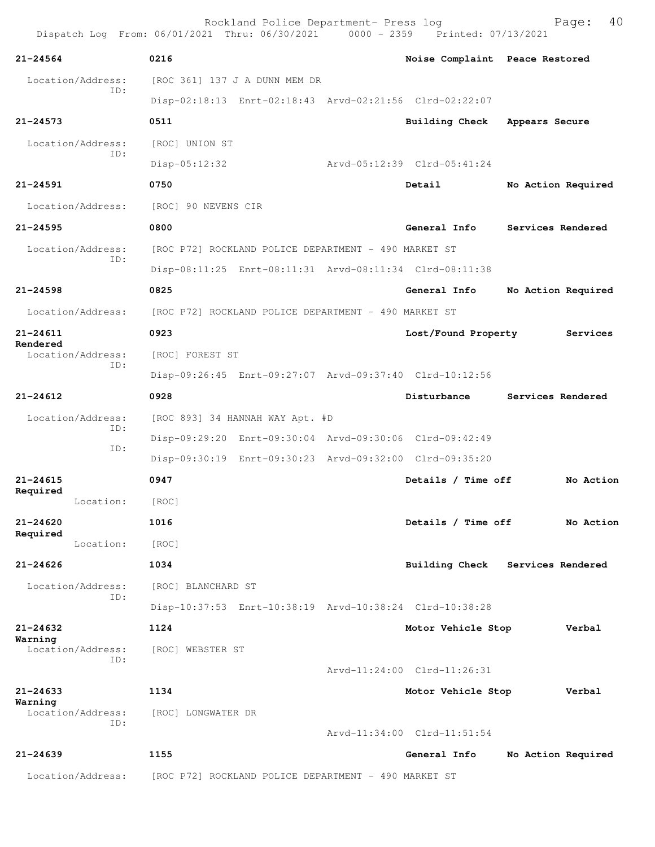Rockland Police Department- Press log Page: 40 Dispatch Log From: 06/01/2021 Thru: 06/30/2021 **21-24564 0216 Noise Complaint Peace Restored** Location/Address: [ROC 361] 137 J A DUNN MEM DR ID: Disp-02:18:13 Enrt-02:18:43 Arvd-02:21:56 Clrd-02:22:07 **21-24573 0511 Building Check Appears Secure** Location/Address: [ROC] UNION ST ID: Disp-05:12:32 Arvd-05:12:39 Clrd-05:41:24 **21-24591 0750 Detail No Action Required** Location/Address: [ROC] 90 NEVENS CIR **21-24595 0800 General Info Services Rendered** Location/Address: [ROC P72] ROCKLAND POLICE DEPARTMENT - 490 MARKET ST ID: Disp-08:11:25 Enrt-08:11:31 Arvd-08:11:34 Clrd-08:11:38 **21-24598 0825 General Info No Action Required** Location/Address: [ROC P72] ROCKLAND POLICE DEPARTMENT - 490 MARKET ST **21-24611 0923 Lost/Found Property Services Rendered**  Location/Address: [ROC] FOREST ST ID: Disp-09:26:45 Enrt-09:27:07 Arvd-09:37:40 Clrd-10:12:56 **21-24612 0928 Disturbance Services Rendered** Location/Address: [ROC 893] 34 HANNAH WAY Apt. #D ID: Disp-09:29:20 Enrt-09:30:04 Arvd-09:30:06 Clrd-09:42:49 ID: Disp-09:30:19 Enrt-09:30:23 Arvd-09:32:00 Clrd-09:35:20 **21-24615 0947 Details / Time off No Action Required**  Location: [ROC] **21-24620 1016 Details / Time off No Action Required**  Location: [ROC] **21-24626 1034 Building Check Services Rendered** Location/Address: [ROC] BLANCHARD ST ID: Disp-10:37:53 Enrt-10:38:19 Arvd-10:38:24 Clrd-10:38:28 **21-24632 1124 Motor Vehicle Stop Verbal Warning**  Location/Address: [ROC] WEBSTER ST ID: Arvd-11:24:00 Clrd-11:26:31 **21-24633 1134 Motor Vehicle Stop Verbal Warning**  Location/Address: [ROC] LONGWATER DR ID: Arvd-11:34:00 Clrd-11:51:54 **21-24639 1155 General Info No Action Required** Location/Address: [ROC P72] ROCKLAND POLICE DEPARTMENT - 490 MARKET ST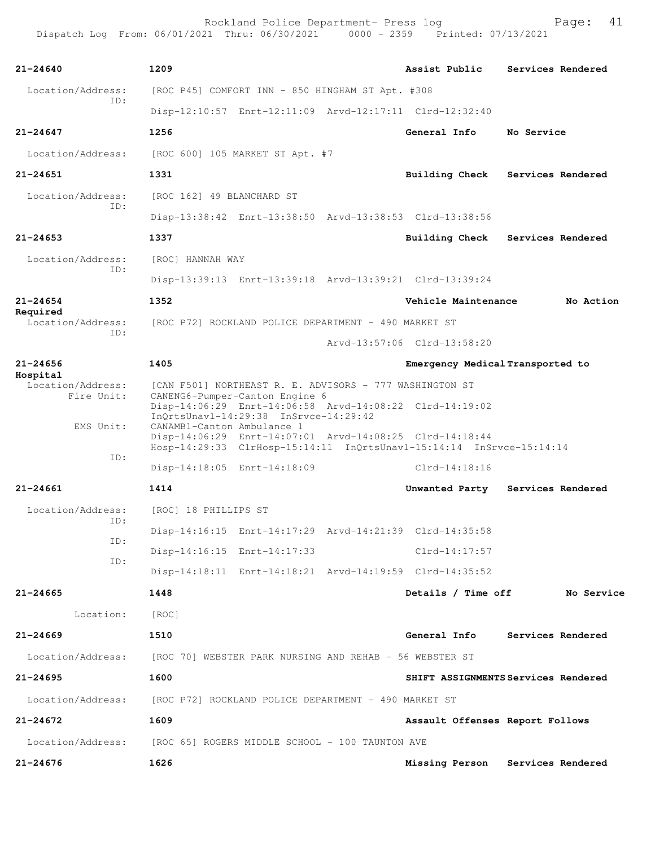Rockland Police Department- Press log entitled and Page: 41 Dispatch Log From: 06/01/2021 Thru: 06/30/2021 0000 - 2359 Printed: 07/13/2021

| $21 - 24640$                  | 1209                                                                                                                                                          | Assist Public                    | Services Rendered                   |
|-------------------------------|---------------------------------------------------------------------------------------------------------------------------------------------------------------|----------------------------------|-------------------------------------|
| Location/Address:             | [ROC P45] COMFORT INN - 850 HINGHAM ST Apt. #308                                                                                                              |                                  |                                     |
| TD:                           | Disp-12:10:57 Enrt-12:11:09 Arvd-12:17:11 Clrd-12:32:40                                                                                                       |                                  |                                     |
| $21 - 24647$                  | 1256                                                                                                                                                          | General Info                     | No Service                          |
| Location/Address:             | [ROC 600] 105 MARKET ST Apt. #7                                                                                                                               |                                  |                                     |
| $21 - 24651$                  | 1331                                                                                                                                                          | Building Check                   | Services Rendered                   |
| Location/Address:             | [ROC 162] 49 BLANCHARD ST                                                                                                                                     |                                  |                                     |
| TD:                           | Disp-13:38:42 Enrt-13:38:50 Arvd-13:38:53 Clrd-13:38:56                                                                                                       |                                  |                                     |
| $21 - 24653$                  | 1337                                                                                                                                                          |                                  | Building Check Services Rendered    |
| Location/Address:             | [ROC] HANNAH WAY                                                                                                                                              |                                  |                                     |
| ID:                           | Disp-13:39:13 Enrt-13:39:18 Arvd-13:39:21 Clrd-13:39:24                                                                                                       |                                  |                                     |
| $21 - 24654$                  | 1352                                                                                                                                                          | Vehicle Maintenance              | No Action                           |
| Required<br>Location/Address: | [ROC P72] ROCKLAND POLICE DEPARTMENT - 490 MARKET ST                                                                                                          |                                  |                                     |
| ID:                           |                                                                                                                                                               | Arvd-13:57:06 Clrd-13:58:20      |                                     |
| $21 - 24656$                  | 1405                                                                                                                                                          | Emergency Medical Transported to |                                     |
| Hospital<br>Location/Address: | [CAN F501] NORTHEAST R. E. ADVISORS - 777 WASHINGTON ST                                                                                                       |                                  |                                     |
| Fire Unit:                    | CANENG6-Pumper-Canton Engine 6<br>Disp-14:06:29 Enrt-14:06:58 Arvd-14:08:22 Clrd-14:19:02<br>$InOrtsUnav1-14:29:38$ $InSrvce-14:29:42$                        |                                  |                                     |
| EMS Unit:                     | CANAMB1-Canton Ambulance 1<br>Disp-14:06:29 Enrt-14:07:01 Arvd-14:08:25 Clrd-14:18:44<br>Hosp-14:29:33 ClrHosp-15:14:11 InQrtsUnavl-15:14:14 InSrvce-15:14:14 |                                  |                                     |
| ID:                           | Disp-14:18:05 Enrt-14:18:09                                                                                                                                   | $Clrd-14:18:16$                  |                                     |
| 21-24661                      | 1414                                                                                                                                                          |                                  | Unwanted Party Services Rendered    |
| Location/Address:             | [ROC] 18 PHILLIPS ST                                                                                                                                          |                                  |                                     |
| ID:                           | Disp-14:16:15 Enrt-14:17:29 Arvd-14:21:39 Clrd-14:35:58                                                                                                       |                                  |                                     |
| ID:                           | Disp-14:16:15 Enrt-14:17:33                                                                                                                                   | Clrd-14:17:57                    |                                     |
| ID:                           | Disp-14:18:11 Enrt-14:18:21 Arvd-14:19:59 Clrd-14:35:52                                                                                                       |                                  |                                     |
| 21-24665                      | 1448                                                                                                                                                          | Details / Time off               | No Service                          |
| Location:                     | [ROC]                                                                                                                                                         |                                  |                                     |
| $21 - 24669$                  | 1510                                                                                                                                                          |                                  | General Info Services Rendered      |
|                               | Location/Address: [ROC 70] WEBSTER PARK NURSING AND REHAB - 56 WEBSTER ST                                                                                     |                                  |                                     |
| 21-24695                      | 1600                                                                                                                                                          |                                  | SHIFT ASSIGNMENTS Services Rendered |
|                               | Location/Address: [ROC P72] ROCKLAND POLICE DEPARTMENT - 490 MARKET ST                                                                                        |                                  |                                     |
| $21 - 24672$                  | 1609                                                                                                                                                          | Assault Offenses Report Follows  |                                     |
|                               | Location/Address: [ROC 65] ROGERS MIDDLE SCHOOL - 100 TAUNTON AVE                                                                                             |                                  |                                     |
| $21 - 24676$                  | 1626                                                                                                                                                          |                                  | Missing Person Services Rendered    |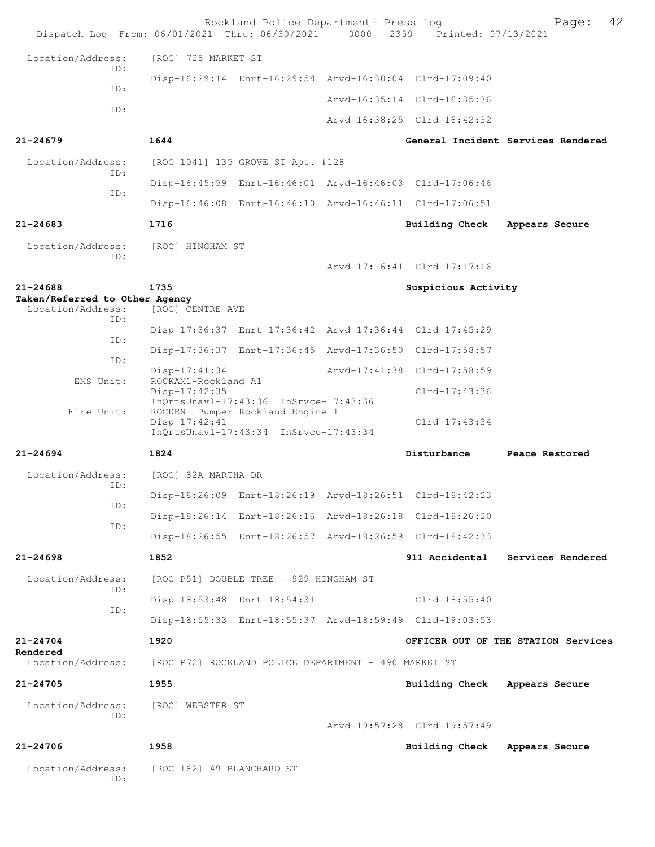| Dispatch Log From: 06/01/2021 Thru: 06/30/2021 0000 - 2359 Printed: 07/13/2021 |                                                      | Rockland Police Department- Press log                                                                                  |                                                         | 42<br>Page:                         |
|--------------------------------------------------------------------------------|------------------------------------------------------|------------------------------------------------------------------------------------------------------------------------|---------------------------------------------------------|-------------------------------------|
| Location/Address:                                                              | [ROC] 725 MARKET ST                                  |                                                                                                                        |                                                         |                                     |
| ID:                                                                            |                                                      |                                                                                                                        | Disp-16:29:14 Enrt-16:29:58 Arvd-16:30:04 Clrd-17:09:40 |                                     |
| ID:                                                                            |                                                      |                                                                                                                        | Arvd-16:35:14 Clrd-16:35:36                             |                                     |
| ID:                                                                            |                                                      |                                                                                                                        | Arvd-16:38:25 Clrd-16:42:32                             |                                     |
| $21 - 24679$                                                                   | 1644                                                 |                                                                                                                        |                                                         | General Incident Services Rendered  |
| Location/Address:                                                              |                                                      | [ROC 1041] 135 GROVE ST Apt. #128                                                                                      |                                                         |                                     |
| ID:                                                                            |                                                      |                                                                                                                        | Disp-16:45:59 Enrt-16:46:01 Arvd-16:46:03 Clrd-17:06:46 |                                     |
| ID:                                                                            |                                                      |                                                                                                                        | Disp-16:46:08 Enrt-16:46:10 Arvd-16:46:11 Clrd-17:06:51 |                                     |
| $21 - 24683$                                                                   | 1716                                                 |                                                                                                                        | <b>Building Check</b>                                   | Appears Secure                      |
| Location/Address:                                                              | [ROC] HINGHAM ST                                     |                                                                                                                        |                                                         |                                     |
| ID:                                                                            |                                                      |                                                                                                                        | Arvd-17:16:41 Clrd-17:17:16                             |                                     |
| $21 - 24688$                                                                   | 1735                                                 |                                                                                                                        | Suspicious Activity                                     |                                     |
| Taken/Referred to Other Agency<br>Location/Address:                            | [ROC] CENTRE AVE                                     |                                                                                                                        |                                                         |                                     |
| ID:                                                                            |                                                      |                                                                                                                        | Disp-17:36:37 Enrt-17:36:42 Arvd-17:36:44 Clrd-17:45:29 |                                     |
| ID:                                                                            |                                                      |                                                                                                                        | Disp-17:36:37 Enrt-17:36:45 Arvd-17:36:50 Clrd-17:58:57 |                                     |
| ID:                                                                            | $Disp-17:41:34$                                      |                                                                                                                        | Arvd-17:41:38 Clrd-17:58:59                             |                                     |
| EMS Unit:                                                                      | ROCKAM1-Rockland A1<br>$Disp-17:42:35$               |                                                                                                                        | Clrd-17:43:36                                           |                                     |
| Fire Unit:                                                                     | $Disp-17:42:41$                                      | $InQrtsUnav1-17:43:36$ $InSrvce-17:43:36$<br>ROCKEN1-Pumper-Rockland Engine 1<br>InOrtsUnavl-17:43:34 InSrvce-17:43:34 | $Clrd-17:43:34$                                         |                                     |
| $21 - 24694$                                                                   | 1824                                                 |                                                                                                                        | Disturbance                                             | Peace Restored                      |
| Location/Address:                                                              | [ROC] 82A MARTHA DR                                  |                                                                                                                        |                                                         |                                     |
| ID:                                                                            |                                                      |                                                                                                                        | Disp-18:26:09 Enrt-18:26:19 Arvd-18:26:51 Clrd-18:42:23 |                                     |
| ID:                                                                            |                                                      |                                                                                                                        | Disp-18:26:14 Enrt-18:26:16 Arvd-18:26:18 Clrd-18:26:20 |                                     |
| ID:                                                                            |                                                      |                                                                                                                        | Disp-18:26:55 Enrt-18:26:57 Arvd-18:26:59 Clrd-18:42:33 |                                     |
| $21 - 24698$                                                                   | 1852                                                 |                                                                                                                        |                                                         | 911 Accidental Services Rendered    |
| Location/Address:                                                              |                                                      | [ROC P51] DOUBLE TREE - 929 HINGHAM ST                                                                                 |                                                         |                                     |
| ID:                                                                            |                                                      | Disp-18:53:48 Enrt-18:54:31                                                                                            | $Clrd-18:55:40$                                         |                                     |
| ID:                                                                            |                                                      |                                                                                                                        | Disp-18:55:33 Enrt-18:55:37 Arvd-18:59:49 Clrd-19:03:53 |                                     |
| 21-24704                                                                       | 1920                                                 |                                                                                                                        |                                                         | OFFICER OUT OF THE STATION Services |
| Rendered<br>Location/Address:                                                  | [ROC P72] ROCKLAND POLICE DEPARTMENT - 490 MARKET ST |                                                                                                                        |                                                         |                                     |
| $21 - 24705$                                                                   | 1955                                                 |                                                                                                                        | Building Check Appears Secure                           |                                     |
| Location/Address:<br>ID:                                                       | [ROC] WEBSTER ST                                     |                                                                                                                        | Arvd-19:57:28 Clrd-19:57:49                             |                                     |
| $21 - 24706$                                                                   | 1958                                                 |                                                                                                                        | Building Check                                          | Appears Secure                      |
| Location/Address:<br>ID:                                                       | [ROC 162] 49 BLANCHARD ST                            |                                                                                                                        |                                                         |                                     |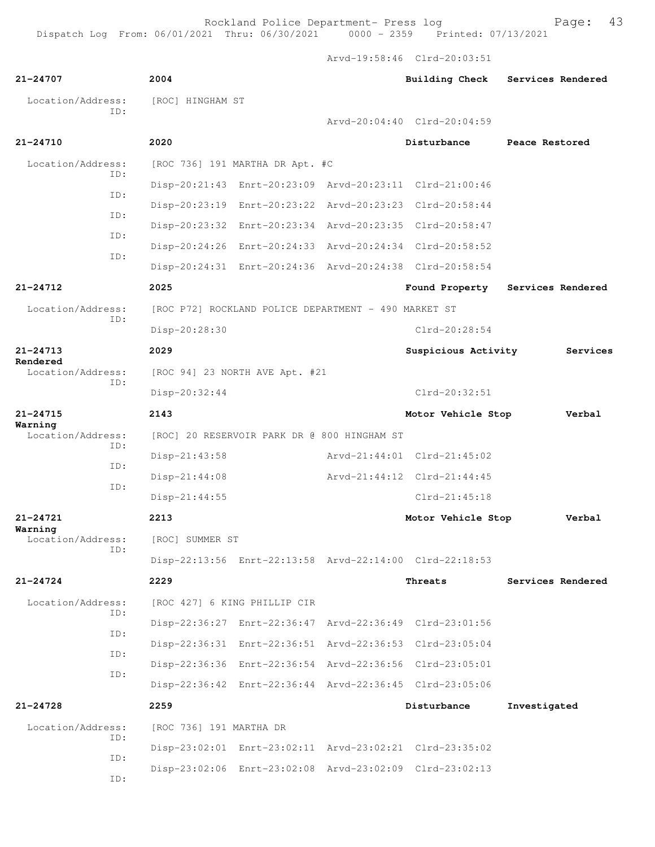Rockland Police Department- Press log entitled and Page: 43

Arvd-19:58:46 Clrd-20:03:51

| 21-24707                     | 2004                                                    |  | <b>Building Check</b>       | Services Rendered |  |  |  |
|------------------------------|---------------------------------------------------------|--|-----------------------------|-------------------|--|--|--|
| Location/Address:            | [ROC] HINGHAM ST                                        |  |                             |                   |  |  |  |
| ID:                          |                                                         |  | Arvd-20:04:40 Clrd-20:04:59 |                   |  |  |  |
| 21-24710                     | 2020                                                    |  | Disturbance                 | Peace Restored    |  |  |  |
| Location/Address:            | [ROC 736] 191 MARTHA DR Apt. #C                         |  |                             |                   |  |  |  |
| TD:<br>ID:                   | Disp-20:21:43 Enrt-20:23:09 Arvd-20:23:11 Clrd-21:00:46 |  |                             |                   |  |  |  |
| ID:                          | Disp-20:23:19 Enrt-20:23:22 Arvd-20:23:23 Clrd-20:58:44 |  |                             |                   |  |  |  |
|                              | Disp-20:23:32 Enrt-20:23:34 Arvd-20:23:35 Clrd-20:58:47 |  |                             |                   |  |  |  |
| ID:                          | Disp-20:24:26 Enrt-20:24:33 Arvd-20:24:34 Clrd-20:58:52 |  |                             |                   |  |  |  |
| ID:                          | Disp-20:24:31 Enrt-20:24:36 Arvd-20:24:38 Clrd-20:58:54 |  |                             |                   |  |  |  |
| $21 - 24712$                 | 2025                                                    |  | Found Property              | Services Rendered |  |  |  |
| Location/Address:<br>ID:     | [ROC P72] ROCKLAND POLICE DEPARTMENT - 490 MARKET ST    |  |                             |                   |  |  |  |
|                              | Disp-20:28:30                                           |  | $Clrd-20:28:54$             |                   |  |  |  |
| $21 - 24713$<br>Rendered     | 2029                                                    |  | Suspicious Activity         | Services          |  |  |  |
| Location/Address:            | [ROC 94] 23 NORTH AVE Apt. #21                          |  |                             |                   |  |  |  |
| ID:                          | Disp-20:32:44                                           |  | $Clrd-20:32:51$             |                   |  |  |  |
| $21 - 24715$                 | 2143                                                    |  | Motor Vehicle Stop          | Verbal            |  |  |  |
| Warning<br>Location/Address: | [ROC] 20 RESERVOIR PARK DR @ 800 HINGHAM ST             |  |                             |                   |  |  |  |
| ID:                          | $Disp-21:43:58$                                         |  | Arvd-21:44:01 Clrd-21:45:02 |                   |  |  |  |
| ID:<br>ID:                   | Disp-21:44:08                                           |  | Arvd-21:44:12 Clrd-21:44:45 |                   |  |  |  |
|                              | $Disp-21:44:55$                                         |  | $Clrd-21:45:18$             |                   |  |  |  |
| $21 - 24721$                 | 2213                                                    |  | Motor Vehicle Stop          | Verbal            |  |  |  |
| Warning<br>Location/Address: | [ROC] SUMMER ST                                         |  |                             |                   |  |  |  |
| ID:                          | Disp-22:13:56 Enrt-22:13:58 Arvd-22:14:00 Clrd-22:18:53 |  |                             |                   |  |  |  |
| $21 - 24724$                 | 2229                                                    |  | Threats                     | Services Rendered |  |  |  |
| Location/Address:            | [ROC 427] 6 KING PHILLIP CIR                            |  |                             |                   |  |  |  |
| ID:                          | Disp-22:36:27 Enrt-22:36:47 Arvd-22:36:49 Clrd-23:01:56 |  |                             |                   |  |  |  |
| ID:                          | Disp-22:36:31 Enrt-22:36:51 Arvd-22:36:53 Clrd-23:05:04 |  |                             |                   |  |  |  |
| ID:                          | Disp-22:36:36 Enrt-22:36:54 Arvd-22:36:56 Clrd-23:05:01 |  |                             |                   |  |  |  |
| ID:                          | Disp-22:36:42 Enrt-22:36:44 Arvd-22:36:45 Clrd-23:05:06 |  |                             |                   |  |  |  |
| $21 - 24728$                 | 2259                                                    |  | Disturbance                 | Investigated      |  |  |  |
| Location/Address:            | [ROC 736] 191 MARTHA DR                                 |  |                             |                   |  |  |  |
| ID:                          | Disp-23:02:01 Enrt-23:02:11 Arvd-23:02:21 Clrd-23:35:02 |  |                             |                   |  |  |  |
| ID:<br>ID:                   | Disp-23:02:06 Enrt-23:02:08 Arvd-23:02:09 Clrd-23:02:13 |  |                             |                   |  |  |  |
|                              |                                                         |  |                             |                   |  |  |  |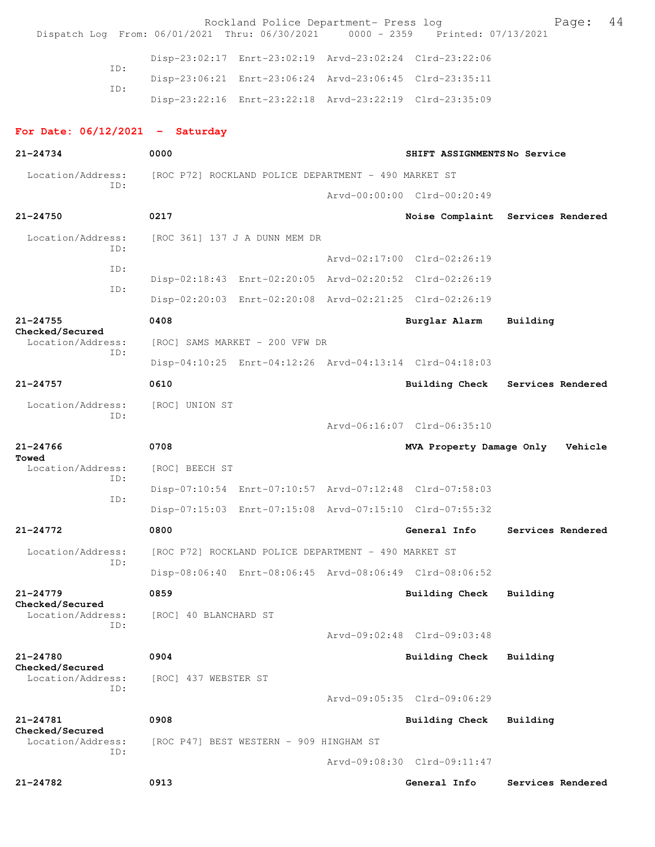| Dispatch Log From: 06/01/2021 Thru: 06/30/2021 0000 - 2359 Printed: 07/13/2021 |                       | Rockland Police Department- Press log                   |                                                         | 44<br>Page:                       |
|--------------------------------------------------------------------------------|-----------------------|---------------------------------------------------------|---------------------------------------------------------|-----------------------------------|
|                                                                                |                       | Disp-23:02:17 Enrt-23:02:19 Arvd-23:02:24 Clrd-23:22:06 |                                                         |                                   |
| ID:                                                                            |                       | Disp-23:06:21 Enrt-23:06:24 Arvd-23:06:45 Clrd-23:35:11 |                                                         |                                   |
| ID:                                                                            |                       | Disp-23:22:16 Enrt-23:22:18 Arvd-23:22:19 Clrd-23:35:09 |                                                         |                                   |
| For Date: $06/12/2021$ - Saturday                                              |                       |                                                         |                                                         |                                   |
| 21-24734                                                                       | 0000                  |                                                         | SHIFT ASSIGNMENTSNo Service                             |                                   |
| Location/Address:                                                              |                       | [ROC P72] ROCKLAND POLICE DEPARTMENT - 490 MARKET ST    |                                                         |                                   |
| ID:                                                                            |                       |                                                         | Arvd-00:00:00 Clrd-00:20:49                             |                                   |
| $21 - 24750$                                                                   | 0217                  |                                                         |                                                         | Noise Complaint Services Rendered |
| Location/Address:<br>ID:                                                       |                       | [ROC 361] 137 J A DUNN MEM DR                           |                                                         |                                   |
| ID:                                                                            |                       |                                                         | Arvd-02:17:00 Clrd-02:26:19                             |                                   |
| ID:                                                                            |                       | Disp-02:18:43 Enrt-02:20:05 Arvd-02:20:52 Clrd-02:26:19 |                                                         |                                   |
|                                                                                |                       | Disp-02:20:03 Enrt-02:20:08 Arvd-02:21:25 Clrd-02:26:19 |                                                         |                                   |
| $21 - 24755$<br>Checked/Secured                                                | 0408                  |                                                         | Burglar Alarm                                           | Building                          |
| Location/Address:<br>ID:                                                       |                       | [ROC] SAMS MARKET - 200 VFW DR                          |                                                         |                                   |
|                                                                                |                       | Disp-04:10:25 Enrt-04:12:26 Arvd-04:13:14 Clrd-04:18:03 |                                                         |                                   |
| $21 - 24757$                                                                   | 0610                  |                                                         |                                                         | Building Check Services Rendered  |
| Location/Address:                                                              | [ROC] UNION ST        |                                                         |                                                         |                                   |
| ID:                                                                            |                       |                                                         | Arvd-06:16:07 Clrd-06:35:10                             |                                   |
| $21 - 24766$                                                                   | 0708                  |                                                         | MVA Property Damage Only                                | Vehicle                           |
| Towed<br>Location/Address:                                                     | [ROC] BEECH ST        |                                                         |                                                         |                                   |
| ID:                                                                            |                       |                                                         | Disp-07:10:54 Enrt-07:10:57 Arvd-07:12:48 Clrd-07:58:03 |                                   |
| ID:                                                                            |                       | Disp-07:15:03 Enrt-07:15:08 Arvd-07:15:10 Clrd-07:55:32 |                                                         |                                   |
| $21 - 24772$                                                                   | 0800                  |                                                         | General Info                                            | Services Rendered                 |
| Location/Address:                                                              |                       | [ROC P72] ROCKLAND POLICE DEPARTMENT - 490 MARKET ST    |                                                         |                                   |
| ID:                                                                            |                       | Disp-08:06:40 Enrt-08:06:45 Arvd-08:06:49 Clrd-08:06:52 |                                                         |                                   |
| $21 - 24779$                                                                   | 0859                  |                                                         | <b>Building Check</b>                                   | Building                          |
| Checked/Secured<br>Location/Address:                                           | [ROC] 40 BLANCHARD ST |                                                         |                                                         |                                   |
| ID:                                                                            |                       |                                                         | Arvd-09:02:48 Clrd-09:03:48                             |                                   |
| 21-24780                                                                       | 0904                  |                                                         | <b>Building Check</b>                                   | Building                          |
| Checked/Secured<br>Location/Address:                                           | [ROC] 437 WEBSTER ST  |                                                         |                                                         |                                   |
| ID:                                                                            |                       |                                                         | Arvd-09:05:35 Clrd-09:06:29                             |                                   |
| 21-24781                                                                       | 0908                  |                                                         | <b>Building Check</b>                                   | Building                          |
| Checked/Secured<br>Location/Address:                                           |                       | [ROC P47] BEST WESTERN - 909 HINGHAM ST                 |                                                         |                                   |
| ID:                                                                            |                       |                                                         | Arvd-09:08:30 Clrd-09:11:47                             |                                   |
| 21-24782                                                                       | 0913                  |                                                         | General Info                                            | Services Rendered                 |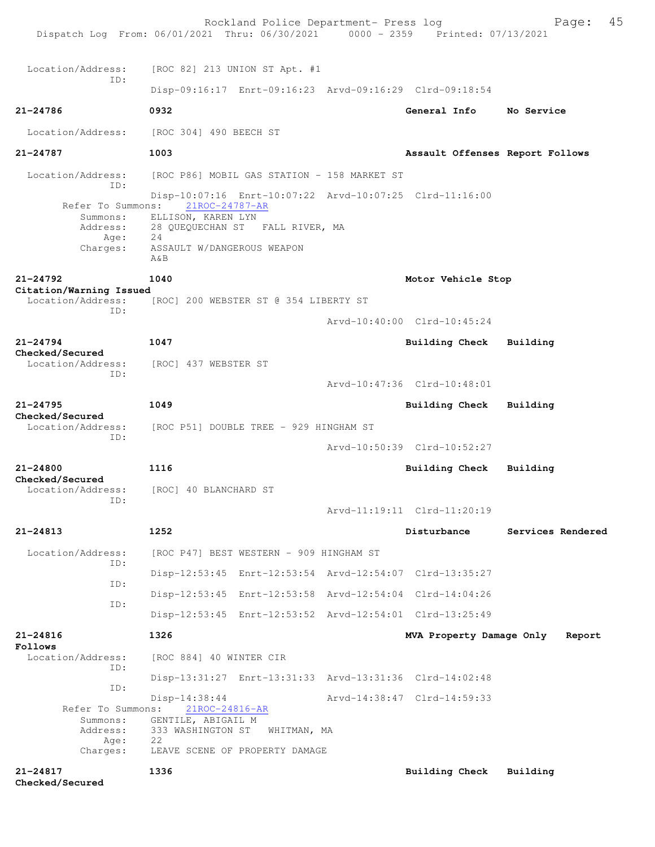| Dispatch Log From: 06/01/2021 Thru: 06/30/2021 0000 - 2359 Printed: 07/13/2021 |                                                             | Rockland Police Department- Press log |  |                                                         | 45<br>Page:       |  |
|--------------------------------------------------------------------------------|-------------------------------------------------------------|---------------------------------------|--|---------------------------------------------------------|-------------------|--|
| Location/Address:                                                              | [ROC 82] 213 UNION ST Apt. #1                               |                                       |  |                                                         |                   |  |
| TD:                                                                            |                                                             |                                       |  | Disp-09:16:17 Enrt-09:16:23 Arvd-09:16:29 Clrd-09:18:54 |                   |  |
| 21-24786                                                                       | 0932                                                        |                                       |  | General Info                                            | No Service        |  |
| Location/Address:                                                              | [ROC 304] 490 BEECH ST                                      |                                       |  |                                                         |                   |  |
| 21-24787                                                                       | 1003                                                        |                                       |  | Assault Offenses Report Follows                         |                   |  |
| Location/Address:<br>TD:                                                       | [ROC P86] MOBIL GAS STATION - 158 MARKET ST                 |                                       |  |                                                         |                   |  |
| Refer To Summons:                                                              | 21ROC-24787-AR                                              |                                       |  | Disp-10:07:16 Enrt-10:07:22 Arvd-10:07:25 Clrd-11:16:00 |                   |  |
| Summons:<br>Address:<br>Age:                                                   | ELLISON, KAREN LYN<br>28 QUEQUECHAN ST FALL RIVER, MA<br>24 |                                       |  |                                                         |                   |  |
| Charges:                                                                       | ASSAULT W/DANGEROUS WEAPON<br>$A\&B$                        |                                       |  |                                                         |                   |  |
| $21 - 24792$                                                                   | 1040                                                        |                                       |  | Motor Vehicle Stop                                      |                   |  |
| Citation/Warning Issued<br>Location/Address:<br>ID:                            | [ROC] 200 WEBSTER ST @ 354 LIBERTY ST                       |                                       |  |                                                         |                   |  |
|                                                                                |                                                             |                                       |  | Arvd-10:40:00 Clrd-10:45:24                             |                   |  |
| $21 - 24794$<br>Checked/Secured                                                | 1047                                                        |                                       |  | Building Check                                          | Building          |  |
| Location/Address:<br>ID:                                                       | [ROC] 437 WEBSTER ST                                        |                                       |  |                                                         |                   |  |
|                                                                                |                                                             |                                       |  | Arvd-10:47:36 Clrd-10:48:01                             |                   |  |
| $21 - 24795$<br>Checked/Secured                                                | 1049                                                        |                                       |  | <b>Building Check</b>                                   | Building          |  |
| Location/Address:<br>TD:                                                       | [ROC P51] DOUBLE TREE - 929 HINGHAM ST                      |                                       |  |                                                         |                   |  |
|                                                                                |                                                             |                                       |  | Arvd-10:50:39 Clrd-10:52:27                             |                   |  |
| 21-24800<br>Checked/Secured                                                    | 1116                                                        |                                       |  | Building Check                                          | Building          |  |
| Location/Address:<br>ID:                                                       | [ROC] 40 BLANCHARD ST                                       |                                       |  |                                                         |                   |  |
|                                                                                |                                                             |                                       |  | Arvd-11:19:11 Clrd-11:20:19                             |                   |  |
| $21 - 24813$                                                                   | 1252                                                        |                                       |  | Disturbance                                             | Services Rendered |  |
| Location/Address:<br>ID:                                                       | [ROC P47] BEST WESTERN - 909 HINGHAM ST                     |                                       |  |                                                         |                   |  |
| ID:                                                                            |                                                             |                                       |  | Disp-12:53:45 Enrt-12:53:54 Arvd-12:54:07 Clrd-13:35:27 |                   |  |
| ID:                                                                            |                                                             |                                       |  | Disp-12:53:45 Enrt-12:53:58 Arvd-12:54:04 Clrd-14:04:26 |                   |  |
|                                                                                |                                                             |                                       |  | Disp-12:53:45 Enrt-12:53:52 Arvd-12:54:01 Clrd-13:25:49 |                   |  |
| $21 - 24816$<br>Follows                                                        | 1326                                                        |                                       |  | MVA Property Damage Only                                | Report            |  |
| Location/Address:<br>ID:                                                       | [ROC 884] 40 WINTER CIR                                     |                                       |  |                                                         |                   |  |
| ID:                                                                            |                                                             |                                       |  | Disp-13:31:27 Enrt-13:31:33 Arvd-13:31:36 Clrd-14:02:48 |                   |  |
| Refer To Summons:                                                              | Disp-14:38:44<br>21ROC-24816-AR                             |                                       |  | Arvd-14:38:47 Clrd-14:59:33                             |                   |  |
| Summons:<br>Address:<br>Age:                                                   | GENTILE, ABIGAIL M<br>333 WASHINGTON ST<br>22               | WHITMAN, MA                           |  |                                                         |                   |  |
| Charges:                                                                       | LEAVE SCENE OF PROPERTY DAMAGE                              |                                       |  |                                                         |                   |  |
| $21 - 24817$<br>Checked/Secured                                                | 1336                                                        |                                       |  | <b>Building Check</b>                                   | Building          |  |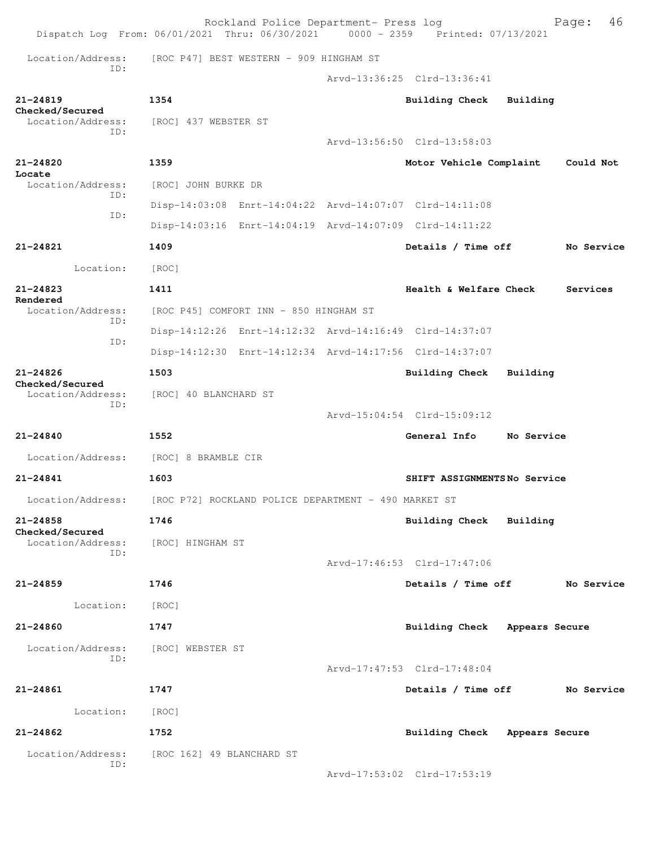| Dispatch Log From: 06/01/2021 Thru: 06/30/2021 0000 - 2359 Printed: 07/13/2021 |                                                         | Rockland Police Department- Press log |                               |            | 46<br>Page: |
|--------------------------------------------------------------------------------|---------------------------------------------------------|---------------------------------------|-------------------------------|------------|-------------|
| Location/Address:                                                              | [ROC P47] BEST WESTERN - 909 HINGHAM ST                 |                                       |                               |            |             |
| TD:                                                                            |                                                         |                                       | Arvd-13:36:25 Clrd-13:36:41   |            |             |
| $21 - 24819$                                                                   | 1354                                                    |                                       | <b>Building Check</b>         | Building   |             |
| Checked/Secured<br>Location/Address:                                           | [ROC] 437 WEBSTER ST                                    |                                       |                               |            |             |
| ID:                                                                            |                                                         |                                       | Arvd-13:56:50 Clrd-13:58:03   |            |             |
| $21 - 24820$                                                                   | 1359                                                    |                                       | Motor Vehicle Complaint       |            | Could Not   |
| Locate<br>Location/Address:                                                    | [ROC] JOHN BURKE DR                                     |                                       |                               |            |             |
| ID:                                                                            | Disp-14:03:08 Enrt-14:04:22 Arvd-14:07:07 Clrd-14:11:08 |                                       |                               |            |             |
| ID:                                                                            | Disp-14:03:16 Enrt-14:04:19 Arvd-14:07:09 Clrd-14:11:22 |                                       |                               |            |             |
| $21 - 24821$                                                                   | 1409                                                    |                                       | Details / Time off            |            | No Service  |
| Location:                                                                      | [ROC]                                                   |                                       |                               |            |             |
| $21 - 24823$                                                                   | 1411                                                    |                                       | Health & Welfare Check        |            | Services    |
| Rendered<br>Location/Address:                                                  | [ROC P45] COMFORT INN - 850 HINGHAM ST                  |                                       |                               |            |             |
| ID:                                                                            | Disp-14:12:26 Enrt-14:12:32 Arvd-14:16:49 Clrd-14:37:07 |                                       |                               |            |             |
| ID:                                                                            | Disp-14:12:30 Enrt-14:12:34 Arvd-14:17:56 Clrd-14:37:07 |                                       |                               |            |             |
| $21 - 24826$<br>Checked/Secured<br>Location/Address:<br>ID:                    | 1503                                                    |                                       | <b>Building Check</b>         | Building   |             |
|                                                                                | [ROC] 40 BLANCHARD ST                                   |                                       |                               |            |             |
|                                                                                |                                                         |                                       | Arvd-15:04:54 Clrd-15:09:12   |            |             |
| $21 - 24840$                                                                   | 1552                                                    |                                       | General Info                  | No Service |             |
| Location/Address:                                                              | [ROC] 8 BRAMBLE CIR                                     |                                       |                               |            |             |
| 21-24841                                                                       | 1603                                                    |                                       | SHIFT ASSIGNMENTSNo Service   |            |             |
| Location/Address:                                                              | [ROC P72] ROCKLAND POLICE DEPARTMENT - 490 MARKET ST    |                                       |                               |            |             |
| $21 - 24858$<br>Checked/Secured                                                | 1746                                                    |                                       | Building Check Building       |            |             |
| Location/Address:<br>TD:                                                       | [ROC] HINGHAM ST                                        |                                       |                               |            |             |
|                                                                                |                                                         |                                       | Arvd-17:46:53 Clrd-17:47:06   |            |             |
| 21-24859                                                                       | 1746                                                    |                                       | Details / Time off            |            | No Service  |
| Location:                                                                      | [ROC]                                                   |                                       |                               |            |             |
| 21-24860                                                                       | 1747                                                    |                                       | Building Check Appears Secure |            |             |
| Location/Address:<br>ID:                                                       | [ROC] WEBSTER ST                                        |                                       |                               |            |             |
|                                                                                |                                                         |                                       | Arvd-17:47:53 Clrd-17:48:04   |            |             |
| 21-24861                                                                       | 1747                                                    |                                       | Details / Time off            |            | No Service  |
| Location:                                                                      | [ROC]                                                   |                                       |                               |            |             |
| $21 - 24862$                                                                   | 1752                                                    |                                       | Building Check Appears Secure |            |             |
| Location/Address:                                                              | [ROC 162] 49 BLANCHARD ST                               |                                       |                               |            |             |
| ID:                                                                            |                                                         |                                       | Arvd-17:53:02 Clrd-17:53:19   |            |             |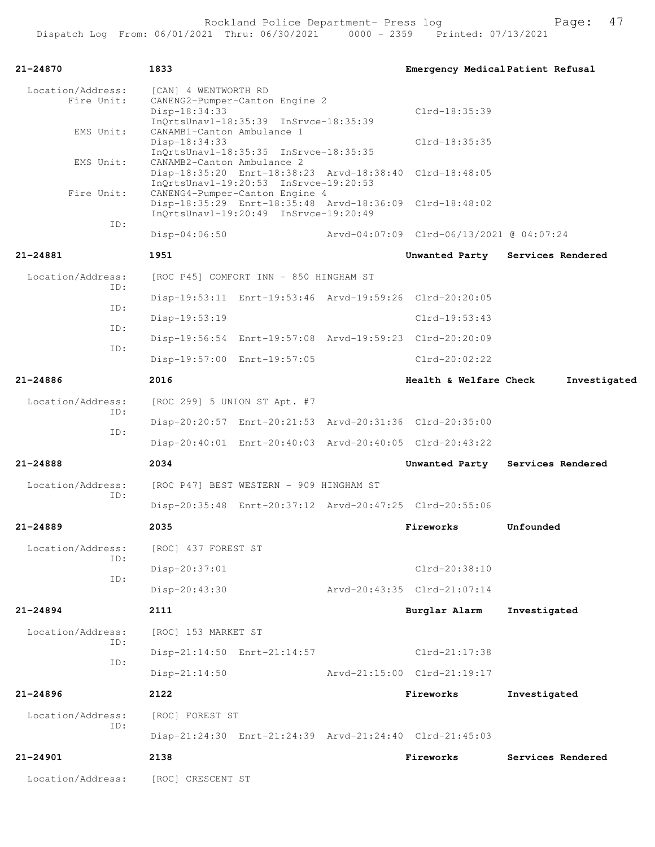| 21-24870                        | 1833                                                                                                             |  | Emergency Medical Patient Refusal                       |                   |
|---------------------------------|------------------------------------------------------------------------------------------------------------------|--|---------------------------------------------------------|-------------------|
| Location/Address:<br>Fire Unit: | [CAN] 4 WENTWORTH RD<br>CANENG2-Pumper-Canton Engine 2<br>Disp-18:34:33<br>InQrtsUnavl-18:35:39 InSrvce-18:35:39 |  | Clrd-18:35:39                                           |                   |
| EMS Unit:                       | CANAMB1-Canton Ambulance 1<br>Disp-18:34:33<br>InQrtsUnavl-18:35:35 InSrvce-18:35:35                             |  | Clrd-18:35:35                                           |                   |
| EMS Unit:                       | CANAMB2-Canton Ambulance 2<br>InOrtsUnavl-19:20:53 InSrvce-19:20:53                                              |  | Disp-18:35:20 Enrt-18:38:23 Arvd-18:38:40 Clrd-18:48:05 |                   |
| Fire Unit:                      | CANENG4-Pumper-Canton Engine 4<br>InQrtsUnavl-19:20:49 InSrvce-19:20:49                                          |  | Disp-18:35:29 Enrt-18:35:48 Arvd-18:36:09 Clrd-18:48:02 |                   |
| ID:                             | $Disp-04:06:50$                                                                                                  |  | Arvd-04:07:09 Clrd-06/13/2021 @ 04:07:24                |                   |
| 21-24881                        | 1951                                                                                                             |  | Unwanted Party                                          | Services Rendered |
| Location/Address:<br>ID:        | [ROC P45] COMFORT INN - 850 HINGHAM ST                                                                           |  |                                                         |                   |
| ID:                             |                                                                                                                  |  | Disp-19:53:11 Enrt-19:53:46 Arvd-19:59:26 Clrd-20:20:05 |                   |
| ID:                             | $Disp-19:53:19$                                                                                                  |  | $Clrd-19:53:43$                                         |                   |
|                                 |                                                                                                                  |  | Disp-19:56:54 Enrt-19:57:08 Arvd-19:59:23 Clrd-20:20:09 |                   |
| ID:                             | Disp-19:57:00 Enrt-19:57:05                                                                                      |  | $Clrd-20:02:22$                                         |                   |
| $21 - 24886$                    | 2016                                                                                                             |  | Health & Welfare Check                                  | Investigated      |
| Location/Address:               | [ROC 299] 5 UNION ST Apt. #7                                                                                     |  |                                                         |                   |
| ID:<br>ID:                      |                                                                                                                  |  | Disp-20:20:57 Enrt-20:21:53 Arvd-20:31:36 Clrd-20:35:00 |                   |
|                                 |                                                                                                                  |  | Disp-20:40:01 Enrt-20:40:03 Arvd-20:40:05 Clrd-20:43:22 |                   |
| 21-24888                        | 2034                                                                                                             |  | Unwanted Party                                          | Services Rendered |
| Location/Address:               | [ROC P47] BEST WESTERN - 909 HINGHAM ST                                                                          |  |                                                         |                   |
| ID:                             |                                                                                                                  |  | Disp-20:35:48 Enrt-20:37:12 Arvd-20:47:25 Clrd-20:55:06 |                   |
| $21 - 24889$                    | 2035                                                                                                             |  | Fireworks                                               | Unfounded         |
| Location/Address:               | [ROC] 437 FOREST ST                                                                                              |  |                                                         |                   |
| ID:                             | Disp-20:37:01                                                                                                    |  | Clrd-20:38:10                                           |                   |
| ID:                             | Disp-20:43:30                                                                                                    |  | Arvd-20:43:35 Clrd-21:07:14                             |                   |
| 21-24894                        | 2111                                                                                                             |  | Burglar Alarm                                           | Investigated      |
| Location/Address:               | [ROC] 153 MARKET ST                                                                                              |  |                                                         |                   |
| ID:                             | Disp-21:14:50 Enrt-21:14:57                                                                                      |  | Clrd-21:17:38                                           |                   |
| ID:                             | $Disp-21:14:50$                                                                                                  |  | Arvd-21:15:00 Clrd-21:19:17                             |                   |
| $21 - 24896$                    | 2122                                                                                                             |  | Fireworks                                               | Investigated      |
| Location/Address:               | [ROC] FOREST ST                                                                                                  |  |                                                         |                   |
| ID:                             |                                                                                                                  |  | Disp-21:24:30 Enrt-21:24:39 Arvd-21:24:40 Clrd-21:45:03 |                   |
| 21-24901                        | 2138                                                                                                             |  | Fireworks                                               | Services Rendered |
| Location/Address:               | [ROC] CRESCENT ST                                                                                                |  |                                                         |                   |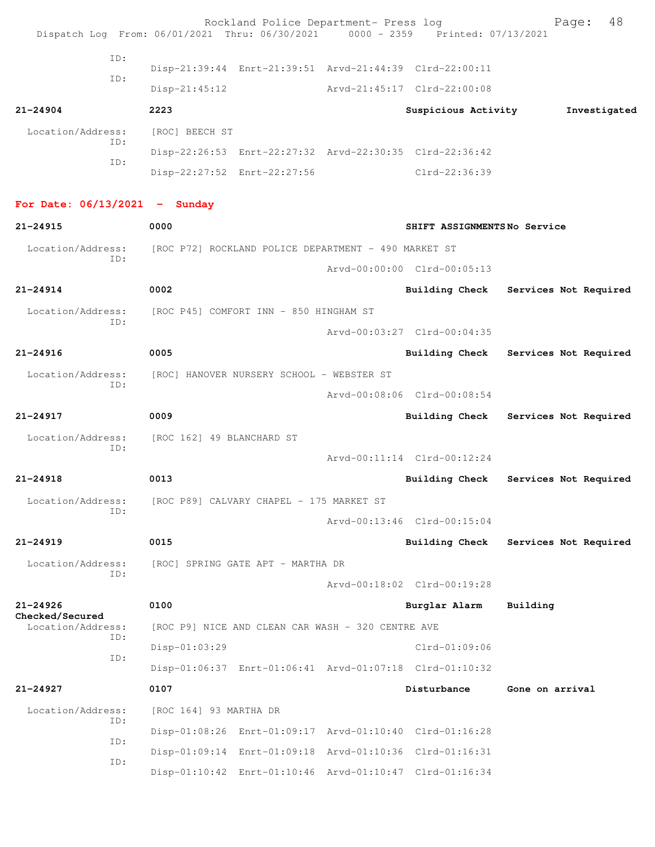| Dispatch Log From: 06/01/2021 Thru: 06/30/2021 0000 - 2359 Printed: 07/13/2021 |                                                      | Rockland Police Department- Press log |                                                         | 48<br>Page:           |
|--------------------------------------------------------------------------------|------------------------------------------------------|---------------------------------------|---------------------------------------------------------|-----------------------|
|                                                                                |                                                      |                                       |                                                         |                       |
| ID:                                                                            |                                                      |                                       | Disp-21:39:44 Enrt-21:39:51 Arvd-21:44:39 Clrd-22:00:11 |                       |
| ID:                                                                            | $Disp-21:45:12$                                      |                                       | Arvd-21:45:17 Clrd-22:00:08                             |                       |
| $21 - 24904$                                                                   | 2223                                                 |                                       | Suspicious Activity                                     | Investigated          |
| Location/Address:                                                              | [ROC] BEECH ST                                       |                                       |                                                         |                       |
| ID:                                                                            |                                                      |                                       | Disp-22:26:53 Enrt-22:27:32 Arvd-22:30:35 Clrd-22:36:42 |                       |
| ID:                                                                            | Disp-22:27:52 Enrt-22:27:56                          |                                       | Clrd-22:36:39                                           |                       |
|                                                                                |                                                      |                                       |                                                         |                       |
| For Date: $06/13/2021$ - Sunday                                                |                                                      |                                       |                                                         |                       |
| $21 - 24915$                                                                   | 0000                                                 |                                       | SHIFT ASSIGNMENTSNo Service                             |                       |
| Location/Address:<br>ID:                                                       | [ROC P72] ROCKLAND POLICE DEPARTMENT - 490 MARKET ST |                                       |                                                         |                       |
|                                                                                |                                                      |                                       | Arvd-00:00:00 Clrd-00:05:13                             |                       |
| $21 - 24914$                                                                   | 0002                                                 |                                       | <b>Building Check</b>                                   | Services Not Required |
| Location/Address:<br>ID:                                                       | [ROC P45] COMFORT INN - 850 HINGHAM ST               |                                       |                                                         |                       |
|                                                                                |                                                      |                                       | Arvd-00:03:27 Clrd-00:04:35                             |                       |
| $21 - 24916$                                                                   | 0005                                                 |                                       | <b>Building Check</b>                                   | Services Not Required |
| Location/Address:<br>ID:                                                       | [ROC] HANOVER NURSERY SCHOOL - WEBSTER ST            |                                       |                                                         |                       |
|                                                                                |                                                      |                                       | Arvd-00:08:06 Clrd-00:08:54                             |                       |
| 21-24917                                                                       | 0009                                                 |                                       | <b>Building Check</b>                                   | Services Not Required |
| Location/Address:<br>ID:                                                       | [ROC 162] 49 BLANCHARD ST                            |                                       |                                                         |                       |
|                                                                                |                                                      |                                       | Arvd-00:11:14 Clrd-00:12:24                             |                       |
| $21 - 24918$                                                                   | 0013                                                 |                                       | Building Check                                          | Services Not Required |
| Location/Address:<br>TD:                                                       | [ROC P89] CALVARY CHAPEL - 175 MARKET ST             |                                       |                                                         |                       |
|                                                                                |                                                      |                                       | Arvd-00:13:46 Clrd-00:15:04                             |                       |
| 21-24919                                                                       | 0015                                                 |                                       | Building Check                                          | Services Not Required |
| Location/Address:<br>ID:                                                       | [ROC] SPRING GATE APT - MARTHA DR                    |                                       |                                                         |                       |
|                                                                                |                                                      |                                       | Arvd-00:18:02 Clrd-00:19:28                             |                       |
| $21 - 24926$<br>Checked/Secured                                                | 0100                                                 |                                       | Burglar Alarm                                           | Building              |
| Location/Address:<br>ID:                                                       | [ROC P9] NICE AND CLEAN CAR WASH - 320 CENTRE AVE    |                                       |                                                         |                       |
| ID:                                                                            | Disp-01:03:29                                        |                                       | $Clrd-01:09:06$                                         |                       |
|                                                                                |                                                      |                                       | Disp-01:06:37 Enrt-01:06:41 Arvd-01:07:18 Clrd-01:10:32 |                       |
| $21 - 24927$                                                                   | 0107                                                 |                                       | Disturbance                                             | Gone on arrival       |
| Location/Address:<br>ID:                                                       | [ROC 164] 93 MARTHA DR                               |                                       |                                                         |                       |
| ID:                                                                            |                                                      |                                       | Disp-01:08:26 Enrt-01:09:17 Arvd-01:10:40 Clrd-01:16:28 |                       |
| ID:                                                                            |                                                      |                                       | Disp-01:09:14 Enrt-01:09:18 Arvd-01:10:36 Clrd-01:16:31 |                       |
|                                                                                |                                                      |                                       | Disp-01:10:42 Enrt-01:10:46 Arvd-01:10:47 Clrd-01:16:34 |                       |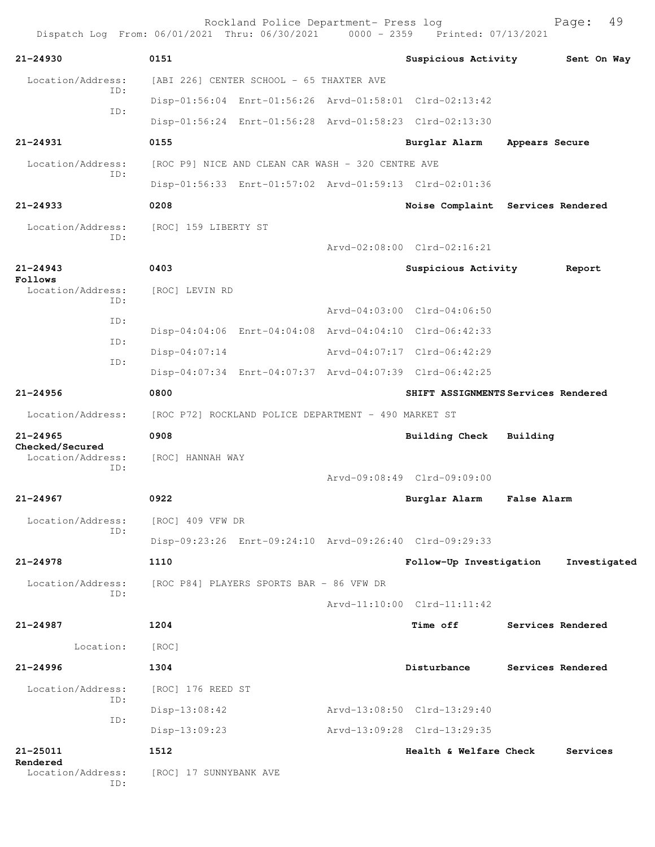|                                      | Rockland Police Department- Press log<br>Dispatch Log From: 06/01/2021 Thru: 06/30/2021 0000 - 2359 Printed: 07/13/2021 |                                     |                    | 49<br>Page:  |
|--------------------------------------|-------------------------------------------------------------------------------------------------------------------------|-------------------------------------|--------------------|--------------|
| $21 - 24930$                         | 0151                                                                                                                    | Suspicious Activity                 |                    | Sent On Way  |
| Location/Address:                    | [ABI 226] CENTER SCHOOL - 65 THAXTER AVE                                                                                |                                     |                    |              |
| ID:                                  | Disp-01:56:04 Enrt-01:56:26 Arvd-01:58:01 Clrd-02:13:42                                                                 |                                     |                    |              |
| ID:                                  | Disp-01:56:24 Enrt-01:56:28 Arvd-01:58:23 Clrd-02:13:30                                                                 |                                     |                    |              |
| 21-24931                             | 0155                                                                                                                    | Burglar Alarm                       | Appears Secure     |              |
| Location/Address:                    | [ROC P9] NICE AND CLEAN CAR WASH - 320 CENTRE AVE                                                                       |                                     |                    |              |
| TD:                                  | Disp-01:56:33 Enrt-01:57:02 Arvd-01:59:13 Clrd-02:01:36                                                                 |                                     |                    |              |
| $21 - 24933$                         | 0208                                                                                                                    | Noise Complaint Services Rendered   |                    |              |
| Location/Address:<br>ID:             | [ROC] 159 LIBERTY ST                                                                                                    |                                     |                    |              |
|                                      |                                                                                                                         | Arvd-02:08:00 Clrd-02:16:21         |                    |              |
| $21 - 24943$<br>Follows              | 0403                                                                                                                    | Suspicious Activity                 |                    | Report       |
| Location/Address:<br>ID:             | [ROC] LEVIN RD                                                                                                          |                                     |                    |              |
|                                      |                                                                                                                         | Arvd-04:03:00 Clrd-04:06:50         |                    |              |
| ID:                                  | Disp-04:04:06 Enrt-04:04:08 Arvd-04:04:10 Clrd-06:42:33                                                                 |                                     |                    |              |
| ID:                                  | $Disp-04:07:14$                                                                                                         | Arvd-04:07:17 Clrd-06:42:29         |                    |              |
| ID:                                  | Disp-04:07:34 Enrt-04:07:37 Arvd-04:07:39 Clrd-06:42:25                                                                 |                                     |                    |              |
| $21 - 24956$                         | 0800                                                                                                                    | SHIFT ASSIGNMENTS Services Rendered |                    |              |
| Location/Address:                    | [ROC P72] ROCKLAND POLICE DEPARTMENT - 490 MARKET ST                                                                    |                                     |                    |              |
| $21 - 24965$                         | 0908                                                                                                                    | Building Check                      | Building           |              |
| Checked/Secured<br>Location/Address: | [ROC] HANNAH WAY                                                                                                        |                                     |                    |              |
| ID:                                  |                                                                                                                         | Aryd-09:08:49 Clrd-09:09:00         |                    |              |
| 21-24967                             | 0922                                                                                                                    | Burglar Alarm                       | <b>False Alarm</b> |              |
| Location/Address:                    | [ROC] 409 VFW DR                                                                                                        |                                     |                    |              |
| ID:                                  | Disp-09:23:26 Enrt-09:24:10 Arvd-09:26:40 Clrd-09:29:33                                                                 |                                     |                    |              |
| $21 - 24978$                         | 1110                                                                                                                    | Follow-Up Investigation             |                    | Investigated |
| Location/Address:                    | [ROC P84] PLAYERS SPORTS BAR - 86 VFW DR                                                                                |                                     |                    |              |
| ID:                                  |                                                                                                                         | Arvd-11:10:00 Clrd-11:11:42         |                    |              |
| 21-24987                             | 1204                                                                                                                    | <b>Time off</b>                     | Services Rendered  |              |
| Location:                            | [ROC]                                                                                                                   |                                     |                    |              |
| $21 - 24996$                         | 1304                                                                                                                    | Disturbance                         | Services Rendered  |              |
| Location/Address:                    | [ROC] 176 REED ST                                                                                                       |                                     |                    |              |
| ID:                                  | $Disp-13:08:42$                                                                                                         | Arvd-13:08:50 Clrd-13:29:40         |                    |              |
| ID:                                  | $Disp-13:09:23$                                                                                                         | Arvd-13:09:28 Clrd-13:29:35         |                    |              |
| 21-25011                             | 1512                                                                                                                    | Health & Welfare Check              |                    | Services     |
| Rendered<br>Location/Address:<br>ID: | [ROC] 17 SUNNYBANK AVE                                                                                                  |                                     |                    |              |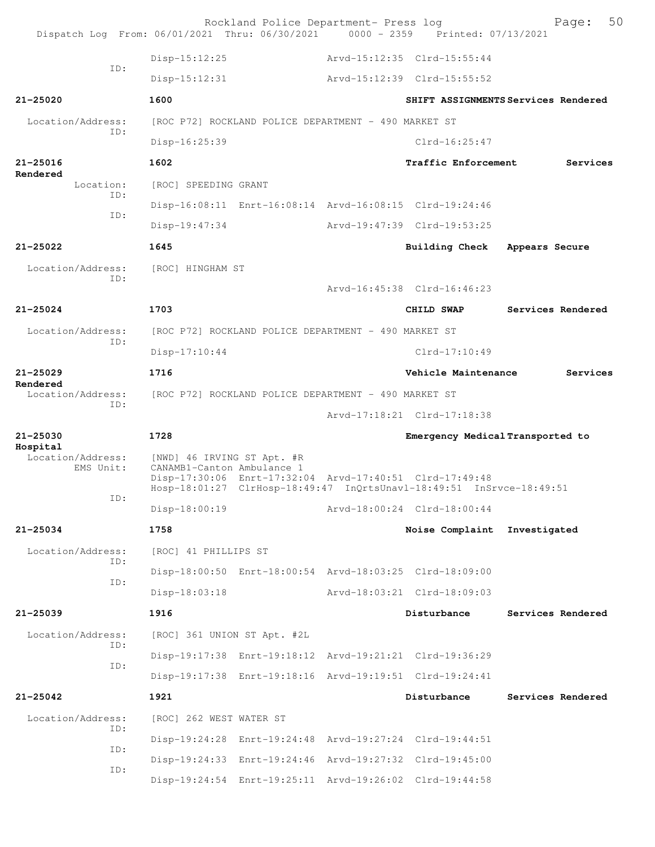| Dispatch Log From: 06/01/2021 Thru: 06/30/2021 0000 - 2359 Printed: 07/13/2021 |                                                          | Rockland Police Department- Press log                |                                                                                                                                 | 50<br>Page:                         |
|--------------------------------------------------------------------------------|----------------------------------------------------------|------------------------------------------------------|---------------------------------------------------------------------------------------------------------------------------------|-------------------------------------|
|                                                                                | Disp-15:12:25                                            |                                                      | Arvd-15:12:35 Clrd-15:55:44                                                                                                     |                                     |
| ID:                                                                            | $Disp-15:12:31$                                          |                                                      | Arvd-15:12:39 Clrd-15:55:52                                                                                                     |                                     |
| $21 - 25020$                                                                   | 1600                                                     |                                                      |                                                                                                                                 | SHIFT ASSIGNMENTS Services Rendered |
| Location/Address:                                                              |                                                          | [ROC P72] ROCKLAND POLICE DEPARTMENT - 490 MARKET ST |                                                                                                                                 |                                     |
| ID:                                                                            | Disp-16:25:39                                            |                                                      | $Clrd-16:25:47$                                                                                                                 |                                     |
| $21 - 25016$                                                                   | 1602                                                     |                                                      | Traffic Enforcement                                                                                                             | Services                            |
| Rendered<br>Location:<br>TD:                                                   | [ROC] SPEEDING GRANT                                     |                                                      |                                                                                                                                 |                                     |
| ID:                                                                            |                                                          |                                                      | Disp-16:08:11 Enrt-16:08:14 Arvd-16:08:15 Clrd-19:24:46                                                                         |                                     |
|                                                                                | $Disp-19:47:34$                                          |                                                      | Arvd-19:47:39 Clrd-19:53:25                                                                                                     |                                     |
| $21 - 25022$                                                                   | 1645                                                     |                                                      | Building Check                                                                                                                  | Appears Secure                      |
| Location/Address:<br>TD:                                                       | [ROC] HINGHAM ST                                         |                                                      |                                                                                                                                 |                                     |
|                                                                                |                                                          |                                                      | Arvd-16:45:38 Clrd-16:46:23                                                                                                     |                                     |
| $21 - 25024$                                                                   | 1703                                                     |                                                      | CHILD SWAP                                                                                                                      | Services Rendered                   |
| Location/Address:<br>ID:                                                       |                                                          | [ROC P72] ROCKLAND POLICE DEPARTMENT - 490 MARKET ST |                                                                                                                                 |                                     |
|                                                                                | $Disp-17:10:44$                                          |                                                      | $Clrd-17:10:49$                                                                                                                 |                                     |
| $21 - 25029$<br>Rendered                                                       | 1716                                                     |                                                      | Vehicle Maintenance                                                                                                             | Services                            |
| Location/Address:<br>ID:                                                       | [ROC P72] ROCKLAND POLICE DEPARTMENT - 490 MARKET ST     |                                                      |                                                                                                                                 |                                     |
|                                                                                |                                                          |                                                      | Arvd-17:18:21 Clrd-17:18:38                                                                                                     |                                     |
| $21 - 25030$<br>Hospital                                                       | 1728                                                     |                                                      | Emergency Medical Transported to                                                                                                |                                     |
| Location/Address:<br>EMS Unit:                                                 | [NWD] 46 IRVING ST Apt. #R<br>CANAMB1-Canton Ambulance 1 |                                                      | Disp-17:30:06 Enrt-17:32:04 Arvd-17:40:51 Clrd-17:49:48<br>Hosp-18:01:27 ClrHosp-18:49:47 InQrtsUnavl-18:49:51 InSrvce-18:49:51 |                                     |
| ID:                                                                            | $Disp-18:00:19$                                          |                                                      | Arvd-18:00:24 Clrd-18:00:44                                                                                                     |                                     |
| 21-25034                                                                       | 1758                                                     |                                                      | Noise Complaint Investigated                                                                                                    |                                     |
| Location/Address:<br>ID:                                                       | [ROC] 41 PHILLIPS ST                                     |                                                      |                                                                                                                                 |                                     |
| ID:                                                                            |                                                          |                                                      | Disp-18:00:50 Enrt-18:00:54 Arvd-18:03:25 Clrd-18:09:00                                                                         |                                     |
|                                                                                | $Disp-18:03:18$                                          |                                                      | Arvd-18:03:21 Clrd-18:09:03                                                                                                     |                                     |
| $21 - 25039$                                                                   | 1916                                                     |                                                      | Disturbance                                                                                                                     | Services Rendered                   |
| Location/Address:<br>ID:                                                       | [ROC] 361 UNION ST Apt. #2L                              |                                                      |                                                                                                                                 |                                     |
| ID:                                                                            |                                                          |                                                      | Disp-19:17:38 Enrt-19:18:12 Arvd-19:21:21 Clrd-19:36:29                                                                         |                                     |
|                                                                                |                                                          |                                                      | Disp-19:17:38 Enrt-19:18:16 Arvd-19:19:51 Clrd-19:24:41                                                                         |                                     |
| 21-25042                                                                       | 1921                                                     |                                                      | Disturbance                                                                                                                     | Services Rendered                   |
| Location/Address:<br>ID:                                                       | [ROC] 262 WEST WATER ST                                  |                                                      |                                                                                                                                 |                                     |
| ID:                                                                            |                                                          |                                                      | Disp-19:24:28 Enrt-19:24:48 Arvd-19:27:24 Clrd-19:44:51                                                                         |                                     |
| ID:                                                                            |                                                          |                                                      | Disp-19:24:33 Enrt-19:24:46 Arvd-19:27:32 Clrd-19:45:00                                                                         |                                     |
|                                                                                |                                                          |                                                      | Disp-19:24:54 Enrt-19:25:11 Arvd-19:26:02 Clrd-19:44:58                                                                         |                                     |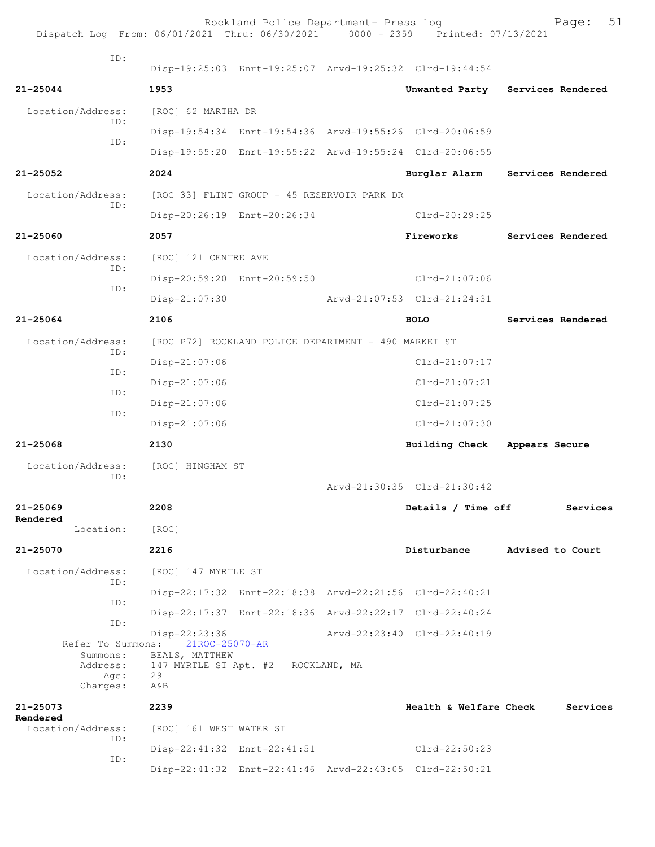| Dispatch Log From: 06/01/2021 Thru: 06/30/2021 0000 - 2359 Printed: 07/13/2021 |                                 | Rockland Police Department- Press log                   |                                                         |                   | 51<br>Page:       |
|--------------------------------------------------------------------------------|---------------------------------|---------------------------------------------------------|---------------------------------------------------------|-------------------|-------------------|
| ID:                                                                            |                                 |                                                         |                                                         |                   |                   |
|                                                                                |                                 |                                                         | Disp-19:25:03 Enrt-19:25:07 Arvd-19:25:32 Clrd-19:44:54 |                   |                   |
| $21 - 25044$                                                                   | 1953                            |                                                         | Unwanted Party Services Rendered                        |                   |                   |
| Location/Address:<br>ID:                                                       | [ROC] 62 MARTHA DR              |                                                         |                                                         |                   |                   |
| ID:                                                                            |                                 |                                                         | Disp-19:54:34 Enrt-19:54:36 Arvd-19:55:26 Clrd-20:06:59 |                   |                   |
|                                                                                |                                 |                                                         | Disp-19:55:20 Enrt-19:55:22 Arvd-19:55:24 Clrd-20:06:55 |                   |                   |
| 21-25052                                                                       | 2024                            |                                                         | Burglar Alarm                                           | Services Rendered |                   |
| Location/Address:                                                              |                                 | [ROC 33] FLINT GROUP - 45 RESERVOIR PARK DR             |                                                         |                   |                   |
| ID:                                                                            |                                 | Disp-20:26:19 Enrt-20:26:34                             | Clrd-20:29:25                                           |                   |                   |
| $21 - 25060$                                                                   | 2057                            |                                                         | Fireworks                                               |                   | Services Rendered |
| Location/Address:                                                              | [ROC] 121 CENTRE AVE            |                                                         |                                                         |                   |                   |
| ID:                                                                            |                                 | Disp-20:59:20 Enrt-20:59:50                             | Clrd-21:07:06                                           |                   |                   |
| ID:                                                                            | $Disp-21:07:30$                 |                                                         | Arvd-21:07:53 Clrd-21:24:31                             |                   |                   |
| 21-25064                                                                       | 2106                            |                                                         | <b>BOLO</b>                                             |                   | Services Rendered |
| Location/Address:                                                              |                                 | [ROC P72] ROCKLAND POLICE DEPARTMENT - 490 MARKET ST    |                                                         |                   |                   |
| ID:                                                                            | Disp-21:07:06                   |                                                         | $Clrd-21:07:17$                                         |                   |                   |
| ID:                                                                            | $Disp-21:07:06$                 |                                                         | $Clrd-21:07:21$                                         |                   |                   |
| ID:                                                                            | Disp-21:07:06                   |                                                         | $Clrd-21:07:25$                                         |                   |                   |
| ID:                                                                            | Disp-21:07:06                   |                                                         | $Clrd-21:07:30$                                         |                   |                   |
| $21 - 25068$                                                                   | 2130                            |                                                         | <b>Building Check</b>                                   | Appears Secure    |                   |
| Location/Address:                                                              | [ROC] HINGHAM ST                |                                                         |                                                         |                   |                   |
| ID:                                                                            |                                 |                                                         | Arvd-21:30:35 Clrd-21:30:42                             |                   |                   |
| 21-25069<br>Rendered                                                           | 2208                            |                                                         | Details / Time off                                      |                   | Services          |
| Location:                                                                      | [ROC]                           |                                                         |                                                         |                   |                   |
| 21-25070                                                                       | 2216                            |                                                         | Disturbance                                             | Advised to Court  |                   |
| Location/Address:<br>ID:                                                       | [ROC] 147 MYRTLE ST             |                                                         |                                                         |                   |                   |
| ID:                                                                            |                                 |                                                         | Disp-22:17:32 Enrt-22:18:38 Arvd-22:21:56 Clrd-22:40:21 |                   |                   |
| ID:                                                                            |                                 |                                                         | Disp-22:17:37 Enrt-22:18:36 Arvd-22:22:17 Clrd-22:40:24 |                   |                   |
| Refer To Summons:                                                              | Disp-22:23:36<br>21ROC-25070-AR |                                                         | Arvd-22:23:40 Clrd-22:40:19                             |                   |                   |
| Summons:<br>Address:<br>Age:                                                   | BEALS, MATTHEW<br>29            | 147 MYRTLE ST Apt. #2 ROCKLAND, MA                      |                                                         |                   |                   |
| Charges:                                                                       | A&B                             |                                                         |                                                         |                   |                   |
| 21-25073<br>Rendered                                                           | 2239                            |                                                         | Health & Welfare Check                                  |                   | Services          |
| Location/Address:<br>ID:                                                       | [ROC] 161 WEST WATER ST         | Disp-22:41:32 Enrt-22:41:51                             | Clrd-22:50:23                                           |                   |                   |
| ID:                                                                            |                                 | Disp-22:41:32 Enrt-22:41:46 Arvd-22:43:05 Clrd-22:50:21 |                                                         |                   |                   |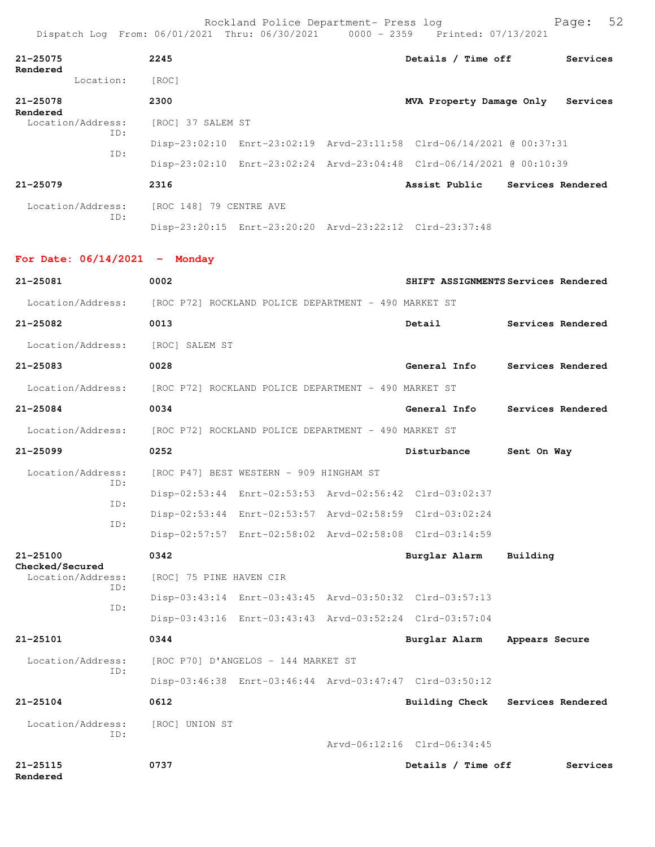| Dispatch Log From: 06/01/2021 Thru: 06/30/2021 0000 - 2359 Printed: 07/13/2021 |                                                      | Rockland Police Department- Press log   |                                                                      |                | Page:             | 52 |
|--------------------------------------------------------------------------------|------------------------------------------------------|-----------------------------------------|----------------------------------------------------------------------|----------------|-------------------|----|
| $21 - 25075$                                                                   | 2245                                                 |                                         | Details / Time off Services                                          |                |                   |    |
| Rendered<br>Location:                                                          | [ROC]                                                |                                         |                                                                      |                |                   |    |
| $21 - 25078$<br>Rendered                                                       | 2300                                                 |                                         | MVA Property Damage Only                                             |                | Services          |    |
| Location/Address:<br>ID:                                                       | [ROC] 37 SALEM ST                                    |                                         |                                                                      |                |                   |    |
| ID:                                                                            |                                                      |                                         | Disp-23:02:10 Enrt-23:02:19 Arvd-23:11:58 Clrd-06/14/2021 @ 00:37:31 |                |                   |    |
|                                                                                |                                                      |                                         | Disp-23:02:10 Enrt-23:02:24 Arvd-23:04:48 Clrd-06/14/2021 @ 00:10:39 |                |                   |    |
| $21 - 25079$                                                                   | 2316                                                 |                                         | Assist Public Services Rendered                                      |                |                   |    |
| Location/Address:                                                              | [ROC 148] 79 CENTRE AVE                              |                                         |                                                                      |                |                   |    |
| ID:                                                                            |                                                      |                                         | Disp-23:20:15 Enrt-23:20:20 Arvd-23:22:12 Clrd-23:37:48              |                |                   |    |
| For Date: $06/14/2021$ - Monday                                                |                                                      |                                         |                                                                      |                |                   |    |
| $21 - 25081$                                                                   | 0002                                                 |                                         | SHIFT ASSIGNMENTS Services Rendered                                  |                |                   |    |
| Location/Address: [ROC P72] ROCKLAND POLICE DEPARTMENT - 490 MARKET ST         |                                                      |                                         |                                                                      |                |                   |    |
| 21-25082                                                                       | 0013                                                 |                                         | Detail                                                               |                | Services Rendered |    |
| Location/Address:                                                              | [ROC] SALEM ST                                       |                                         |                                                                      |                |                   |    |
| 21-25083                                                                       | 0028                                                 |                                         | General Info                                                         |                | Services Rendered |    |
| Location/Address:                                                              | [ROC P72] ROCKLAND POLICE DEPARTMENT - 490 MARKET ST |                                         |                                                                      |                |                   |    |
| 21-25084                                                                       | 0034                                                 |                                         | General Info                                                         |                | Services Rendered |    |
| Location/Address:                                                              | [ROC P72] ROCKLAND POLICE DEPARTMENT - 490 MARKET ST |                                         |                                                                      |                |                   |    |
| 21-25099                                                                       | 0252                                                 |                                         | Disturbance                                                          | Sent On Way    |                   |    |
| Location/Address:                                                              |                                                      | [ROC P47] BEST WESTERN - 909 HINGHAM ST |                                                                      |                |                   |    |
| ID:                                                                            |                                                      |                                         | Disp-02:53:44 Enrt-02:53:53 Arvd-02:56:42 Clrd-03:02:37              |                |                   |    |
| ID:                                                                            |                                                      |                                         | Disp-02:53:44 Enrt-02:53:57 Arvd-02:58:59 Clrd-03:02:24              |                |                   |    |
| ID:                                                                            |                                                      |                                         | Disp-02:57:57 Enrt-02:58:02 Arvd-02:58:08 Clrd-03:14:59              |                |                   |    |
| $21 - 25100$                                                                   | 0342                                                 |                                         | Burglar Alarm                                                        | Building       |                   |    |
| Checked/Secured<br>Location/Address:                                           | [ROC] 75 PINE HAVEN CIR                              |                                         |                                                                      |                |                   |    |
| ID:                                                                            |                                                      |                                         | Disp-03:43:14 Enrt-03:43:45 Arvd-03:50:32 Clrd-03:57:13              |                |                   |    |
| ID:                                                                            |                                                      |                                         | Disp-03:43:16 Enrt-03:43:43 Arvd-03:52:24 Clrd-03:57:04              |                |                   |    |
| 21-25101                                                                       | 0344                                                 |                                         | Burglar Alarm                                                        | Appears Secure |                   |    |
| Location/Address:                                                              |                                                      | [ROC P70] D'ANGELOS - 144 MARKET ST     |                                                                      |                |                   |    |
| ID:                                                                            |                                                      |                                         | Disp-03:46:38 Enrt-03:46:44 Arvd-03:47:47 Clrd-03:50:12              |                |                   |    |
| $21 - 25104$                                                                   | 0612                                                 |                                         | Building Check Services Rendered                                     |                |                   |    |
| Location/Address:                                                              | [ROC] UNION ST                                       |                                         |                                                                      |                |                   |    |
| ID:                                                                            |                                                      |                                         | Arvd-06:12:16 Clrd-06:34:45                                          |                |                   |    |
| 21-25115<br>Rendered                                                           | 0737                                                 |                                         | Details / Time off                                                   |                | Services          |    |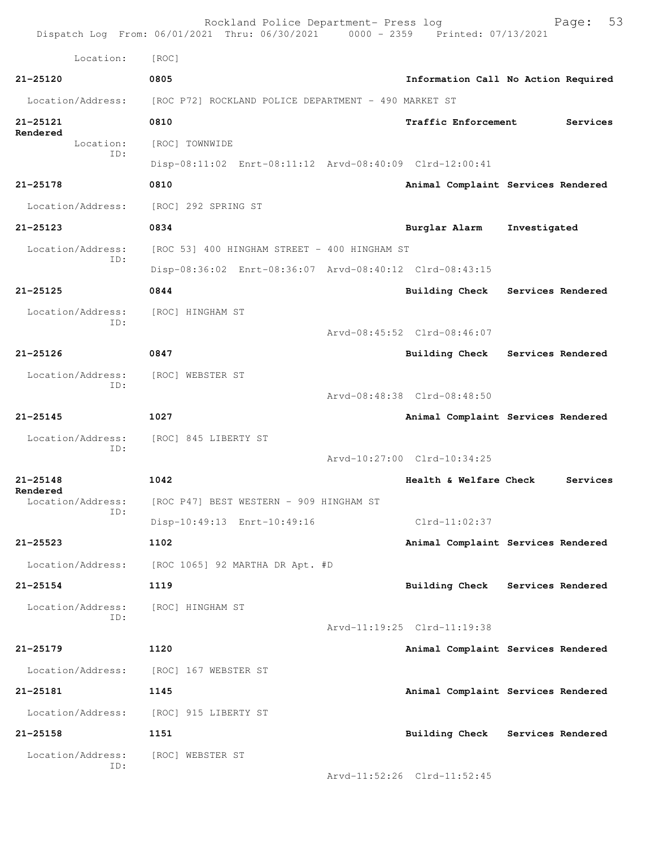|                               | Rockland Police Department- Press log<br>Dispatch Log From: 06/01/2021 Thru: 06/30/2021 0000 - 2359 Printed: 07/13/2021 |                             | 53<br>Page:                         |
|-------------------------------|-------------------------------------------------------------------------------------------------------------------------|-----------------------------|-------------------------------------|
| Location:                     | [ROC]                                                                                                                   |                             |                                     |
| $21 - 25120$                  | 0805                                                                                                                    |                             | Information Call No Action Required |
| Location/Address:             | [ROC P72] ROCKLAND POLICE DEPARTMENT - 490 MARKET ST                                                                    |                             |                                     |
| 21-25121                      | 0810                                                                                                                    | <b>Traffic Enforcement</b>  | Services                            |
| Rendered<br>Location:         | [ROC] TOWNWIDE                                                                                                          |                             |                                     |
| ID:                           | Disp-08:11:02 Enrt-08:11:12 Arvd-08:40:09 Clrd-12:00:41                                                                 |                             |                                     |
| 21-25178                      | 0810                                                                                                                    |                             | Animal Complaint Services Rendered  |
| Location/Address:             | [ROC] 292 SPRING ST                                                                                                     |                             |                                     |
| $21 - 25123$                  | 0834                                                                                                                    | Burglar Alarm               | Investigated                        |
| Location/Address:             | [ROC 53] 400 HINGHAM STREET - 400 HINGHAM ST                                                                            |                             |                                     |
| ID:                           | Disp-08:36:02 Enrt-08:36:07 Arvd-08:40:12 Clrd-08:43:15                                                                 |                             |                                     |
| $21 - 25125$                  | 0844                                                                                                                    | <b>Building Check</b>       | Services Rendered                   |
| Location/Address:             | [ROC] HINGHAM ST                                                                                                        |                             |                                     |
| ID:                           |                                                                                                                         | Arvd-08:45:52 Clrd-08:46:07 |                                     |
| $21 - 25126$                  | 0847                                                                                                                    |                             | Building Check Services Rendered    |
| Location/Address:             | [ROC] WEBSTER ST                                                                                                        |                             |                                     |
| ID:                           |                                                                                                                         | Arvd-08:48:38 Clrd-08:48:50 |                                     |
| $21 - 25145$                  | 1027                                                                                                                    |                             | Animal Complaint Services Rendered  |
| Location/Address:             | [ROC] 845 LIBERTY ST                                                                                                    |                             |                                     |
| ID:                           |                                                                                                                         | Arvd-10:27:00 Clrd-10:34:25 |                                     |
| $21 - 25148$                  | 1042                                                                                                                    | Health & Welfare Check      | Services                            |
| Rendered<br>Location/Address: | [ROC P47] BEST WESTERN - 909 HINGHAM ST                                                                                 |                             |                                     |
| ID:                           | Disp-10:49:13 Enrt-10:49:16                                                                                             | $Clrd-11:02:37$             |                                     |
| $21 - 25523$                  | 1102                                                                                                                    |                             | Animal Complaint Services Rendered  |
| Location/Address:             | [ROC 1065] 92 MARTHA DR Apt. #D                                                                                         |                             |                                     |
| $21 - 25154$                  | 1119                                                                                                                    |                             | Building Check Services Rendered    |
| Location/Address:             | [ROC] HINGHAM ST                                                                                                        |                             |                                     |
| ID:                           |                                                                                                                         | Arvd-11:19:25 Clrd-11:19:38 |                                     |
| $21 - 25179$                  | 1120                                                                                                                    |                             | Animal Complaint Services Rendered  |
|                               | Location/Address: [ROC] 167 WEBSTER ST                                                                                  |                             |                                     |
| 21-25181                      | 1145                                                                                                                    |                             | Animal Complaint Services Rendered  |
| Location/Address:             | [ROC] 915 LIBERTY ST                                                                                                    |                             |                                     |
| $21 - 25158$                  | 1151                                                                                                                    |                             | Building Check Services Rendered    |
| Location/Address:             | [ROC] WEBSTER ST                                                                                                        |                             |                                     |
| ID:                           |                                                                                                                         | Arvd-11:52:26 Clrd-11:52:45 |                                     |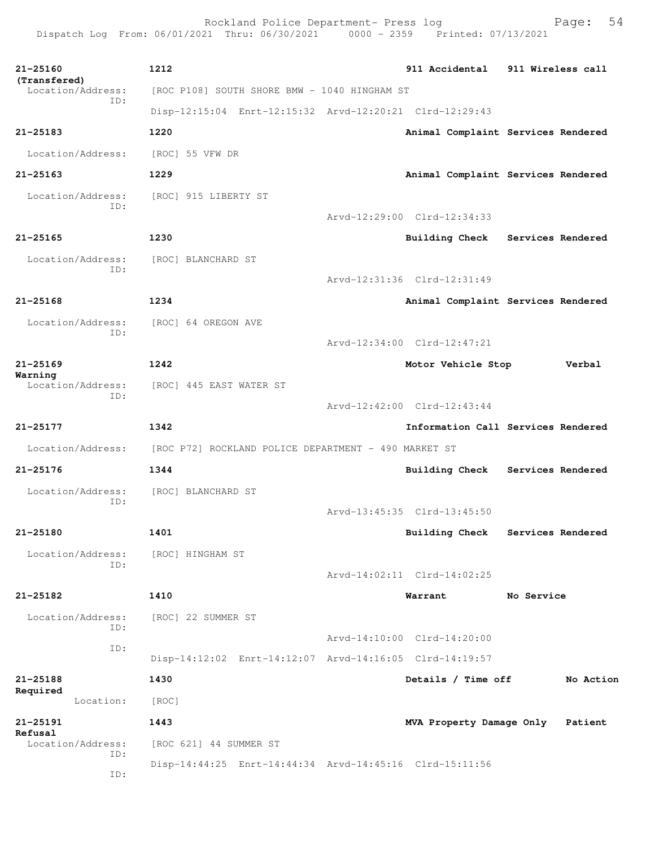Rockland Police Department- Press log Fage: 54 Dispatch Log From: 06/01/2021 Thru: 06/30/2021 0000 - 2359 Printed: 07/13/2021

**21-25160 1212 911 Accidental 911 Wireless call (Transfered)**  Location/Address: [ROC P108] SOUTH SHORE BMW - 1040 HINGHAM ST ID: Disp-12:15:04 Enrt-12:15:32 Arvd-12:20:21 Clrd-12:29:43 **21-25183 1220 Animal Complaint Services Rendered** Location/Address: [ROC] 55 VFW DR **21-25163 1229 Animal Complaint Services Rendered** Location/Address: [ROC] 915 LIBERTY ST ID: Arvd-12:29:00 Clrd-12:34:33 **21-25165 1230 Building Check Services Rendered** Location/Address: [ROC] BLANCHARD ST ID: Arvd-12:31:36 Clrd-12:31:49 **21-25168 1234 Animal Complaint Services Rendered** Location/Address: [ROC] 64 OREGON AVE ID: Arvd-12:34:00 Clrd-12:47:21 **21-25169 1242 Motor Vehicle Stop Verbal Warning**  Location/Address: [ROC] 445 EAST WATER ST ID: Arvd-12:42:00 Clrd-12:43:44 **21-25177 1342 Information Call Services Rendered** Location/Address: [ROC P72] ROCKLAND POLICE DEPARTMENT - 490 MARKET ST **21-25176 1344 Building Check Services Rendered** Location/Address: [ROC] BLANCHARD ST ID: Arvd-13:45:35 Clrd-13:45:50 **21-25180 1401 Building Check Services Rendered** Location/Address: [ROC] HINGHAM ST ID: Arvd-14:02:11 Clrd-14:02:25 **21-25182 1410 Warrant No Service** Location/Address: [ROC] 22 SUMMER ST ID: Arvd-14:10:00 Clrd-14:20:00 ID: Disp-14:12:02 Enrt-14:12:07 Arvd-14:16:05 Clrd-14:19:57 **21-25188 1430 Details / Time off No Action Required**  Location: [ROC] **21-25191 1443 MVA Property Damage Only Patient Refusal**  Location/Address: [ROC 621] 44 SUMMER ST ID: Disp-14:44:25 Enrt-14:44:34 Arvd-14:45:16 Clrd-15:11:56 ID: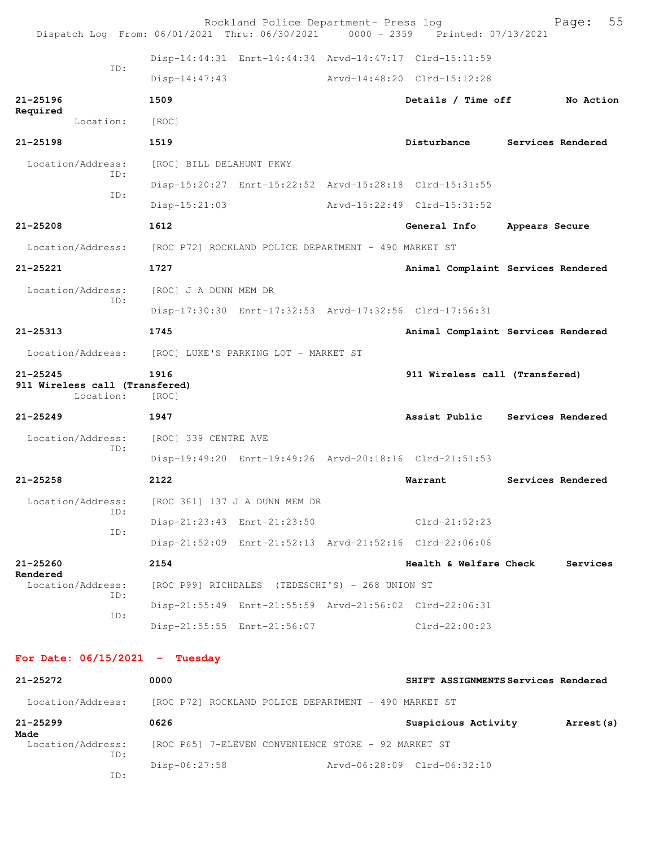| Dispatch Log From: 06/01/2021 Thru: 06/30/2021 0000 - 2359 Printed: 07/13/2021 |                                                      | Rockland Police Department- Press log                   |                                                         |                | 55<br>Page:       |
|--------------------------------------------------------------------------------|------------------------------------------------------|---------------------------------------------------------|---------------------------------------------------------|----------------|-------------------|
|                                                                                |                                                      | Disp-14:44:31 Enrt-14:44:34 Arvd-14:47:17 Clrd-15:11:59 |                                                         |                |                   |
| TD:                                                                            | $Disp-14:47:43$                                      |                                                         | Arvd-14:48:20 Clrd-15:12:28                             |                |                   |
| $21 - 25196$                                                                   | 1509                                                 |                                                         | Details / Time off                                      |                | No Action         |
| Required<br>Location:                                                          | [ROC]                                                |                                                         |                                                         |                |                   |
| $21 - 25198$                                                                   | 1519                                                 |                                                         | Disturbance                                             |                | Services Rendered |
| Location/Address:                                                              | [ROC] BILL DELAHUNT PKWY                             |                                                         |                                                         |                |                   |
| TD:                                                                            |                                                      | Disp-15:20:27 Enrt-15:22:52 Arvd-15:28:18 Clrd-15:31:55 |                                                         |                |                   |
| ID:                                                                            | $Disp-15:21:03$                                      |                                                         | Arvd-15:22:49 Clrd-15:31:52                             |                |                   |
| $21 - 25208$                                                                   | 1612                                                 |                                                         | General Info                                            | Appears Secure |                   |
| Location/Address:                                                              | [ROC P72] ROCKLAND POLICE DEPARTMENT - 490 MARKET ST |                                                         |                                                         |                |                   |
| $21 - 25221$                                                                   | 1727                                                 |                                                         | Animal Complaint Services Rendered                      |                |                   |
| Location/Address:                                                              | [ROC] J A DUNN MEM DR                                |                                                         |                                                         |                |                   |
| ID:                                                                            |                                                      |                                                         | Disp-17:30:30 Enrt-17:32:53 Arvd-17:32:56 Clrd-17:56:31 |                |                   |
| $21 - 25313$                                                                   | 1745                                                 |                                                         | Animal Complaint Services Rendered                      |                |                   |
| Location/Address:                                                              | [ROC] LUKE'S PARKING LOT - MARKET ST                 |                                                         |                                                         |                |                   |
| $21 - 25245$<br>911 Wireless call (Transfered)<br>Location:                    | 1916<br>[ROC]                                        |                                                         | 911 Wireless call (Transfered)                          |                |                   |
| $21 - 25249$                                                                   | 1947                                                 |                                                         | Assist Public                                           |                | Services Rendered |
| Location/Address:                                                              | [ROC] 339 CENTRE AVE                                 |                                                         |                                                         |                |                   |
| ID:                                                                            |                                                      | Disp-19:49:20 Enrt-19:49:26 Arvd-20:18:16 Clrd-21:51:53 |                                                         |                |                   |
| $21 - 25258$                                                                   | 2122                                                 |                                                         | Warrant                                                 |                | Services Rendered |
| Location/Address:                                                              |                                                      | [ROC 361] 137 J A DUNN MEM DR                           |                                                         |                |                   |
| ID:                                                                            |                                                      | Disp-21:23:43 Enrt-21:23:50                             | Clrd-21:52:23                                           |                |                   |
| ID:                                                                            |                                                      |                                                         | Disp-21:52:09 Enrt-21:52:13 Arvd-21:52:16 Clrd-22:06:06 |                |                   |
| $21 - 25260$                                                                   | 2154                                                 |                                                         | Health & Welfare Check                                  |                | Services          |
| Rendered<br>Location/Address:                                                  |                                                      | [ROC P99] RICHDALES (TEDESCHI'S) - 268 UNION ST         |                                                         |                |                   |
| ID:                                                                            |                                                      |                                                         | Disp-21:55:49 Enrt-21:55:59 Arvd-21:56:02 Clrd-22:06:31 |                |                   |
| ID:                                                                            |                                                      | Disp-21:55:55 Enrt-21:56:07                             | $Clrd-22:00:23$                                         |                |                   |
| For Date: $06/15/2021$ - Tuesday                                               |                                                      |                                                         |                                                         |                |                   |
| 21-25272                                                                       | 0000                                                 |                                                         | SHIFT ASSIGNMENTS Services Rendered                     |                |                   |
| Location/Address: [ROC P72] ROCKLAND POLICE DEPARTMENT - 490 MARKET ST         |                                                      |                                                         |                                                         |                |                   |
| $21 - 25299$                                                                   | 0626                                                 |                                                         | Suspicious Activity                                     |                | Arrest (s)        |
| Made<br>Location/Address:                                                      |                                                      | [ROC P65] 7-ELEVEN CONVENIENCE STORE - 92 MARKET ST     |                                                         |                |                   |
| ID:                                                                            | Disp-06:27:58                                        |                                                         | Arvd-06:28:09 Clrd-06:32:10                             |                |                   |

ID: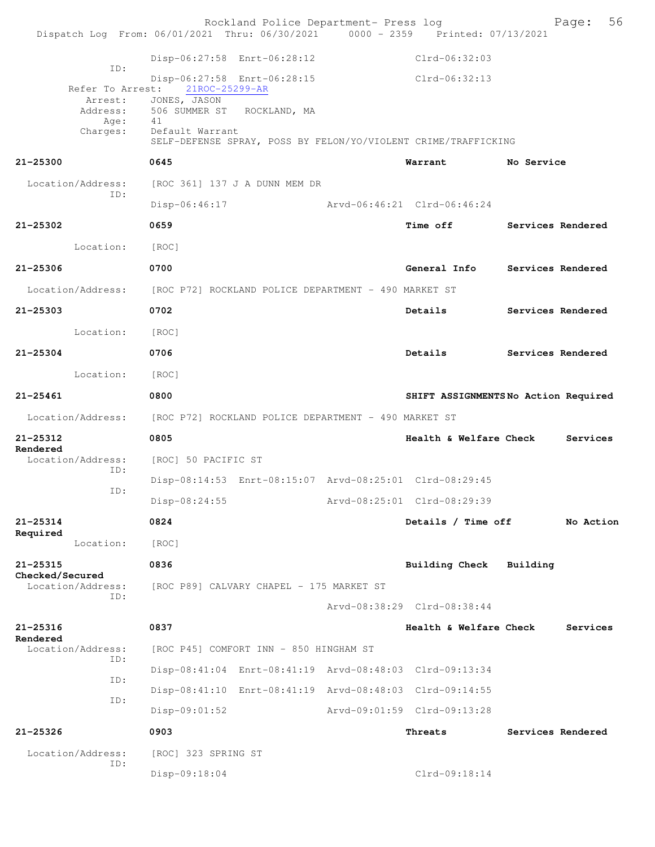|                                      | Rockland Police Department- Press log<br>Dispatch Log From: 06/01/2021 Thru: 06/30/2021 0000 - 2359 Printed: 07/13/2021 |                                     |                   | 56<br>Page: |
|--------------------------------------|-------------------------------------------------------------------------------------------------------------------------|-------------------------------------|-------------------|-------------|
|                                      | Disp-06:27:58 Enrt-06:28:12                                                                                             | $Clrd-06:32:03$                     |                   |             |
| ID:<br>Refer To Arrest:<br>Arrest:   | Disp-06:27:58 Enrt-06:28:15<br>21ROC-25299-AR<br>JONES, JASON                                                           | Clrd-06:32:13                       |                   |             |
| Address:<br>Age:                     | 506 SUMMER ST ROCKLAND, MA<br>41                                                                                        |                                     |                   |             |
| Charges:                             | Default Warrant<br>SELF-DEFENSE SPRAY, POSS BY FELON/YO/VIOLENT CRIME/TRAFFICKING                                       |                                     |                   |             |
| $21 - 25300$                         | 0645                                                                                                                    | Warrant No Service                  |                   |             |
| Location/Address:<br>ID:             | [ROC 361] 137 J A DUNN MEM DR                                                                                           |                                     |                   |             |
|                                      | Disp-06:46:17                                                                                                           | Arvd-06:46:21 Clrd-06:46:24         |                   |             |
| $21 - 25302$                         | 0659                                                                                                                    | Time off Services Rendered          |                   |             |
| Location:                            | [ROC]                                                                                                                   |                                     |                   |             |
| $21 - 25306$                         | 0700                                                                                                                    | General Info                        | Services Rendered |             |
|                                      | Location/Address: [ROC P72] ROCKLAND POLICE DEPARTMENT - 490 MARKET ST                                                  |                                     |                   |             |
| $21 - 25303$                         | 0702                                                                                                                    | Details                             | Services Rendered |             |
| Location:                            | [ROC]                                                                                                                   |                                     |                   |             |
| $21 - 25304$                         | 0706                                                                                                                    | Details                             | Services Rendered |             |
| Location:                            | [ROC]                                                                                                                   |                                     |                   |             |
| $21 - 25461$                         | 0800                                                                                                                    | SHIFT ASSIGNMENTSNo Action Required |                   |             |
|                                      | Location/Address: [ROC P72] ROCKLAND POLICE DEPARTMENT - 490 MARKET ST                                                  |                                     |                   |             |
| 21-25312                             | 0805                                                                                                                    | Health & Welfare Check              |                   | Services    |
| Rendered<br>Location/Address:        | [ROC] 50 PACIFIC ST                                                                                                     |                                     |                   |             |
| ID:                                  | Disp-08:14:53 Enrt-08:15:07 Arvd-08:25:01 Clrd-08:29:45                                                                 |                                     |                   |             |
| ID:                                  | Disp-08:24:55                                                                                                           | Arvd-08:25:01 Clrd-08:29:39         |                   |             |
| $21 - 25314$<br>Required             | 0824                                                                                                                    | Details / Time off                  |                   | No Action   |
| Location:                            | [ROC]                                                                                                                   |                                     |                   |             |
| $21 - 25315$                         | 0836                                                                                                                    | <b>Building Check</b>               | Building          |             |
| Checked/Secured<br>Location/Address: | [ROC P89] CALVARY CHAPEL - 175 MARKET ST                                                                                |                                     |                   |             |
| ID:                                  |                                                                                                                         | Arvd-08:38:29 Clrd-08:38:44         |                   |             |
| 21-25316                             | 0837                                                                                                                    | Health & Welfare Check              |                   | Services    |
| Rendered<br>Location/Address:        | [ROC P45] COMFORT INN - 850 HINGHAM ST                                                                                  |                                     |                   |             |
| ID:                                  | Disp-08:41:04 Enrt-08:41:19 Arvd-08:48:03 Clrd-09:13:34                                                                 |                                     |                   |             |
| ID:                                  | Disp-08:41:10 Enrt-08:41:19 Arvd-08:48:03 Clrd-09:14:55                                                                 |                                     |                   |             |
| ID:                                  | $Disp-09:01:52$                                                                                                         | Arvd-09:01:59 Clrd-09:13:28         |                   |             |
| $21 - 25326$                         | 0903                                                                                                                    | Threats                             | Services Rendered |             |
| Location/Address:                    | [ROC] 323 SPRING ST                                                                                                     |                                     |                   |             |
| ID:                                  | Disp-09:18:04                                                                                                           | Clrd-09:18:14                       |                   |             |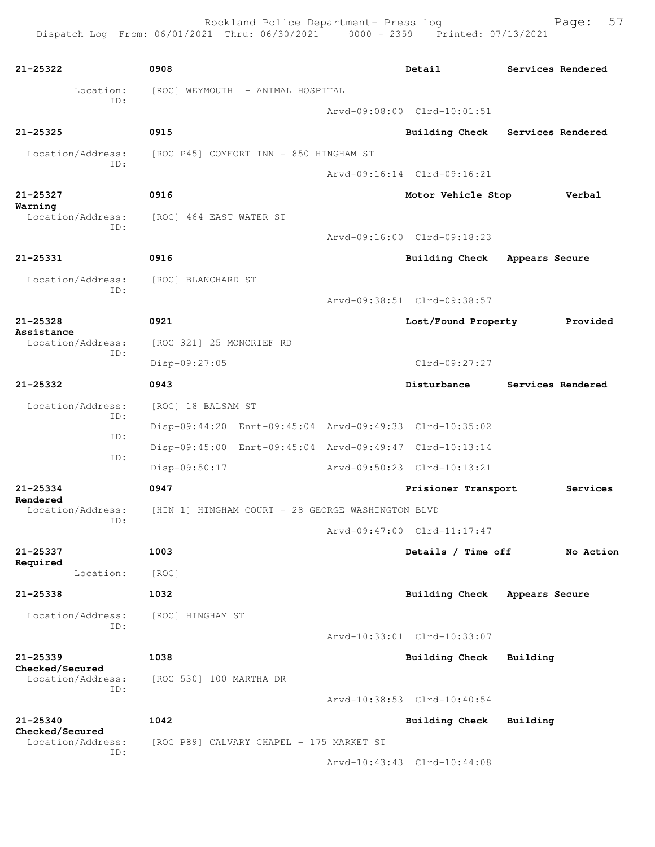Rockland Police Department- Press log Fage: 57

```
21-25322 0908 Detail Services Rendered
      Location: [ROC] WEYMOUTH - ANIMAL HOSPITAL
            ID: 
                                     Arvd-09:08:00 Clrd-10:01:51
21-25325 0915 Building Check Services Rendered
  Location/Address: [ROC P45] COMFORT INN - 850 HINGHAM ST
            ID: 
                                     Arvd-09:16:14 Clrd-09:16:21
21-25327 0916 Motor Vehicle Stop Verbal
Warning 
  Location/Address: [ROC] 464 EAST WATER ST
           ID: 
                                     Arvd-09:16:00 Clrd-09:18:23
21-25331 0916 Building Check Appears Secure
  Location/Address: [ROC] BLANCHARD ST
           ID: 
                                     Arvd-09:38:51 Clrd-09:38:57
21-25328 0921 Lost/Found Property Provided
Assistance 
  Location/Address: [ROC 321] 25 MONCRIEF RD
           ID: 
               Disp-09:27:05 Clrd-09:27:27
21-25332 0943 Disturbance Services Rendered
  Location/Address: [ROC] 18 BALSAM ST
           ID: 
                Disp-09:44:20 Enrt-09:45:04 Arvd-09:49:33 Clrd-10:35:02
            ID: 
                Disp-09:45:00 Enrt-09:45:04 Arvd-09:49:47 Clrd-10:13:14
            ID: 
                Disp-09:50:17 Arvd-09:50:23 Clrd-10:13:21
21-25334 0947 Prisioner Transport Services
Rendered 
 Location/Address: [HIN 1] HINGHAM COURT - 28 GEORGE WASHINGTON BLVD
           ID: 
                                     Arvd-09:47:00 Clrd-11:17:47
21-25337 1003 Details / Time off No Action
Required 
       Location: [ROC] 
21-25338 1032 Building Check Appears Secure
  Location/Address: [ROC] HINGHAM ST
            ID: 
                                     Arvd-10:33:01 Clrd-10:33:07
21-25339 1038 Building Check Building
Checked/Secured 
 Location/Address: [ROC 530] 100 MARTHA DR
           ID: 
                                     Arvd-10:38:53 Clrd-10:40:54
21-25340 1042 Building Check Building
Checked/Secured 
 Location/Address: [ROC P89] CALVARY CHAPEL - 175 MARKET ST
            ID: 
                                     Arvd-10:43:43 Clrd-10:44:08
```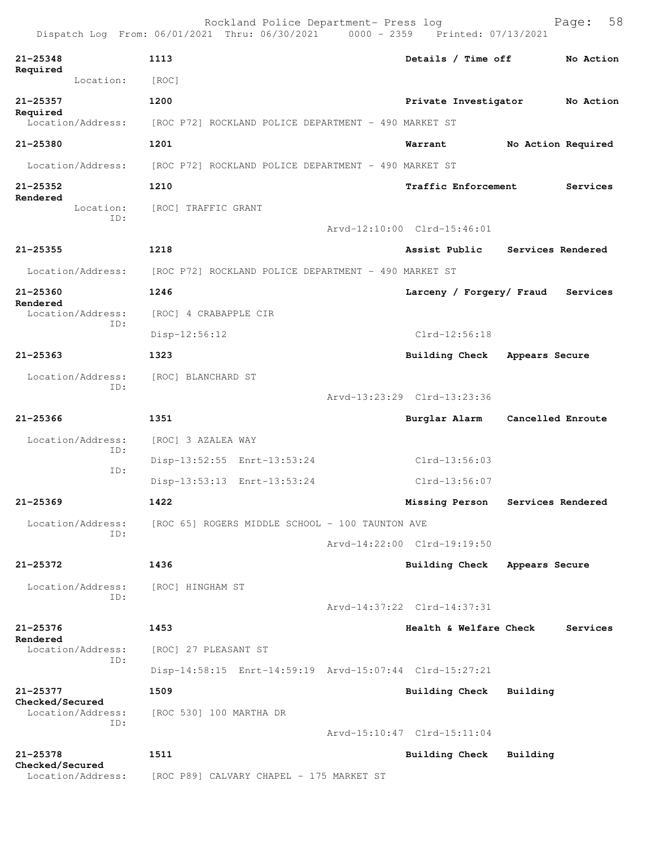|                                      | Rockland Police Department- Press log<br>Dispatch Log From: 06/01/2021 Thru: 06/30/2021 0000 - 2359 Printed: 07/13/2021 |                             |                    | 58<br>Page: |
|--------------------------------------|-------------------------------------------------------------------------------------------------------------------------|-----------------------------|--------------------|-------------|
| $21 - 25348$<br>Required             | 1113                                                                                                                    | Details / Time off          |                    | No Action   |
| Location:                            | [ROC]                                                                                                                   |                             |                    |             |
| $21 - 25357$<br>Required             | 1200                                                                                                                    | Private Investigator        |                    | No Action   |
| Location/Address:                    | [ROC P72] ROCKLAND POLICE DEPARTMENT - 490 MARKET ST                                                                    |                             |                    |             |
| 21-25380                             | 1201                                                                                                                    | Warrant                     | No Action Required |             |
| Location/Address:                    | [ROC P72] ROCKLAND POLICE DEPARTMENT - 490 MARKET ST                                                                    |                             |                    |             |
| $21 - 25352$                         | 1210                                                                                                                    | Traffic Enforcement         |                    | Services    |
| Rendered<br>Location:<br>ID:         | [ROC] TRAFFIC GRANT                                                                                                     | Arvd-12:10:00 Clrd-15:46:01 |                    |             |
|                                      |                                                                                                                         |                             |                    |             |
| $21 - 25355$                         | 1218                                                                                                                    | Assist Public               | Services Rendered  |             |
| Location/Address:                    | [ROC P72] ROCKLAND POLICE DEPARTMENT - 490 MARKET ST                                                                    |                             |                    |             |
| $21 - 25360$<br>Rendered             | 1246                                                                                                                    | Larceny / Forgery/ Fraud    |                    | Services    |
| Location/Address:<br>ID:             | [ROC] 4 CRABAPPLE CIR                                                                                                   |                             |                    |             |
|                                      | Disp-12:56:12                                                                                                           | $Clrd-12:56:18$             |                    |             |
| $21 - 25363$                         | 1323                                                                                                                    | Building Check              | Appears Secure     |             |
| Location/Address:<br>ID:             | [ROC] BLANCHARD ST                                                                                                      |                             |                    |             |
|                                      |                                                                                                                         | Arvd-13:23:29 Clrd-13:23:36 |                    |             |
| $21 - 25366$                         | 1351                                                                                                                    | Burglar Alarm               | Cancelled Enroute  |             |
| Location/Address:<br>ID:             | [ROC] 3 AZALEA WAY                                                                                                      |                             |                    |             |
| ID:                                  | Disp-13:52:55 Enrt-13:53:24                                                                                             | $C1rd-13:56:03$             |                    |             |
|                                      | Disp-13:53:13 Enrt-13:53:24                                                                                             | $Clrd-13:56:07$             |                    |             |
| 21-25369                             | 1422                                                                                                                    | Missing Person              | Services Rendered  |             |
| Location/Address:<br>ID:             | [ROC 65] ROGERS MIDDLE SCHOOL - 100 TAUNTON AVE                                                                         |                             |                    |             |
|                                      |                                                                                                                         | Arvd-14:22:00 Clrd-19:19:50 |                    |             |
| $21 - 25372$                         | 1436                                                                                                                    | Building Check              | Appears Secure     |             |
| Location/Address:                    | [ROC] HINGHAM ST                                                                                                        |                             |                    |             |
| ID:                                  |                                                                                                                         | Arvd-14:37:22 Clrd-14:37:31 |                    |             |
| $21 - 25376$                         | 1453                                                                                                                    | Health & Welfare Check      |                    | Services    |
| Rendered<br>Location/Address:        | [ROC] 27 PLEASANT ST                                                                                                    |                             |                    |             |
| ID:                                  | Disp-14:58:15 Enrt-14:59:19 Arvd-15:07:44 Clrd-15:27:21                                                                 |                             |                    |             |
| 21-25377                             | 1509                                                                                                                    | <b>Building Check</b>       | Building           |             |
| Checked/Secured<br>Location/Address: | [ROC 530] 100 MARTHA DR                                                                                                 |                             |                    |             |
| ID:                                  |                                                                                                                         | Arvd-15:10:47 Clrd-15:11:04 |                    |             |
| $21 - 25378$                         | 1511                                                                                                                    | Building Check              | Building           |             |
| Checked/Secured<br>Location/Address: | [ROC P89] CALVARY CHAPEL - 175 MARKET ST                                                                                |                             |                    |             |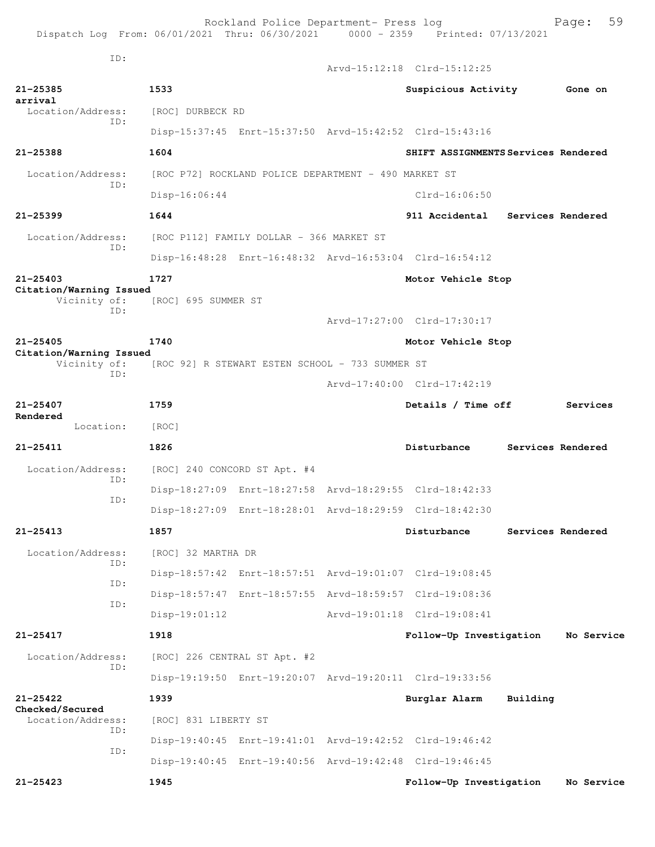Dispatch Log From: 06/01/2021 Thru: 06/30/2021 0000 - 2359 Printed: 07/13/2021 ID: Arvd-15:12:18 Clrd-15:12:25 **21-25385 1533 Suspicious Activity Gone on arrival**  Location/Address: [ROC] DURBECK RD ID: Disp-15:37:45 Enrt-15:37:50 Arvd-15:42:52 Clrd-15:43:16 **21-25388 1604 SHIFT ASSIGNMENTS Services Rendered** Location/Address: [ROC P72] ROCKLAND POLICE DEPARTMENT - 490 MARKET ST ID: Disp-16:06:44 Clrd-16:06:50 **21-25399 1644 911 Accidental Services Rendered** Location/Address: [ROC P112] FAMILY DOLLAR - 366 MARKET ST ID: Disp-16:48:28 Enrt-16:48:32 Arvd-16:53:04 Clrd-16:54:12 **21-25403 1727 Motor Vehicle Stop Citation/Warning Issued**  Vicinity of: [ROC] 695 SUMMER ST ID: Arvd-17:27:00 Clrd-17:30:17 **21-25405 1740 Motor Vehicle Stop Citation/Warning Issued**  Vicinity of: [ROC 92] R STEWART ESTEN SCHOOL - 733 SUMMER ST ID: Arvd-17:40:00 Clrd-17:42:19 **21-25407 1759 Details / Time off Services Rendered**  Location: [ROC] **21-25411 1826 Disturbance Services Rendered** Location/Address: [ROC] 240 CONCORD ST Apt. #4 ID: Disp-18:27:09 Enrt-18:27:58 Arvd-18:29:55 Clrd-18:42:33 ID: Disp-18:27:09 Enrt-18:28:01 Arvd-18:29:59 Clrd-18:42:30 **21-25413 1857 Disturbance Services Rendered** Location/Address: [ROC] 32 MARTHA DR ID: Disp-18:57:42 Enrt-18:57:51 Arvd-19:01:07 Clrd-19:08:45 ID: Disp-18:57:47 Enrt-18:57:55 Arvd-18:59:57 Clrd-19:08:36 ID: Disp-19:01:12 Arvd-19:01:18 Clrd-19:08:41 **21-25417 1918 Follow-Up Investigation No Service** Location/Address: [ROC] 226 CENTRAL ST Apt. #2 ID: Disp-19:19:50 Enrt-19:20:07 Arvd-19:20:11 Clrd-19:33:56 **21-25422 1939 Burglar Alarm Building Checked/Secured**  [ROC] 831 LIBERTY ST ID: Disp-19:40:45 Enrt-19:41:01 Arvd-19:42:52 Clrd-19:46:42 ID: Disp-19:40:45 Enrt-19:40:56 Arvd-19:42:48 Clrd-19:46:45

**21-25423 1945 Follow-Up Investigation No Service**

Rockland Police Department- Press log Fage: 59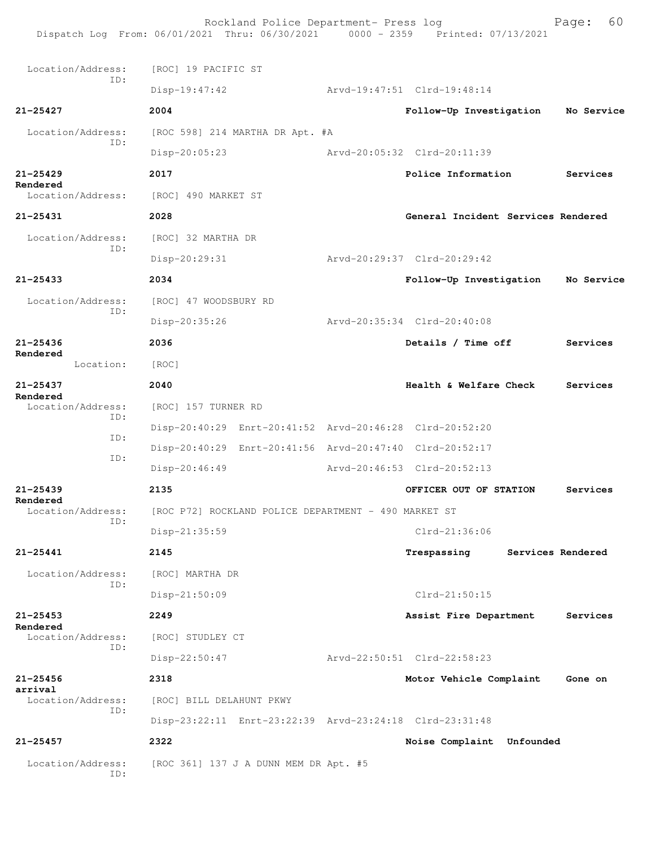Rockland Police Department- Press log Fage: 60 Dispatch Log From: 06/01/2021 Thru: 06/30/2021 0000 - 2359 Printed: 07/13/2021 Location/Address: [ROC] 19 PACIFIC ST ID: Disp-19:47:42 Arvd-19:47:51 Clrd-19:48:14 **21-25427 2004 Follow-Up Investigation No Service** Location/Address: [ROC 598] 214 MARTHA DR Apt. #A ID: Disp-20:05:23 Arvd-20:05:32 Clrd-20:11:39 **21-25429 2017 Police Information Services Rendered**  [ROC] 490 MARKET ST **21-25431 2028 General Incident Services Rendered** Location/Address: [ROC] 32 MARTHA DR ID: Disp-20:29:31 Arvd-20:29:37 Clrd-20:29:42 **21-25433 2034 Follow-Up Investigation No Service** Location/Address: [ROC] 47 WOODSBURY RD ID: Disp-20:35:26 Arvd-20:35:34 Clrd-20:40:08 **21-25436 2036 Details / Time off Services Rendered**  Location: [ROC] **21-25437 2040 Health & Welfare Check Services Rendered**  Location/Address: [ROC] 157 TURNER RD ID: Disp-20:40:29 Enrt-20:41:52 Arvd-20:46:28 Clrd-20:52:20 ID: Disp-20:40:29 Enrt-20:41:56 Arvd-20:47:40 Clrd-20:52:17 ID: Disp-20:46:49 Arvd-20:46:53 Clrd-20:52:13 **21-25439 2135 OFFICER OUT OF STATION Services Rendered**  Location/Address: [ROC P72] ROCKLAND POLICE DEPARTMENT - 490 MARKET ST ID: Disp-21:35:59 Clrd-21:36:06 **21-25441 2145 Trespassing Services Rendered** Location/Address: [ROC] MARTHA DR ID: Disp-21:50:09 Clrd-21:50:15 **21-25453 2249 Assist Fire Department Services Rendered**  Location/Address: [ROC] STUDLEY CT ID: Disp-22:50:47 Arvd-22:50:51 Clrd-22:58:23 **21-25456 2318 Motor Vehicle Complaint Gone on arrival**  Location/Address: [ROC] BILL DELAHUNT PKWY ID: Disp-23:22:11 Enrt-23:22:39 Arvd-23:24:18 Clrd-23:31:48 **21-25457 2322 Noise Complaint Unfounded**  Location/Address: [ROC 361] 137 J A DUNN MEM DR Apt. #5 ID: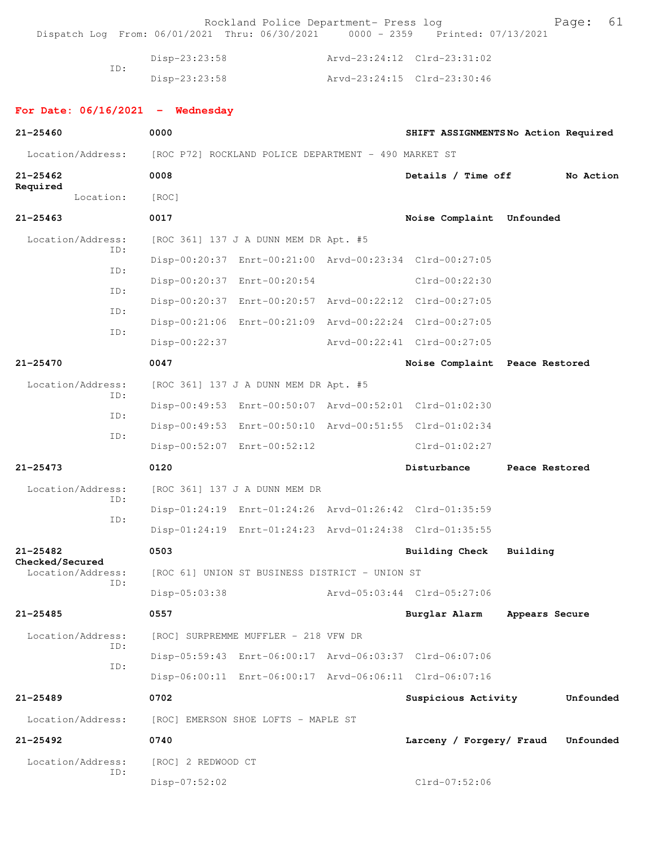|                                      | Rockland Police Department- Press log<br>Dispatch Log From: 06/01/2021 Thru: 06/30/2021 0000 - 2359 Printed: 07/13/2021 |                                | 61<br>Page:                         |
|--------------------------------------|-------------------------------------------------------------------------------------------------------------------------|--------------------------------|-------------------------------------|
|                                      | Disp-23:23:58                                                                                                           | Arvd-23:24:12 Clrd-23:31:02    |                                     |
| ID:                                  | Disp-23:23:58                                                                                                           | Arvd-23:24:15 Clrd-23:30:46    |                                     |
| For Date: $06/16/2021$ - Wednesday   |                                                                                                                         |                                |                                     |
| $21 - 25460$                         | 0000                                                                                                                    |                                | SHIFT ASSIGNMENTSNo Action Required |
| Location/Address:                    | [ROC P72] ROCKLAND POLICE DEPARTMENT - 490 MARKET ST                                                                    |                                |                                     |
| $21 - 25462$<br>Required             | 0008                                                                                                                    | Details / Time off             | No Action                           |
| Location:                            | [ROC]                                                                                                                   |                                |                                     |
| $21 - 25463$                         | 0017                                                                                                                    | Noise Complaint Unfounded      |                                     |
| Location/Address:<br>ID:             | [ROC 361] 137 J A DUNN MEM DR Apt. #5                                                                                   |                                |                                     |
| ID:                                  | Disp-00:20:37 Enrt-00:21:00 Arvd-00:23:34 Clrd-00:27:05                                                                 |                                |                                     |
|                                      | Disp-00:20:37 Enrt-00:20:54                                                                                             | $Clrd-00:22:30$                |                                     |
| ID:                                  | Disp-00:20:37 Enrt-00:20:57 Arvd-00:22:12 Clrd-00:27:05                                                                 |                                |                                     |
| ID:                                  | Disp-00:21:06 Enrt-00:21:09 Arvd-00:22:24 Clrd-00:27:05                                                                 |                                |                                     |
| ID:                                  | Disp-00:22:37                                                                                                           | Arvd-00:22:41 Clrd-00:27:05    |                                     |
| $21 - 25470$                         | 0047                                                                                                                    | Noise Complaint Peace Restored |                                     |
| Location/Address:                    | [ROC 361] 137 J A DUNN MEM DR Apt. #5                                                                                   |                                |                                     |
| ID:                                  | Disp-00:49:53 Enrt-00:50:07 Arvd-00:52:01 Clrd-01:02:30                                                                 |                                |                                     |
| ID:                                  | Disp-00:49:53 Enrt-00:50:10 Arvd-00:51:55 Clrd-01:02:34                                                                 |                                |                                     |
| ID:                                  | Disp-00:52:07 Enrt-00:52:12                                                                                             | $Clrd-01:02:27$                |                                     |
| $21 - 25473$                         | 0120                                                                                                                    | Disturbance                    | Peace Restored                      |
| Location/Address:                    | [ROC 361] 137 J A DUNN MEM DR                                                                                           |                                |                                     |
| ID:                                  | Disp-01:24:19 Enrt-01:24:26 Arvd-01:26:42 Clrd-01:35:59                                                                 |                                |                                     |
| ID:                                  | Disp-01:24:19 Enrt-01:24:23 Arvd-01:24:38 Clrd-01:35:55                                                                 |                                |                                     |
| $21 - 25482$                         | 0503                                                                                                                    | <b>Building Check</b>          | Building                            |
| Checked/Secured<br>Location/Address: | [ROC 61] UNION ST BUSINESS DISTRICT - UNION ST                                                                          |                                |                                     |
| TD:                                  | Disp-05:03:38                                                                                                           | Arvd-05:03:44 Clrd-05:27:06    |                                     |
| $21 - 25485$                         | 0557                                                                                                                    | Burglar Alarm                  | Appears Secure                      |
| Location/Address:                    | [ROC] SURPREMME MUFFLER - 218 VFW DR                                                                                    |                                |                                     |
| TD:                                  | Disp-05:59:43 Enrt-06:00:17 Arvd-06:03:37 Clrd-06:07:06                                                                 |                                |                                     |
| ID:                                  | Disp-06:00:11 Enrt-06:00:17 Arvd-06:06:11 Clrd-06:07:16                                                                 |                                |                                     |
| $21 - 25489$                         | 0702                                                                                                                    | Suspicious Activity            | Unfounded                           |
| Location/Address:                    | [ROC] EMERSON SHOE LOFTS - MAPLE ST                                                                                     |                                |                                     |
| $21 - 25492$                         | 0740                                                                                                                    | Larceny / Forgery/ Fraud       | Unfounded                           |
| Location/Address:                    | [ROC] 2 REDWOOD CT                                                                                                      |                                |                                     |
| ID:                                  | Disp-07:52:02                                                                                                           | $Clrd-07:52:06$                |                                     |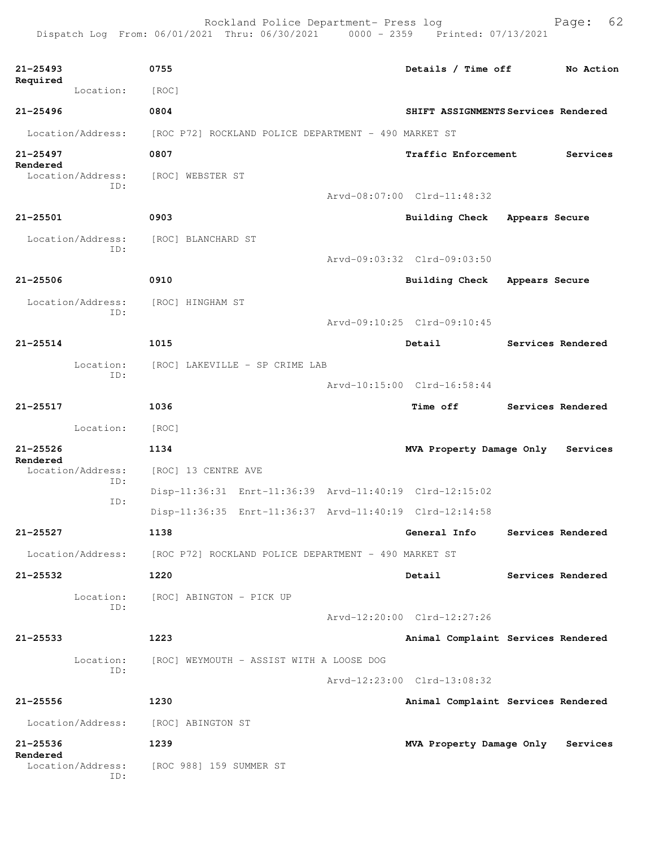**21-25493 0755 Details / Time off No Action Required**  Location: [ROC] **21-25496 0804 SHIFT ASSIGNMENTS Services Rendered** Location/Address: [ROC P72] ROCKLAND POLICE DEPARTMENT - 490 MARKET ST **21-25497 0807 Traffic Enforcement Services Rendered**  [ROC] WEBSTER ST ID: Arvd-08:07:00 Clrd-11:48:32 **21-25501 0903 Building Check Appears Secure** Location/Address: [ROC] BLANCHARD ST ID: Arvd-09:03:32 Clrd-09:03:50 **21-25506 0910 Building Check Appears Secure** Location/Address: [ROC] HINGHAM ST ID: Arvd-09:10:25 Clrd-09:10:45 **21-25514 1015 Detail Services Rendered** Location: [ROC] LAKEVILLE - SP CRIME LAB ID: Arvd-10:15:00 Clrd-16:58:44 **21-25517 1036 Time off Services Rendered** Location: [ROC] **21-25526 1134 MVA Property Damage Only Services Rendered**  Location/Address: [ROC] 13 CENTRE AVE ID: Disp-11:36:31 Enrt-11:36:39 Arvd-11:40:19 Clrd-12:15:02 ID: Disp-11:36:35 Enrt-11:36:37 Arvd-11:40:19 Clrd-12:14:58 **21-25527 1138 General Info Services Rendered** Location/Address: [ROC P72] ROCKLAND POLICE DEPARTMENT - 490 MARKET ST **21-25532 1220 Detail Services Rendered** Location: [ROC] ABINGTON - PICK UP ID: Arvd-12:20:00 Clrd-12:27:26 **21-25533 1223 Animal Complaint Services Rendered** Location: [ROC] WEYMOUTH - ASSIST WITH A LOOSE DOG ID: Arvd-12:23:00 Clrd-13:08:32 **21-25556 1230 Animal Complaint Services Rendered** Location/Address: [ROC] ABINGTON ST **21-25536 1239 MVA Property Damage Only Services Rendered**  Location/Address: [ROC 988] 159 SUMMER ST

ID:

Dispatch Log From: 06/01/2021 Thru: 06/30/2021 0000 - 2359 Printed: 07/13/2021

Rockland Police Department- Press log Fage: 62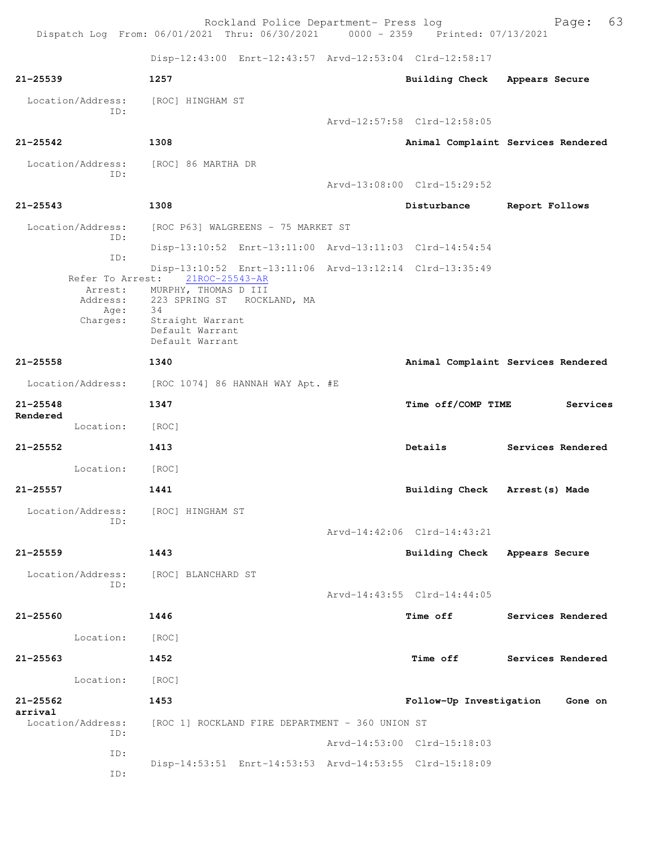|                              | Rockland Police Department- Press log<br>Dispatch Log From: 06/01/2021 Thru: 06/30/2021 0000 - 2359 Printed: 07/13/2021 |                             | 63<br>Page:                        |
|------------------------------|-------------------------------------------------------------------------------------------------------------------------|-----------------------------|------------------------------------|
|                              | Disp-12:43:00 Enrt-12:43:57 Arvd-12:53:04 Clrd-12:58:17                                                                 |                             |                                    |
| $21 - 25539$                 | 1257                                                                                                                    | Building Check              | Appears Secure                     |
| Location/Address:            | [ROC] HINGHAM ST                                                                                                        |                             |                                    |
| ID:                          |                                                                                                                         | Arvd-12:57:58 Clrd-12:58:05 |                                    |
| $21 - 25542$                 | 1308                                                                                                                    |                             | Animal Complaint Services Rendered |
|                              | Location/Address: [ROC] 86 MARTHA DR                                                                                    |                             |                                    |
| TD:                          |                                                                                                                         | Arvd-13:08:00 Clrd-15:29:52 |                                    |
| $21 - 25543$                 | 1308                                                                                                                    | Disturbance                 | Report Follows                     |
| Location/Address:<br>ID:     | [ROC P63] WALGREENS - 75 MARKET ST                                                                                      |                             |                                    |
| ID:                          | Disp-13:10:52 Enrt-13:11:00 Arvd-13:11:03 Clrd-14:54:54                                                                 |                             |                                    |
|                              | Disp-13:10:52 Enrt-13:11:06 Arvd-13:12:14 Clrd-13:35:49<br>Refer To Arrest: 21ROC-25543-AR                              |                             |                                    |
|                              | Arrest: MURPHY, THOMAS D III<br>Address: 223 SPRING ST ROCKLAND, MA                                                     |                             |                                    |
| Age:<br>Charges:             | - 34<br>Straight Warrant                                                                                                |                             |                                    |
|                              | Default Warrant<br>Default Warrant                                                                                      |                             |                                    |
| $21 - 25558$                 | 1340                                                                                                                    |                             | Animal Complaint Services Rendered |
|                              | Location/Address: [ROC 1074] 86 HANNAH WAY Apt. #E                                                                      |                             |                                    |
| $21 - 25548$                 | 1347                                                                                                                    | Time off/COMP TIME          | Services                           |
| Rendered<br>Location:        | [ROC]                                                                                                                   |                             |                                    |
| $21 - 25552$                 | 1413                                                                                                                    | Details                     | Services Rendered                  |
| Location:                    | [ROC]                                                                                                                   |                             |                                    |
| $21 - 25557$                 | 1441                                                                                                                    | <b>Building Check</b>       | Arrest (s) Made                    |
| Location/Address:            | [ROC] HINGHAM ST                                                                                                        |                             |                                    |
| ID:                          |                                                                                                                         | Arvd-14:42:06 Clrd-14:43:21 |                                    |
| $21 - 25559$                 | 1443                                                                                                                    | Building Check              | Appears Secure                     |
| Location/Address:            | [ROC] BLANCHARD ST                                                                                                      |                             |                                    |
| ID:                          |                                                                                                                         | Arvd-14:43:55 Clrd-14:44:05 |                                    |
| $21 - 25560$                 | 1446                                                                                                                    | Time off                    | Services Rendered                  |
| Location:                    | [ROC]                                                                                                                   |                             |                                    |
| $21 - 25563$                 | 1452                                                                                                                    | <b>Time off</b>             | Services Rendered                  |
| Location:                    | [ROC]                                                                                                                   |                             |                                    |
| $21 - 25562$                 |                                                                                                                         |                             |                                    |
| arrival<br>Location/Address: | 1453                                                                                                                    | Follow-Up Investigation     | Gone on                            |
| ID:                          | [ROC 1] ROCKLAND FIRE DEPARTMENT - 360 UNION ST                                                                         | Arvd-14:53:00 Clrd-15:18:03 |                                    |
| ID:                          |                                                                                                                         |                             |                                    |
| ID:                          | Disp-14:53:51 Enrt-14:53:53 Arvd-14:53:55 Clrd-15:18:09                                                                 |                             |                                    |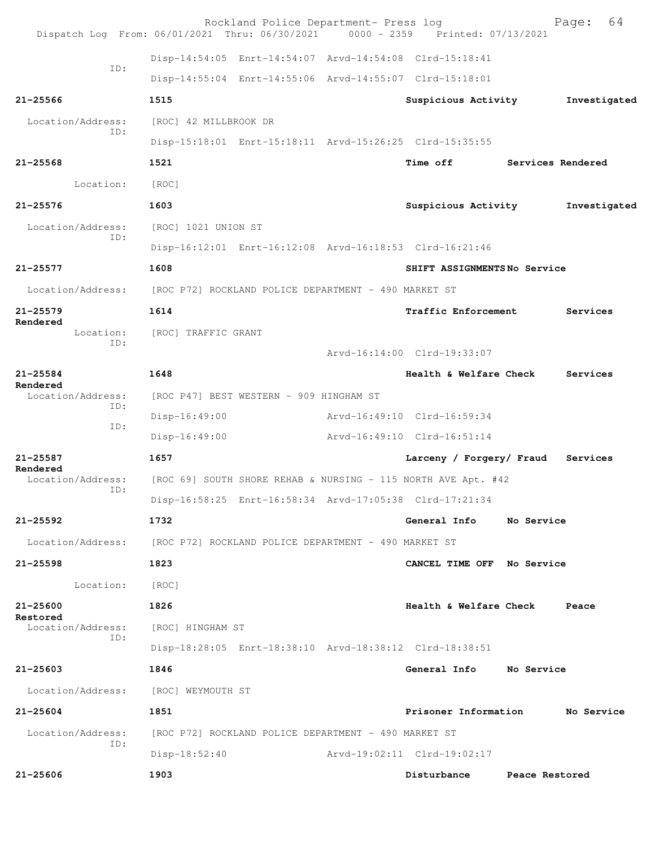| Dispatch Log From: 06/01/2021 Thru: 06/30/2021 0000 - 2359 Printed: 07/13/2021 |                                                      | Rockland Police Department- Press log                |                                                               |                | 64<br>Page:       |
|--------------------------------------------------------------------------------|------------------------------------------------------|------------------------------------------------------|---------------------------------------------------------------|----------------|-------------------|
|                                                                                |                                                      |                                                      | Disp-14:54:05 Enrt-14:54:07 Arvd-14:54:08 Clrd-15:18:41       |                |                   |
| ID:                                                                            |                                                      |                                                      | Disp-14:55:04 Enrt-14:55:06 Arvd-14:55:07 Clrd-15:18:01       |                |                   |
| $21 - 25566$                                                                   | 1515                                                 |                                                      | Suspicious Activity                                           |                | Investigated      |
| Location/Address:                                                              | [ROC] 42 MILLBROOK DR                                |                                                      |                                                               |                |                   |
| ID:                                                                            |                                                      |                                                      | Disp-15:18:01 Enrt-15:18:11 Arvd-15:26:25 Clrd-15:35:55       |                |                   |
| $21 - 25568$                                                                   | 1521                                                 |                                                      | <b>Time off</b>                                               |                | Services Rendered |
| Location:                                                                      | [ROC]                                                |                                                      |                                                               |                |                   |
| $21 - 25576$                                                                   | 1603                                                 |                                                      | Suspicious Activity                                           |                | Investigated      |
| Location/Address:                                                              | [ROC] 1021 UNION ST                                  |                                                      |                                                               |                |                   |
| ID:                                                                            |                                                      |                                                      | Disp-16:12:01 Enrt-16:12:08 Arvd-16:18:53 Clrd-16:21:46       |                |                   |
| $21 - 25577$                                                                   | 1608                                                 |                                                      | SHIFT ASSIGNMENTSNo Service                                   |                |                   |
| Location/Address:                                                              | [ROC P72] ROCKLAND POLICE DEPARTMENT - 490 MARKET ST |                                                      |                                                               |                |                   |
| $21 - 25579$                                                                   | 1614                                                 |                                                      | Traffic Enforcement                                           |                | Services          |
| Rendered<br>Location:                                                          | [ROC] TRAFFIC GRANT                                  |                                                      |                                                               |                |                   |
| ID:                                                                            |                                                      |                                                      | Arvd-16:14:00 Clrd-19:33:07                                   |                |                   |
| $21 - 25584$                                                                   | 1648                                                 |                                                      | Health & Welfare Check                                        |                | Services          |
| Rendered<br>Location/Address:                                                  |                                                      | [ROC P47] BEST WESTERN - 909 HINGHAM ST              |                                                               |                |                   |
| ID:                                                                            | $Disp-16:49:00$                                      |                                                      | Arvd-16:49:10 Clrd-16:59:34                                   |                |                   |
| ID:                                                                            | $Disp-16:49:00$                                      |                                                      | Arvd-16:49:10 Clrd-16:51:14                                   |                |                   |
| $21 - 25587$                                                                   | 1657                                                 |                                                      | Larceny / Forgery/ Fraud                                      |                | Services          |
| Rendered<br>Location/Address:                                                  |                                                      |                                                      | [ROC 69] SOUTH SHORE REHAB & NURSING - 115 NORTH AVE Apt. #42 |                |                   |
| ID:                                                                            |                                                      |                                                      | Disp-16:58:25 Enrt-16:58:34 Arvd-17:05:38 Clrd-17:21:34       |                |                   |
| 21-25592                                                                       | 1732                                                 |                                                      | General Info                                                  | No Service     |                   |
| Location/Address: [ROC P72] ROCKLAND POLICE DEPARTMENT - 490 MARKET ST         |                                                      |                                                      |                                                               |                |                   |
| 21-25598                                                                       | 1823                                                 |                                                      | CANCEL TIME OFF No Service                                    |                |                   |
| Location:                                                                      | [ROC]                                                |                                                      |                                                               |                |                   |
| 21-25600                                                                       | 1826                                                 |                                                      | Health & Welfare Check Peace                                  |                |                   |
| Restored<br>Location/Address:                                                  | [ROC] HINGHAM ST                                     |                                                      |                                                               |                |                   |
| ID:                                                                            |                                                      |                                                      | Disp-18:28:05 Enrt-18:38:10 Arvd-18:38:12 Clrd-18:38:51       |                |                   |
| 21-25603                                                                       | 1846                                                 |                                                      | General Info No Service                                       |                |                   |
| Location/Address: [ROC] WEYMOUTH ST                                            |                                                      |                                                      |                                                               |                |                   |
| $21 - 25604$                                                                   | 1851                                                 |                                                      | Prisoner Information                                          |                | No Service        |
| Location/Address:                                                              |                                                      | [ROC P72] ROCKLAND POLICE DEPARTMENT - 490 MARKET ST |                                                               |                |                   |
| ID:                                                                            | Disp-18:52:40                                        |                                                      | Arvd-19:02:11 Clrd-19:02:17                                   |                |                   |
| $21 - 25606$                                                                   | 1903                                                 |                                                      | Disturbance                                                   | Peace Restored |                   |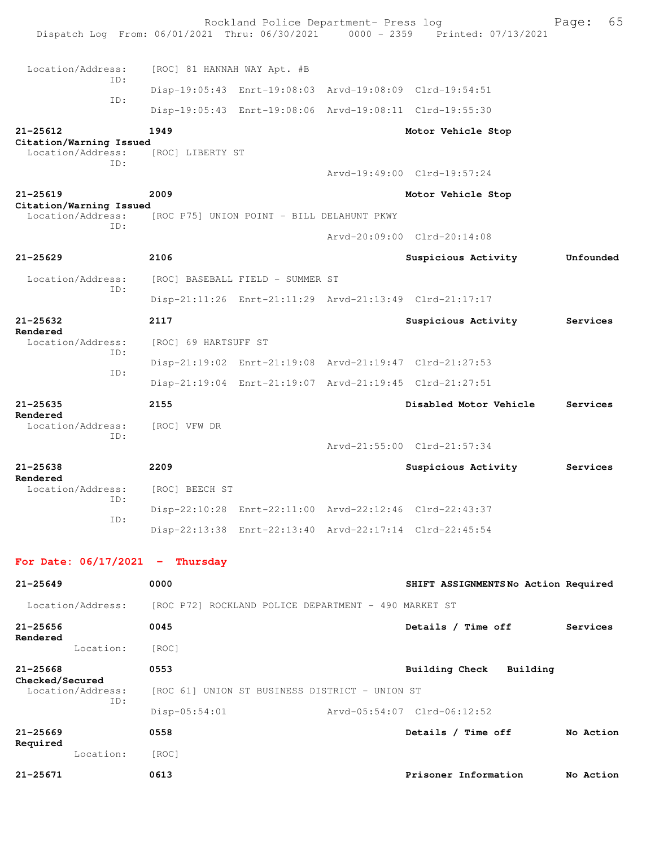|                                              |     |                                                      | Rockland Police Department- Press log          | Dispatch Log From: 06/01/2021 Thru: 06/30/2021 0000 - 2359 Printed: 07/13/2021 | 65<br>Page: |
|----------------------------------------------|-----|------------------------------------------------------|------------------------------------------------|--------------------------------------------------------------------------------|-------------|
| Location/Address:                            |     | [ROC] 81 HANNAH WAY Apt. #B                          |                                                |                                                                                |             |
|                                              | TD: |                                                      |                                                | Disp-19:05:43 Enrt-19:08:03 Arvd-19:08:09 Clrd-19:54:51                        |             |
|                                              | ID: |                                                      |                                                | Disp-19:05:43 Enrt-19:08:06 Arvd-19:08:11 Clrd-19:55:30                        |             |
| $21 - 25612$                                 |     | 1949                                                 |                                                | Motor Vehicle Stop                                                             |             |
| Citation/Warning Issued<br>Location/Address: | ID: | [ROC] LIBERTY ST                                     |                                                | Arvd-19:49:00 Clrd-19:57:24                                                    |             |
| $21 - 25619$                                 |     | 2009                                                 |                                                | Motor Vehicle Stop                                                             |             |
| Citation/Warning Issued<br>Location/Address: |     |                                                      | [ROC P75] UNION POINT - BILL DELAHUNT PKWY     |                                                                                |             |
|                                              | ID: |                                                      |                                                | Arvd-20:09:00 Clrd-20:14:08                                                    |             |
| $21 - 25629$                                 |     | 2106                                                 |                                                | Suspicious Activity                                                            | Unfounded   |
| Location/Address:                            |     |                                                      | [ROC] BASEBALL FIELD - SUMMER ST               |                                                                                |             |
|                                              | ID: |                                                      |                                                | Disp-21:11:26 Enrt-21:11:29 Arvd-21:13:49 Clrd-21:17:17                        |             |
| $21 - 25632$                                 |     | 2117                                                 |                                                | Suspicious Activity                                                            | Services    |
| Rendered<br>Location/Address:                |     | [ROC] 69 HARTSUFF ST                                 |                                                |                                                                                |             |
|                                              | ID: |                                                      |                                                | Disp-21:19:02 Enrt-21:19:08 Arvd-21:19:47 Clrd-21:27:53                        |             |
|                                              | ID: |                                                      |                                                | Disp-21:19:04 Enrt-21:19:07 Arvd-21:19:45 Clrd-21:27:51                        |             |
| $21 - 25635$                                 |     | 2155                                                 |                                                | Disabled Motor Vehicle                                                         | Services    |
| Rendered<br>Location/Address:                |     |                                                      |                                                |                                                                                |             |
|                                              | ID: | [ROC] VFW DR                                         |                                                | Arvd-21:55:00 Clrd-21:57:34                                                    |             |
| $21 - 25638$                                 |     | 2209                                                 |                                                |                                                                                | Services    |
| Rendered                                     |     |                                                      |                                                | Suspicious Activity                                                            |             |
| Location/Address:                            | ID: | [ROC] BEECH ST                                       |                                                | Disp-22:10:28 Enrt-22:11:00 Arvd-22:12:46 Clrd-22:43:37                        |             |
|                                              | ID: |                                                      |                                                | Disp-22:13:38 Enrt-22:13:40 Arvd-22:17:14 Clrd-22:45:54                        |             |
|                                              |     |                                                      |                                                |                                                                                |             |
| For Date: $06/17/2021$ - Thursday            |     |                                                      |                                                |                                                                                |             |
| $21 - 25649$                                 |     | 0000                                                 |                                                | SHIFT ASSIGNMENTSNo Action Required                                            |             |
| Location/Address:                            |     | [ROC P72] ROCKLAND POLICE DEPARTMENT - 490 MARKET ST |                                                |                                                                                |             |
| $21 - 25656$                                 |     | 0045                                                 |                                                | Details / Time off                                                             | Services    |
| Rendered<br>Location:                        |     | [ROC]                                                |                                                |                                                                                |             |
| $21 - 25668$                                 |     | 0553                                                 |                                                | <b>Building Check</b><br>Building                                              |             |
| Checked/Secured<br>Location/Address:         |     |                                                      | [ROC 61] UNION ST BUSINESS DISTRICT - UNION ST |                                                                                |             |
|                                              | ID: | Disp-05:54:01                                        |                                                | Arvd-05:54:07 Clrd-06:12:52                                                    |             |
| $21 - 25669$                                 |     | 0558                                                 |                                                | Details / Time off                                                             | No Action   |
| Required<br>Location:                        |     | [ROC]                                                |                                                |                                                                                |             |
| 21-25671                                     |     | 0613                                                 |                                                | Prisoner Information                                                           | No Action   |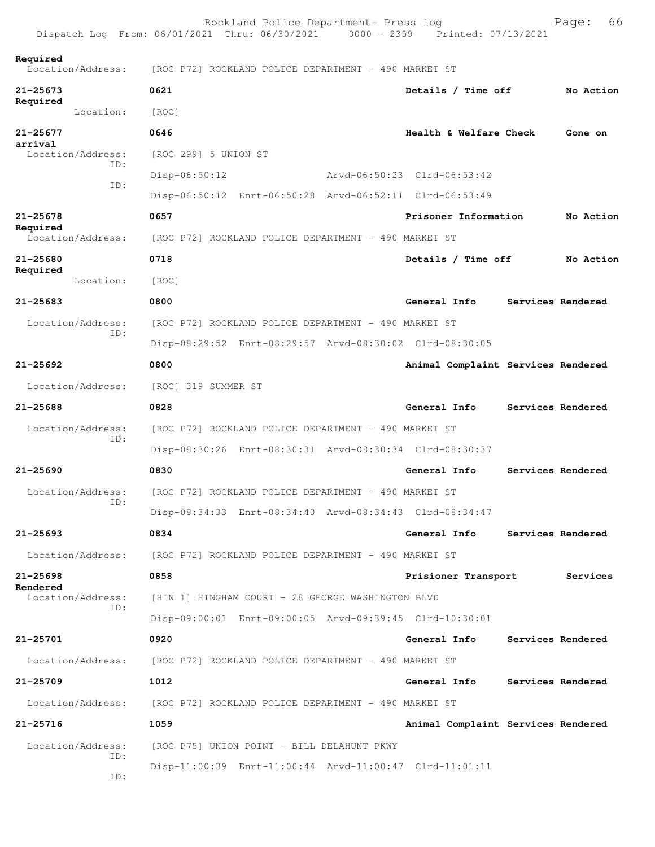|                                      | Rockland Police Department- Press log<br>Dispatch Log From: 06/01/2021 Thru: 06/30/2021 0000 - 2359 Printed: 07/13/2021 |                                    | 66<br>Page:              |  |  |
|--------------------------------------|-------------------------------------------------------------------------------------------------------------------------|------------------------------------|--------------------------|--|--|
| Required<br>Location/Address:        | [ROC P72] ROCKLAND POLICE DEPARTMENT - 490 MARKET ST                                                                    |                                    |                          |  |  |
| $21 - 25673$                         | 0621                                                                                                                    | Details / Time off                 | No Action                |  |  |
| Required<br>Location:                | [ROC]                                                                                                                   |                                    |                          |  |  |
| 21-25677                             | 0646                                                                                                                    | Health & Welfare Check             | Gone on                  |  |  |
| arrival<br>Location/Address:         | [ROC 299] 5 UNION ST                                                                                                    |                                    |                          |  |  |
| ID:                                  | $Disp-06:50:12$                                                                                                         | Arvd-06:50:23 Clrd-06:53:42        |                          |  |  |
| ID:                                  | Disp-06:50:12 Enrt-06:50:28 Arvd-06:52:11 Clrd-06:53:49                                                                 |                                    |                          |  |  |
| $21 - 25678$                         | 0657                                                                                                                    | Prisoner Information               | No Action                |  |  |
| Required<br>Location/Address:        | [ROC P72] ROCKLAND POLICE DEPARTMENT - 490 MARKET ST                                                                    |                                    |                          |  |  |
| $21 - 25680$                         | 0718                                                                                                                    | Details / Time off                 | No Action                |  |  |
| Required<br>Location:                | [ROC]                                                                                                                   |                                    |                          |  |  |
| $21 - 25683$                         | 0800                                                                                                                    | General Info                       | Services Rendered        |  |  |
| Location/Address:                    | [ROC P72] ROCKLAND POLICE DEPARTMENT - 490 MARKET ST                                                                    |                                    |                          |  |  |
| TD:                                  | Disp-08:29:52 Enrt-08:29:57 Arvd-08:30:02 Clrd-08:30:05                                                                 |                                    |                          |  |  |
| $21 - 25692$                         | 0800                                                                                                                    | Animal Complaint Services Rendered |                          |  |  |
| Location/Address:                    | [ROC] 319 SUMMER ST                                                                                                     |                                    |                          |  |  |
| 21-25688                             | 0828                                                                                                                    | General Info                       | Services Rendered        |  |  |
| Location/Address:<br>ID:             | [ROC P72] ROCKLAND POLICE DEPARTMENT - 490 MARKET ST                                                                    |                                    |                          |  |  |
|                                      | Disp-08:30:26 Enrt-08:30:31 Arvd-08:30:34 Clrd-08:30:37                                                                 |                                    |                          |  |  |
| $21 - 25690$                         | 0830                                                                                                                    | General Info                       | Services Rendered        |  |  |
|                                      | Location/Address: [ROC P72] ROCKLAND POLICE DEPARTMENT - 490 MARKET ST                                                  |                                    |                          |  |  |
| ID:                                  | Disp-08:34:33 Enrt-08:34:40 Arvd-08:34:43 Clrd-08:34:47                                                                 |                                    |                          |  |  |
| $21 - 25693$                         | 0834                                                                                                                    | General Info                       | <b>Services Rendered</b> |  |  |
| Location/Address:                    | [ROC P72] ROCKLAND POLICE DEPARTMENT - 490 MARKET ST                                                                    |                                    |                          |  |  |
| 21-25698                             | 0858                                                                                                                    | Prisioner Transport                | Services                 |  |  |
| Rendered<br>Location/Address:<br>ID: | [HIN 1] HINGHAM COURT - 28 GEORGE WASHINGTON BLVD                                                                       |                                    |                          |  |  |
|                                      | Disp-09:00:01 Enrt-09:00:05 Arvd-09:39:45 Clrd-10:30:01                                                                 |                                    |                          |  |  |
| 21-25701                             | 0920                                                                                                                    | General Info                       | Services Rendered        |  |  |
| Location/Address:                    | [ROC P72] ROCKLAND POLICE DEPARTMENT - 490 MARKET ST                                                                    |                                    |                          |  |  |
| $21 - 25709$                         | 1012                                                                                                                    | General Info                       | Services Rendered        |  |  |
| Location/Address:                    | [ROC P72] ROCKLAND POLICE DEPARTMENT - 490 MARKET ST                                                                    |                                    |                          |  |  |
| 21-25716                             | 1059                                                                                                                    | Animal Complaint Services Rendered |                          |  |  |
| Location/Address:                    | [ROC P75] UNION POINT - BILL DELAHUNT PKWY                                                                              |                                    |                          |  |  |
| ID:<br>ID:                           | Disp-11:00:39 Enrt-11:00:44 Arvd-11:00:47 Clrd-11:01:11                                                                 |                                    |                          |  |  |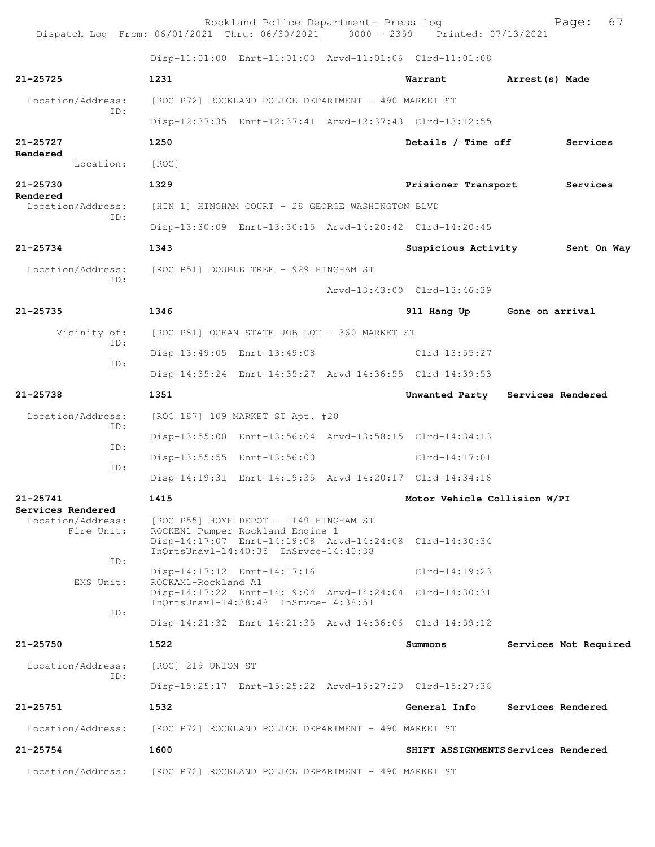| Dispatch Log From: 06/01/2021 Thru: 06/30/2021 0000 - 2359 Printed: 07/13/2021 |                                        | Rockland Police Department- Press log                                                                               |                                                         |                 | 67<br>Page:           |
|--------------------------------------------------------------------------------|----------------------------------------|---------------------------------------------------------------------------------------------------------------------|---------------------------------------------------------|-----------------|-----------------------|
|                                                                                |                                        |                                                                                                                     | Disp-11:01:00 Enrt-11:01:03 Arvd-11:01:06 Clrd-11:01:08 |                 |                       |
| $21 - 25725$                                                                   | 1231                                   |                                                                                                                     | Warrant                                                 | Arrest (s) Made |                       |
| Location/Address:                                                              |                                        | [ROC P72] ROCKLAND POLICE DEPARTMENT - 490 MARKET ST                                                                |                                                         |                 |                       |
| TD:                                                                            |                                        |                                                                                                                     | Disp-12:37:35 Enrt-12:37:41 Arvd-12:37:43 Clrd-13:12:55 |                 |                       |
| $21 - 25727$                                                                   | 1250                                   |                                                                                                                     | Details / Time off                                      |                 | Services              |
| Rendered<br>Location:                                                          | [ROC]                                  |                                                                                                                     |                                                         |                 |                       |
| 21-25730                                                                       | 1329                                   |                                                                                                                     | Prisioner Transport                                     |                 | Services              |
| Rendered<br>Location/Address:                                                  |                                        | [HIN 1] HINGHAM COURT - 28 GEORGE WASHINGTON BLVD                                                                   |                                                         |                 |                       |
| ID:                                                                            |                                        |                                                                                                                     | Disp-13:30:09 Enrt-13:30:15 Arvd-14:20:42 Clrd-14:20:45 |                 |                       |
| $21 - 25734$                                                                   | 1343                                   |                                                                                                                     | Suspicious Activity 5ent On Way                         |                 |                       |
| Location/Address:                                                              | [ROC P51] DOUBLE TREE - 929 HINGHAM ST |                                                                                                                     |                                                         |                 |                       |
| ID:                                                                            |                                        |                                                                                                                     | Arvd-13:43:00 Clrd-13:46:39                             |                 |                       |
| 21-25735                                                                       | 1346                                   |                                                                                                                     | 911 Hang Up Gone on arrival                             |                 |                       |
| Vicinity of:                                                                   |                                        | [ROC P81] OCEAN STATE JOB LOT - 360 MARKET ST                                                                       |                                                         |                 |                       |
| ID:                                                                            |                                        | Disp-13:49:05 Enrt-13:49:08                                                                                         | Clrd-13:55:27                                           |                 |                       |
| ID:                                                                            |                                        |                                                                                                                     | Disp-14:35:24 Enrt-14:35:27 Arvd-14:36:55 Clrd-14:39:53 |                 |                       |
| $21 - 25738$                                                                   | 1351                                   |                                                                                                                     | Unwanted Party Services Rendered                        |                 |                       |
| Location/Address:<br>ID:                                                       |                                        | [ROC 187] 109 MARKET ST Apt. #20                                                                                    |                                                         |                 |                       |
| ID:                                                                            |                                        |                                                                                                                     | Disp-13:55:00 Enrt-13:56:04 Arvd-13:58:15 Clrd-14:34:13 |                 |                       |
| ID:                                                                            |                                        | Disp-13:55:55 Enrt-13:56:00                                                                                         | Clrd-14:17:01                                           |                 |                       |
|                                                                                |                                        |                                                                                                                     | Disp-14:19:31 Enrt-14:19:35 Arvd-14:20:17 Clrd-14:34:16 |                 |                       |
| 21-25741<br>Services Rendered                                                  | 1415                                   |                                                                                                                     | Motor Vehicle Collision W/PI                            |                 |                       |
| Location/Address:<br>Fire Unit:                                                |                                        | [ROC P55] HOME DEPOT - 1149 HINGHAM ST<br>ROCKEN1-Pumper-Rockland Engine 1<br>InQrtsUnavl-14:40:35 InSrvce-14:40:38 | Disp-14:17:07 Enrt-14:19:08 Arvd-14:24:08 Clrd-14:30:34 |                 |                       |
| ID:                                                                            |                                        | Disp-14:17:12 Enrt-14:17:16                                                                                         | $Clrd-14:19:23$                                         |                 |                       |
| EMS Unit:                                                                      | ROCKAM1-Rockland A1                    | InQrtsUnavl-14:38:48 InSrvce-14:38:51                                                                               | Disp-14:17:22 Enrt-14:19:04 Arvd-14:24:04 Clrd-14:30:31 |                 |                       |
| ID:                                                                            |                                        |                                                                                                                     | Disp-14:21:32 Enrt-14:21:35 Arvd-14:36:06 Clrd-14:59:12 |                 |                       |
| 21-25750                                                                       | 1522                                   |                                                                                                                     | Summons                                                 |                 | Services Not Required |
| Location/Address:<br>TD:                                                       | [ROC] 219 UNION ST                     |                                                                                                                     |                                                         |                 |                       |
|                                                                                |                                        |                                                                                                                     | Disp-15:25:17 Enrt-15:25:22 Arvd-15:27:20 Clrd-15:27:36 |                 |                       |
| $21 - 25751$                                                                   | 1532                                   |                                                                                                                     | General Info                                            |                 | Services Rendered     |
| Location/Address:                                                              |                                        | [ROC P72] ROCKLAND POLICE DEPARTMENT - 490 MARKET ST                                                                |                                                         |                 |                       |
| $21 - 25754$                                                                   | 1600                                   |                                                                                                                     | SHIFT ASSIGNMENTS Services Rendered                     |                 |                       |
| Location/Address:                                                              |                                        | [ROC P72] ROCKLAND POLICE DEPARTMENT - 490 MARKET ST                                                                |                                                         |                 |                       |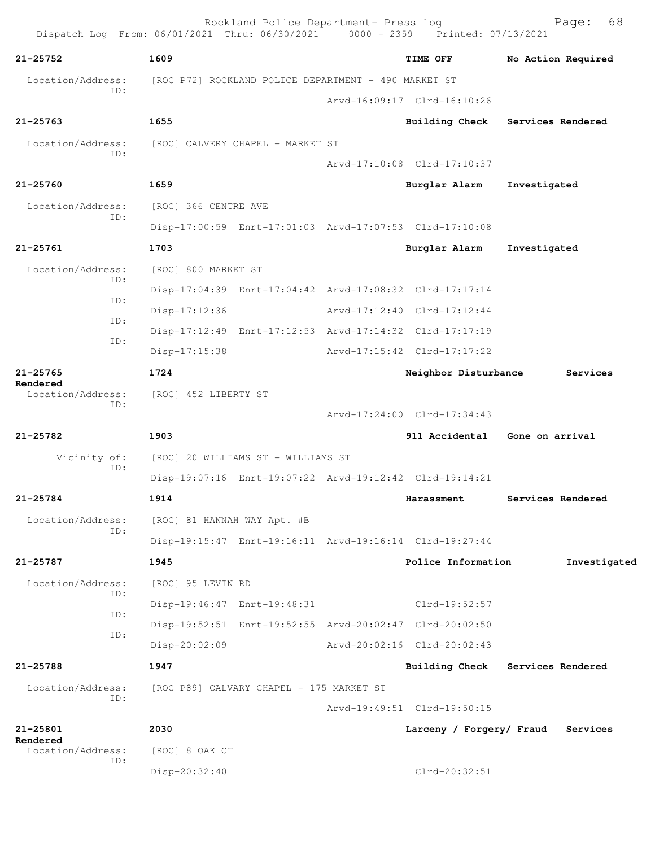|                                      | Rockland Police Department- Press log<br>Dispatch Log From: 06/01/2021 Thru: 06/30/2021 0000 - 2359 Printed: 07/13/2021 |                             | 68<br>Page:                      |
|--------------------------------------|-------------------------------------------------------------------------------------------------------------------------|-----------------------------|----------------------------------|
| $21 - 25752$                         | 1609                                                                                                                    | TIME OFF                    | No Action Required               |
| Location/Address:                    | [ROC P72] ROCKLAND POLICE DEPARTMENT - 490 MARKET ST                                                                    |                             |                                  |
| ID:                                  |                                                                                                                         | Arvd-16:09:17 Clrd-16:10:26 |                                  |
| $21 - 25763$                         | 1655                                                                                                                    |                             | Building Check Services Rendered |
| Location/Address:                    | [ROC] CALVERY CHAPEL - MARKET ST                                                                                        |                             |                                  |
| ID:                                  |                                                                                                                         | Arvd-17:10:08 Clrd-17:10:37 |                                  |
| $21 - 25760$                         | 1659                                                                                                                    | Burglar Alarm               | Investigated                     |
| Location/Address:                    | [ROC] 366 CENTRE AVE                                                                                                    |                             |                                  |
| ID:                                  | Disp-17:00:59 Enrt-17:01:03 Arvd-17:07:53 Clrd-17:10:08                                                                 |                             |                                  |
| $21 - 25761$                         | 1703                                                                                                                    | Burglar Alarm               | Investigated                     |
| Location/Address:                    | [ROC] 800 MARKET ST                                                                                                     |                             |                                  |
| ID:                                  | Disp-17:04:39 Enrt-17:04:42 Arvd-17:08:32 Clrd-17:17:14                                                                 |                             |                                  |
| ID:                                  | Disp-17:12:36                                                                                                           | Arvd-17:12:40 Clrd-17:12:44 |                                  |
| ID:                                  | Disp-17:12:49 Enrt-17:12:53 Arvd-17:14:32 Clrd-17:17:19                                                                 |                             |                                  |
| ID:                                  | $Disp-17:15:38$                                                                                                         | Arvd-17:15:42 Clrd-17:17:22 |                                  |
| $21 - 25765$                         | 1724                                                                                                                    | Neighbor Disturbance        | Services                         |
| Rendered<br>Location/Address:<br>ID: | [ROC] 452 LIBERTY ST                                                                                                    |                             |                                  |
|                                      |                                                                                                                         | Arvd-17:24:00 Clrd-17:34:43 |                                  |
| $21 - 25782$                         | 1903                                                                                                                    | 911 Accidental              | Gone on arrival                  |
| Vicinity of:<br>ID:                  | [ROC] 20 WILLIAMS ST - WILLIAMS ST                                                                                      |                             |                                  |
|                                      | Disp-19:07:16 Enrt-19:07:22 Arvd-19:12:42 Clrd-19:14:21                                                                 |                             |                                  |
| 21-25784                             | 1914                                                                                                                    | Harassment                  | Services Rendered                |
| Location/Address:<br>ID:             | [ROC] 81 HANNAH WAY Apt. #B                                                                                             |                             |                                  |
|                                      | Disp-19:15:47 Enrt-19:16:11 Arvd-19:16:14 Clrd-19:27:44                                                                 |                             |                                  |
| 21-25787                             | 1945                                                                                                                    | Police Information          | Investigated                     |
| Location/Address:<br>ID:             | [ROC] 95 LEVIN RD                                                                                                       |                             |                                  |
| ID:                                  | Disp-19:46:47 Enrt-19:48:31                                                                                             | $Clrd-19:52:57$             |                                  |
| ID:                                  | Disp-19:52:51 Enrt-19:52:55 Arvd-20:02:47 Clrd-20:02:50                                                                 |                             |                                  |
|                                      | $Disp-20:02:09$                                                                                                         | Arvd-20:02:16 Clrd-20:02:43 |                                  |
| 21-25788                             | 1947                                                                                                                    | <b>Building Check</b>       | Services Rendered                |
| Location/Address:<br>ID:             | [ROC P89] CALVARY CHAPEL - 175 MARKET ST                                                                                |                             |                                  |
|                                      |                                                                                                                         | Arvd-19:49:51 Clrd-19:50:15 |                                  |
| $21 - 25801$<br>Rendered             | 2030                                                                                                                    | Larceny / Forgery/ Fraud    | Services                         |
| Location/Address:<br>ID:             | [ROC] 8 OAK CT                                                                                                          |                             |                                  |
|                                      | Disp-20:32:40                                                                                                           | Clrd-20:32:51               |                                  |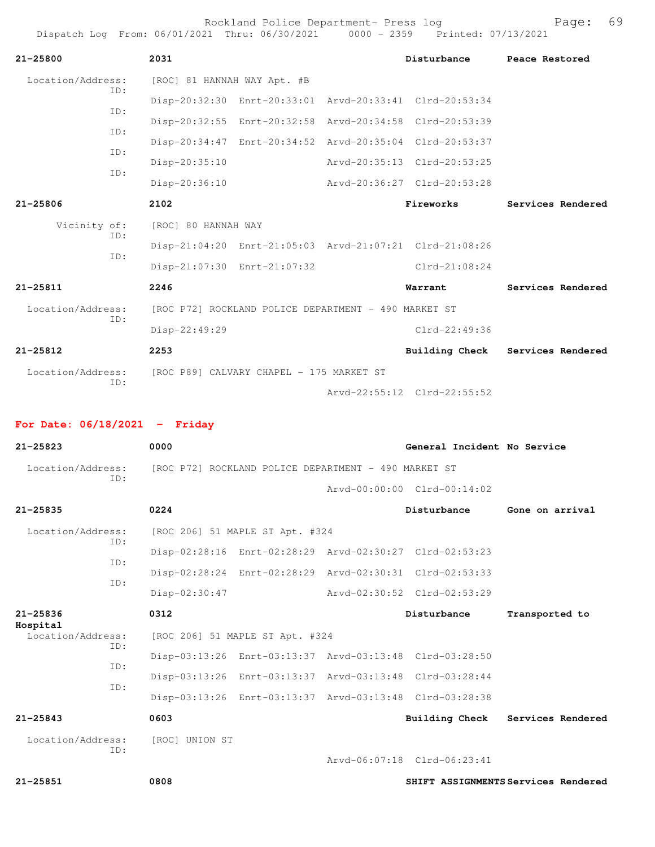Rockland Police Department- Press log entitled and Page: 69

| $21 - 25800$             | 2031                                                 |                             |  | Disturbance                                             | Peace Restored    |
|--------------------------|------------------------------------------------------|-----------------------------|--|---------------------------------------------------------|-------------------|
| Location/Address:<br>ID: | [ROC] 81 HANNAH WAY Apt. #B                          |                             |  |                                                         |                   |
| TD:                      |                                                      |                             |  | Disp-20:32:30 Enrt-20:33:01 Arvd-20:33:41 Clrd-20:53:34 |                   |
|                          |                                                      |                             |  | Disp-20:32:55 Enrt-20:32:58 Arvd-20:34:58 Clrd-20:53:39 |                   |
| TD:                      |                                                      |                             |  | Disp-20:34:47 Enrt-20:34:52 Arvd-20:35:04 Clrd-20:53:37 |                   |
| ID:                      | Disp-20:35:10                                        |                             |  | Arvd-20:35:13 Clrd-20:53:25                             |                   |
| TD:                      | Disp-20:36:10                                        |                             |  | Arvd-20:36:27 Clrd-20:53:28                             |                   |
| $21 - 25806$             | 2102                                                 |                             |  | Fireworks                                               | Services Rendered |
| Vicinity of:             | [ROC] 80 HANNAH WAY                                  |                             |  |                                                         |                   |
| TD:                      |                                                      |                             |  | Disp-21:04:20 Enrt-21:05:03 Arvd-21:07:21 Clrd-21:08:26 |                   |
| TD:                      |                                                      | Disp-21:07:30 Enrt-21:07:32 |  | $Clrd-21:08:24$                                         |                   |
| $21 - 25811$             | 2246                                                 |                             |  | Warrant                                                 | Services Rendered |
| Location/Address:        | [ROC P72] ROCKLAND POLICE DEPARTMENT - 490 MARKET ST |                             |  |                                                         |                   |
| ID:                      | Disp-22:49:29                                        |                             |  | $Clrd-22:49:36$                                         |                   |
| $21 - 25812$             | 2253                                                 |                             |  | Building Check                                          | Services Rendered |
| Location/Address:        | [ROC P89] CALVARY CHAPEL - 175 MARKET ST             |                             |  |                                                         |                   |
| TD:                      |                                                      |                             |  | Arvd-22:55:12 Clrd-22:55:52                             |                   |

## **For Date: 06/18/2021 - Friday**

| $21 - 25823$                                       | 0000                                                    |  | General Incident No Service         |                                     |
|----------------------------------------------------|---------------------------------------------------------|--|-------------------------------------|-------------------------------------|
| Location/Address:<br>ID:                           | [ROC P72] ROCKLAND POLICE DEPARTMENT - 490 MARKET ST    |  |                                     |                                     |
|                                                    |                                                         |  | $Arvd - 00:00:00$ $Clrd - 00:14:02$ |                                     |
| $21 - 25835$                                       | 0224                                                    |  | Disturbance                         | Gone on arrival                     |
| Location/Address:                                  | [ROC 206] 51 MAPLE ST Apt. #324                         |  |                                     |                                     |
| ID:                                                | Disp-02:28:16 Enrt-02:28:29 Arvd-02:30:27 Clrd-02:53:23 |  |                                     |                                     |
| ID:                                                | Disp-02:28:24 Enrt-02:28:29 Arvd-02:30:31 Clrd-02:53:33 |  |                                     |                                     |
| TD:                                                | Disp-02:30:47                                           |  | Arvd-02:30:52 Clrd-02:53:29         |                                     |
| $21 - 25836$                                       | 0312                                                    |  | Disturbance                         | Transported to                      |
| Hospital<br>Location/Address:<br>ID:<br>ID:<br>ID: | [ROC 206] 51 MAPLE ST Apt. #324                         |  |                                     |                                     |
|                                                    | Disp-03:13:26 Enrt-03:13:37 Arvd-03:13:48 Clrd-03:28:50 |  |                                     |                                     |
|                                                    | Disp-03:13:26 Enrt-03:13:37 Arvd-03:13:48 Clrd-03:28:44 |  |                                     |                                     |
|                                                    | Disp-03:13:26 Enrt-03:13:37 Arvd-03:13:48 Clrd-03:28:38 |  |                                     |                                     |
| $21 - 25843$                                       | 0603                                                    |  |                                     | Building Check Services Rendered    |
| Location/Address:                                  | [ROC] UNION ST                                          |  |                                     |                                     |
| ID:                                                |                                                         |  | Arvd-06:07:18 Clrd-06:23:41         |                                     |
| $21 - 25851$                                       | 0808                                                    |  |                                     | SHIFT ASSIGNMENTS Services Rendered |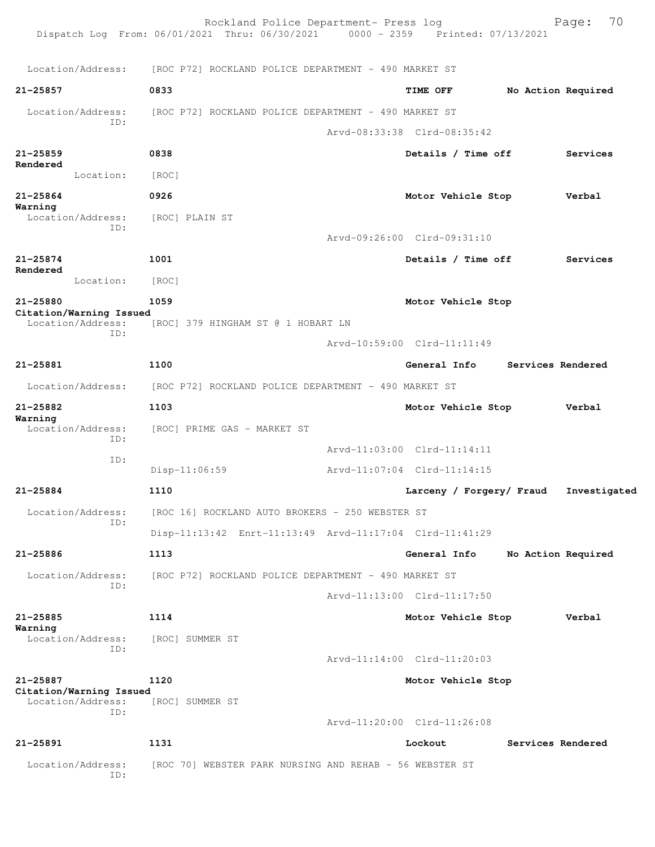|                                              | Rockland Police Department- Press log<br>Dispatch Log From: 06/01/2021 Thru: 06/30/2021 0000 - 2359 Printed: 07/13/2021 |                             |                    | 70<br>Page:  |
|----------------------------------------------|-------------------------------------------------------------------------------------------------------------------------|-----------------------------|--------------------|--------------|
| Location/Address:                            | [ROC P72] ROCKLAND POLICE DEPARTMENT - 490 MARKET ST                                                                    |                             |                    |              |
| 21-25857                                     | 0833                                                                                                                    | TIME OFF                    | No Action Required |              |
| Location/Address:                            | [ROC P72] ROCKLAND POLICE DEPARTMENT - 490 MARKET ST                                                                    |                             |                    |              |
| ID:                                          |                                                                                                                         | Arvd-08:33:38 Clrd-08:35:42 |                    |              |
| 21-25859                                     | 0838                                                                                                                    | Details / Time off          |                    | Services     |
| Rendered<br>Location:                        | [ROC]                                                                                                                   |                             |                    |              |
| 21-25864                                     | 0926                                                                                                                    | Motor Vehicle Stop          |                    | Verbal       |
| Warning<br>Location/Address:                 | [ROC] PLAIN ST                                                                                                          |                             |                    |              |
| ID:                                          |                                                                                                                         | Arvd-09:26:00 Clrd-09:31:10 |                    |              |
| 21-25874                                     | 1001                                                                                                                    | Details / Time off          |                    | Services     |
| Rendered<br>Location:                        | [ROC]                                                                                                                   |                             |                    |              |
| 21-25880                                     | 1059                                                                                                                    | Motor Vehicle Stop          |                    |              |
| Citation/Warning Issued<br>Location/Address: | [ROC] 379 HINGHAM ST @ 1 HOBART LN                                                                                      |                             |                    |              |
| ID:                                          |                                                                                                                         | Arvd-10:59:00 Clrd-11:11:49 |                    |              |
| 21-25881                                     | 1100                                                                                                                    | General Info                | Services Rendered  |              |
| Location/Address:                            | [ROC P72] ROCKLAND POLICE DEPARTMENT - 490 MARKET ST                                                                    |                             |                    |              |
| 21-25882                                     | 1103                                                                                                                    | Motor Vehicle Stop          |                    | Verbal       |
| Warning<br>Location/Address:<br>ID:          | [ROC] PRIME GAS - MARKET ST                                                                                             |                             |                    |              |
| ID:                                          |                                                                                                                         | Arvd-11:03:00 Clrd-11:14:11 |                    |              |
|                                              | $Disp-11:06:59$                                                                                                         | Arvd-11:07:04 Clrd-11:14:15 |                    |              |
| 21-25884                                     | 1110                                                                                                                    | Larceny / Forgery/ Fraud    |                    | Investigated |
| Location/Address:<br>ID:                     | [ROC 16] ROCKLAND AUTO BROKERS - 250 WEBSTER ST                                                                         |                             |                    |              |
|                                              | Disp-11:13:42 Enrt-11:13:49 Arvd-11:17:04 Clrd-11:41:29                                                                 |                             |                    |              |
| 21-25886                                     | 1113                                                                                                                    | General Info                | No Action Required |              |
| Location/Address:<br>ID:                     | [ROC P72] ROCKLAND POLICE DEPARTMENT - 490 MARKET ST                                                                    |                             |                    |              |
|                                              |                                                                                                                         | Arvd-11:13:00 Clrd-11:17:50 |                    |              |
| 21-25885<br>Warning                          | 1114                                                                                                                    | Motor Vehicle Stop          |                    | Verbal       |
| Location/Address:<br>ID:                     | [ROC] SUMMER ST                                                                                                         |                             |                    |              |
|                                              |                                                                                                                         | Arvd-11:14:00 Clrd-11:20:03 |                    |              |
| 21-25887<br>Citation/Warning Issued          | 1120                                                                                                                    | Motor Vehicle Stop          |                    |              |
| Location/Address:<br>ID:                     | [ROC] SUMMER ST                                                                                                         |                             |                    |              |
|                                              |                                                                                                                         | Arvd-11:20:00 Clrd-11:26:08 |                    |              |
| 21-25891                                     | 1131                                                                                                                    | Lockout                     | Services Rendered  |              |
| Location/Address:<br>ID:                     | [ROC 70] WEBSTER PARK NURSING AND REHAB - 56 WEBSTER ST                                                                 |                             |                    |              |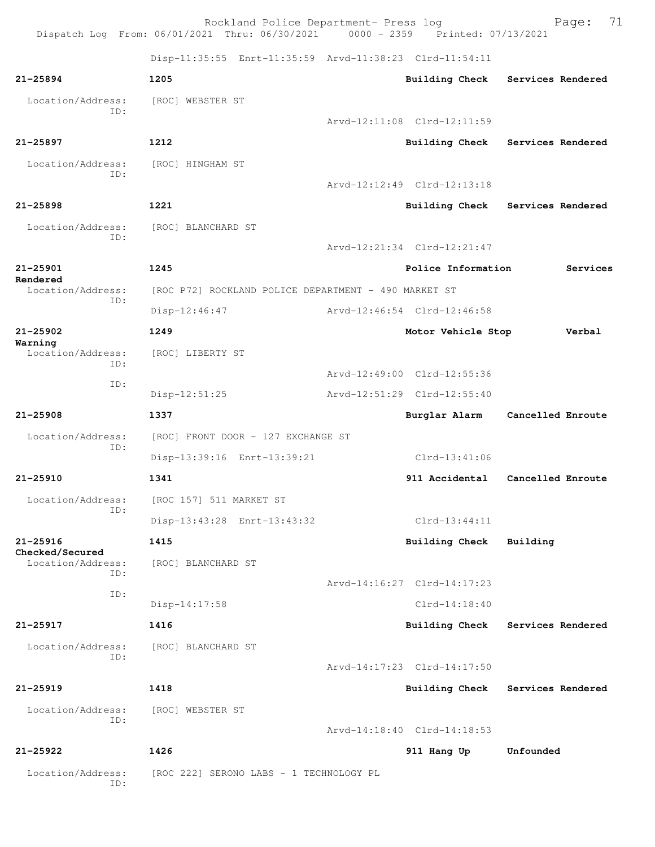Rockland Police Department- Press log Page: 71 Dispatch Log From:  $06/01/2021$  Thru:  $06/30/2021$  0000 - 2359 Disp-11:35:55 Enrt-11:35:59 Arvd-11:38:23 Clrd-11:54:11 **21-25894 1205 Building Check Services Rendered** Location/Address: [ROC] WEBSTER ST ID: Arvd-12:11:08 Clrd-12:11:59 **21-25897 1212 Building Check Services Rendered** Location/Address: [ROC] HINGHAM ST ID: Arvd-12:12:49 Clrd-12:13:18 **21-25898 1221 Building Check Services Rendered** Location/Address: [ROC] BLANCHARD ST ID: Arvd-12:21:34 Clrd-12:21:47 **21-25901 1245 Police Information Services Rendered**  [ROC P72] ROCKLAND POLICE DEPARTMENT - 490 MARKET ST ID: Disp-12:46:47 Arvd-12:46:54 Clrd-12:46:58 **21-25902 1249 Motor Vehicle Stop Verbal Warning**  Location/Address: [ROC] LIBERTY ST ID: Arvd-12:49:00 Clrd-12:55:36 ID: Disp-12:51:25 Arvd-12:51:29 Clrd-12:55:40 **21-25908 1337 Burglar Alarm Cancelled Enroute** Location/Address: [ROC] FRONT DOOR - 127 EXCHANGE ST ID: Disp-13:39:16 Enrt-13:39:21 Clrd-13:41:06 **21-25910 1341 911 Accidental Cancelled Enroute** Location/Address: [ROC 157] 511 MARKET ST ID: Disp-13:43:28 Enrt-13:43:32 Clrd-13:44:11 **21-25916 1415 Building Check Building Checked/Secured**  [ROC] BLANCHARD ST ID: Arvd-14:16:27 Clrd-14:17:23 ID: Disp-14:17:58 Clrd-14:18:40 **21-25917 1416 Building Check Services Rendered** Location/Address: [ROC] BLANCHARD ST ID: Arvd-14:17:23 Clrd-14:17:50 **21-25919 1418 Building Check Services Rendered** Location/Address: [ROC] WEBSTER ST ID: Arvd-14:18:40 Clrd-14:18:53 **21-25922 1426 911 Hang Up Unfounded**  Location/Address: [ROC 222] SERONO LABS - 1 TECHNOLOGY PL ID: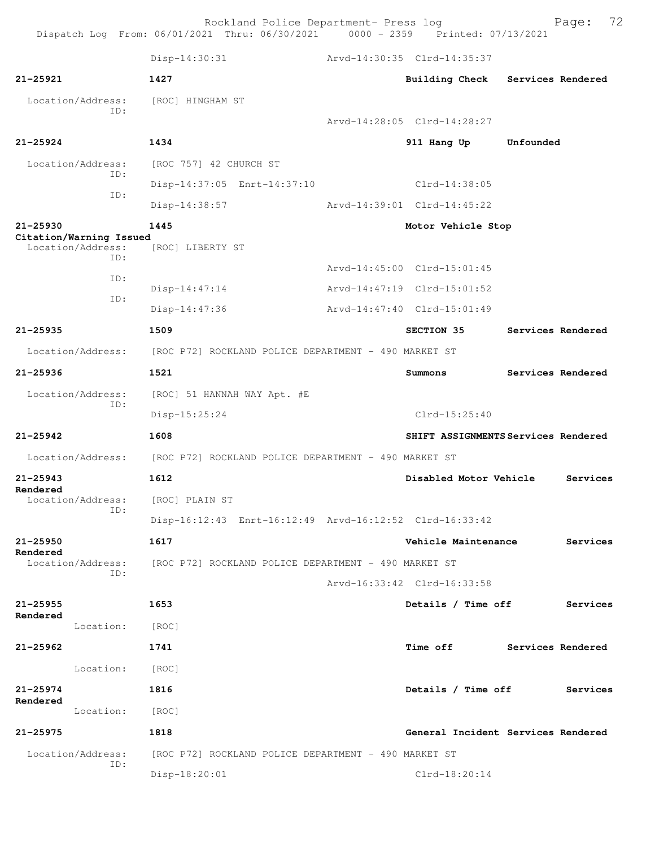Rockland Police Department- Press log Fage: 72 Dispatch Log From: 06/01/2021 Thru: 06/30/2021 0000 - 2359 Printed: 07/13/2021 Disp-14:30:31 Arvd-14:30:35 Clrd-14:35:37 **21-25921 1427 Building Check Services Rendered** Location/Address: [ROC] HINGHAM ST ID: Arvd-14:28:05 Clrd-14:28:27 **21-25924 1434 911 Hang Up Unfounded**  Location/Address: [ROC 757] 42 CHURCH ST ID: Disp-14:37:05 Enrt-14:37:10 Clrd-14:38:05 ID: Disp-14:38:57 Arvd-14:39:01 Clrd-14:45:22 **21-25930 1445 Motor Vehicle Stop Citation/Warning Issued**  Location/Address: ID: Arvd-14:45:00 Clrd-15:01:45 ID: Disp-14:47:14 Arvd-14:47:19 Clrd-15:01:52 ID: Disp-14:47:36 Arvd-14:47:40 Clrd-15:01:49 **21-25935 1509 SECTION 35 Services Rendered** Location/Address: [ROC P72] ROCKLAND POLICE DEPARTMENT - 490 MARKET ST **21-25936 1521 Summons Services Rendered** Location/Address: [ROC] 51 HANNAH WAY Apt. #E ID: Disp-15:25:24 Clrd-15:25:40 **21-25942 1608 SHIFT ASSIGNMENTS Services Rendered** Location/Address: [ROC P72] ROCKLAND POLICE DEPARTMENT - 490 MARKET ST **21-25943 1612 Disabled Motor Vehicle Services Rendered**  Location/Address: [ROC] PLAIN ST ID: Disp-16:12:43 Enrt-16:12:49 Arvd-16:12:52 Clrd-16:33:42 **21-25950 1617 Vehicle Maintenance Services Rendered**  Location/Address: [ROC P72] ROCKLAND POLICE DEPARTMENT - 490 MARKET ST ID: Arvd-16:33:42 Clrd-16:33:58 **21-25955 1653 Details / Time off Services Rendered**  Location: [ROC] **21-25962 1741 Time off Services Rendered** Location: [ROC] **21-25974 1816 Details / Time off Services Rendered**  Location: [ROC] **21-25975 1818 General Incident Services Rendered** Location/Address: [ROC P72] ROCKLAND POLICE DEPARTMENT - 490 MARKET ST ID: Disp-18:20:01 Clrd-18:20:14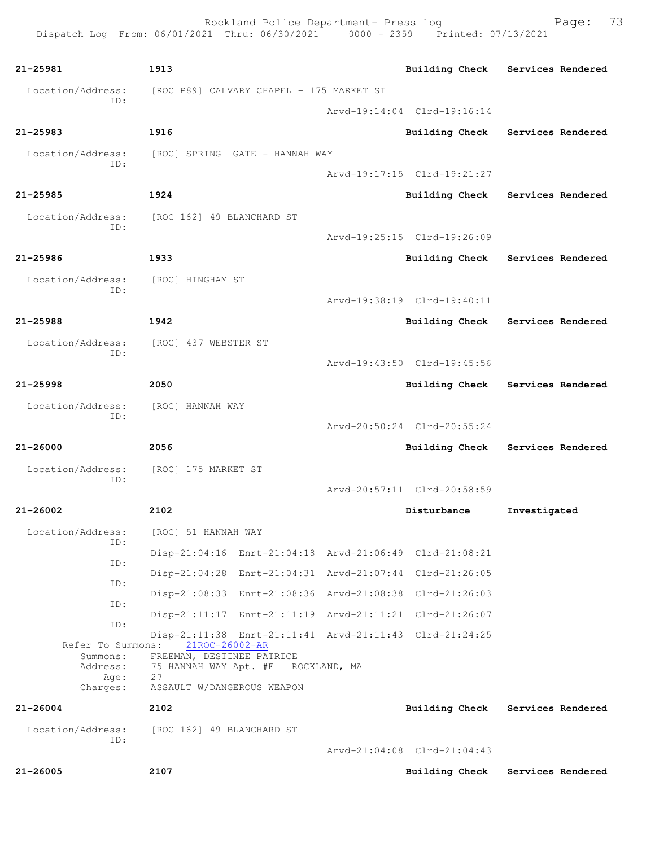Rockland Police Department- Press log Page: 73 Dispatch Log From: 06/01/2021 Thru: 06/30/2021 0000 - 2359 Printed: 07/13/2021 **21-25981 1913 Building Check Services Rendered** Location/Address: [ROC P89] CALVARY CHAPEL - 175 MARKET ST ID: Arvd-19:14:04 Clrd-19:16:14 **21-25983 1916 Building Check Services Rendered** Location/Address: [ROC] SPRING GATE - HANNAH WAY ID: Arvd-19:17:15 Clrd-19:21:27 **21-25985 1924 Building Check Services Rendered** Location/Address: [ROC 162] 49 BLANCHARD ST ID: Arvd-19:25:15 Clrd-19:26:09 **21-25986 1933 Building Check Services Rendered** Location/Address: [ROC] HINGHAM ST ID: Arvd-19:38:19 Clrd-19:40:11 **21-25988 1942 Building Check Services Rendered** Location/Address: [ROC] 437 WEBSTER ST ID: Arvd-19:43:50 Clrd-19:45:56 **21-25998 2050 Building Check Services Rendered** Location/Address: [ROC] HANNAH WAY ID: Arvd-20:50:24 Clrd-20:55:24 **21-26000 2056 Building Check Services Rendered** Location/Address: [ROC] 175 MARKET ST ID: Arvd-20:57:11 Clrd-20:58:59 **21-26002 2102 Disturbance Investigated** Location/Address: [ROC] 51 HANNAH WAY ID: Disp-21:04:16 Enrt-21:04:18 Arvd-21:06:49 Clrd-21:08:21 ID: Disp-21:04:28 Enrt-21:04:31 Arvd-21:07:44 Clrd-21:26:05 ID: Disp-21:08:33 Enrt-21:08:36 Arvd-21:08:38 Clrd-21:26:03 ID: Disp-21:11:17 Enrt-21:11:19 Arvd-21:11:21 Clrd-21:26:07 ID: Disp-21:11:38 Enrt-21:11:41 Arvd-21:11:43 Clrd-21:24:25 Refer To Summons: 21ROC-26002-AR Summons: FREEMAN, DESTINEE PATRICE Address: 75 HANNAH WAY Apt. #F ROCKLAND, MA Age: 27<br>Charges: AS ASSAULT W/DANGEROUS WEAPON **21-26004 2102 Building Check Services Rendered** Location/Address: [ROC 162] 49 BLANCHARD ST ID: Arvd-21:04:08 Clrd-21:04:43 **21-26005 2107 Building Check Services Rendered**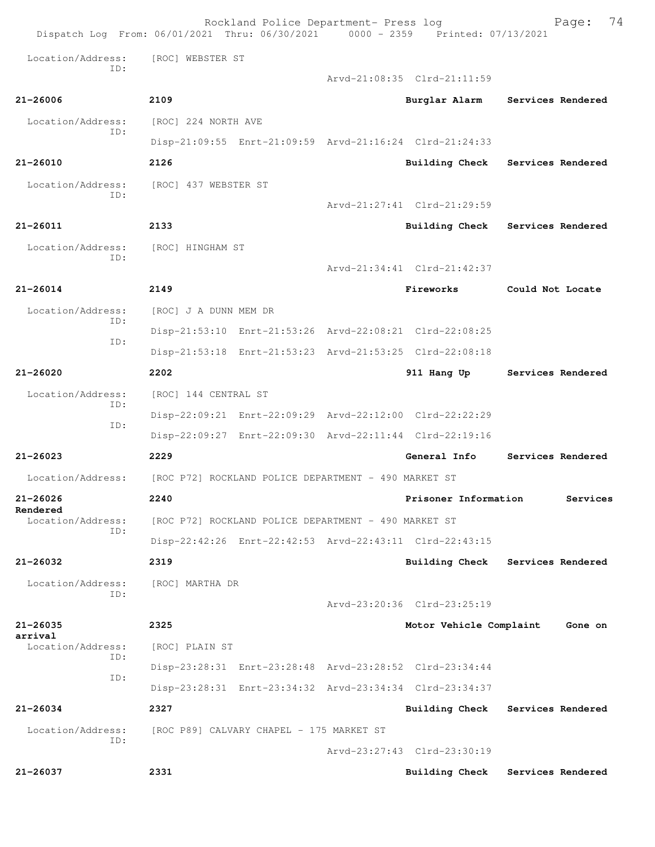| Dispatch Log From: 06/01/2021 Thru: 06/30/2021 0000 - 2359 Printed: 07/13/2021 |                                                         | Rockland Police Department- Press log |                             | 74<br>Page:                      |
|--------------------------------------------------------------------------------|---------------------------------------------------------|---------------------------------------|-----------------------------|----------------------------------|
| Location/Address:<br>TD:                                                       | [ROC] WEBSTER ST                                        |                                       |                             |                                  |
|                                                                                |                                                         |                                       | Arvd-21:08:35 Clrd-21:11:59 |                                  |
| $21 - 26006$                                                                   | 2109                                                    |                                       | Burglar Alarm               | Services Rendered                |
| Location/Address:<br>TD:                                                       | [ROC] 224 NORTH AVE                                     |                                       |                             |                                  |
|                                                                                | Disp-21:09:55 Enrt-21:09:59 Arvd-21:16:24 Clrd-21:24:33 |                                       |                             |                                  |
| $21 - 26010$                                                                   | 2126                                                    |                                       |                             | Building Check Services Rendered |
| Location/Address:<br>TD:                                                       | [ROC] 437 WEBSTER ST                                    |                                       |                             |                                  |
|                                                                                |                                                         |                                       | Arvd-21:27:41 Clrd-21:29:59 |                                  |
| 21-26011                                                                       | 2133                                                    |                                       |                             | Building Check Services Rendered |
| Location/Address:                                                              | [ROC] HINGHAM ST                                        |                                       |                             |                                  |
| TD:                                                                            |                                                         |                                       | Arvd-21:34:41 Clrd-21:42:37 |                                  |
| 21-26014                                                                       | 2149                                                    |                                       | Fireworks                   | Could Not Locate                 |
| Location/Address:                                                              | [ROC] J A DUNN MEM DR                                   |                                       |                             |                                  |
| ID:                                                                            | Disp-21:53:10 Enrt-21:53:26 Arvd-22:08:21 Clrd-22:08:25 |                                       |                             |                                  |
| ID:                                                                            | Disp-21:53:18 Enrt-21:53:23 Arvd-21:53:25 Clrd-22:08:18 |                                       |                             |                                  |
| $21 - 26020$                                                                   | 2202                                                    |                                       | 911 Hang Up                 | Services Rendered                |
| Location/Address:                                                              | [ROC] 144 CENTRAL ST                                    |                                       |                             |                                  |
| ID:                                                                            | Disp-22:09:21 Enrt-22:09:29 Arvd-22:12:00 Clrd-22:22:29 |                                       |                             |                                  |
| ID:                                                                            | Disp-22:09:27 Enrt-22:09:30 Arvd-22:11:44 Clrd-22:19:16 |                                       |                             |                                  |
| $21 - 26023$                                                                   | 2229                                                    |                                       | General Info                | Services Rendered                |
| Location/Address:                                                              | [ROC P72] ROCKLAND POLICE DEPARTMENT - 490 MARKET ST    |                                       |                             |                                  |
| 21-26026                                                                       | 2240                                                    |                                       | Prisoner Information        | Services                         |
| Rendered<br>Location/Address:                                                  | [ROC P72] ROCKLAND POLICE DEPARTMENT - 490 MARKET ST    |                                       |                             |                                  |
| ID:                                                                            | Disp-22:42:26 Enrt-22:42:53 Arvd-22:43:11 Clrd-22:43:15 |                                       |                             |                                  |
| $21 - 26032$                                                                   | 2319                                                    |                                       | Building Check              | Services Rendered                |
| Location/Address:                                                              | [ROC] MARTHA DR                                         |                                       |                             |                                  |
| ID:                                                                            |                                                         |                                       | Arvd-23:20:36 Clrd-23:25:19 |                                  |
| 21-26035                                                                       | 2325                                                    |                                       | Motor Vehicle Complaint     | Gone on                          |
| arrival<br>Location/Address:                                                   | [ROC] PLAIN ST                                          |                                       |                             |                                  |
| ID:                                                                            | Disp-23:28:31 Enrt-23:28:48 Arvd-23:28:52 Clrd-23:34:44 |                                       |                             |                                  |
| ID:                                                                            | Disp-23:28:31 Enrt-23:34:32 Arvd-23:34:34 Clrd-23:34:37 |                                       |                             |                                  |
| 21-26034                                                                       | 2327                                                    |                                       | Building Check              | Services Rendered                |
| Location/Address:                                                              | [ROC P89] CALVARY CHAPEL - 175 MARKET ST                |                                       |                             |                                  |
| ID:                                                                            |                                                         |                                       | Arvd-23:27:43 Clrd-23:30:19 |                                  |
| 21-26037                                                                       | 2331                                                    |                                       | <b>Building Check</b>       | Services Rendered                |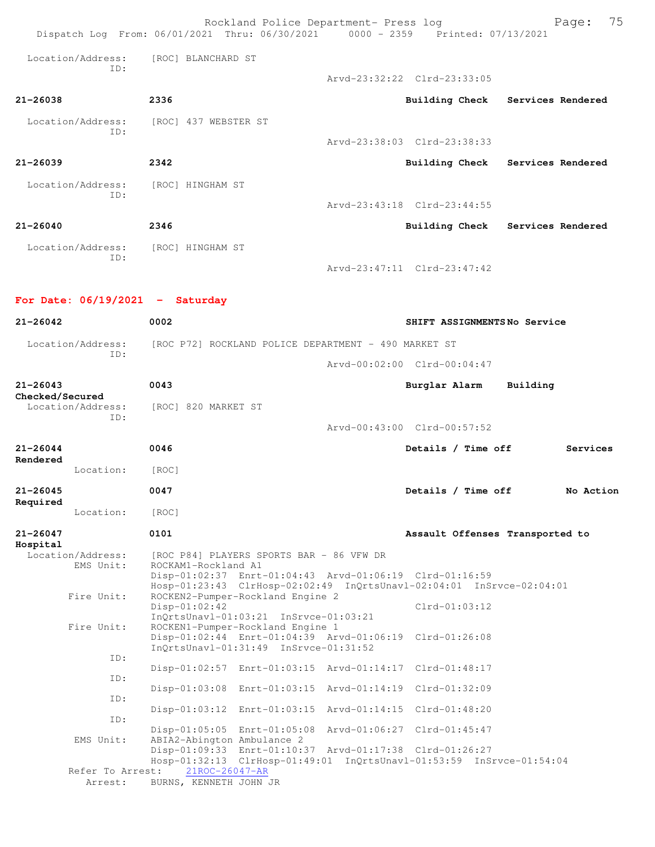|                                      | Rockland Police Department- Press log<br>Dispatch Log From: 06/01/2021 Thru: 06/30/2021 0000 - 2359 Printed: 07/13/2021                                                                                                  |                                     | 75<br>Page: |
|--------------------------------------|--------------------------------------------------------------------------------------------------------------------------------------------------------------------------------------------------------------------------|-------------------------------------|-------------|
| Location/Address:<br>TD:             | [ROC] BLANCHARD ST                                                                                                                                                                                                       |                                     |             |
|                                      |                                                                                                                                                                                                                          | Arvd-23:32:22 Clrd-23:33:05         |             |
| 21-26038                             | 2336                                                                                                                                                                                                                     | Building Check<br>Services Rendered |             |
| Location/Address:<br>ID:             | [ROC] 437 WEBSTER ST                                                                                                                                                                                                     |                                     |             |
|                                      |                                                                                                                                                                                                                          | Arvd-23:38:03 Clrd-23:38:33         |             |
| $21 - 26039$                         | 2342                                                                                                                                                                                                                     | Building Check Services Rendered    |             |
| Location/Address:<br>ID:             | [ROC] HINGHAM ST                                                                                                                                                                                                         |                                     |             |
|                                      |                                                                                                                                                                                                                          | Arvd-23:43:18 Clrd-23:44:55         |             |
| $21 - 26040$                         | 2346                                                                                                                                                                                                                     | Building Check Services Rendered    |             |
| Location/Address:                    | [ROC] HINGHAM ST                                                                                                                                                                                                         |                                     |             |
| ID:                                  |                                                                                                                                                                                                                          | Arvd-23:47:11 Clrd-23:47:42         |             |
| For Date: $06/19/2021 -$ Saturday    |                                                                                                                                                                                                                          |                                     |             |
| $21 - 26042$                         | 0002                                                                                                                                                                                                                     | SHIFT ASSIGNMENTSNo Service         |             |
| Location/Address:                    | [ROC P72] ROCKLAND POLICE DEPARTMENT - 490 MARKET ST                                                                                                                                                                     |                                     |             |
| ID:                                  |                                                                                                                                                                                                                          | Arvd-00:02:00 Clrd-00:04:47         |             |
| $21 - 26043$                         | 0043                                                                                                                                                                                                                     | Burglar Alarm<br>Building           |             |
| Checked/Secured<br>Location/Address: | [ROC] 820 MARKET ST                                                                                                                                                                                                      |                                     |             |
| ID:                                  |                                                                                                                                                                                                                          |                                     |             |
|                                      |                                                                                                                                                                                                                          | Arvd-00:43:00 Clrd-00:57:52         |             |
| $21 - 26044$<br>Rendered             | 0046                                                                                                                                                                                                                     | Details / Time off                  | Services    |
| Location:                            | [ROC]                                                                                                                                                                                                                    |                                     |             |
| $21 - 26045$<br>Required             | 0047                                                                                                                                                                                                                     | Details / Time off                  | No Action   |
| Location:                            | [ROC]                                                                                                                                                                                                                    |                                     |             |
| $21 - 26047$<br>Hospital             | 0101                                                                                                                                                                                                                     | Assault Offenses Transported to     |             |
| Location/Address:<br>EMS Unit:       | [ROC P84] PLAYERS SPORTS BAR - 86 VFW DR<br>ROCKAM1-Rockland A1<br>Disp-01:02:37 Enrt-01:04:43 Arvd-01:06:19 Clrd-01:16:59<br>Hosp-01:23:43 ClrHosp-02:02:49 InQrtsUnavl-02:04:01 InSrvce-02:04:01                       |                                     |             |
| Fire Unit:                           | ROCKEN2-Pumper-Rockland Engine 2<br>$Disp-01:02:42$<br>InQrtsUnavl-01:03:21 InSrvce-01:03:21                                                                                                                             | $Clrd-01:03:12$                     |             |
| Fire Unit:                           | ROCKEN1-Pumper-Rockland Engine 1<br>Disp-01:02:44 Enrt-01:04:39 Arvd-01:06:19 Clrd-01:26:08<br>InQrtsUnavl-01:31:49 InSrvce-01:31:52                                                                                     |                                     |             |
| ID:                                  | Disp-01:02:57 Enrt-01:03:15 Arvd-01:14:17 Clrd-01:48:17                                                                                                                                                                  |                                     |             |
| ID:                                  | Disp-01:03:08 Enrt-01:03:15 Arvd-01:14:19 Clrd-01:32:09                                                                                                                                                                  |                                     |             |
| ID:                                  | Disp-01:03:12 Enrt-01:03:15 Arvd-01:14:15 Clrd-01:48:20                                                                                                                                                                  |                                     |             |
| ID:                                  |                                                                                                                                                                                                                          |                                     |             |
| EMS Unit:                            | Disp-01:05:05 Enrt-01:05:08 Arvd-01:06:27 Clrd-01:45:47<br>ABIA2-Abington Ambulance 2<br>Disp-01:09:33 Enrt-01:10:37 Arvd-01:17:38 Clrd-01:26:27<br>Hosp-01:32:13 ClrHosp-01:49:01 InQrtsUnavl-01:53:59 InSrvce-01:54:04 |                                     |             |
| Refer To Arrest:                     | 21ROC-26047-AR                                                                                                                                                                                                           |                                     |             |
| Arrest:                              | BURNS, KENNETH JOHN JR                                                                                                                                                                                                   |                                     |             |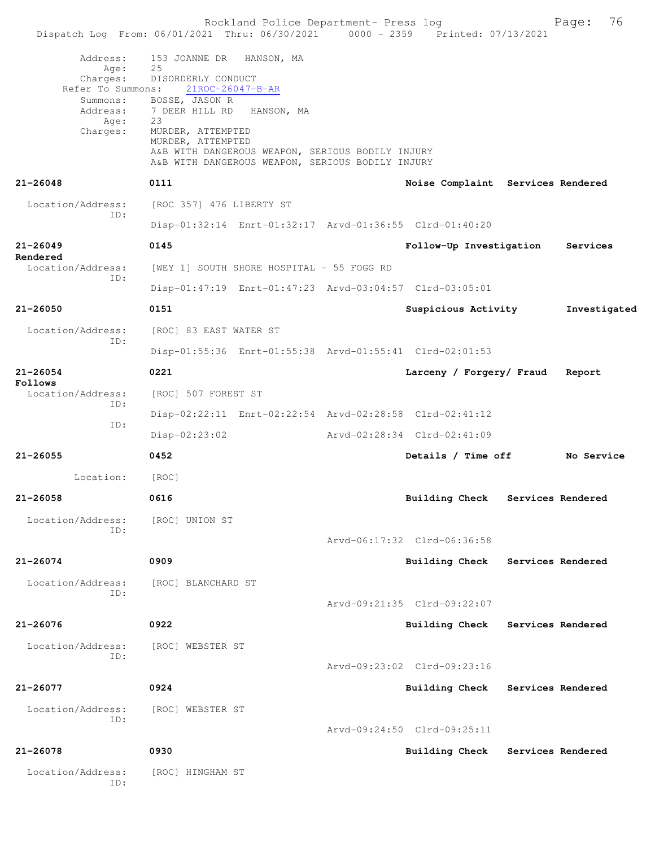|                                                                                               | Rockland Police Department- Press log<br>Dispatch Log From: 06/01/2021 Thru: 06/30/2021 0000 - 2359 Printed: 07/13/2021                                                                                                                                                            |                                   |                   | 76<br>Page:  |
|-----------------------------------------------------------------------------------------------|------------------------------------------------------------------------------------------------------------------------------------------------------------------------------------------------------------------------------------------------------------------------------------|-----------------------------------|-------------------|--------------|
| Address:<br>Age:<br>Charges:<br>Refer To Summons:<br>Summons:<br>Address:<br>Age:<br>Charges: | 153 JOANNE DR<br>HANSON, MA<br>25<br>DISORDERLY CONDUCT<br>21ROC-26047-B-AR<br>BOSSE, JASON R<br>7 DEER HILL RD HANSON, MA<br>23<br>MURDER, ATTEMPTED<br>MURDER, ATTEMPTED<br>A&B WITH DANGEROUS WEAPON, SERIOUS BODILY INJURY<br>A&B WITH DANGEROUS WEAPON, SERIOUS BODILY INJURY |                                   |                   |              |
| 21-26048                                                                                      | 0111                                                                                                                                                                                                                                                                               | Noise Complaint Services Rendered |                   |              |
| Location/Address:                                                                             | [ROC 357] 476 LIBERTY ST                                                                                                                                                                                                                                                           |                                   |                   |              |
| ID:                                                                                           | Disp-01:32:14 Enrt-01:32:17 Arvd-01:36:55 Clrd-01:40:20                                                                                                                                                                                                                            |                                   |                   |              |
| 21-26049                                                                                      | 0145                                                                                                                                                                                                                                                                               | Follow-Up Investigation           |                   | Services     |
| Rendered<br>Location/Address:                                                                 | [WEY 1] SOUTH SHORE HOSPITAL - 55 FOGG RD                                                                                                                                                                                                                                          |                                   |                   |              |
| ID:                                                                                           | Disp-01:47:19 Enrt-01:47:23 Arvd-03:04:57 Clrd-03:05:01                                                                                                                                                                                                                            |                                   |                   |              |
| 21-26050                                                                                      | 0151                                                                                                                                                                                                                                                                               | Suspicious Activity               |                   | Investigated |
| Location/Address:                                                                             | [ROC] 83 EAST WATER ST                                                                                                                                                                                                                                                             |                                   |                   |              |
| ID:                                                                                           | Disp-01:55:36 Enrt-01:55:38 Arvd-01:55:41 Clrd-02:01:53                                                                                                                                                                                                                            |                                   |                   |              |
| 21-26054<br>Follows                                                                           | 0221                                                                                                                                                                                                                                                                               | Larceny / Forgery/ Fraud          |                   | Report       |
| Location/Address:<br>ID:                                                                      | [ROC] 507 FOREST ST                                                                                                                                                                                                                                                                |                                   |                   |              |
| ID:                                                                                           | Disp-02:22:11 Enrt-02:22:54 Arvd-02:28:58 Clrd-02:41:12                                                                                                                                                                                                                            |                                   |                   |              |
|                                                                                               | Disp-02:23:02                                                                                                                                                                                                                                                                      | Arvd-02:28:34 Clrd-02:41:09       |                   |              |
| 21-26055                                                                                      | 0452                                                                                                                                                                                                                                                                               | Details / Time off                |                   | No Service   |
| Location:                                                                                     | [ROC]                                                                                                                                                                                                                                                                              |                                   |                   |              |
| 21-26058                                                                                      | 0616                                                                                                                                                                                                                                                                               | <b>Building Check</b>             | Services Rendered |              |
| Location/Address:<br>ID:                                                                      | [ROC] UNION ST                                                                                                                                                                                                                                                                     |                                   |                   |              |
|                                                                                               |                                                                                                                                                                                                                                                                                    | Arvd-06:17:32 Clrd-06:36:58       |                   |              |
| 21-26074                                                                                      | 0909                                                                                                                                                                                                                                                                               | <b>Building Check</b>             | Services Rendered |              |
| Location/Address:<br>ID:                                                                      | [ROC] BLANCHARD ST                                                                                                                                                                                                                                                                 |                                   |                   |              |
|                                                                                               |                                                                                                                                                                                                                                                                                    | Arvd-09:21:35 Clrd-09:22:07       |                   |              |
| 21-26076                                                                                      | 0922                                                                                                                                                                                                                                                                               | <b>Building Check</b>             | Services Rendered |              |
| Location/Address:<br>ID:                                                                      | [ROC] WEBSTER ST                                                                                                                                                                                                                                                                   |                                   |                   |              |
|                                                                                               |                                                                                                                                                                                                                                                                                    | Arvd-09:23:02 Clrd-09:23:16       |                   |              |
| 21-26077                                                                                      | 0924                                                                                                                                                                                                                                                                               | <b>Building Check</b>             | Services Rendered |              |
| Location/Address:<br>ID:                                                                      | [ROC] WEBSTER ST                                                                                                                                                                                                                                                                   |                                   |                   |              |
|                                                                                               |                                                                                                                                                                                                                                                                                    | Arvd-09:24:50 Clrd-09:25:11       |                   |              |
| 21-26078                                                                                      | 0930                                                                                                                                                                                                                                                                               | <b>Building Check</b>             | Services Rendered |              |
| Location/Address:<br>ID:                                                                      | [ROC] HINGHAM ST                                                                                                                                                                                                                                                                   |                                   |                   |              |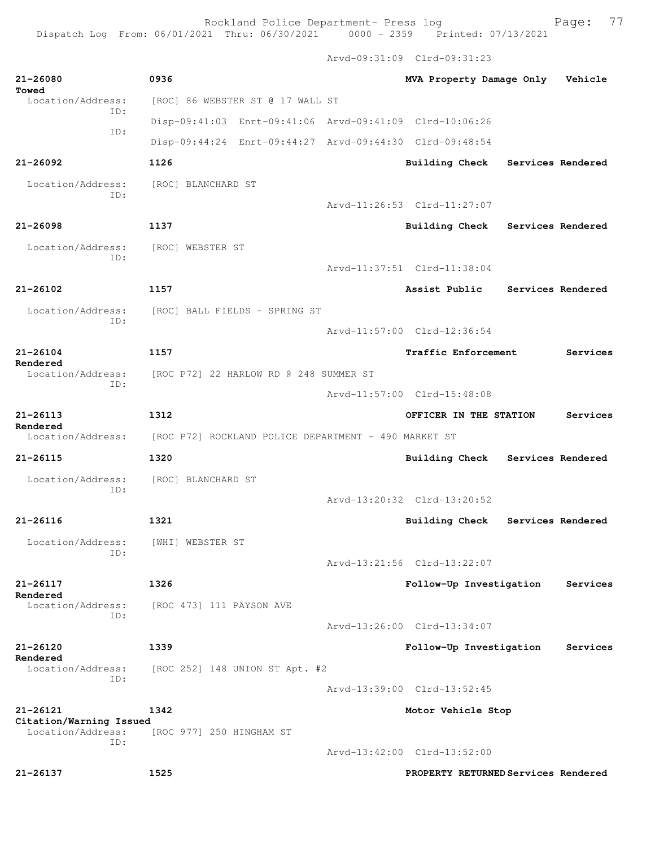Rockland Police Department- Press log entitled and Page: 77

Arvd-09:31:09 Clrd-09:31:23

| 21-26080<br>Towed                            | 0936                                                    | MVA Property Damage Only    |                   | Vehicle           |
|----------------------------------------------|---------------------------------------------------------|-----------------------------|-------------------|-------------------|
| Location/Address:<br>ID:                     | [ROC] 86 WEBSTER ST @ 17 WALL ST                        |                             |                   |                   |
| ID:                                          | Disp-09:41:03 Enrt-09:41:06 Arvd-09:41:09 Clrd-10:06:26 |                             |                   |                   |
|                                              | Disp-09:44:24 Enrt-09:44:27 Arvd-09:44:30 Clrd-09:48:54 |                             |                   |                   |
| $21 - 26092$                                 | 1126                                                    | <b>Building Check</b>       |                   | Services Rendered |
| Location/Address:<br>ID:                     | [ROC] BLANCHARD ST                                      |                             |                   |                   |
|                                              |                                                         | Arvd-11:26:53 Clrd-11:27:07 |                   |                   |
| $21 - 26098$                                 | 1137                                                    | <b>Building Check</b>       | Services Rendered |                   |
| Location/Address:                            | [ROC] WEBSTER ST                                        |                             |                   |                   |
| ID:                                          |                                                         | Arvd-11:37:51 Clrd-11:38:04 |                   |                   |
| $21 - 26102$                                 | 1157                                                    | Assist Public               |                   | Services Rendered |
| Location/Address:                            | [ROC] BALL FIELDS - SPRING ST                           |                             |                   |                   |
| ID:                                          |                                                         | Arvd-11:57:00 Clrd-12:36:54 |                   |                   |
| $21 - 26104$                                 | 1157                                                    | Traffic Enforcement         |                   | Services          |
| Rendered<br>Location/Address:                | [ROC P72] 22 HARLOW RD @ 248 SUMMER ST                  |                             |                   |                   |
| ID:                                          |                                                         | Arvd-11:57:00 Clrd-15:48:08 |                   |                   |
| $21 - 26113$                                 | 1312                                                    | OFFICER IN THE STATION      |                   | Services          |
| Rendered<br>Location/Address:                |                                                         |                             |                   |                   |
|                                              | [ROC P72] ROCKLAND POLICE DEPARTMENT - 490 MARKET ST    |                             |                   |                   |
| $21 - 26115$                                 | 1320                                                    | <b>Building Check</b>       |                   | Services Rendered |
| Location/Address:<br>ID:                     | [ROC] BLANCHARD ST                                      |                             |                   |                   |
|                                              |                                                         | Arvd-13:20:32 Clrd-13:20:52 |                   |                   |
| $21 - 26116$                                 | 1321                                                    | <b>Building Check</b>       | Services Rendered |                   |
| Location/Address: [WHI] WEBSTER ST<br>ID:    |                                                         |                             |                   |                   |
|                                              |                                                         | Arvd-13:21:56 Clrd-13:22:07 |                   |                   |
| $21 - 26117$<br>Rendered                     | 1326                                                    | Follow-Up Investigation     |                   | Services          |
| Location/Address:<br>TD:                     | [ROC 473] 111 PAYSON AVE                                |                             |                   |                   |
|                                              |                                                         | Arvd-13:26:00 Clrd-13:34:07 |                   |                   |
| 21-26120                                     | 1339                                                    | Follow-Up Investigation     |                   | Services          |
| Rendered<br>Location/Address:                | [ROC 252] 148 UNION ST Apt. #2                          |                             |                   |                   |
| ID:                                          |                                                         | Arvd-13:39:00 Clrd-13:52:45 |                   |                   |
| 21-26121                                     | 1342                                                    | Motor Vehicle Stop          |                   |                   |
| Citation/Warning Issued<br>Location/Address: | [ROC 977] 250 HINGHAM ST                                |                             |                   |                   |
| ID:                                          |                                                         | Arvd-13:42:00 Clrd-13:52:00 |                   |                   |
|                                              |                                                         |                             |                   |                   |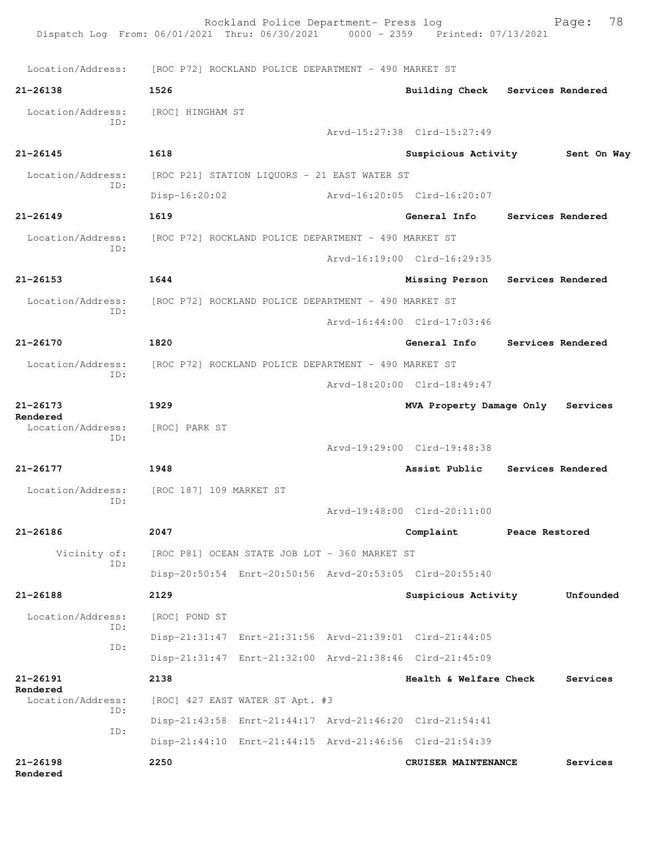|                          | Rockland Police Department- Press log<br>Dispatch Log From: 06/01/2021 Thru: 06/30/2021 0000 - 2359 Printed: 07/13/2021 |                                   |                | 78<br>Page:       |
|--------------------------|-------------------------------------------------------------------------------------------------------------------------|-----------------------------------|----------------|-------------------|
|                          | Location/Address: [ROC P72] ROCKLAND POLICE DEPARTMENT - 490 MARKET ST                                                  |                                   |                |                   |
| $21 - 26138$             | 1526                                                                                                                    | <b>Building Check</b>             |                | Services Rendered |
| Location/Address:<br>ID: | [ROC] HINGHAM ST                                                                                                        | Arvd-15:27:38 Clrd-15:27:49       |                |                   |
| $21 - 26145$             | 1618                                                                                                                    | Suspicious Activity               |                | Sent On Way       |
| Location/Address:        | [ROC P21] STATION LIQUORS - 21 EAST WATER ST                                                                            |                                   |                |                   |
| ID:                      | $Disp-16:20:02$                                                                                                         | Arvd-16:20:05 Clrd-16:20:07       |                |                   |
| $21 - 26149$             | 1619                                                                                                                    | General Info                      |                | Services Rendered |
|                          | Location/Address: [ROC P72] ROCKLAND POLICE DEPARTMENT - 490 MARKET ST                                                  |                                   |                |                   |
| ID:                      |                                                                                                                         | Arvd-16:19:00 Clrd-16:29:35       |                |                   |
| $21 - 26153$             | 1644                                                                                                                    |                                   |                |                   |
|                          |                                                                                                                         | Missing Person                    |                | Services Rendered |
| Location/Address:<br>ID: | [ROC P72] ROCKLAND POLICE DEPARTMENT - 490 MARKET ST                                                                    |                                   |                |                   |
|                          |                                                                                                                         | Arvd-16:44:00 Clrd-17:03:46       |                |                   |
| 21-26170                 | 1820                                                                                                                    | General Info                      |                | Services Rendered |
| Location/Address:<br>ID: | [ROC P72] ROCKLAND POLICE DEPARTMENT - 490 MARKET ST                                                                    |                                   |                |                   |
|                          |                                                                                                                         | Arvd-18:20:00 Clrd-18:49:47       |                |                   |
| $21 - 26173$<br>Rendered | 1929                                                                                                                    | MVA Property Damage Only Services |                |                   |
| Location/Address:<br>ID: | [ROC] PARK ST                                                                                                           | Arvd-19:29:00 Clrd-19:48:38       |                |                   |
| 21-26177                 | 1948                                                                                                                    | Assist Public                     |                | Services Rendered |
| Location/Address:<br>ID: | [ROC 187] 109 MARKET ST                                                                                                 |                                   |                |                   |
|                          |                                                                                                                         | Arvd-19:48:00 Clrd-20:11:00       |                |                   |
| $21 - 26186$             | 2047                                                                                                                    | Complaint                         | Peace Restored |                   |
| Vicinity of:<br>ID:      | [ROC P81] OCEAN STATE JOB LOT - 360 MARKET ST                                                                           |                                   |                |                   |
|                          | Disp-20:50:54 Enrt-20:50:56 Arvd-20:53:05 Clrd-20:55:40                                                                 |                                   |                |                   |
| $21 - 26188$             | 2129                                                                                                                    | Suspicious Activity               |                | Unfounded         |
| Location/Address:<br>ID: | [ROC] POND ST                                                                                                           |                                   |                |                   |
| ID:                      | Disp-21:31:47 Enrt-21:31:56 Arvd-21:39:01 Clrd-21:44:05                                                                 |                                   |                |                   |
|                          | Disp-21:31:47 Enrt-21:32:00 Arvd-21:38:46 Clrd-21:45:09                                                                 |                                   |                |                   |
| 21-26191<br>Rendered     | 2138                                                                                                                    | Health & Welfare Check            |                | Services          |
| Location/Address:<br>ID: | [ROC] 427 EAST WATER ST Apt. #3                                                                                         |                                   |                |                   |
| ID:                      | Disp-21:43:58 Enrt-21:44:17 Arvd-21:46:20 Clrd-21:54:41                                                                 |                                   |                |                   |
|                          | Disp-21:44:10 Enrt-21:44:15 Arvd-21:46:56 Clrd-21:54:39                                                                 |                                   |                |                   |
| $21 - 26198$<br>Rendered | 2250                                                                                                                    | CRUISER MAINTENANCE               |                | Services          |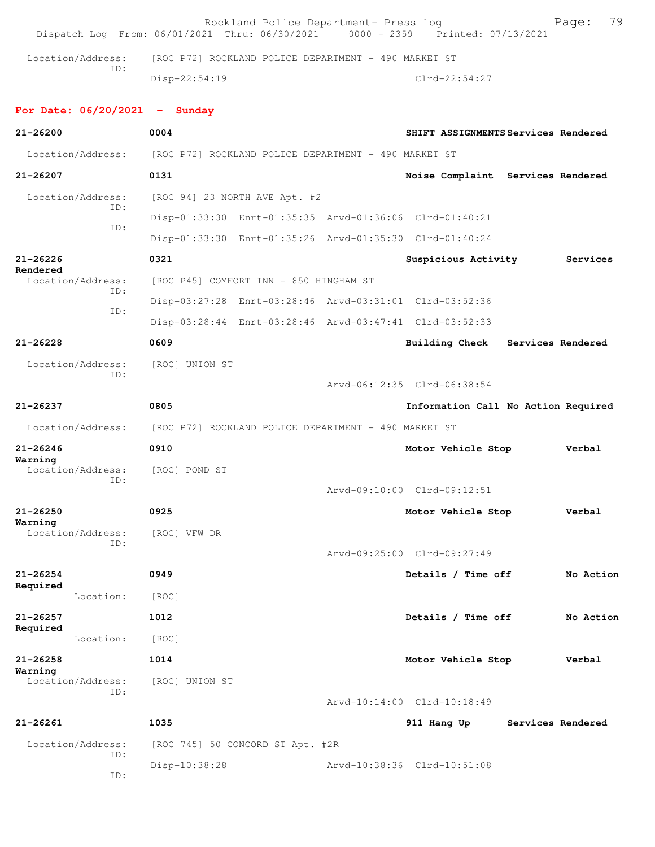| Dispatch Log From: 06/01/2021 Thru: 06/30/2021 0000 - 2359 Printed: 07/13/2021 |                                                      | Rockland Police Department- Press log                |                                                         | Page:             | 79 |
|--------------------------------------------------------------------------------|------------------------------------------------------|------------------------------------------------------|---------------------------------------------------------|-------------------|----|
| Location/Address:                                                              |                                                      | [ROC P72] ROCKLAND POLICE DEPARTMENT - 490 MARKET ST |                                                         |                   |    |
| TD:                                                                            | $Disp-22:54:19$                                      |                                                      | $Clrd-22:54:27$                                         |                   |    |
| For Date: $06/20/2021$ - Sunday                                                |                                                      |                                                      |                                                         |                   |    |
| $21 - 26200$                                                                   | 0004                                                 |                                                      | SHIFT ASSIGNMENTS Services Rendered                     |                   |    |
| Location/Address:                                                              | [ROC P72] ROCKLAND POLICE DEPARTMENT - 490 MARKET ST |                                                      |                                                         |                   |    |
| 21-26207                                                                       | 0131                                                 |                                                      | Noise Complaint Services Rendered                       |                   |    |
| Location/Address:<br>ID:                                                       |                                                      | [ROC 94] 23 NORTH AVE Apt. #2                        |                                                         |                   |    |
| ID:                                                                            |                                                      |                                                      | Disp-01:33:30 Enrt-01:35:35 Arvd-01:36:06 Clrd-01:40:21 |                   |    |
|                                                                                |                                                      |                                                      | Disp-01:33:30 Enrt-01:35:26 Arvd-01:35:30 Clrd-01:40:24 |                   |    |
| $21 - 26226$<br>Rendered                                                       | 0321                                                 |                                                      | Suspicious Activity                                     | Services          |    |
| Location/Address:<br>ID:                                                       |                                                      | [ROC P45] COMFORT INN - 850 HINGHAM ST               |                                                         |                   |    |
| ID:                                                                            |                                                      |                                                      | Disp-03:27:28 Enrt-03:28:46 Arvd-03:31:01 Clrd-03:52:36 |                   |    |
|                                                                                |                                                      |                                                      | Disp-03:28:44 Enrt-03:28:46 Arvd-03:47:41 Clrd-03:52:33 |                   |    |
| $21 - 26228$                                                                   | 0609                                                 |                                                      | Building Check Services Rendered                        |                   |    |
| Location/Address:                                                              | [ROC] UNION ST                                       |                                                      |                                                         |                   |    |
| ID:                                                                            |                                                      |                                                      | Arvd-06:12:35 Clrd-06:38:54                             |                   |    |
| $21 - 26237$                                                                   | 0805                                                 |                                                      | Information Call No Action Required                     |                   |    |
| Location/Address:                                                              | [ROC P72] ROCKLAND POLICE DEPARTMENT - 490 MARKET ST |                                                      |                                                         |                   |    |
| $21 - 26246$                                                                   | 0910                                                 |                                                      | Motor Vehicle Stop                                      | Verbal            |    |
| Warning<br>Location/Address:                                                   | [ROC] POND ST                                        |                                                      |                                                         |                   |    |
| ID:                                                                            |                                                      |                                                      | Arvd-09:10:00 Clrd-09:12:51                             |                   |    |
| $21 - 26250$                                                                   | 0925                                                 |                                                      | Motor Vehicle Stop                                      | Verbal            |    |
| Warning<br>Location/Address:                                                   | [ROC] VFW DR                                         |                                                      |                                                         |                   |    |
| TD:                                                                            |                                                      |                                                      | Arvd-09:25:00 Clrd-09:27:49                             |                   |    |
| $21 - 26254$                                                                   | 0949                                                 |                                                      | Details / Time off                                      | No Action         |    |
| Required<br>Location:                                                          | [ROC]                                                |                                                      |                                                         |                   |    |
| $21 - 26257$                                                                   | 1012                                                 |                                                      | Details / Time off                                      | No Action         |    |
| Required<br>Location:                                                          | [ROC]                                                |                                                      |                                                         |                   |    |
| $21 - 26258$                                                                   | 1014                                                 |                                                      | Motor Vehicle Stop                                      | Verbal            |    |
| Warning<br>Location/Address:                                                   | [ROC] UNION ST                                       |                                                      |                                                         |                   |    |
| ID:                                                                            |                                                      |                                                      | Arvd-10:14:00 Clrd-10:18:49                             |                   |    |
| $21 - 26261$                                                                   | 1035                                                 |                                                      | 911 Hang Up                                             | Services Rendered |    |
| Location/Address:                                                              |                                                      | [ROC 745] 50 CONCORD ST Apt. #2R                     |                                                         |                   |    |
| ID:                                                                            | Disp-10:38:28                                        |                                                      | Arvd-10:38:36 Clrd-10:51:08                             |                   |    |
| ID:                                                                            |                                                      |                                                      |                                                         |                   |    |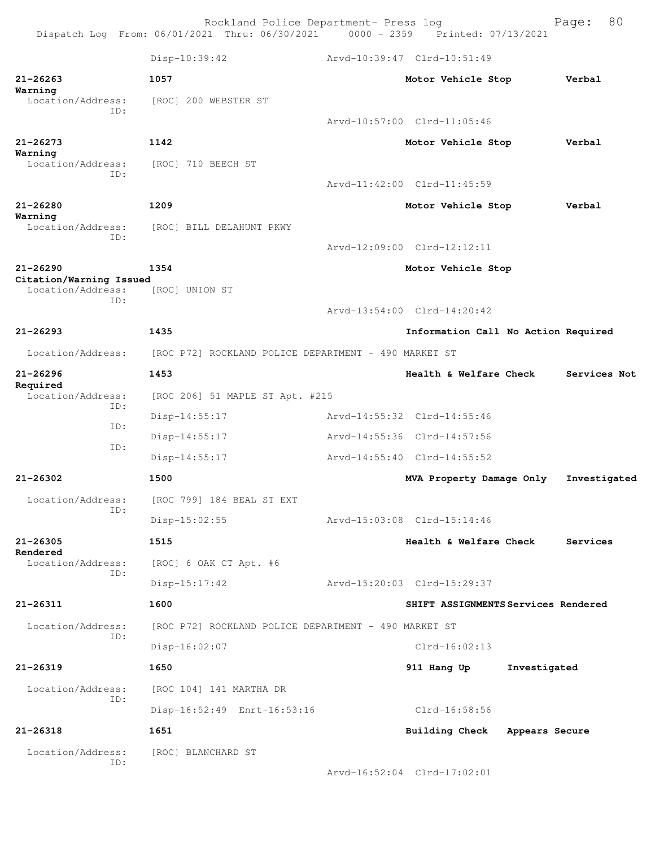|                                              | Rockland Police Department- Press log<br>Dispatch Log From: 06/01/2021 Thru: 06/30/2021 0000 - 2359 Printed: 07/13/2021 |                                     |                | Page:        | 80 |
|----------------------------------------------|-------------------------------------------------------------------------------------------------------------------------|-------------------------------------|----------------|--------------|----|
|                                              | Disp-10:39:42                                                                                                           | Arvd-10:39:47 Clrd-10:51:49         |                |              |    |
| $21 - 26263$<br>Warning                      | 1057                                                                                                                    | Motor Vehicle Stop                  |                | Verbal       |    |
| Location/Address:<br>ID:                     | [ROC] 200 WEBSTER ST                                                                                                    |                                     |                |              |    |
|                                              |                                                                                                                         | Arvd-10:57:00 Clrd-11:05:46         |                |              |    |
| $21 - 26273$                                 | 1142                                                                                                                    | Motor Vehicle Stop                  |                | Verbal       |    |
| Warning<br>Location/Address:<br>TD:          | [ROC] 710 BEECH ST                                                                                                      |                                     |                |              |    |
|                                              |                                                                                                                         | Arvd-11:42:00 Clrd-11:45:59         |                |              |    |
| $21 - 26280$                                 | 1209                                                                                                                    | Motor Vehicle Stop                  |                | Verbal       |    |
| Warning<br>Location/Address:                 | [ROC] BILL DELAHUNT PKWY                                                                                                |                                     |                |              |    |
| ID:                                          |                                                                                                                         | Arvd-12:09:00 Clrd-12:12:11         |                |              |    |
| $21 - 26290$                                 | 1354                                                                                                                    | Motor Vehicle Stop                  |                |              |    |
| Citation/Warning Issued<br>Location/Address: | [ROC] UNION ST                                                                                                          |                                     |                |              |    |
| ID:                                          |                                                                                                                         | Arvd-13:54:00 Clrd-14:20:42         |                |              |    |
| $21 - 26293$                                 | 1435                                                                                                                    | Information Call No Action Required |                |              |    |
| Location/Address:                            | [ROC P72] ROCKLAND POLICE DEPARTMENT - 490 MARKET ST                                                                    |                                     |                |              |    |
| $21 - 26296$                                 | 1453                                                                                                                    | Health & Welfare Check              |                | Services Not |    |
| Required<br>Location/Address:                | [ROC 206] 51 MAPLE ST Apt. #215                                                                                         |                                     |                |              |    |
| ID:                                          | $Disp-14:55:17$                                                                                                         | Arvd-14:55:32 Clrd-14:55:46         |                |              |    |
| ID:                                          | $Disp-14:55:17$                                                                                                         | Arvd-14:55:36 Clrd-14:57:56         |                |              |    |
| ID:                                          | $Disp-14:55:17$                                                                                                         | Arvd-14:55:40 Clrd-14:55:52         |                |              |    |
| 21-26302                                     | 1500                                                                                                                    | MVA Property Damage Only            |                | Investigated |    |
| Location/Address:                            | [ROC 799] 184 BEAL ST EXT                                                                                               |                                     |                |              |    |
| ID:                                          | $Disp-15:02:55$                                                                                                         | Arvd-15:03:08 Clrd-15:14:46         |                |              |    |
| $21 - 26305$                                 | 1515                                                                                                                    | Health & Welfare Check              |                | Services     |    |
| Rendered<br>Location/Address:                | [ROC] 6 OAK CT Apt. #6                                                                                                  |                                     |                |              |    |
| ID:                                          | $Disp-15:17:42$                                                                                                         | Arvd-15:20:03 Clrd-15:29:37         |                |              |    |
| 21-26311                                     | 1600                                                                                                                    | SHIFT ASSIGNMENTS Services Rendered |                |              |    |
| Location/Address:                            | [ROC P72] ROCKLAND POLICE DEPARTMENT - 490 MARKET ST                                                                    |                                     |                |              |    |
| ID:                                          | Disp-16:02:07                                                                                                           | $Clrd-16:02:13$                     |                |              |    |
| $21 - 26319$                                 | 1650                                                                                                                    | 911 Hang Up                         | Investigated   |              |    |
| Location/Address:                            | [ROC 104] 141 MARTHA DR                                                                                                 |                                     |                |              |    |
| ID:                                          | Disp-16:52:49 Enrt-16:53:16                                                                                             | $Clrd-16:58:56$                     |                |              |    |
| $21 - 26318$                                 | 1651                                                                                                                    | <b>Building Check</b>               | Appears Secure |              |    |
| Location/Address:                            | [ROC] BLANCHARD ST                                                                                                      |                                     |                |              |    |
| ID:                                          |                                                                                                                         | Arvd-16:52:04 Clrd-17:02:01         |                |              |    |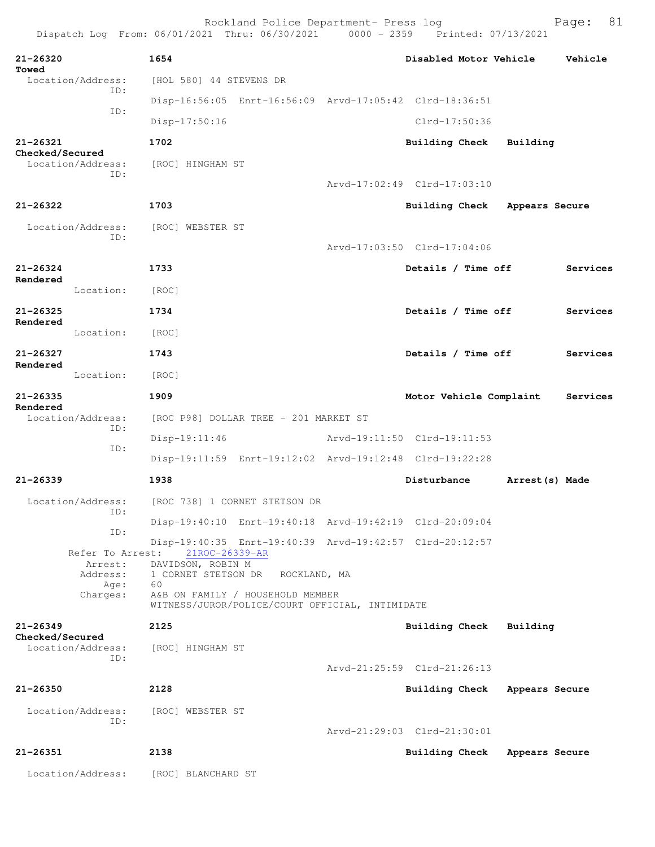|                             |                          |                         | Rockland Police Department- Press log                                               | Dispatch Log From: 06/01/2021 Thru: 06/30/2021 0000 - 2359 Printed: 07/13/2021 |                 | 81<br>Page: |
|-----------------------------|--------------------------|-------------------------|-------------------------------------------------------------------------------------|--------------------------------------------------------------------------------|-----------------|-------------|
| 21-26320<br>Towed           |                          | 1654                    |                                                                                     | Disabled Motor Vehicle                                                         |                 | Vehicle     |
|                             | Location/Address:        | [HOL 580] 44 STEVENS DR |                                                                                     |                                                                                |                 |             |
|                             | TD:                      |                         | Disp-16:56:05 Enrt-16:56:09 Arvd-17:05:42 Clrd-18:36:51                             |                                                                                |                 |             |
|                             | ID:                      | $Disp-17:50:16$         |                                                                                     | Clrd-17:50:36                                                                  |                 |             |
| 21-26321<br>Checked/Secured |                          | 1702                    |                                                                                     | Building Check                                                                 | Building        |             |
|                             | Location/Address:<br>TD: | [ROC] HINGHAM ST        |                                                                                     |                                                                                |                 |             |
|                             |                          |                         |                                                                                     | Arvd-17:02:49 Clrd-17:03:10                                                    |                 |             |
| $21 - 26322$                |                          | 1703                    |                                                                                     | Building Check                                                                 | Appears Secure  |             |
|                             | Location/Address:        | [ROC] WEBSTER ST        |                                                                                     |                                                                                |                 |             |
|                             | ID:                      |                         |                                                                                     | Arvd-17:03:50 Clrd-17:04:06                                                    |                 |             |
| $21 - 26324$                |                          | 1733                    |                                                                                     | Details / Time off                                                             |                 | Services    |
| Rendered                    | Location:                | [ROC]                   |                                                                                     |                                                                                |                 |             |
| $21 - 26325$                |                          | 1734                    |                                                                                     | Details / Time off                                                             |                 | Services    |
| Rendered                    | Location:                | [ROC]                   |                                                                                     |                                                                                |                 |             |
| 21-26327                    |                          | 1743                    |                                                                                     | Details / Time off                                                             |                 | Services    |
| Rendered                    | Location:                | [ROC]                   |                                                                                     |                                                                                |                 |             |
| $21 - 26335$                |                          | 1909                    |                                                                                     | Motor Vehicle Complaint                                                        |                 | Services    |
| Rendered                    | Location/Address:<br>ID: |                         | [ROC P98] DOLLAR TREE - 201 MARKET ST                                               |                                                                                |                 |             |
|                             | ID:                      | $Disp-19:11:46$         |                                                                                     | Arvd-19:11:50 Clrd-19:11:53                                                    |                 |             |
|                             |                          |                         | Disp-19:11:59 Enrt-19:12:02 Arvd-19:12:48 Clrd-19:22:28                             |                                                                                |                 |             |
| $21 - 26339$                |                          | 1938                    |                                                                                     | Disturbance                                                                    | Arrest (s) Made |             |
|                             | Location/Address:<br>ID: |                         | [ROC 738] 1 CORNET STETSON DR                                                       |                                                                                |                 |             |
|                             | ID:                      |                         | Disp-19:40:10 Enrt-19:40:18 Arvd-19:42:19 Clrd-20:09:04                             |                                                                                |                 |             |
|                             | Refer To Arrest:         | 21ROC-26339-AR          |                                                                                     | Disp-19:40:35 Enrt-19:40:39 Arvd-19:42:57 Clrd-20:12:57                        |                 |             |
|                             | Arrest:<br>Address:      | DAVIDSON, ROBIN M       | 1 CORNET STETSON DR ROCKLAND, MA                                                    |                                                                                |                 |             |
|                             | Age:<br>Charges:         | 60                      | A&B ON FAMILY / HOUSEHOLD MEMBER<br>WITNESS/JUROR/POLICE/COURT OFFICIAL, INTIMIDATE |                                                                                |                 |             |
| $21 - 26349$                |                          | 2125                    |                                                                                     | <b>Building Check</b>                                                          | Building        |             |
| Checked/Secured             | Location/Address:        | [ROC] HINGHAM ST        |                                                                                     |                                                                                |                 |             |
|                             | ID:                      |                         |                                                                                     | Arvd-21:25:59 Clrd-21:26:13                                                    |                 |             |
| $21 - 26350$                |                          | 2128                    |                                                                                     | <b>Building Check</b>                                                          | Appears Secure  |             |
|                             | Location/Address:        | [ROC] WEBSTER ST        |                                                                                     |                                                                                |                 |             |
|                             | ID:                      |                         |                                                                                     | Arvd-21:29:03 Clrd-21:30:01                                                    |                 |             |
| 21-26351                    |                          | 2138                    |                                                                                     | Building Check                                                                 | Appears Secure  |             |
|                             | Location/Address:        | [ROC] BLANCHARD ST      |                                                                                     |                                                                                |                 |             |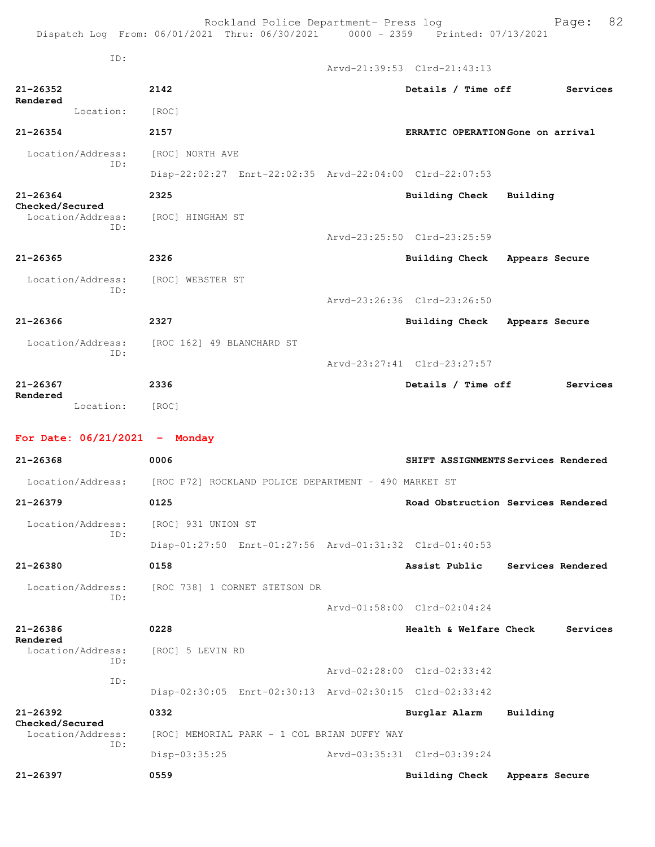|                                             | Rockland Police Department- Press log<br>Dispatch Log From: 06/01/2021 Thru: 06/30/2021 0000 - 2359 Printed: 07/13/2021 |                                   | 82<br>Page:                         |
|---------------------------------------------|-------------------------------------------------------------------------------------------------------------------------|-----------------------------------|-------------------------------------|
| ID:                                         |                                                                                                                         | Arvd-21:39:53 Clrd-21:43:13       |                                     |
| 21-26352                                    | 2142                                                                                                                    | Details / Time off                | Services                            |
| Rendered<br>Location:                       | [ROC]                                                                                                                   |                                   |                                     |
| $21 - 26354$                                | 2157                                                                                                                    | ERRATIC OPERATION Gone on arrival |                                     |
| Location/Address:                           | [ROC] NORTH AVE                                                                                                         |                                   |                                     |
| ID:                                         | Disp-22:02:27 Enrt-22:02:35 Arvd-22:04:00 Clrd-22:07:53                                                                 |                                   |                                     |
| $21 - 26364$                                | 2325                                                                                                                    | Building Check Building           |                                     |
| Checked/Secured<br>Location/Address:<br>TD: | [ROC] HINGHAM ST                                                                                                        |                                   |                                     |
|                                             |                                                                                                                         | Arvd-23:25:50 Clrd-23:25:59       |                                     |
| 21-26365                                    | 2326                                                                                                                    | Building Check Appears Secure     |                                     |
| Location/Address:<br>ID:                    | [ROC] WEBSTER ST                                                                                                        |                                   |                                     |
|                                             |                                                                                                                         | Arvd-23:26:36 Clrd-23:26:50       |                                     |
| $21 - 26366$                                | 2327                                                                                                                    | Building Check Appears Secure     |                                     |
| ID:                                         | Location/Address: [ROC 162] 49 BLANCHARD ST                                                                             |                                   |                                     |
|                                             |                                                                                                                         | Arvd-23:27:41 Clrd-23:27:57       |                                     |
| $21 - 26367$<br>Rendered                    | 2336                                                                                                                    | Details / Time off                | Services                            |
| Location: [ROC]                             |                                                                                                                         |                                   |                                     |
| For Date: $06/21/2021$ - Monday             |                                                                                                                         |                                   |                                     |
| $21 - 26368$                                | 0006                                                                                                                    |                                   | SHIFT ASSIGNMENTS Services Rendered |
|                                             | Location/Address: [ROC P72] ROCKLAND POLICE DEPARTMENT - 490 MARKET ST                                                  |                                   |                                     |
| $21 - 26379$                                | 0125                                                                                                                    |                                   | Road Obstruction Services Rendered  |
| Location/Address:                           | [ROC] 931 UNION ST                                                                                                      |                                   |                                     |
| ID:                                         | Disp-01:27:50 Enrt-01:27:56 Arvd-01:31:32 Clrd-01:40:53                                                                 |                                   |                                     |
| $21 - 26380$                                | 0158                                                                                                                    |                                   | Assist Public Services Rendered     |
| Location/Address:                           | [ROC 738] 1 CORNET STETSON DR                                                                                           |                                   |                                     |
| ID:                                         |                                                                                                                         | Arvd-01:58:00 Clrd-02:04:24       |                                     |
| 21-26386                                    | 0228                                                                                                                    | Health & Welfare Check            | Services                            |
| Rendered<br>Location/Address:               | [ROC] 5 LEVIN RD                                                                                                        |                                   |                                     |
| ID:<br>ID:                                  |                                                                                                                         | Arvd-02:28:00 Clrd-02:33:42       |                                     |
|                                             | Disp-02:30:05 Enrt-02:30:13 Arvd-02:30:15 Clrd-02:33:42                                                                 |                                   |                                     |
| $21 - 26392$<br>Checked/Secured             | 0332                                                                                                                    | Burglar Alarm                     | Building                            |
| Location/Address:<br>ID:                    | [ROC] MEMORIAL PARK - 1 COL BRIAN DUFFY WAY                                                                             |                                   |                                     |
|                                             | Disp-03:35:25                                                                                                           | Arvd-03:35:31 Clrd-03:39:24       |                                     |
| $21 - 26397$                                | 0559                                                                                                                    | <b>Building Check</b>             | Appears Secure                      |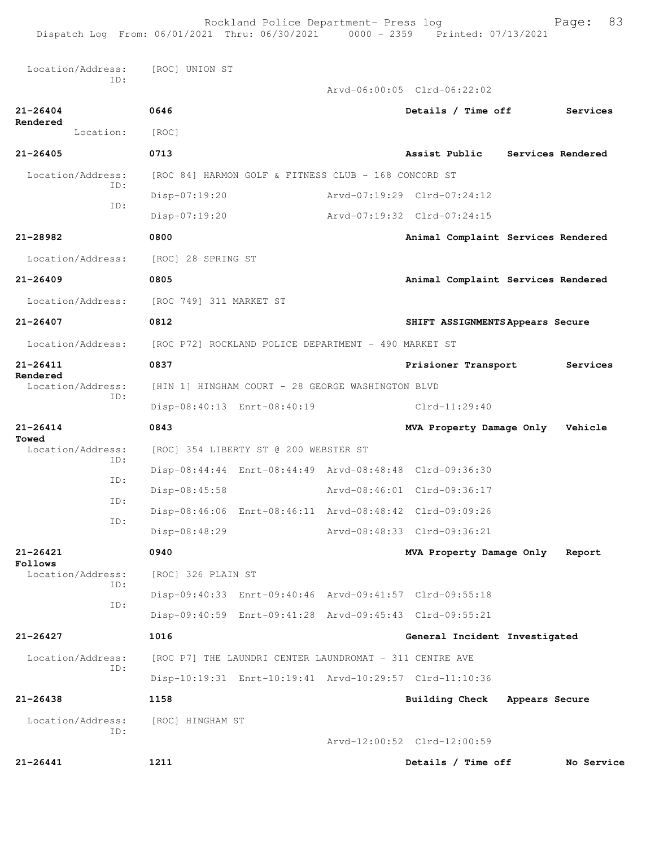Rockland Police Department- Press log entitled and Page: 83

| Dispatch Log From: 06/01/2021 Thru: 06/30/2021 0000 - 2359 Printed: 07/13/2021 |                                                         |  |                                                         |                |            |
|--------------------------------------------------------------------------------|---------------------------------------------------------|--|---------------------------------------------------------|----------------|------------|
| Location/Address:<br>ID:                                                       | [ROC] UNION ST                                          |  |                                                         |                |            |
|                                                                                |                                                         |  | Arvd-06:00:05 Clrd-06:22:02                             |                |            |
| $21 - 26404$<br>Rendered                                                       | 0646                                                    |  | Details / Time off                                      |                | Services   |
| Location:                                                                      | [ROC]                                                   |  |                                                         |                |            |
| $21 - 26405$                                                                   | 0713                                                    |  | Assist Public Services Rendered                         |                |            |
| Location/Address:                                                              | [ROC 84] HARMON GOLF & FITNESS CLUB - 168 CONCORD ST    |  |                                                         |                |            |
| TD:                                                                            | Disp-07:19:20                                           |  | Arvd-07:19:29 Clrd-07:24:12                             |                |            |
| ID:                                                                            | Disp-07:19:20                                           |  | Arvd-07:19:32 Clrd-07:24:15                             |                |            |
| 21-28982                                                                       | 0800                                                    |  | Animal Complaint Services Rendered                      |                |            |
| Location/Address:                                                              | [ROC] 28 SPRING ST                                      |  |                                                         |                |            |
| $21 - 26409$                                                                   | 0805                                                    |  | Animal Complaint Services Rendered                      |                |            |
| Location/Address:                                                              | [ROC 749] 311 MARKET ST                                 |  |                                                         |                |            |
| $21 - 26407$                                                                   | 0812                                                    |  | SHIFT ASSIGNMENTS Appears Secure                        |                |            |
| Location/Address:                                                              | [ROC P72] ROCKLAND POLICE DEPARTMENT - 490 MARKET ST    |  |                                                         |                |            |
| $21 - 26411$                                                                   | 0837                                                    |  | Prisioner Transport                                     |                | Services   |
| Rendered<br>Location/Address:                                                  | [HIN 1] HINGHAM COURT - 28 GEORGE WASHINGTON BLVD       |  |                                                         |                |            |
| ID:                                                                            | Disp-08:40:13 Enrt-08:40:19                             |  | $Clrd-11:29:40$                                         |                |            |
| $21 - 26414$                                                                   | 0843                                                    |  | MVA Property Damage Only                                |                | Vehicle    |
| Towed<br>Location/Address:                                                     | [ROC] 354 LIBERTY ST @ 200 WEBSTER ST                   |  |                                                         |                |            |
| ID:                                                                            | Disp-08:44:44 Enrt-08:44:49 Arvd-08:48:48 Clrd-09:36:30 |  |                                                         |                |            |
| ID:                                                                            | Disp-08:45:58                                           |  | Arvd-08:46:01 Clrd-09:36:17                             |                |            |
| ID:                                                                            |                                                         |  | Disp-08:46:06 Enrt-08:46:11 Arvd-08:48:42 Clrd-09:09:26 |                |            |
| ID:                                                                            | Disp-08:48:29                                           |  | Arvd-08:48:33 Clrd-09:36:21                             |                |            |
| $21 - 26421$                                                                   | 0940                                                    |  | MVA Property Damage Only                                |                | Report     |
| Follows<br>Location/Address:                                                   | [ROC] 326 PLAIN ST                                      |  |                                                         |                |            |
| TD:                                                                            | Disp-09:40:33 Enrt-09:40:46 Arvd-09:41:57 Clrd-09:55:18 |  |                                                         |                |            |
| ID:                                                                            | Disp-09:40:59 Enrt-09:41:28 Arvd-09:45:43 Clrd-09:55:21 |  |                                                         |                |            |
| $21 - 26427$                                                                   | 1016                                                    |  | General Incident Investigated                           |                |            |
| Location/Address:                                                              | [ROC P7] THE LAUNDRI CENTER LAUNDROMAT - 311 CENTRE AVE |  |                                                         |                |            |
| TD:                                                                            | Disp-10:19:31 Enrt-10:19:41 Arvd-10:29:57 Clrd-11:10:36 |  |                                                         |                |            |
| $21 - 26438$                                                                   | 1158                                                    |  | Building Check                                          | Appears Secure |            |
| Location/Address:                                                              | [ROC] HINGHAM ST                                        |  |                                                         |                |            |
| ID:                                                                            |                                                         |  | Arvd-12:00:52 Clrd-12:00:59                             |                |            |
| $21 - 26441$                                                                   | 1211                                                    |  | Details / Time off                                      |                | No Service |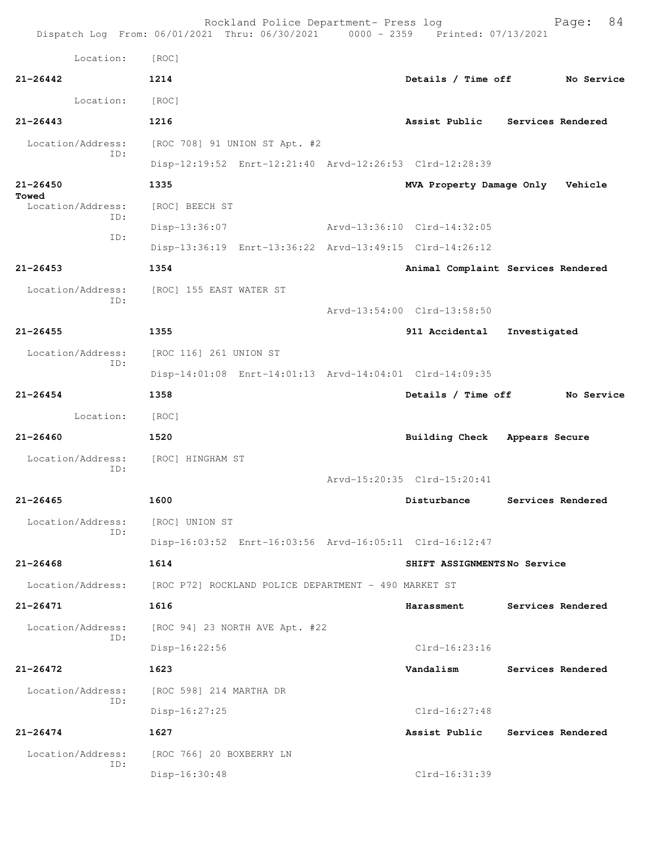|                            | Rockland Police Department- Press log<br>Dispatch Log From: 06/01/2021 Thru: 06/30/2021 0000 - 2359 Printed: 07/13/2021 |                             | 84<br>Page:                        |
|----------------------------|-------------------------------------------------------------------------------------------------------------------------|-----------------------------|------------------------------------|
| Location:                  | [ROC]                                                                                                                   |                             |                                    |
| $21 - 26442$               | 1214                                                                                                                    | Details / Time off          | No Service                         |
| Location:                  | [ROC]                                                                                                                   |                             |                                    |
| $21 - 26443$               | 1216                                                                                                                    | Assist Public               | Services Rendered                  |
| Location/Address:          | [ROC 708] 91 UNION ST Apt. #2                                                                                           |                             |                                    |
| ID:                        | Disp-12:19:52 Enrt-12:21:40 Arvd-12:26:53 Clrd-12:28:39                                                                 |                             |                                    |
| $21 - 26450$               | 1335                                                                                                                    | MVA Property Damage Only    | Vehicle                            |
| Towed<br>Location/Address: | [ROC] BEECH ST                                                                                                          |                             |                                    |
| ID:                        | Disp-13:36:07                                                                                                           | Arvd-13:36:10 Clrd-14:32:05 |                                    |
| ID:                        | Disp-13:36:19 Enrt-13:36:22 Arvd-13:49:15 Clrd-14:26:12                                                                 |                             |                                    |
| $21 - 26453$               | 1354                                                                                                                    |                             | Animal Complaint Services Rendered |
| Location/Address:          | [ROC] 155 EAST WATER ST                                                                                                 |                             |                                    |
| ID:                        |                                                                                                                         | Arvd-13:54:00 Clrd-13:58:50 |                                    |
| $21 - 26455$               | 1355                                                                                                                    | 911 Accidental              | Investigated                       |
| Location/Address:          | [ROC 116] 261 UNION ST                                                                                                  |                             |                                    |
| ID:                        | Disp-14:01:08 Enrt-14:01:13 Arvd-14:04:01 Clrd-14:09:35                                                                 |                             |                                    |
| $21 - 26454$               | 1358                                                                                                                    | Details / Time off          | No Service                         |
| Location:                  | [ROC]                                                                                                                   |                             |                                    |
| $21 - 26460$               | 1520                                                                                                                    | <b>Building Check</b>       | Appears Secure                     |
| Location/Address:          | [ROC] HINGHAM ST                                                                                                        |                             |                                    |
| ID:                        |                                                                                                                         | Arvd-15:20:35 Clrd-15:20:41 |                                    |
| 21-26465                   | 1600                                                                                                                    | Disturbance                 | Services Rendered                  |
| Location/Address:          | [ROC] UNION ST                                                                                                          |                             |                                    |
| ID:                        | Disp-16:03:52 Enrt-16:03:56 Arvd-16:05:11 Clrd-16:12:47                                                                 |                             |                                    |
| $21 - 26468$               | 1614                                                                                                                    | SHIFT ASSIGNMENTSNo Service |                                    |
| Location/Address:          | [ROC P72] ROCKLAND POLICE DEPARTMENT - 490 MARKET ST                                                                    |                             |                                    |
| 21-26471                   | 1616                                                                                                                    | Harassment                  | Services Rendered                  |
| Location/Address:          | [ROC 94] 23 NORTH AVE Apt. #22                                                                                          |                             |                                    |
| ID:                        | Disp-16:22:56                                                                                                           | $Clrd-16:23:16$             |                                    |
| $21 - 26472$               | 1623                                                                                                                    | Vandalism                   | Services Rendered                  |
| Location/Address:          | [ROC 598] 214 MARTHA DR                                                                                                 |                             |                                    |
| ID:                        | $Disp-16:27:25$                                                                                                         | Clrd-16:27:48               |                                    |
| $21 - 26474$               | 1627                                                                                                                    | Assist Public               | Services Rendered                  |
| Location/Address:          | [ROC 766] 20 BOXBERRY LN                                                                                                |                             |                                    |
| ID:                        | Disp-16:30:48                                                                                                           | Clrd-16:31:39               |                                    |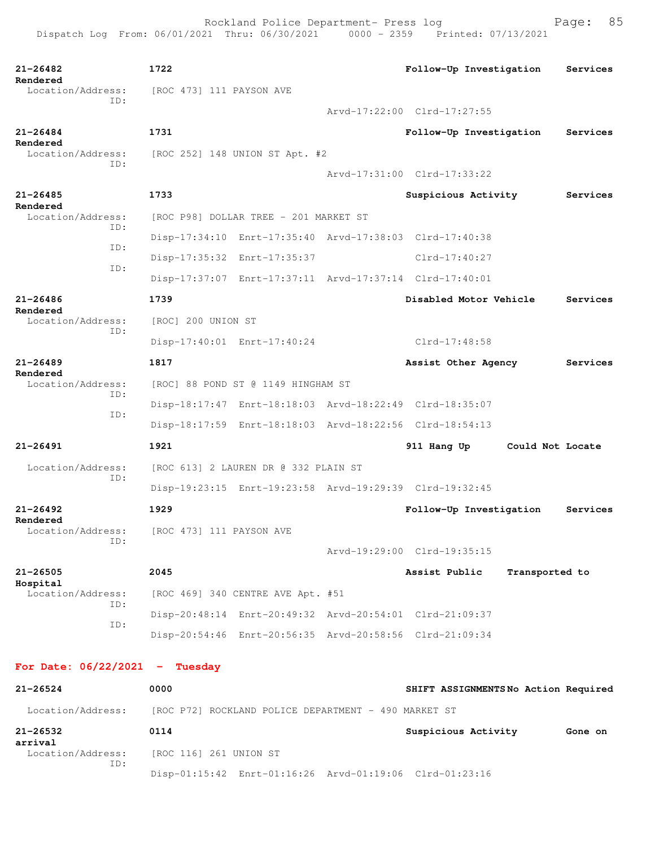```
21-26482 1722 Follow-Up Investigation Services
Rendered 
 Location/Address: [ROC 473] 111 PAYSON AVE
            ID: 
                                        Arvd-17:22:00 Clrd-17:27:55
21-26484 1731 Follow-Up Investigation Services
Rendered<br>Location/Address:
                [ROC 252] 148 UNION ST Apt. #2
            ID: 
                                        Arvd-17:31:00 Clrd-17:33:22
21-26485 1733 Suspicious Activity Services
Rendered 
  Location/Address: [ROC P98] DOLLAR TREE - 201 MARKET ST
            ID: 
                  Disp-17:34:10 Enrt-17:35:40 Arvd-17:38:03 Clrd-17:40:38
            ID: 
                  Disp-17:35:32 Enrt-17:35:37 Clrd-17:40:27
            ID: 
                  Disp-17:37:07 Enrt-17:37:11 Arvd-17:37:14 Clrd-17:40:01
21-26486 1739 Disabled Motor Vehicle Services
Rendered 
 Location/Address: [ROC] 200 UNION ST
            ID: 
                  Disp-17:40:01 Enrt-17:40:24 Clrd-17:48:58
21-26489 1817 Assist Other Agency Services
Rendered 
                 [ROC] 88 POND ST @ 1149 HINGHAM ST
            ID: 
                  Disp-18:17:47 Enrt-18:18:03 Arvd-18:22:49 Clrd-18:35:07
            ID: 
                  Disp-18:17:59 Enrt-18:18:03 Arvd-18:22:56 Clrd-18:54:13
21-26491 1921 911 Hang Up Could Not Locate
  Location/Address: [ROC 613] 2 LAUREN DR @ 332 PLAIN ST
            ID: 
                  Disp-19:23:15 Enrt-19:23:58 Arvd-19:29:39 Clrd-19:32:45
21-26492 1929 Follow-Up Investigation Services
Rendered 
                [ROC 473] 111 PAYSON AVE
            ID: 
                                        Arvd-19:29:00 Clrd-19:35:15
21-26505 2045 Assist Public Transported to
Hospital 
 Location/Address: [ROC 469] 340 CENTRE AVE Apt. #51
            ID: 
                  Disp-20:48:14 Enrt-20:49:32 Arvd-20:54:01 Clrd-21:09:37
            ID: 
                  Disp-20:54:46 Enrt-20:56:35 Arvd-20:58:56 Clrd-21:09:34
For Date: 06/22/2021 - Tuesday 
21-26524 0000 SHIFT ASSIGNMENTS No Action Required
 Location/Address: [ROC P72] ROCKLAND POLICE DEPARTMENT - 490 MARKET ST
```
**21-26532 0114 Suspicious Activity Gone on arrival**  Location/Address: [ROC 116] 261 UNION ST ID: Disp-01:15:42 Enrt-01:16:26 Arvd-01:19:06 Clrd-01:23:16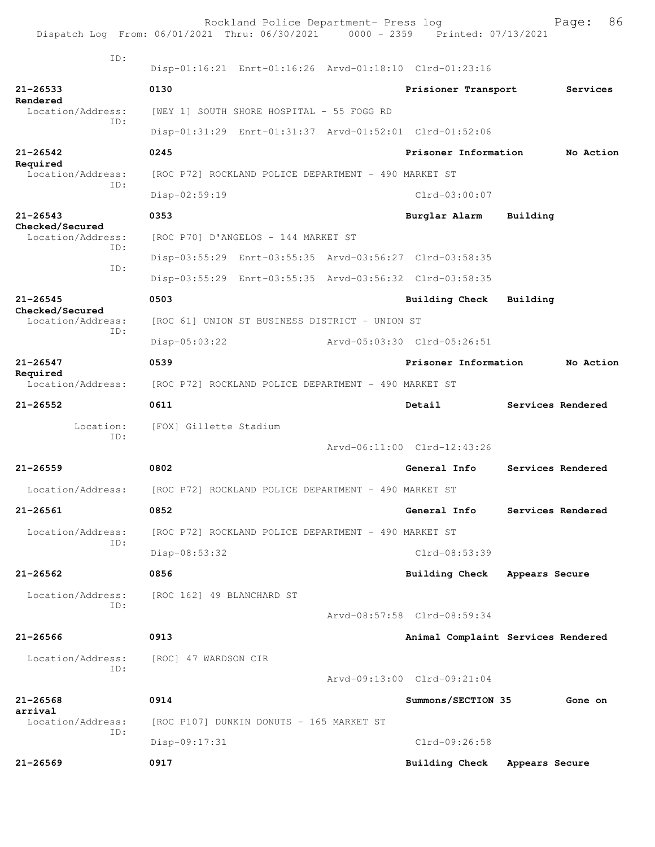|                                             |                                           | Rockland Police Department- Press log<br>Dispatch Log From: 06/01/2021 Thru: 06/30/2021 0000 - 2359 Printed: 07/13/2021 |                             | 86<br>Page:                        |
|---------------------------------------------|-------------------------------------------|-------------------------------------------------------------------------------------------------------------------------|-----------------------------|------------------------------------|
| TD:                                         |                                           | Disp-01:16:21 Enrt-01:16:26 Arvd-01:18:10 Clrd-01:23:16                                                                 |                             |                                    |
| 21-26533                                    | 0130                                      |                                                                                                                         | Prisioner Transport         | Services                           |
| Rendered<br>Location/Address:<br>ID:        | [WEY 1] SOUTH SHORE HOSPITAL - 55 FOGG RD |                                                                                                                         |                             |                                    |
|                                             |                                           | Disp-01:31:29 Enrt-01:31:37 Arvd-01:52:01 Clrd-01:52:06                                                                 |                             |                                    |
| $21 - 26542$                                | 0245                                      |                                                                                                                         | Prisoner Information        | No Action                          |
| Required<br>Location/Address:               |                                           | [ROC P72] ROCKLAND POLICE DEPARTMENT - 490 MARKET ST                                                                    |                             |                                    |
| ID:                                         | Disp-02:59:19                             |                                                                                                                         | $Clrd-03:00:07$             |                                    |
| $21 - 26543$                                | 0353                                      |                                                                                                                         | Burglar Alarm               | Building                           |
| Checked/Secured<br>Location/Address:<br>TD: | [ROC P70] D'ANGELOS - 144 MARKET ST       |                                                                                                                         |                             |                                    |
| ID:                                         |                                           | Disp-03:55:29 Enrt-03:55:35 Arvd-03:56:27 Clrd-03:58:35                                                                 |                             |                                    |
|                                             |                                           | Disp-03:55:29 Enrt-03:55:35 Arvd-03:56:32 Clrd-03:58:35                                                                 |                             |                                    |
| $21 - 26545$                                | 0503                                      |                                                                                                                         | Building Check              | Building                           |
| Checked/Secured<br>Location/Address:        |                                           | [ROC 61] UNION ST BUSINESS DISTRICT - UNION ST                                                                          |                             |                                    |
| ID:                                         | $Disp-05:03:22$                           |                                                                                                                         | Arvd-05:03:30 Clrd-05:26:51 |                                    |
| $21 - 26547$                                | 0539                                      |                                                                                                                         | Prisoner Information        | No Action                          |
| Required<br>Location/Address:               |                                           | [ROC P72] ROCKLAND POLICE DEPARTMENT - 490 MARKET ST                                                                    |                             |                                    |
|                                             |                                           |                                                                                                                         |                             |                                    |
| $21 - 26552$                                | 0611                                      |                                                                                                                         | Detail                      | Services Rendered                  |
| Location:<br>ID:                            | [FOX] Gillette Stadium                    |                                                                                                                         |                             |                                    |
|                                             |                                           |                                                                                                                         | Arvd-06:11:00 Clrd-12:43:26 |                                    |
| $21 - 26559$                                | 0802                                      |                                                                                                                         | General Info                | Services Rendered                  |
| Location/Address:                           |                                           | [ROC P72] ROCKLAND POLICE DEPARTMENT - 490 MARKET ST                                                                    |                             |                                    |
| $21 - 26561$                                | 0852                                      |                                                                                                                         | General Info                | Services Rendered                  |
| Location/Address:                           |                                           | [ROC P72] ROCKLAND POLICE DEPARTMENT - 490 MARKET ST                                                                    |                             |                                    |
| ID:                                         | Disp-08:53:32                             |                                                                                                                         | $Clrd-08:53:39$             |                                    |
| $21 - 26562$                                | 0856                                      |                                                                                                                         | <b>Building Check</b>       | Appears Secure                     |
| Location/Address:                           | [ROC 162] 49 BLANCHARD ST                 |                                                                                                                         |                             |                                    |
| TD:                                         |                                           |                                                                                                                         | Arvd-08:57:58 Clrd-08:59:34 |                                    |
| $21 - 26566$                                | 0913                                      |                                                                                                                         |                             | Animal Complaint Services Rendered |
| Location/Address:                           | [ROC] 47 WARDSON CIR                      |                                                                                                                         |                             |                                    |
| ID:                                         |                                           |                                                                                                                         | Arvd-09:13:00 Clrd-09:21:04 |                                    |
| $21 - 26568$                                | 0914                                      |                                                                                                                         | Summons/SECTION 35          | Gone on                            |
| arrival<br>Location/Address:                | [ROC P107] DUNKIN DONUTS - 165 MARKET ST  |                                                                                                                         |                             |                                    |
| ID:                                         | Disp-09:17:31                             |                                                                                                                         | Clrd-09:26:58               |                                    |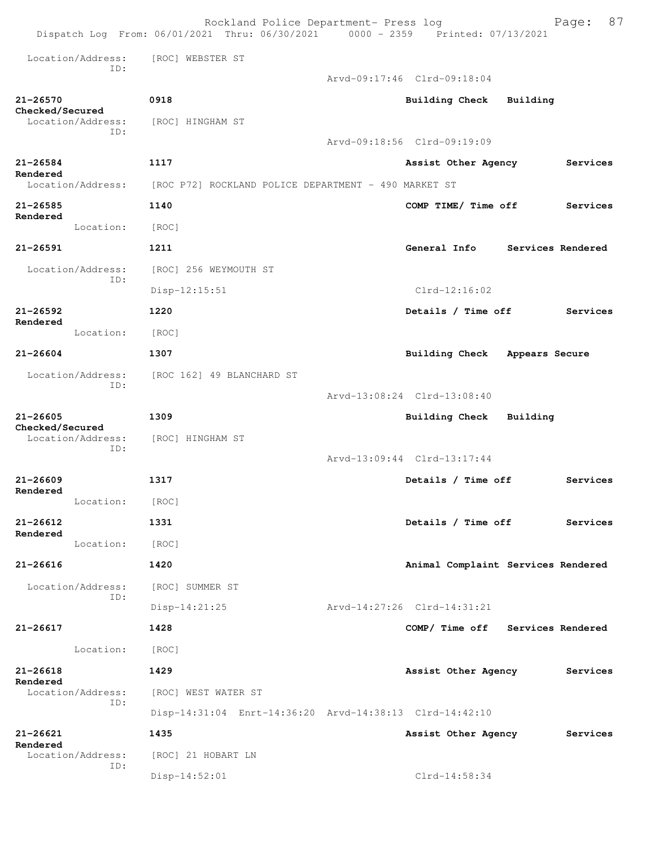|                                 |                          | Rockland Police Department- Press log<br>Dispatch Log From: 06/01/2021 Thru: 06/30/2021 0000 - 2359 Printed: 07/13/2021 |                                    |                   | 87<br>Page: |
|---------------------------------|--------------------------|-------------------------------------------------------------------------------------------------------------------------|------------------------------------|-------------------|-------------|
|                                 | Location/Address:<br>TD: | [ROC] WEBSTER ST                                                                                                        |                                    |                   |             |
|                                 |                          |                                                                                                                         | Arvd-09:17:46 Clrd-09:18:04        |                   |             |
| $21 - 26570$<br>Checked/Secured |                          | 0918                                                                                                                    | <b>Building Check</b>              | Building          |             |
|                                 | Location/Address:        | [ROC] HINGHAM ST                                                                                                        |                                    |                   |             |
|                                 | ID:                      |                                                                                                                         | Arvd-09:18:56 Clrd-09:19:09        |                   |             |
| $21 - 26584$<br>Rendered        |                          | 1117                                                                                                                    | Assist Other Agency                |                   | Services    |
|                                 | Location/Address:        | [ROC P72] ROCKLAND POLICE DEPARTMENT - 490 MARKET ST                                                                    |                                    |                   |             |
| $21 - 26585$<br>Rendered        |                          | 1140                                                                                                                    | COMP TIME/ Time off                |                   | Services    |
|                                 | Location:                | [ROC]                                                                                                                   |                                    |                   |             |
| $21 - 26591$                    |                          | 1211                                                                                                                    | General Info                       | Services Rendered |             |
|                                 | Location/Address:<br>ID: | [ROC] 256 WEYMOUTH ST                                                                                                   |                                    |                   |             |
|                                 |                          | $Disp-12:15:51$                                                                                                         | $Clrd-12:16:02$                    |                   |             |
| $21 - 26592$                    |                          | 1220                                                                                                                    | Details / Time off                 |                   | Services    |
| Rendered                        | Location:                | [ROC]                                                                                                                   |                                    |                   |             |
| $21 - 26604$                    |                          | 1307                                                                                                                    | <b>Building Check</b>              | Appears Secure    |             |
|                                 | Location/Address:<br>TD: | [ROC 162] 49 BLANCHARD ST                                                                                               |                                    |                   |             |
|                                 |                          |                                                                                                                         | Arvd-13:08:24 Clrd-13:08:40        |                   |             |
| 21-26605<br>Checked/Secured     |                          | 1309                                                                                                                    | <b>Building Check</b>              | Building          |             |
|                                 | Location/Address:        | [ROC] HINGHAM ST                                                                                                        |                                    |                   |             |
|                                 | ID:                      |                                                                                                                         | Arvd-13:09:44 Clrd-13:17:44        |                   |             |
| $21 - 26609$<br>Rendered        |                          | 1317                                                                                                                    | Details / Time off                 |                   | Services    |
|                                 | Location:                | [ROC]                                                                                                                   |                                    |                   |             |
| 21-26612<br>Rendered            |                          | 1331                                                                                                                    | Details / Time off                 |                   | Services    |
|                                 | Location:                | [ROC]                                                                                                                   |                                    |                   |             |
| $21 - 26616$                    |                          | 1420                                                                                                                    | Animal Complaint Services Rendered |                   |             |
|                                 | Location/Address:<br>ID: | [ROC] SUMMER ST                                                                                                         |                                    |                   |             |
|                                 |                          | $Disp-14:21:25$                                                                                                         | Arvd-14:27:26 Clrd-14:31:21        |                   |             |
| 21-26617                        |                          | 1428                                                                                                                    | COMP/ Time off Services Rendered   |                   |             |
|                                 | Location:                | [ROC]                                                                                                                   |                                    |                   |             |
| $21 - 26618$<br>Rendered        |                          | 1429                                                                                                                    | Assist Other Agency                |                   | Services    |
|                                 | Location/Address:<br>ID: | [ROC] WEST WATER ST                                                                                                     |                                    |                   |             |
|                                 |                          | Disp-14:31:04 Enrt-14:36:20 Arvd-14:38:13 Clrd-14:42:10                                                                 |                                    |                   |             |
| 21-26621<br>Rendered            |                          | 1435                                                                                                                    | Assist Other Agency                |                   | Services    |
|                                 | Location/Address:<br>ID: | [ROC] 21 HOBART LN                                                                                                      |                                    |                   |             |
|                                 |                          | $Disp-14:52:01$                                                                                                         | $Clrd-14:58:34$                    |                   |             |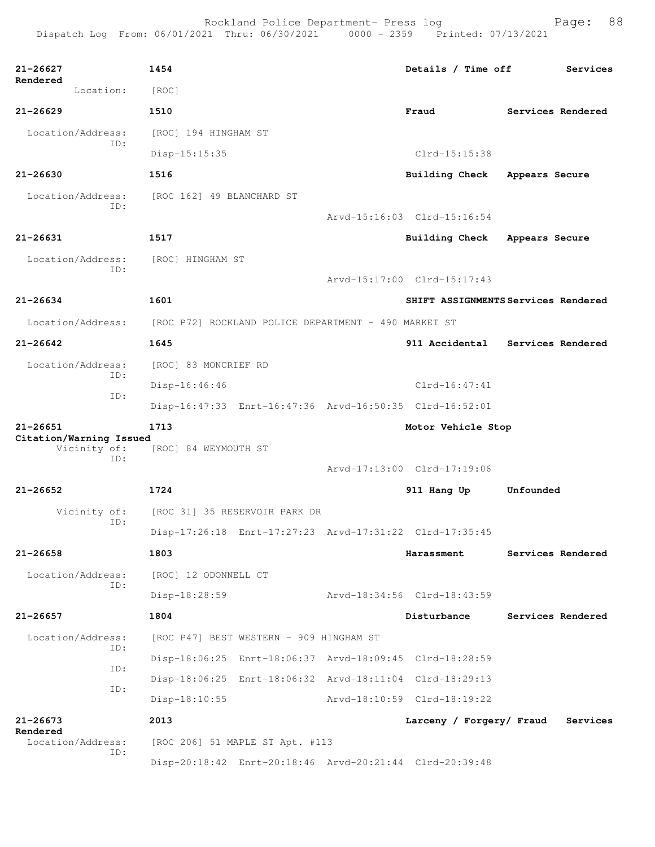| 21-26627                      | 1454                                                 |                                                         | Details / Time off            | Services                            |
|-------------------------------|------------------------------------------------------|---------------------------------------------------------|-------------------------------|-------------------------------------|
| Rendered<br>Location:         |                                                      |                                                         |                               |                                     |
|                               | [ROC]                                                |                                                         |                               |                                     |
| $21 - 26629$                  | 1510                                                 |                                                         | Fraud                         | Services Rendered                   |
| Location/Address:<br>ID:      | [ROC] 194 HINGHAM ST                                 |                                                         |                               |                                     |
|                               | Disp-15:15:35                                        |                                                         | $Clrd-15:15:38$               |                                     |
| $21 - 26630$                  | 1516                                                 |                                                         | <b>Building Check</b>         | Appears Secure                      |
| Location/Address:<br>ID:      | [ROC 162] 49 BLANCHARD ST                            |                                                         |                               |                                     |
|                               |                                                      |                                                         | Arvd-15:16:03 Clrd-15:16:54   |                                     |
| 21-26631                      | 1517                                                 |                                                         | Building Check Appears Secure |                                     |
| Location/Address:             | [ROC] HINGHAM ST                                     |                                                         |                               |                                     |
| ID:                           |                                                      |                                                         | Arvd-15:17:00 Clrd-15:17:43   |                                     |
| 21-26634                      | 1601                                                 |                                                         |                               | SHIFT ASSIGNMENTS Services Rendered |
| Location/Address:             | [ROC P72] ROCKLAND POLICE DEPARTMENT - 490 MARKET ST |                                                         |                               |                                     |
| $21 - 26642$                  | 1645                                                 |                                                         | 911 Accidental                | Services Rendered                   |
| Location/Address:             | [ROC] 83 MONCRIEF RD                                 |                                                         |                               |                                     |
| ID:                           | $Disp-16:46:46$                                      |                                                         | Clrd-16:47:41                 |                                     |
| ID:                           |                                                      | Disp-16:47:33 Enrt-16:47:36 Arvd-16:50:35 Clrd-16:52:01 |                               |                                     |
| $21 - 26651$                  | 1713                                                 |                                                         | Motor Vehicle Stop            |                                     |
| Citation/Warning Issued       |                                                      |                                                         |                               |                                     |
| Vicinity of:<br>ID:           | [ROC] 84 WEYMOUTH ST                                 |                                                         |                               |                                     |
|                               |                                                      |                                                         | Arvd-17:13:00 Clrd-17:19:06   |                                     |
| $21 - 26652$                  | 1724                                                 |                                                         | 911 Hang Up                   | Unfounded                           |
| Vicinity of:<br>ID:           | [ROC 31] 35 RESERVOIR PARK DR                        |                                                         |                               |                                     |
|                               |                                                      | Disp-17:26:18 Enrt-17:27:23 Arvd-17:31:22 Clrd-17:35:45 |                               |                                     |
| $21 - 26658$                  | 1803                                                 |                                                         | <b>Harassment</b>             | Services Rendered                   |
| Location/Address:<br>ID:      | [ROC] 12 ODONNELL CT                                 |                                                         |                               |                                     |
|                               | Disp-18:28:59                                        |                                                         | Arvd-18:34:56 Clrd-18:43:59   |                                     |
| $21 - 26657$                  | 1804                                                 |                                                         | Disturbance                   | Services Rendered                   |
| Location/Address:             | [ROC P47] BEST WESTERN - 909 HINGHAM ST              |                                                         |                               |                                     |
| ID:                           |                                                      | Disp-18:06:25 Enrt-18:06:37 Arvd-18:09:45 Clrd-18:28:59 |                               |                                     |
| ID:                           |                                                      | Disp-18:06:25 Enrt-18:06:32 Arvd-18:11:04 Clrd-18:29:13 |                               |                                     |
| ID:                           | Disp-18:10:55                                        |                                                         | Arvd-18:10:59 Clrd-18:19:22   |                                     |
| $21 - 26673$                  | 2013                                                 |                                                         | Larceny / Forgery/ Fraud      | Services                            |
| Rendered<br>Location/Address: | [ROC 206] 51 MAPLE ST Apt. #113                      |                                                         |                               |                                     |
| ID:                           |                                                      | Disp-20:18:42 Enrt-20:18:46 Arvd-20:21:44 Clrd-20:39:48 |                               |                                     |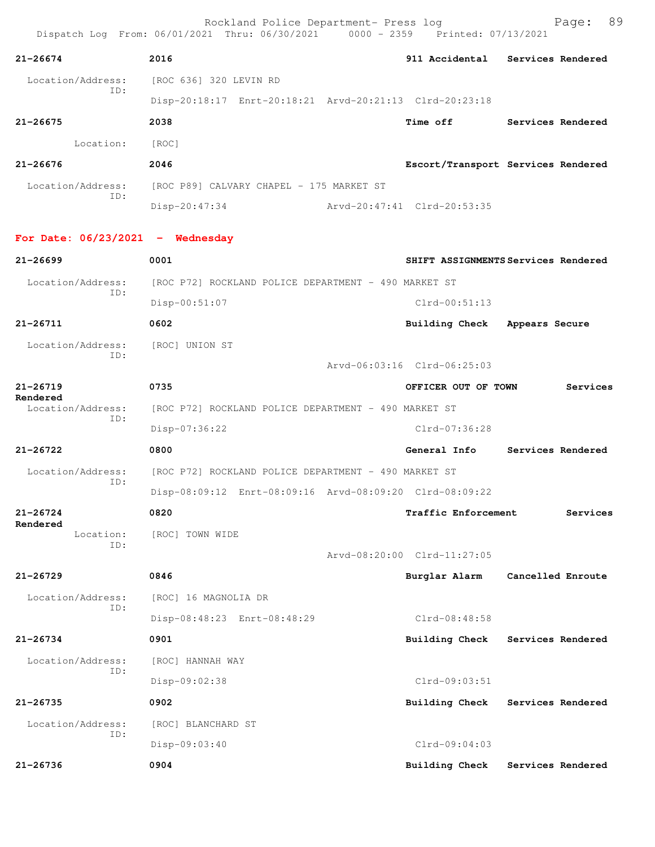Rockland Police Department- Press log Fage: 89 Dispatch Log From: 06/01/2021 Thru: 06/30/2021 0000 - 2359 Printed: 07/13/2021 **21-26674 2016 911 Accidental Services Rendered** Location/Address: [ROC 636] 320 LEVIN RD ID: Disp-20:18:17 Enrt-20:18:21 Arvd-20:21:13 Clrd-20:23:18 **21-26675 2038 Time off Services Rendered** Location: [ROC] **21-26676 2046 Escort/Transport Services Rendered** Location/Address: [ROC P89] CALVARY CHAPEL - 175 MARKET ST ID: Disp-20:47:34 Arvd-20:47:41 Clrd-20:53:35 **For Date: 06/23/2021 - Wednesday 21-26699 0001 SHIFT ASSIGNMENTS Services Rendered** Location/Address: [ROC P72] ROCKLAND POLICE DEPARTMENT - 490 MARKET ST ID: Disp-00:51:07 Clrd-00:51:13 **21-26711 0602 Building Check Appears Secure** Location/Address: [ROC] UNION ST ID: Arvd-06:03:16 Clrd-06:25:03 **21-26719 0735 OFFICER OUT OF TOWN Services Rendered**  Location/Address: [ROC P72] ROCKLAND POLICE DEPARTMENT - 490 MARKET ST ID: Disp-07:36:22 Clrd-07:36:28 **21-26722 0800 General Info Services Rendered** Location/Address: [ROC P72] ROCKLAND POLICE DEPARTMENT - 490 MARKET ST ID: Disp-08:09:12 Enrt-08:09:16 Arvd-08:09:20 Clrd-08:09:22 **21-26724 0820 Traffic Enforcement Services Rendered**  Location: [ROC] TOWN WIDE ID: Arvd-08:20:00 Clrd-11:27:05 **21-26729 0846 Burglar Alarm Cancelled Enroute** Location/Address: [ROC] 16 MAGNOLIA DR ID: Disp-08:48:23 Enrt-08:48:29 Clrd-08:48:58 **21-26734 0901 Building Check Services Rendered** Location/Address: [ROC] HANNAH WAY ID: Disp-09:02:38 Clrd-09:03:51 **21-26735 0902 Building Check Services Rendered** Location/Address: [ROC] BLANCHARD ST ID: Disp-09:03:40 Clrd-09:04:03 **21-26736 0904 Building Check Services Rendered**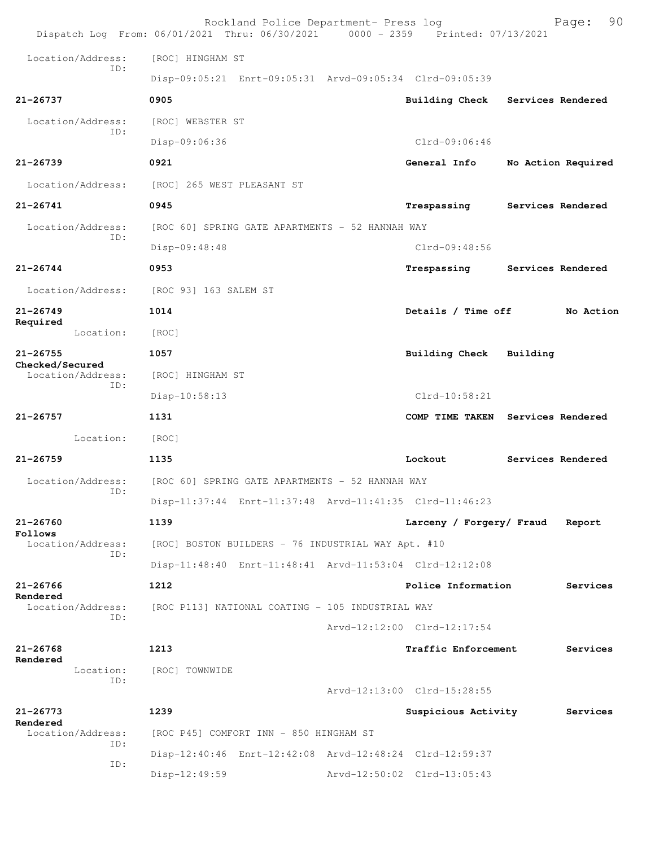|                                      | Rockland Police Department- Press log<br>Dispatch Log From: 06/01/2021 Thru: 06/30/2021 0000 - 2359 Printed: 07/13/2021 |                             | 90<br>Page:                       |
|--------------------------------------|-------------------------------------------------------------------------------------------------------------------------|-----------------------------|-----------------------------------|
| Location/Address:                    | [ROC] HINGHAM ST                                                                                                        |                             |                                   |
| TD:                                  | Disp-09:05:21 Enrt-09:05:31 Arvd-09:05:34 Clrd-09:05:39                                                                 |                             |                                   |
| 21-26737                             | 0905                                                                                                                    |                             | Building Check Services Rendered  |
| Location/Address:                    | [ROC] WEBSTER ST                                                                                                        |                             |                                   |
| ID:                                  | Disp-09:06:36                                                                                                           | Clrd-09:06:46               |                                   |
| $21 - 26739$                         | 0921                                                                                                                    | General Info                | No Action Required                |
| Location/Address:                    | [ROC] 265 WEST PLEASANT ST                                                                                              |                             |                                   |
| $21 - 26741$                         | 0945                                                                                                                    | Trespassing                 | Services Rendered                 |
| Location/Address:                    | [ROC 60] SPRING GATE APARTMENTS - 52 HANNAH WAY                                                                         |                             |                                   |
| ID:                                  | Disp-09:48:48                                                                                                           | $Clrd-09:48:56$             |                                   |
| $21 - 26744$                         | 0953                                                                                                                    | Trespassing                 | Services Rendered                 |
| Location/Address:                    | [ROC 93] 163 SALEM ST                                                                                                   |                             |                                   |
| $21 - 26749$                         | 1014                                                                                                                    | Details / Time off          | No Action                         |
| Required<br>Location:                | [ROC]                                                                                                                   |                             |                                   |
| $21 - 26755$                         | 1057                                                                                                                    | <b>Building Check</b>       | Building                          |
| Checked/Secured<br>Location/Address: | [ROC] HINGHAM ST                                                                                                        |                             |                                   |
| ID:                                  | Disp-10:58:13                                                                                                           | Clrd-10:58:21               |                                   |
| $21 - 26757$                         | 1131                                                                                                                    |                             | COMP TIME TAKEN Services Rendered |
| Location:                            | [ROC]                                                                                                                   |                             |                                   |
| $21 - 26759$                         | 1135                                                                                                                    | Lockout                     | Services Rendered                 |
| Location/Address:                    | [ROC 60] SPRING GATE APARTMENTS - 52 HANNAH WAY                                                                         |                             |                                   |
| ID:                                  | Disp-11:37:44 Enrt-11:37:48 Arvd-11:41:35 Clrd-11:46:23                                                                 |                             |                                   |
| $21 - 26760$                         | 1139                                                                                                                    | Larceny / Forgery/ Fraud    | Report                            |
| Follows<br>Location/Address:         | [ROC] BOSTON BUILDERS - 76 INDUSTRIAL WAY Apt. #10                                                                      |                             |                                   |
| TD:                                  | Disp-11:48:40 Enrt-11:48:41 Arvd-11:53:04 Clrd-12:12:08                                                                 |                             |                                   |
| $21 - 26766$                         | 1212                                                                                                                    | Police Information          | Services                          |
| Rendered<br>Location/Address:        | [ROC P113] NATIONAL COATING - 105 INDUSTRIAL WAY                                                                        |                             |                                   |
| ID:                                  |                                                                                                                         | Arvd-12:12:00 Clrd-12:17:54 |                                   |
| $21 - 26768$                         | 1213                                                                                                                    | Traffic Enforcement         | Services                          |
| Rendered<br>Location:                | [ROC] TOWNWIDE                                                                                                          |                             |                                   |
| ID:                                  |                                                                                                                         | Arvd-12:13:00 Clrd-15:28:55 |                                   |
| $21 - 26773$                         | 1239                                                                                                                    | Suspicious Activity         | Services                          |
| Rendered<br>Location/Address:        | [ROC P45] COMFORT INN - 850 HINGHAM ST                                                                                  |                             |                                   |
| ID:                                  | Disp-12:40:46 Enrt-12:42:08 Arvd-12:48:24 Clrd-12:59:37                                                                 |                             |                                   |
| ID:                                  | Disp-12:49:59                                                                                                           | Arvd-12:50:02 Clrd-13:05:43 |                                   |
|                                      |                                                                                                                         |                             |                                   |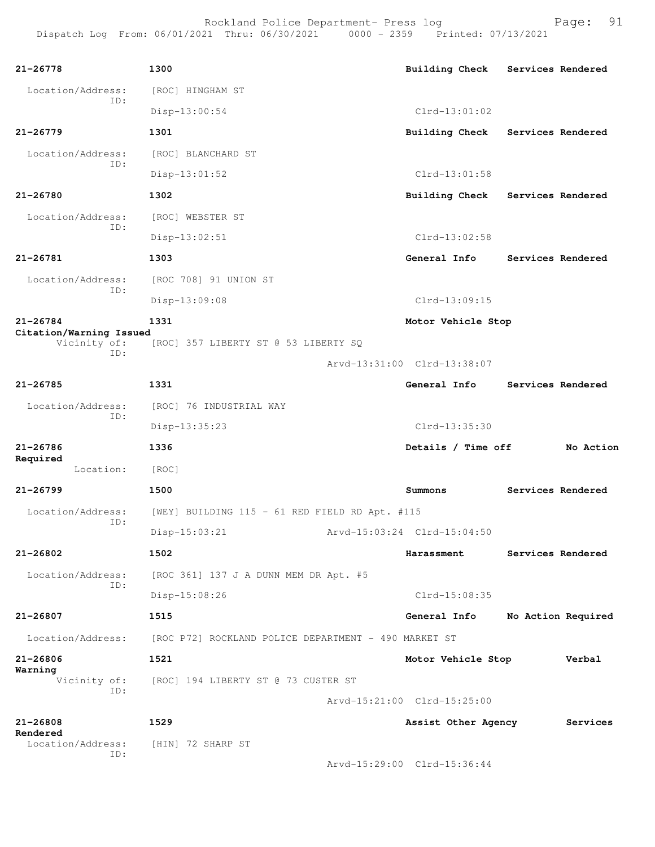Rockland Police Department- Press log entitled and Page: 91 Dispatch Log From: 06/01/2021 Thru: 06/30/2021 0000 - 2359 Printed: 07/13/2021

| $21 - 26778$                            | 1300                                                 | <b>Building Check</b>       | Services Rendered |                    |
|-----------------------------------------|------------------------------------------------------|-----------------------------|-------------------|--------------------|
| Location/Address:                       | [ROC] HINGHAM ST                                     |                             |                   |                    |
| ID:                                     | $Disp-13:00:54$                                      | $Clrd-13:01:02$             |                   |                    |
|                                         |                                                      |                             |                   |                    |
| $21 - 26779$                            | 1301                                                 | <b>Building Check</b>       | Services Rendered |                    |
| Location/Address:<br>ID:                | [ROC] BLANCHARD ST                                   |                             |                   |                    |
|                                         | $Disp-13:01:52$                                      | Clrd-13:01:58               |                   |                    |
| 21-26780                                | 1302                                                 | Building Check              | Services Rendered |                    |
| Location/Address:<br>TD:                | [ROC] WEBSTER ST                                     |                             |                   |                    |
|                                         | Disp-13:02:51                                        | Clrd-13:02:58               |                   |                    |
| $21 - 26781$                            | 1303                                                 | General Info                | Services Rendered |                    |
| Location/Address:                       | [ROC 708] 91 UNION ST                                |                             |                   |                    |
| ID:                                     | Disp-13:09:08                                        | $Clrd-13:09:15$             |                   |                    |
| $21 - 26784$                            | 1331                                                 | Motor Vehicle Stop          |                   |                    |
| Citation/Warning Issued<br>Vicinity of: | [ROC] 357 LIBERTY ST @ 53 LIBERTY SQ                 |                             |                   |                    |
| TD:                                     |                                                      | Arvd-13:31:00 Clrd-13:38:07 |                   |                    |
| $21 - 26785$                            | 1331                                                 | General Info                | Services Rendered |                    |
| Location/Address:                       | [ROC] 76 INDUSTRIAL WAY                              |                             |                   |                    |
| ID:                                     | Disp-13:35:23                                        | Clrd-13:35:30               |                   |                    |
| $21 - 26786$                            | 1336                                                 | Details / Time off          |                   | No Action          |
| Required<br>Location:                   | [ROC]                                                |                             |                   |                    |
| $21 - 26799$                            | 1500                                                 | Summons                     | Services Rendered |                    |
|                                         |                                                      |                             |                   |                    |
| Location/Address:<br>ID:                | [WEY] BUILDING 115 - 61 RED FIELD RD Apt. #115       |                             |                   |                    |
|                                         | $Disp-15:03:21$                                      | Arvd-15:03:24 Clrd-15:04:50 |                   |                    |
| 21-26802                                | 1502                                                 | Harassment                  | Services Rendered |                    |
| Location/Address:<br>ID:                | [ROC 361] 137 J A DUNN MEM DR Apt. #5                |                             |                   |                    |
|                                         | Disp-15:08:26                                        | Clrd-15:08:35               |                   |                    |
| $21 - 26807$                            | 1515                                                 | General Info                |                   | No Action Required |
| Location/Address:                       | [ROC P72] ROCKLAND POLICE DEPARTMENT - 490 MARKET ST |                             |                   |                    |
| $21 - 26806$                            | 1521                                                 | Motor Vehicle Stop          |                   | Verbal             |
| Warning                                 | Vicinity of: [ROC] 194 LIBERTY ST @ 73 CUSTER ST     |                             |                   |                    |
| ID:                                     |                                                      | Arvd-15:21:00 Clrd-15:25:00 |                   |                    |
| 21-26808                                | 1529                                                 | Assist Other Agency         |                   | Services           |
| Rendered<br>Location/Address:           |                                                      |                             |                   |                    |
| ID:                                     | [HIN] 72 SHARP ST                                    |                             |                   |                    |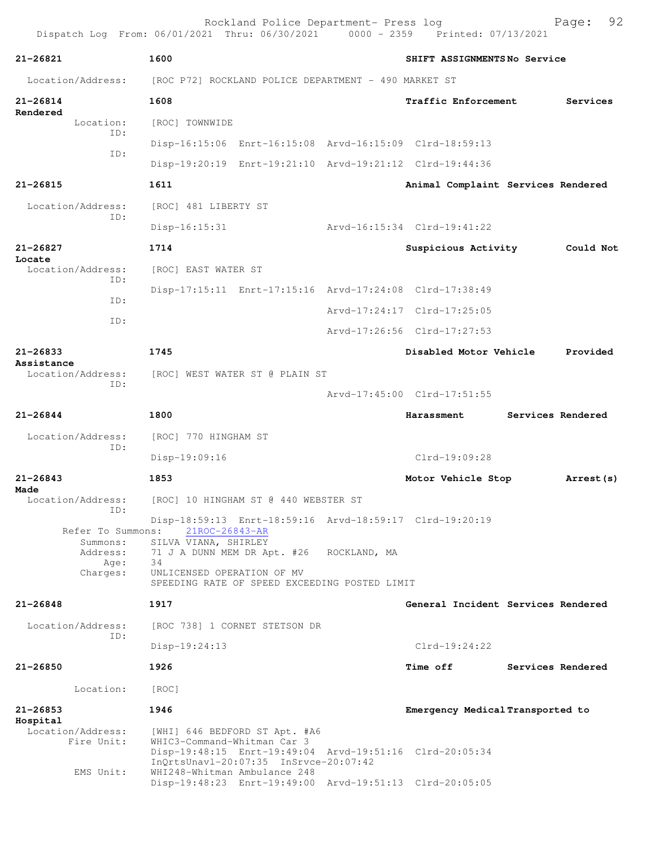Rockland Police Department- Press log Fage: 92 Dispatch Log From: 06/01/2021 Thru: 06/30/2021 0000 - 2359 Printed: 07/13/2021 **21-26821 1600 SHIFT ASSIGNMENTS No Service** Location/Address: [ROC P72] ROCKLAND POLICE DEPARTMENT - 490 MARKET ST **21-26814 1608 Traffic Enforcement Services Rendered**  Location: [ROC] TOWNWIDE ID: Disp-16:15:06 Enrt-16:15:08 Arvd-16:15:09 Clrd-18:59:13 ID: Disp-19:20:19 Enrt-19:21:10 Arvd-19:21:12 Clrd-19:44:36 **21-26815 1611 Animal Complaint Services Rendered** Location/Address: [ROC] 481 LIBERTY ST ID: Disp-16:15:31 Arvd-16:15:34 Clrd-19:41:22 **21-26827 1714 Suspicious Activity Could Not Locate**  Location/Address: [ROC] EAST WATER ST ID: Disp-17:15:11 Enrt-17:15:16 Arvd-17:24:08 Clrd-17:38:49 ID: Arvd-17:24:17 Clrd-17:25:05 ID: Arvd-17:26:56 Clrd-17:27:53 **21-26833 1745 Disabled Motor Vehicle Provided Assistance**  Location/Address: [ROC] WEST WATER ST @ PLAIN ST ID: Arvd-17:45:00 Clrd-17:51:55 **21-26844 1800 Harassment Services Rendered** Location/Address: [ROC] 770 HINGHAM ST ID: Disp-19:09:16 Clrd-19:09:28 **21-26843 1853 Motor Vehicle Stop Arrest(s) Made**  Location/Address: [ROC] 10 HINGHAM ST @ 440 WEBSTER ST ID: Disp-18:59:13 Enrt-18:59:16 Arvd-18:59:17 Clrd-19:20:19 Refer To Summons: Summons: SILVA VIANA, SHIRLEY Address: 71 J A DUNN MEM DR Apt. #26 ROCKLAND, MA Age: 34 Charges: UNLICENSED OPERATION OF MV SPEEDING RATE OF SPEED EXCEEDING POSTED LIMIT **21-26848 1917 General Incident Services Rendered** Location/Address: [ROC 738] 1 CORNET STETSON DR ID: Disp-19:24:13 Clrd-19:24:22 **21-26850 1926 Time off Services Rendered** Location: [ROC] **21-26853 1946 Emergency Medical Transported to Hospital**  Location/Address: [WHI] 646 BEDFORD ST Apt. #A6<br>Fire Unit: WHIC3-Command-Whitman Car 3 WHIC3-Command-Whitman Car 3 Disp-19:48:15 Enrt-19:49:04 Arvd-19:51:16 Clrd-20:05:34 InQrtsUnavl-20:07:35 InSrvce-20:07:42<br>EMS Unit: WHI248-Whitman Ambulance 248 WHI248-Whitman Ambulance 248 Disp-19:48:23 Enrt-19:49:00 Arvd-19:51:13 Clrd-20:05:05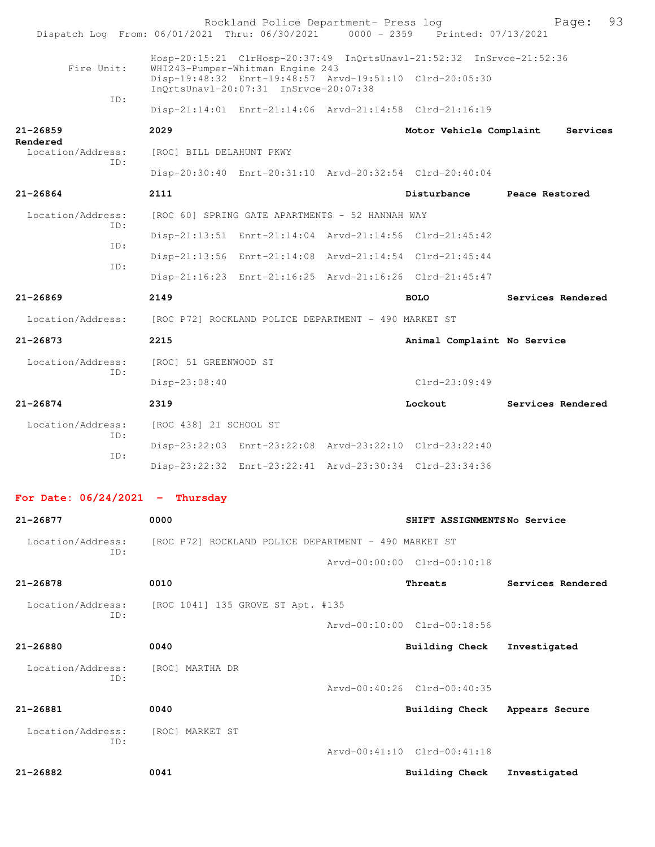| Dispatch Log From: 06/01/2021 Thru: 06/30/2021 |                          | Rockland Police Department- Press log                | 0000 - 2359 Printed: 07/13/2021                                      | 93<br>Page:       |
|------------------------------------------------|--------------------------|------------------------------------------------------|----------------------------------------------------------------------|-------------------|
| Fire Unit:                                     |                          | WHI243-Pumper-Whitman Engine 243                     | Hosp-20:15:21 ClrHosp-20:37:49 InQrtsUnavl-21:52:32 InSrvce-21:52:36 |                   |
|                                                |                          | InOrtsUnavl-20:07:31 InSrvce-20:07:38                | Disp-19:48:32 Enrt-19:48:57 Arvd-19:51:10 Clrd-20:05:30              |                   |
| ID:                                            |                          |                                                      | Disp-21:14:01 Enrt-21:14:06 Arvd-21:14:58 Clrd-21:16:19              |                   |
| 21-26859                                       | 2029                     |                                                      | Motor Vehicle Complaint                                              | Services          |
| Rendered<br>Location/Address:                  | [ROC] BILL DELAHUNT PKWY |                                                      |                                                                      |                   |
| TD:                                            |                          |                                                      | Disp-20:30:40 Enrt-20:31:10 Arvd-20:32:54 Clrd-20:40:04              |                   |
| 21-26864                                       | 2111                     |                                                      | Disturbance                                                          | Peace Restored    |
| Location/Address:                              |                          | [ROC 60] SPRING GATE APARTMENTS - 52 HANNAH WAY      |                                                                      |                   |
| ID:                                            |                          |                                                      | Disp-21:13:51 Enrt-21:14:04 Arvd-21:14:56 Clrd-21:45:42              |                   |
| ID:                                            |                          |                                                      | Disp-21:13:56 Enrt-21:14:08 Arvd-21:14:54 Clrd-21:45:44              |                   |
| ID:                                            |                          |                                                      | Disp-21:16:23 Enrt-21:16:25 Arvd-21:16:26 Clrd-21:45:47              |                   |
| 21-26869                                       | 2149                     |                                                      | <b>BOLO</b>                                                          | Services Rendered |
| Location/Address:                              |                          | [ROC P72] ROCKLAND POLICE DEPARTMENT - 490 MARKET ST |                                                                      |                   |
| 21-26873                                       | 2215                     |                                                      | Animal Complaint No Service                                          |                   |
| Location/Address:                              | [ROC] 51 GREENWOOD ST    |                                                      |                                                                      |                   |
| ID:                                            | Disp-23:08:40            |                                                      | $Clrd-23:09:49$                                                      |                   |
| 21-26874                                       | 2319                     |                                                      | Lockout                                                              | Services Rendered |
| Location/Address:                              | [ROC 438] 21 SCHOOL ST   |                                                      |                                                                      |                   |
| TD:                                            |                          |                                                      | Disp-23:22:03 Enrt-23:22:08 Arvd-23:22:10 Clrd-23:22:40              |                   |
| ID:                                            |                          |                                                      | Disp-23:22:32 Enrt-23:22:41 Arvd-23:30:34 Clrd-23:34:36              |                   |
| For Date: $06/24/2021$ - Thursday              |                          |                                                      |                                                                      |                   |
| 21-26877                                       | 0000                     |                                                      | SHIFT ASSIGNMENTSNo Service                                          |                   |
| Location/Address:                              |                          | [ROC P72] ROCKLAND POLICE DEPARTMENT - 490 MARKET ST |                                                                      |                   |
| ID:                                            |                          |                                                      | Arvd-00:00:00 Clrd-00:10:18                                          |                   |
| 21-26878                                       | 0010                     |                                                      | Threats                                                              | Services Rendered |
| Location/Address:                              |                          | [ROC 1041] 135 GROVE ST Apt. #135                    |                                                                      |                   |
| ID:                                            |                          |                                                      | Arvd-00:10:00 Clrd-00:18:56                                          |                   |
| 21-26880                                       | 0040                     |                                                      | Building Check                                                       | Investigated      |
| Location/Address:<br>ID:                       | [ROC] MARTHA DR          |                                                      |                                                                      |                   |
|                                                |                          |                                                      | Arvd-00:40:26 Clrd-00:40:35                                          |                   |
| 21-26881                                       | 0040                     |                                                      | Building Check                                                       | Appears Secure    |
| Location/Address:<br>ID:                       | [ROC] MARKET ST          |                                                      |                                                                      |                   |

Arvd-00:41:10 Clrd-00:41:18

**21-26882 0041 Building Check Investigated**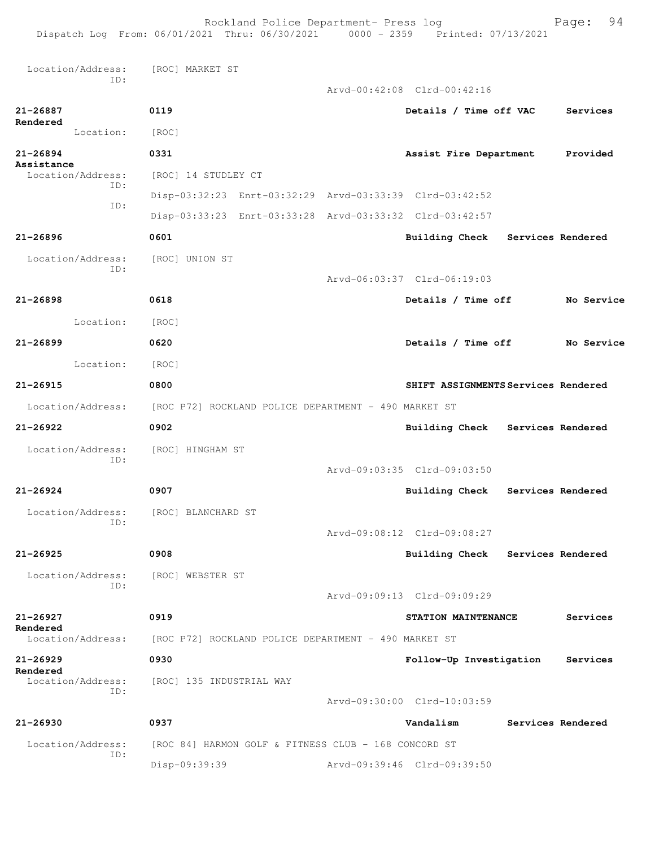Rockland Police Department- Press log Fage: 94

 Location/Address: [ROC] MARKET ST ID: Arvd-00:42:08 Clrd-00:42:16 **21-26887 0119 Details / Time off VAC Services Rendered**  Location: [ROC] **21-26894 0331 Assist Fire Department Provided** Assistance<br>Location/Address: [ROC] 14 STUDLEY CT ID: Disp-03:32:23 Enrt-03:32:29 Arvd-03:33:39 Clrd-03:42:52 ID: Disp-03:33:23 Enrt-03:33:28 Arvd-03:33:32 Clrd-03:42:57 **21-26896 0601 Building Check Services Rendered** Location/Address: [ROC] UNION ST ID: Arvd-06:03:37 Clrd-06:19:03 **21-26898 0618 Details / Time off No Service** Location: [ROC] **21-26899 0620 Details / Time off No Service** Location: [ROC] **21-26915 0800 SHIFT ASSIGNMENTS Services Rendered** Location/Address: [ROC P72] ROCKLAND POLICE DEPARTMENT - 490 MARKET ST **21-26922 0902 Building Check Services Rendered** Location/Address: [ROC] HINGHAM ST ID: Arvd-09:03:35 Clrd-09:03:50 **21-26924 0907 Building Check Services Rendered** Location/Address: [ROC] BLANCHARD ST ID: Arvd-09:08:12 Clrd-09:08:27 **21-26925 0908 Building Check Services Rendered** Location/Address: [ROC] WEBSTER ST ID: Arvd-09:09:13 Clrd-09:09:29 **21-26927 0919 STATION MAINTENANCE Services Rendered**  Location/Address: [ROC P72] ROCKLAND POLICE DEPARTMENT - 490 MARKET ST **21-26929 0930 Follow-Up Investigation Services Rendered**  Location/Address: [ROC] 135 INDUSTRIAL WAY ID: Arvd-09:30:00 Clrd-10:03:59 **21-26930 0937 Vandalism Services Rendered** Location/Address: [ROC 84] HARMON GOLF & FITNESS CLUB - 168 CONCORD ST ID: Disp-09:39:39 Arvd-09:39:46 Clrd-09:39:50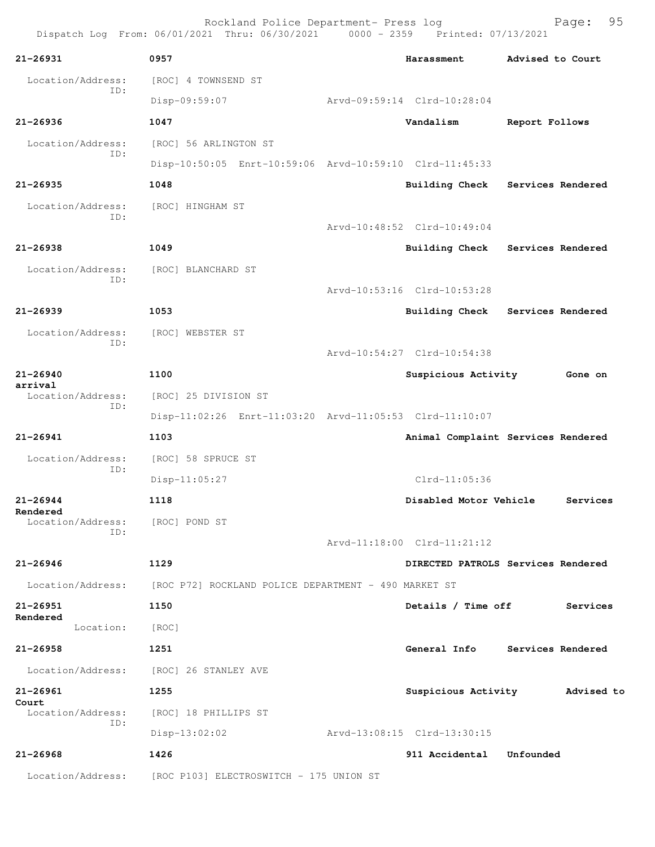Rockland Police Department- Press log Fage: 95<br>21 Thru: 06/30/2021 0000 - 2359 Printed: 07/13/2021 Dispatch Log From: 06/01/2021 Thru: 06/30/2021 0000 - 2359 **21-26931 0957 Harassment Advised to Court** Location/Address: [ROC] 4 TOWNSEND ST ID: Disp-09:59:07 Arvd-09:59:14 Clrd-10:28:04 **21-26936 1047 Vandalism Report Follows** Location/Address: [ROC] 56 ARLINGTON ST ID: Disp-10:50:05 Enrt-10:59:06 Arvd-10:59:10 Clrd-11:45:33 **21-26935 1048 Building Check Services Rendered** Location/Address: [ROC] HINGHAM ST ID: Arvd-10:48:52 Clrd-10:49:04 **21-26938 1049 Building Check Services Rendered** Location/Address: [ROC] BLANCHARD ST ID: Arvd-10:53:16 Clrd-10:53:28 **21-26939 1053 Building Check Services Rendered** Location/Address: [ROC] WEBSTER ST ID: Arvd-10:54:27 Clrd-10:54:38 **21-26940 1100 Suspicious Activity Gone on arrival**  Location/Address: [ROC] 25 DIVISION ST ID: Disp-11:02:26 Enrt-11:03:20 Arvd-11:05:53 Clrd-11:10:07 **21-26941 1103 Animal Complaint Services Rendered** Location/Address: [ROC] 58 SPRUCE ST ID: Disp-11:05:27 Clrd-11:05:36 **21-26944 1118 Disabled Motor Vehicle Services Rendered**  Location/Address: [ROC] POND ST ID: Arvd-11:18:00 Clrd-11:21:12 **21-26946 1129 DIRECTED PATROLS Services Rendered** Location/Address: [ROC P72] ROCKLAND POLICE DEPARTMENT - 490 MARKET ST **21-26951 1150 Details / Time off Services Rendered**  Location: [ROC] **21-26958 1251 General Info Services Rendered** Location/Address: [ROC] 26 STANLEY AVE **21-26961 1255 Suspicious Activity Advised to Court**  Location/Address: [ROC] 18 PHILLIPS ST ID: Disp-13:02:02 Arvd-13:08:15 Clrd-13:30:15 **21-26968 1426 911 Accidental Unfounded**  Location/Address: [ROC P103] ELECTROSWITCH - 175 UNION ST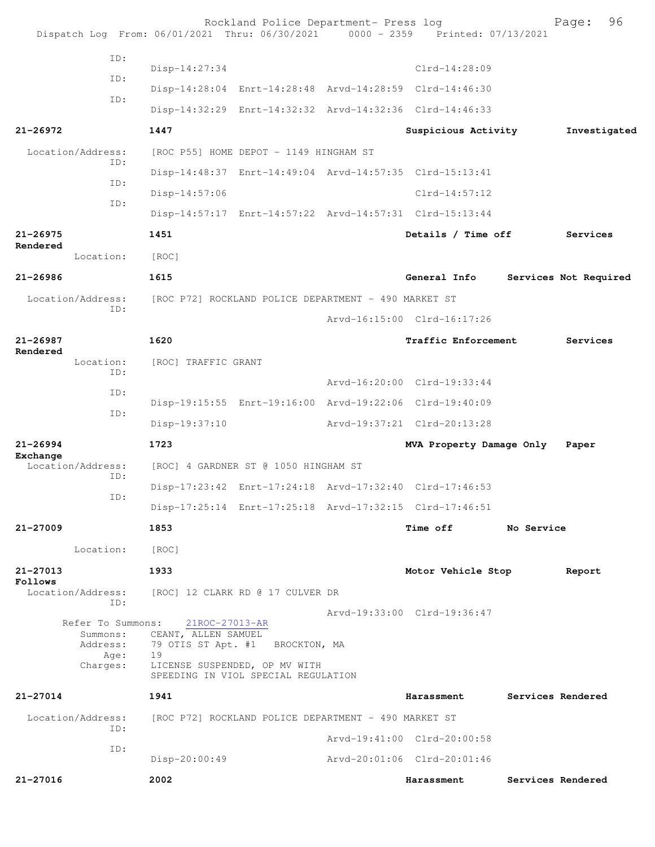|                      |                                                               |                                                                                       | Rockland Police Department- Press log                | Dispatch Log From: 06/01/2021 Thru: 06/30/2021 0000 - 2359 Printed: 07/13/2021 |            | 96<br>Page:           |
|----------------------|---------------------------------------------------------------|---------------------------------------------------------------------------------------|------------------------------------------------------|--------------------------------------------------------------------------------|------------|-----------------------|
|                      | ID:                                                           |                                                                                       |                                                      |                                                                                |            |                       |
|                      | ID:                                                           | $Disp-14:27:34$                                                                       |                                                      | $Clrd-14:28:09$                                                                |            |                       |
|                      | ID:                                                           |                                                                                       |                                                      | Disp-14:28:04 Enrt-14:28:48 Arvd-14:28:59 Clrd-14:46:30                        |            |                       |
|                      |                                                               |                                                                                       |                                                      | Disp-14:32:29 Enrt-14:32:32 Arvd-14:32:36 Clrd-14:46:33                        |            |                       |
| $21 - 26972$         |                                                               | 1447                                                                                  |                                                      | Suspicious Activity                                                            |            | Investigated          |
|                      | Location/Address:<br>ID:                                      |                                                                                       | [ROC P55] HOME DEPOT - 1149 HINGHAM ST               |                                                                                |            |                       |
|                      | ID:                                                           |                                                                                       |                                                      | Disp-14:48:37 Enrt-14:49:04 Arvd-14:57:35 Clrd-15:13:41                        |            |                       |
|                      | ID:                                                           | Disp-14:57:06                                                                         |                                                      | $Clrd-14:57:12$                                                                |            |                       |
|                      |                                                               |                                                                                       |                                                      | Disp-14:57:17 Enrt-14:57:22 Arvd-14:57:31 Clrd-15:13:44                        |            |                       |
| 21-26975<br>Rendered |                                                               | 1451                                                                                  |                                                      | Details / Time off                                                             |            | Services              |
|                      | Location:                                                     | [ROC]                                                                                 |                                                      |                                                                                |            |                       |
| $21 - 26986$         |                                                               | 1615                                                                                  |                                                      | General Info                                                                   |            | Services Not Required |
|                      | Location/Address:                                             |                                                                                       | [ROC P72] ROCKLAND POLICE DEPARTMENT - 490 MARKET ST |                                                                                |            |                       |
|                      | ID:                                                           |                                                                                       |                                                      | Arvd-16:15:00 Clrd-16:17:26                                                    |            |                       |
| 21-26987             |                                                               | 1620                                                                                  |                                                      | Traffic Enforcement                                                            |            | Services              |
| Rendered             | Location:                                                     | [ROC] TRAFFIC GRANT                                                                   |                                                      |                                                                                |            |                       |
|                      | ID:                                                           |                                                                                       |                                                      | Arvd-16:20:00 Clrd-19:33:44                                                    |            |                       |
|                      | ID:                                                           |                                                                                       |                                                      | Disp-19:15:55 Enrt-19:16:00 Arvd-19:22:06 Clrd-19:40:09                        |            |                       |
|                      | ID:                                                           | Disp-19:37:10                                                                         |                                                      | Arvd-19:37:21 Clrd-20:13:28                                                    |            |                       |
| $21 - 26994$         |                                                               | 1723                                                                                  |                                                      | MVA Property Damage Only                                                       |            | Paper                 |
| Exchange             | Location/Address:<br>ID:                                      |                                                                                       | [ROC] 4 GARDNER ST @ 1050 HINGHAM ST                 |                                                                                |            |                       |
|                      | ID:                                                           |                                                                                       |                                                      | Disp-17:23:42 Enrt-17:24:18 Arvd-17:32:40 Clrd-17:46:53                        |            |                       |
|                      |                                                               |                                                                                       |                                                      | Disp-17:25:14 Enrt-17:25:18 Arvd-17:32:15 Clrd-17:46:51                        |            |                       |
| $21 - 27009$         |                                                               | 1853                                                                                  |                                                      | <b>Time off</b>                                                                | No Service |                       |
|                      | Location:                                                     | [ROC]                                                                                 |                                                      |                                                                                |            |                       |
| 21-27013<br>Follows  |                                                               | 1933                                                                                  |                                                      | Motor Vehicle Stop                                                             |            | Report                |
|                      | Location/Address:<br>ID:                                      | [ROC] 12 CLARK RD @ 17 CULVER DR                                                      |                                                      | Arvd-19:33:00 Clrd-19:36:47                                                    |            |                       |
|                      | Refer To Summons:<br>Summons:<br>Address:<br>Age:<br>Charges: | $21$ ROC- $27013$ -AR<br>CEANT, ALLEN SAMUEL<br>79 OTIS ST Apt. #1 BROCKTON, MA<br>19 | LICENSE SUSPENDED, OP MV WITH                        |                                                                                |            |                       |
|                      |                                                               |                                                                                       | SPEEDING IN VIOL SPECIAL REGULATION                  |                                                                                |            |                       |
| 21-27014             |                                                               | 1941                                                                                  |                                                      | Harassment                                                                     |            | Services Rendered     |
|                      | Location/Address:<br>ID:                                      | [ROC P72] ROCKLAND POLICE DEPARTMENT - 490 MARKET ST                                  |                                                      |                                                                                |            |                       |
|                      | ID:                                                           |                                                                                       |                                                      | Arvd-19:41:00 Clrd-20:00:58                                                    |            |                       |
|                      |                                                               | Disp-20:00:49                                                                         |                                                      | Arvd-20:01:06 Clrd-20:01:46                                                    |            |                       |
| 21-27016             |                                                               | 2002                                                                                  |                                                      | Harassment                                                                     |            | Services Rendered     |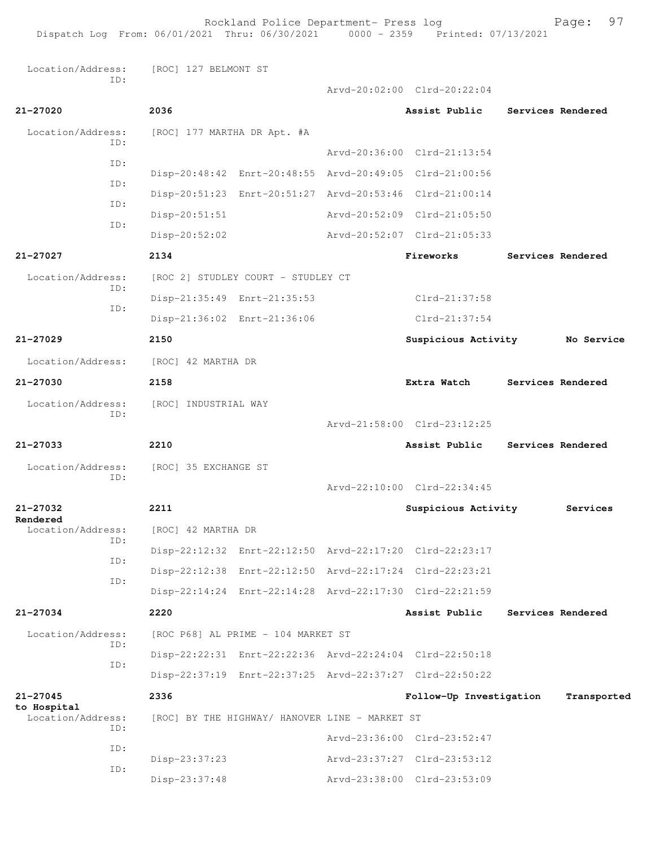Rockland Police Department- Press log Fage: 97 Dispatch Log From: 06/01/2021 Thru: 06/30/2021 0000 - 2359 Printed: 07/13/2021 Location/Address: [ROC] 127 BELMONT ST ID: Arvd-20:02:00 Clrd-20:22:04 **21-27020 2036 Assist Public Services Rendered** Location/Address: [ROC] 177 MARTHA DR Apt. #A ID: Arvd-20:36:00 Clrd-21:13:54 ID: Disp-20:48:42 Enrt-20:48:55 Arvd-20:49:05 Clrd-21:00:56 ID: Disp-20:51:23 Enrt-20:51:27 Arvd-20:53:46 Clrd-21:00:14 ID: Disp-20:51:51 Arvd-20:52:09 Clrd-21:05:50 ID: Disp-20:52:02 Arvd-20:52:07 Clrd-21:05:33 **21-27027 2134 Fireworks Services Rendered** Location/Address: [ROC 2] STUDLEY COURT - STUDLEY CT ID: Disp-21:35:49 Enrt-21:35:53 Clrd-21:37:58 ID: Disp-21:36:02 Enrt-21:36:06 Clrd-21:37:54 **21-27029 2150 Suspicious Activity No Service** Location/Address: [ROC] 42 MARTHA DR **21-27030 2158 Extra Watch Services Rendered** Location/Address: [ROC] INDUSTRIAL WAY ID: Arvd-21:58:00 Clrd-23:12:25 **21-27033 2210 Assist Public Services Rendered** Location/Address: [ROC] 35 EXCHANGE ST ID: Arvd-22:10:00 Clrd-22:34:45 **21-27032 2211 Suspicious Activity Services Rendered**  [ROC] 42 MARTHA DR ID: Disp-22:12:32 Enrt-22:12:50 Arvd-22:17:20 Clrd-22:23:17 ID: Disp-22:12:38 Enrt-22:12:50 Arvd-22:17:24 Clrd-22:23:21 ID: Disp-22:14:24 Enrt-22:14:28 Arvd-22:17:30 Clrd-22:21:59 **21-27034 2220 Assist Public Services Rendered** Location/Address: [ROC P68] AL PRIME - 104 MARKET ST ID: Disp-22:22:31 Enrt-22:22:36 Arvd-22:24:04 Clrd-22:50:18 ID: Disp-22:37:19 Enrt-22:37:25 Arvd-22:37:27 Clrd-22:50:22 **21-27045 2336 Follow-Up Investigation Transported to Hospital**  [ROC] BY THE HIGHWAY/ HANOVER LINE - MARKET ST ID: Arvd-23:36:00 Clrd-23:52:47 ID: Disp-23:37:23 Arvd-23:37:27 Clrd-23:53:12 ID: Disp-23:37:48 Arvd-23:38:00 Clrd-23:53:09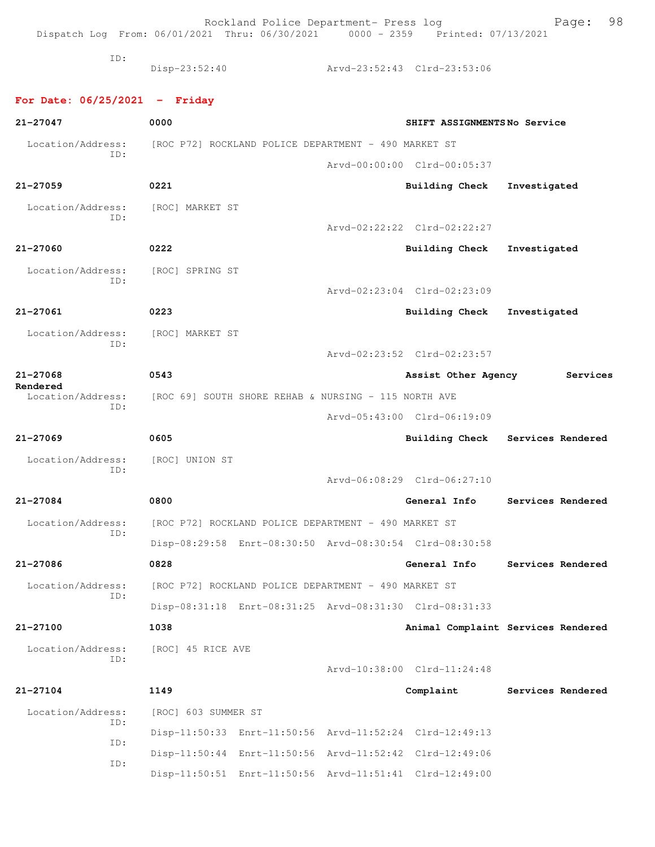Rockland Police Department- Press log Fage: 98 Dispatch Log From: 06/01/2021 Thru: 06/30/2021 0000 - 2359 Printed: 07/13/2021 ID: Disp-23:52:40 Arvd-23:52:43 Clrd-23:53:06 **For Date: 06/25/2021 - Friday 21-27047 0000 SHIFT ASSIGNMENTS No Service** Location/Address: [ROC P72] ROCKLAND POLICE DEPARTMENT - 490 MARKET ST ID: Arvd-00:00:00 Clrd-00:05:37 **21-27059 0221 Building Check Investigated** Location/Address: [ROC] MARKET ST ID: Arvd-02:22:22 Clrd-02:22:27 **21-27060 0222 Building Check Investigated** Location/Address: [ROC] SPRING ST ID: Arvd-02:23:04 Clrd-02:23:09 **21-27061 0223 Building Check Investigated** Location/Address: [ROC] MARKET ST ID: Arvd-02:23:52 Clrd-02:23:57 **21-27068 0543 Assist Other Agency Services Rendered**  Location/Address: [ROC 69] SOUTH SHORE REHAB & NURSING - 115 NORTH AVE ID: Arvd-05:43:00 Clrd-06:19:09 **21-27069 0605 Building Check Services Rendered** Location/Address: [ROC] UNION ST ID: Arvd-06:08:29 Clrd-06:27:10 **21-27084 0800 General Info Services Rendered** Location/Address: [ROC P72] ROCKLAND POLICE DEPARTMENT - 490 MARKET ST ID: Disp-08:29:58 Enrt-08:30:50 Arvd-08:30:54 Clrd-08:30:58 **21-27086 0828 General Info Services Rendered** Location/Address: [ROC P72] ROCKLAND POLICE DEPARTMENT - 490 MARKET ST ID: Disp-08:31:18 Enrt-08:31:25 Arvd-08:31:30 Clrd-08:31:33 **21-27100 1038 Animal Complaint Services Rendered** Location/Address: [ROC] 45 RICE AVE ID: Arvd-10:38:00 Clrd-11:24:48 **21-27104 1149 Complaint Services Rendered** Location/Address: [ROC] 603 SUMMER ST ID: Disp-11:50:33 Enrt-11:50:56 Arvd-11:52:24 Clrd-12:49:13 ID: Disp-11:50:44 Enrt-11:50:56 Arvd-11:52:42 Clrd-12:49:06 ID: Disp-11:50:51 Enrt-11:50:56 Arvd-11:51:41 Clrd-12:49:00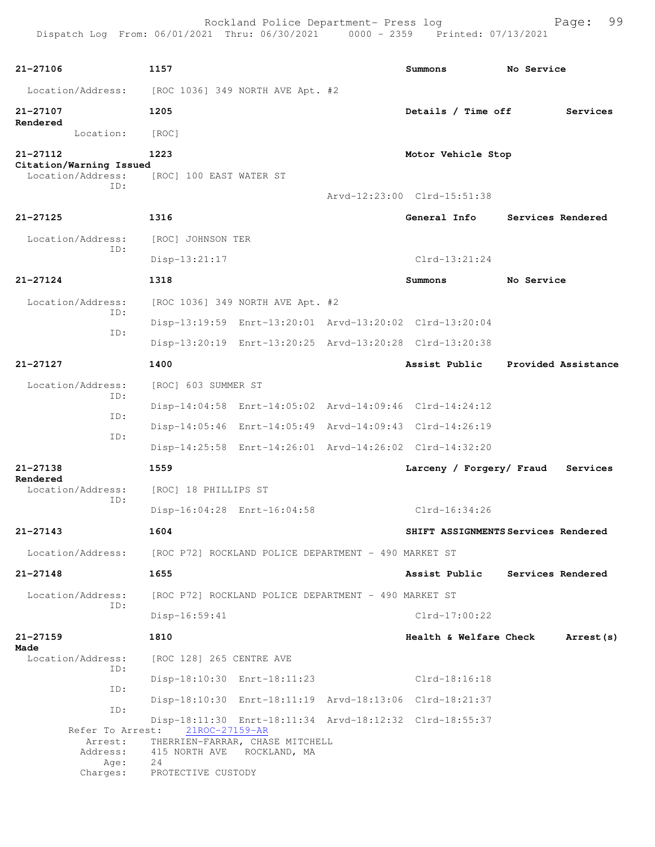| Dispatch Log From: 06/01/2021 Thru: 06/30/2021 0000 - 2359 Printed: 07/13/2021 |                                                      | Rockland Police Department- Press log                |                                                         | 99<br>Page:                         |
|--------------------------------------------------------------------------------|------------------------------------------------------|------------------------------------------------------|---------------------------------------------------------|-------------------------------------|
| 21-27106                                                                       | 1157                                                 |                                                      | Summons                                                 | No Service                          |
| Location/Address:                                                              | [ROC 1036] 349 NORTH AVE Apt. #2                     |                                                      |                                                         |                                     |
| 21-27107                                                                       | 1205                                                 |                                                      | Details / Time off                                      | Services                            |
| Rendered<br>Location:                                                          | [ROC]                                                |                                                      |                                                         |                                     |
| 21-27112                                                                       | 1223                                                 |                                                      | Motor Vehicle Stop                                      |                                     |
| Citation/Warning Issued<br>Location/Address:<br>ID:                            | [ROC] 100 EAST WATER ST                              |                                                      |                                                         |                                     |
|                                                                                |                                                      |                                                      | Arvd-12:23:00 Clrd-15:51:38                             |                                     |
| $21 - 27125$                                                                   | 1316                                                 |                                                      | General Info                                            | Services Rendered                   |
| Location/Address:<br>ID:                                                       | [ROC] JOHNSON TER                                    |                                                      |                                                         |                                     |
|                                                                                | Disp-13:21:17                                        |                                                      | $Clrd-13:21:24$                                         |                                     |
| $21 - 27124$                                                                   | 1318                                                 |                                                      | Summons                                                 | No Service                          |
| Location/Address:                                                              |                                                      | [ROC 1036] 349 NORTH AVE Apt. #2                     |                                                         |                                     |
| ID:                                                                            |                                                      |                                                      | Disp-13:19:59 Enrt-13:20:01 Arvd-13:20:02 Clrd-13:20:04 |                                     |
| ID:                                                                            |                                                      |                                                      | Disp-13:20:19 Enrt-13:20:25 Arvd-13:20:28 Clrd-13:20:38 |                                     |
| 21-27127                                                                       | 1400                                                 |                                                      | Assist Public                                           | Provided Assistance                 |
| Location/Address:                                                              | [ROC] 603 SUMMER ST                                  |                                                      |                                                         |                                     |
| ID:                                                                            |                                                      |                                                      | Disp-14:04:58 Enrt-14:05:02 Arvd-14:09:46 Clrd-14:24:12 |                                     |
| ID:                                                                            |                                                      |                                                      | Disp-14:05:46 Enrt-14:05:49 Arvd-14:09:43 Clrd-14:26:19 |                                     |
| ID:                                                                            |                                                      |                                                      | Disp-14:25:58 Enrt-14:26:01 Arvd-14:26:02 Clrd-14:32:20 |                                     |
| 21-27138                                                                       | 1559                                                 |                                                      | Larceny / Forgery/ Fraud                                | Services                            |
| Rendered<br>Location/Address:<br>ID:                                           | [ROC] 18 PHILLIPS ST                                 |                                                      |                                                         |                                     |
|                                                                                |                                                      | Disp-16:04:28 Enrt-16:04:58                          | Clrd-16:34:26                                           |                                     |
| 21-27143                                                                       | 1604                                                 |                                                      |                                                         | SHIFT ASSIGNMENTS Services Rendered |
| Location/Address:                                                              | [ROC P72] ROCKLAND POLICE DEPARTMENT - 490 MARKET ST |                                                      |                                                         |                                     |
| $21 - 27148$                                                                   | 1655                                                 |                                                      | Assist Public                                           | Services Rendered                   |
| Location/Address:<br>ID:                                                       |                                                      | [ROC P72] ROCKLAND POLICE DEPARTMENT - 490 MARKET ST |                                                         |                                     |
|                                                                                | $Disp-16:59:41$                                      |                                                      | $Clrd-17:00:22$                                         |                                     |
| $21 - 27159$                                                                   | 1810                                                 |                                                      |                                                         | Health & Welfare Check Arrest (s)   |
| Made<br>Location/Address:                                                      | [ROC 128] 265 CENTRE AVE                             |                                                      |                                                         |                                     |
| ID:                                                                            |                                                      | Disp-18:10:30 Enrt-18:11:23                          | Clrd-18:16:18                                           |                                     |
| ID:                                                                            |                                                      |                                                      | Disp-18:10:30 Enrt-18:11:19 Arvd-18:13:06 Clrd-18:21:37 |                                     |
| ID:<br>Refer To Arrest:                                                        | 21ROC-27159-AR                                       |                                                      | Disp-18:11:30 Enrt-18:11:34 Arvd-18:12:32 Clrd-18:55:37 |                                     |
| Arrest:<br>Address:                                                            | THERRIEN-FARRAR, CHASE MITCHELL                      | 415 NORTH AVE ROCKLAND, MA                           |                                                         |                                     |
| Age:<br>Charges:                                                               | 24<br>PROTECTIVE CUSTODY                             |                                                      |                                                         |                                     |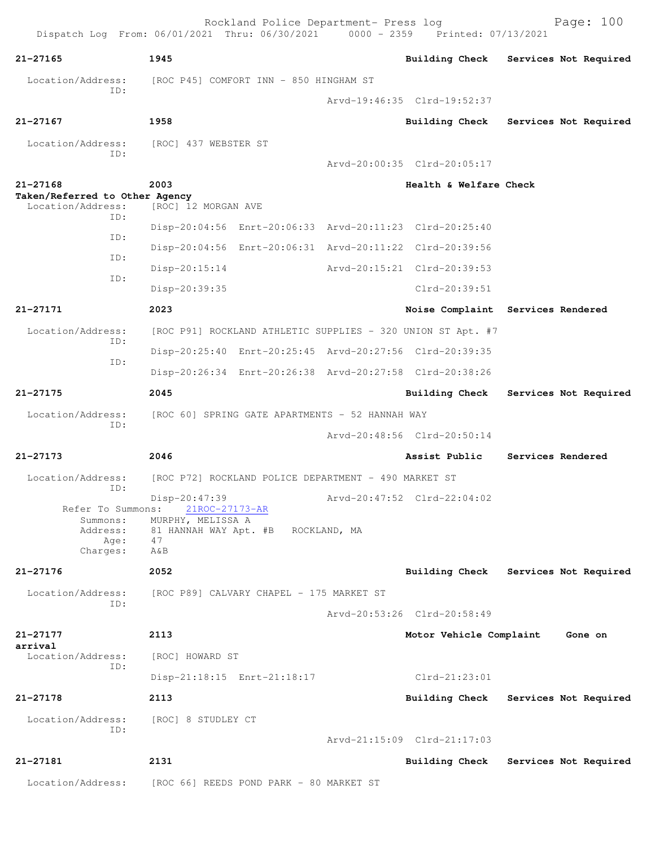Rockland Police Department- Press log Bookland Police Department- Press log<br>21 Thru: 06/30/2021 0000 - 2359 Printed: 07/13/2021 Dispatch Log From: 06/01/2021 Thru: 06/30/2021 **21-27165 1945 Building Check Services Not Required** Location/Address: [ROC P45] COMFORT INN - 850 HINGHAM ST ID: Arvd-19:46:35 Clrd-19:52:37 **21-27167 1958 Building Check Services Not Required** Location/Address: [ROC] 437 WEBSTER ST ID: Arvd-20:00:35 Clrd-20:05:17 **21-27168 2003 Health & Welfare Check Taken/Referred to Other Agency**  Location/Address: [ROC] 12 MORGAN AVE ID: Disp-20:04:56 Enrt-20:06:33 Arvd-20:11:23 Clrd-20:25:40 ID: Disp-20:04:56 Enrt-20:06:31 Arvd-20:11:22 Clrd-20:39:56 ID: Disp-20:15:14 Arvd-20:15:21 Clrd-20:39:53 ID: Disp-20:39:35 Clrd-20:39:51 **21-27171 2023 Noise Complaint Services Rendered** Location/Address: [ROC P91] ROCKLAND ATHLETIC SUPPLIES - 320 UNION ST Apt. #7 ID: Disp-20:25:40 Enrt-20:25:45 Arvd-20:27:56 Clrd-20:39:35 ID: Disp-20:26:34 Enrt-20:26:38 Arvd-20:27:58 Clrd-20:38:26 **21-27175 2045 Building Check Services Not Required** Location/Address: [ROC 60] SPRING GATE APARTMENTS - 52 HANNAH WAY ID: Arvd-20:48:56 Clrd-20:50:14 **21-27173 2046 Assist Public Services Rendered** Location/Address: [ROC P72] ROCKLAND POLICE DEPARTMENT - 490 MARKET ST ID: Disp-20:47:39 Arvd-20:47:52 Clrd-22:04:02 Refer To Summons: 21ROC-27173-AR Summons: MURPHY, MELISSA A Address: 81 HANNAH WAY Apt. #B ROCKLAND, MA Age: Charges: A&B **21-27176 2052 Building Check Services Not Required** Location/Address: [ROC P89] CALVARY CHAPEL - 175 MARKET ST ID: Arvd-20:53:26 Clrd-20:58:49 **21-27177 2113 Motor Vehicle Complaint Gone on arrival**  Location/Address: [ROC] HOWARD ST ID: Disp-21:18:15 Enrt-21:18:17 Clrd-21:23:01 **21-27178 2113 Building Check Services Not Required** Location/Address: [ROC] 8 STUDLEY CT ID: Arvd-21:15:09 Clrd-21:17:03 **21-27181 2131 Building Check Services Not Required** Location/Address: [ROC 66] REEDS POND PARK - 80 MARKET ST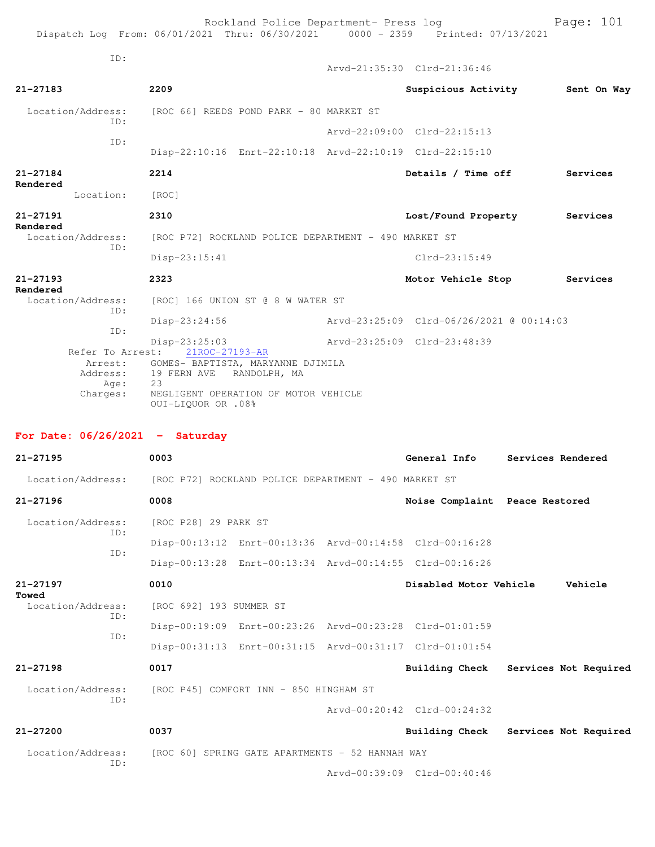Rockland Police Department- Press log Page: 101 Dispatch Log From: 06/01/2021 Thru: 06/30/2021 0000 - 2359 Printed: 07/13/2021 ID: Arvd-21:35:30 Clrd-21:36:46 **21-27183 2209 Suspicious Activity Sent On Way** Location/Address: [ROC 66] REEDS POND PARK - 80 MARKET ST ID: Arvd-22:09:00 Clrd-22:15:13 ID: Disp-22:10:16 Enrt-22:10:18 Arvd-22:10:19 Clrd-22:15:10 **21-27184 2214 Details / Time off Services Rendered**  Location: [ROC] **21-27191 2310 Lost/Found Property Services Rendered**  Location/Address: [ROC P72] ROCKLAND POLICE DEPARTMENT - 490 MARKET ST ID: Disp-23:15:41 Clrd-23:15:49 **21-27193 2323 Motor Vehicle Stop Services Rendered**<br>Location/Address: [ROC] 166 UNION ST @ 8 W WATER ST ID: Disp-23:24:56 Arvd-23:25:09 Clrd-06/26/2021 @ 00:14:03 ID: Disp-23:25:03 Arvd-23:25:09 Clrd-23:48:39 Refer To Arrest: Arrest: GOMES- BAPTISTA, MARYANNE DJIMILA Address: 19 FERN AVE RANDOLPH, MA<br>Age: 23 Age: Charges: NEGLIGENT OPERATION OF MOTOR VEHICLE

## **For Date: 06/26/2021 - Saturday**

OUI-LIQUOR OR .08%

| $21 - 27195$             | 0003                                                                   | General Info                   | Services Rendered     |
|--------------------------|------------------------------------------------------------------------|--------------------------------|-----------------------|
|                          | Location/Address: [ROC P72] ROCKLAND POLICE DEPARTMENT - 490 MARKET ST |                                |                       |
| $21 - 27196$             | 0008                                                                   | Noise Complaint Peace Restored |                       |
| Location/Address:<br>ID: | [ROC P28] 29 PARK ST                                                   |                                |                       |
| ID:                      | Disp-00:13:12 Enrt-00:13:36 Arvd-00:14:58 Clrd-00:16:28                |                                |                       |
|                          | Disp-00:13:28 Enrt-00:13:34 Arvd-00:14:55 Clrd-00:16:26                |                                |                       |
| 21-27197<br>Towed        | 0010                                                                   | Disabled Motor Vehicle         | Vehicle               |
| Location/Address:<br>ID: | [ROC 692] 193 SUMMER ST                                                |                                |                       |
| TD:                      | Disp-00:19:09 Enrt-00:23:26 Arvd-00:23:28 Clrd-01:01:59                |                                |                       |
|                          | Disp-00:31:13 Enrt-00:31:15 Arvd-00:31:17 Clrd-01:01:54                |                                |                       |
| $21 - 27198$             | 0017                                                                   | Building Check                 | Services Not Required |
| ID:                      | Location/Address: [ROC P45] COMFORT INN - 850 HINGHAM ST               |                                |                       |
|                          |                                                                        | Arvd-00:20:42 Clrd-00:24:32    |                       |
| $21 - 27200$             | 0037                                                                   | <b>Building Check</b>          | Services Not Required |
|                          | Location/Address: [ROC 60] SPRING GATE APARTMENTS - 52 HANNAH WAY      |                                |                       |
| ID:                      |                                                                        | Aryd-00:39:09 Clrd-00:40:46    |                       |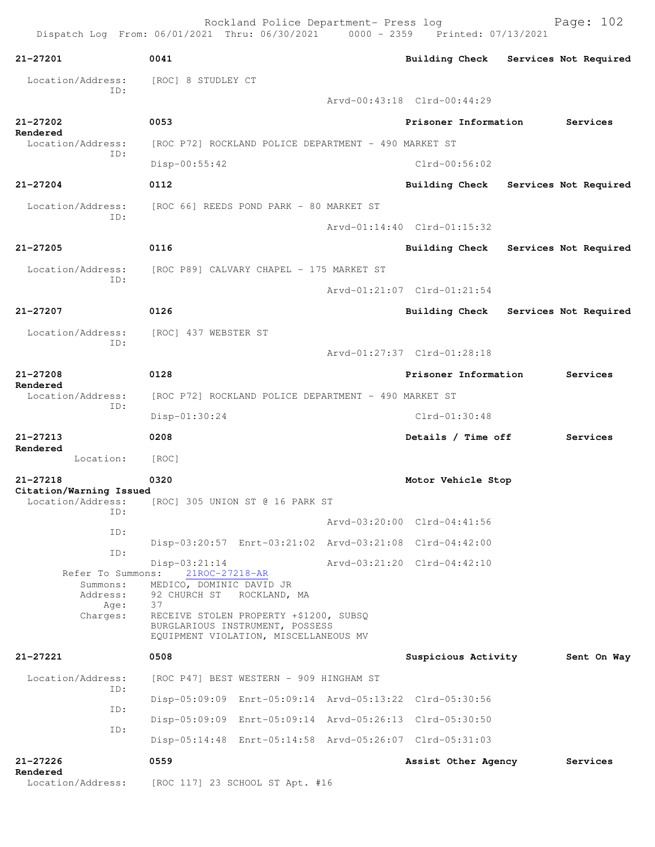Rockland Police Department- Press log Bookland Police Department- Press log Page: 102 Dispatch Log From: 06/01/2021 Thru: 06/30/2021 0000 - 2359 **21-27201 0041 Building Check Services Not Required** Location/Address: [ROC] 8 STUDLEY CT ID: Arvd-00:43:18 Clrd-00:44:29 **21-27202 0053 Prisoner Information Services Rendered**  Location/Address: [ROC P72] ROCKLAND POLICE DEPARTMENT - 490 MARKET ST ID: Disp-00:55:42 Clrd-00:56:02 **21-27204 0112 Building Check Services Not Required** Location/Address: [ROC 66] REEDS POND PARK - 80 MARKET ST ID: Arvd-01:14:40 Clrd-01:15:32 **21-27205 0116 Building Check Services Not Required** Location/Address: [ROC P89] CALVARY CHAPEL - 175 MARKET ST ID: Arvd-01:21:07 Clrd-01:21:54 **21-27207 0126 Building Check Services Not Required** Location/Address: [ROC] 437 WEBSTER ST ID: Arvd-01:27:37 Clrd-01:28:18 **21-27208 0128 Prisoner Information Services Rendered**  Location/Address: [ROC P72] ROCKLAND POLICE DEPARTMENT - 490 MARKET ST ID: Disp-01:30:24 Clrd-01:30:48 **21-27213 0208 Details / Time off Services Rendered**  Location: [ROC] **21-27218 0320 Motor Vehicle Stop Citation/Warning Issued**  Location/Address: [ROC] 305 UNION ST @ 16 PARK ST ID: Arvd-03:20:00 Clrd-04:41:56 ID: Disp-03:20:57 Enrt-03:21:02 Arvd-03:21:08 Clrd-04:42:00 ID: Disp-03:21:14 Arvd-03:21:20 Clrd-04:42:10 Refer To Summons: 21ROC-27218-AR Summons: MEDICO, DOMINIC DAVID JR Address: 92 CHURCH ST ROCKLAND, MA Age: 37 Charges: RECEIVE STOLEN PROPERTY +\$1200, SUBSQ BURGLARIOUS INSTRUMENT, POSSESS EQUIPMENT VIOLATION, MISCELLANEOUS MV **21-27221 0508 Suspicious Activity Sent On Way** Location/Address: [ROC P47] BEST WESTERN - 909 HINGHAM ST ID: Disp-05:09:09 Enrt-05:09:14 Arvd-05:13:22 Clrd-05:30:56 ID: Disp-05:09:09 Enrt-05:09:14 Arvd-05:26:13 Clrd-05:30:50 ID: Disp-05:14:48 Enrt-05:14:58 Arvd-05:26:07 Clrd-05:31:03 **21-27226 0559 Assist Other Agency Services Rendered**  Location/Address: [ROC 117] 23 SCHOOL ST Apt. #16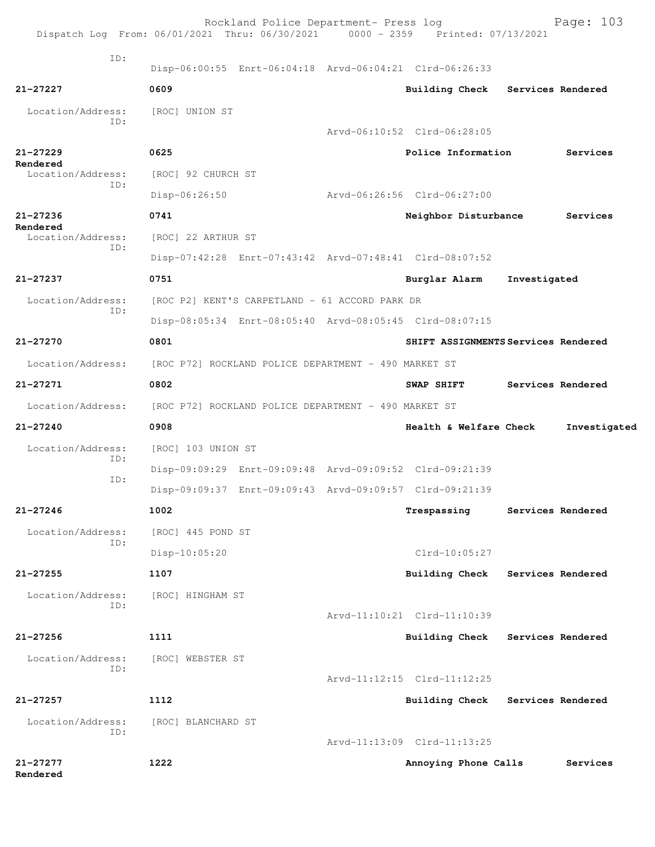|                          | Rockland Police Department- Press log<br>Dispatch Log From: 06/01/2021 Thru: 06/30/2021 0000 - 2359 Printed: 07/13/2021 |                                     |                   | Page: 103    |
|--------------------------|-------------------------------------------------------------------------------------------------------------------------|-------------------------------------|-------------------|--------------|
| ID:                      | Disp-06:00:55 Enrt-06:04:18 Arvd-06:04:21 Clrd-06:26:33                                                                 |                                     |                   |              |
| 21-27227                 | 0609                                                                                                                    | <b>Building Check</b>               | Services Rendered |              |
| Location/Address:<br>ID: | [ROC] UNION ST                                                                                                          |                                     |                   |              |
|                          |                                                                                                                         | Arvd-06:10:52 Clrd-06:28:05         |                   |              |
| $21 - 27229$<br>Rendered | 0625                                                                                                                    | Police Information                  |                   | Services     |
| Location/Address:<br>ID: | [ROC] 92 CHURCH ST                                                                                                      |                                     |                   |              |
|                          | Disp-06:26:50                                                                                                           | Arvd-06:26:56 Clrd-06:27:00         |                   |              |
| 21-27236<br>Rendered     | 0741                                                                                                                    | Neighbor Disturbance                |                   | Services     |
| Location/Address:<br>ID: | [ROC] 22 ARTHUR ST                                                                                                      |                                     |                   |              |
|                          | Disp-07:42:28 Enrt-07:43:42 Arvd-07:48:41 Clrd-08:07:52                                                                 |                                     |                   |              |
| $21 - 27237$             | 0751                                                                                                                    | Burglar Alarm                       | Investigated      |              |
| Location/Address:        | [ROC P2] KENT'S CARPETLAND - 61 ACCORD PARK DR                                                                          |                                     |                   |              |
| ID:                      | Disp-08:05:34 Enrt-08:05:40 Arvd-08:05:45 Clrd-08:07:15                                                                 |                                     |                   |              |
| 21-27270                 | 0801                                                                                                                    | SHIFT ASSIGNMENTS Services Rendered |                   |              |
| Location/Address:        | [ROC P72] ROCKLAND POLICE DEPARTMENT - 490 MARKET ST                                                                    |                                     |                   |              |
| 21-27271                 | 0802                                                                                                                    | SWAP SHIFT                          | Services Rendered |              |
| Location/Address:        | [ROC P72] ROCKLAND POLICE DEPARTMENT - 490 MARKET ST                                                                    |                                     |                   |              |
| $21 - 27240$             | 0908                                                                                                                    | Health & Welfare Check              |                   | Investigated |
| Location/Address:        | [ROC] 103 UNION ST                                                                                                      |                                     |                   |              |
| ID:                      | Disp-09:09:29 Enrt-09:09:48 Arvd-09:09:52 Clrd-09:21:39                                                                 |                                     |                   |              |
| ID:                      | Disp-09:09:37 Enrt-09:09:43 Arvd-09:09:57 Clrd-09:21:39                                                                 |                                     |                   |              |
| $21 - 27246$             | 1002                                                                                                                    | Trespassing                         | Services Rendered |              |
| Location/Address:<br>ID: | [ROC] 445 POND ST                                                                                                       |                                     |                   |              |
|                          | $Disp-10:05:20$                                                                                                         | $Clrd-10:05:27$                     |                   |              |
| $21 - 27255$             | 1107                                                                                                                    | Building Check                      | Services Rendered |              |
| Location/Address:        | [ROC] HINGHAM ST                                                                                                        |                                     |                   |              |
| TD:                      |                                                                                                                         | Arvd-11:10:21 Clrd-11:10:39         |                   |              |
| $21 - 27256$             | 1111                                                                                                                    | <b>Building Check</b>               | Services Rendered |              |
| Location/Address:        | [ROC] WEBSTER ST                                                                                                        |                                     |                   |              |
| ID:                      |                                                                                                                         | Arvd-11:12:15 Clrd-11:12:25         |                   |              |
| $21 - 27257$             | 1112                                                                                                                    | <b>Building Check</b>               | Services Rendered |              |
| Location/Address:        | [ROC] BLANCHARD ST                                                                                                      |                                     |                   |              |
| ID:                      |                                                                                                                         | Arvd-11:13:09 Clrd-11:13:25         |                   |              |
| $21 - 27277$<br>Rendered | 1222                                                                                                                    | Annoying Phone Calls                |                   | Services     |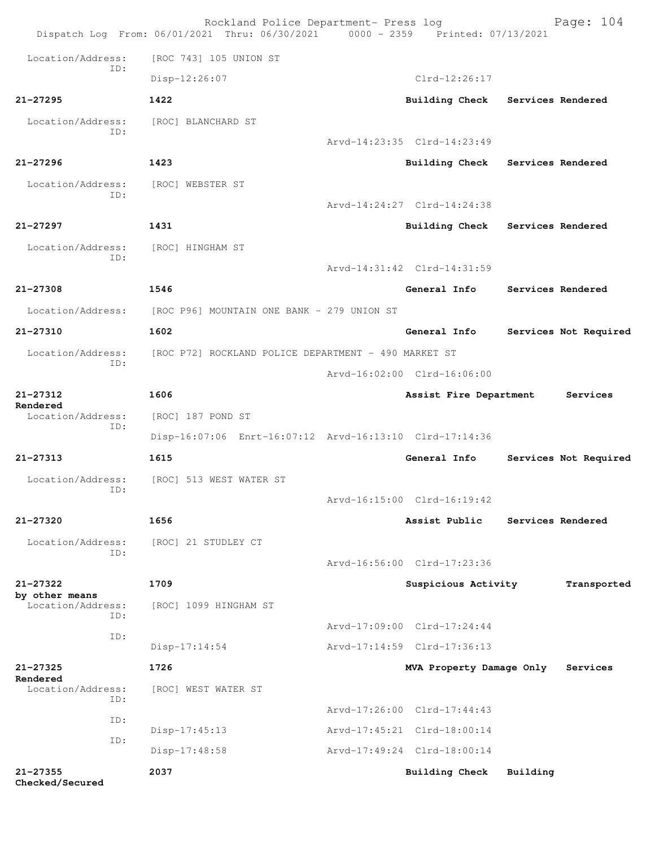|                                 | Rockland Police Department- Press log<br>Dispatch Log From: 06/01/2021 Thru: 06/30/2021 0000 - 2359 Printed: 07/13/2021 |                             |                   | Page: 104             |
|---------------------------------|-------------------------------------------------------------------------------------------------------------------------|-----------------------------|-------------------|-----------------------|
| Location/Address:               | [ROC 743] 105 UNION ST                                                                                                  |                             |                   |                       |
| ID:                             | Disp-12:26:07                                                                                                           | $Clrd-12:26:17$             |                   |                       |
| $21 - 27295$                    | 1422                                                                                                                    | Building Check              | Services Rendered |                       |
| Location/Address:               | [ROC] BLANCHARD ST                                                                                                      |                             |                   |                       |
| ID:                             |                                                                                                                         | Arvd-14:23:35 Clrd-14:23:49 |                   |                       |
| $21 - 27296$                    | 1423                                                                                                                    | <b>Building Check</b>       | Services Rendered |                       |
| Location/Address:               | [ROC] WEBSTER ST                                                                                                        |                             |                   |                       |
| ID:                             |                                                                                                                         | Arvd-14:24:27 Clrd-14:24:38 |                   |                       |
| 21-27297                        | 1431                                                                                                                    | <b>Building Check</b>       | Services Rendered |                       |
| Location/Address:               | [ROC] HINGHAM ST                                                                                                        |                             |                   |                       |
| ID:                             |                                                                                                                         | Arvd-14:31:42 Clrd-14:31:59 |                   |                       |
| 21-27308                        | 1546                                                                                                                    | General Info                |                   | Services Rendered     |
| Location/Address:               | [ROC P96] MOUNTAIN ONE BANK - 279 UNION ST                                                                              |                             |                   |                       |
| 21-27310                        | 1602                                                                                                                    | General Info                |                   | Services Not Required |
| Location/Address:<br>ID:        | [ROC P72] ROCKLAND POLICE DEPARTMENT - 490 MARKET ST                                                                    |                             |                   |                       |
|                                 |                                                                                                                         | Arvd-16:02:00 Clrd-16:06:00 |                   |                       |
| 21-27312<br>Rendered            | 1606                                                                                                                    | Assist Fire Department      |                   | Services              |
| Location/Address:<br>ID:        | [ROC] 187 POND ST                                                                                                       |                             |                   |                       |
|                                 | Disp-16:07:06 Enrt-16:07:12 Arvd-16:13:10 Clrd-17:14:36                                                                 |                             |                   |                       |
| 21-27313                        | 1615                                                                                                                    | General Info                |                   | Services Not Required |
| Location/Address:<br>ID:        | [ROC] 513 WEST WATER ST                                                                                                 |                             |                   |                       |
|                                 |                                                                                                                         | Arvd-16:15:00 Clrd-16:19:42 |                   |                       |
| $21 - 27320$                    | 1656                                                                                                                    | Assist Public               |                   | Services Rendered     |
| Location/Address:<br>ID:        | [ROC] 21 STUDLEY CT                                                                                                     |                             |                   |                       |
|                                 |                                                                                                                         | Arvd-16:56:00 Clrd-17:23:36 |                   |                       |
| 21-27322<br>by other means      | 1709                                                                                                                    | Suspicious Activity         |                   | Transported           |
| Location/Address:<br>ID:        | [ROC] 1099 HINGHAM ST                                                                                                   |                             |                   |                       |
| ID:                             |                                                                                                                         | Arvd-17:09:00 Clrd-17:24:44 |                   |                       |
|                                 | $Disp-17:14:54$                                                                                                         | Arvd-17:14:59 Clrd-17:36:13 |                   |                       |
| $21 - 27325$<br>Rendered        | 1726                                                                                                                    | MVA Property Damage Only    |                   | Services              |
| Location/Address:<br>ID:        | [ROC] WEST WATER ST                                                                                                     |                             |                   |                       |
| ID:                             |                                                                                                                         | Arvd-17:26:00 Clrd-17:44:43 |                   |                       |
| ID:                             | $Disp-17:45:13$                                                                                                         | Arvd-17:45:21 Clrd-18:00:14 |                   |                       |
|                                 | Disp-17:48:58                                                                                                           | Arvd-17:49:24 Clrd-18:00:14 |                   |                       |
| $21 - 27355$<br>Checked/Secured | 2037                                                                                                                    | <b>Building Check</b>       | Building          |                       |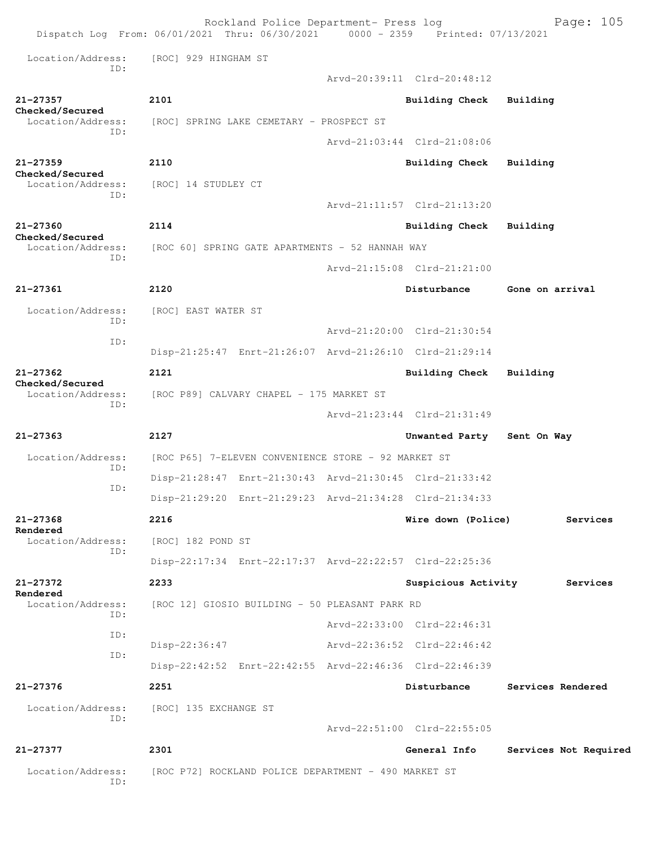Rockland Police Department- Press log Fage: 105 Dispatch Log From: 06/01/2021 Thru: 06/30/2021 0000 - 2359 Printed: 07/13/2021 Location/Address: [ROC] 929 HINGHAM ST ID: Arvd-20:39:11 Clrd-20:48:12 **21-27357 2101 Building Check Building Checked/Secured**  Location/Address: [ROC] SPRING LAKE CEMETARY - PROSPECT ST ID: Arvd-21:03:44 Clrd-21:08:06 **21-27359 2110 Building Check Building Checked/Secured**  Location/Address: [ROC] 14 STUDLEY CT ID: Arvd-21:11:57 Clrd-21:13:20 **21-27360 2114 Building Check Building Checked/Secured**  Location/Address: [ROC 60] SPRING GATE APARTMENTS - 52 HANNAH WAY ID: Arvd-21:15:08 Clrd-21:21:00 **21-27361 2120 Disturbance Gone on arrival** Location/Address: [ROC] EAST WATER ST ID: Arvd-21:20:00 Clrd-21:30:54 ID: Disp-21:25:47 Enrt-21:26:07 Arvd-21:26:10 Clrd-21:29:14 **21-27362 2121 Building Check Building Checked/Secured**  Location/Address: [ROC P89] CALVARY CHAPEL - 175 MARKET ST ID: Arvd-21:23:44 Clrd-21:31:49 **21-27363 2127 Unwanted Party Sent On Way** Location/Address: [ROC P65] 7-ELEVEN CONVENIENCE STORE - 92 MARKET ST ID: Disp-21:28:47 Enrt-21:30:43 Arvd-21:30:45 Clrd-21:33:42 ID: Disp-21:29:20 Enrt-21:29:23 Arvd-21:34:28 Clrd-21:34:33 **21-27368 2216 Wire down (Police) Services Rendered**  Location/Address: [ROC] 182 POND ST ID: Disp-22:17:34 Enrt-22:17:37 Arvd-22:22:57 Clrd-22:25:36 **21-27372 2233 Suspicious Activity Services Rendered**  Location/Address: [ROC 12] GIOSIO BUILDING - 50 PLEASANT PARK RD ID: Arvd-22:33:00 Clrd-22:46:31 ID: Disp-22:36:47 Arvd-22:36:52 Clrd-22:46:42 ID: Disp-22:42:52 Enrt-22:42:55 Arvd-22:46:36 Clrd-22:46:39 **21-27376 2251 Disturbance Services Rendered** Location/Address: [ROC] 135 EXCHANGE ST ID: Arvd-22:51:00 Clrd-22:55:05 **21-27377 2301 General Info Services Not Required** Location/Address: [ROC P72] ROCKLAND POLICE DEPARTMENT - 490 MARKET ST ID: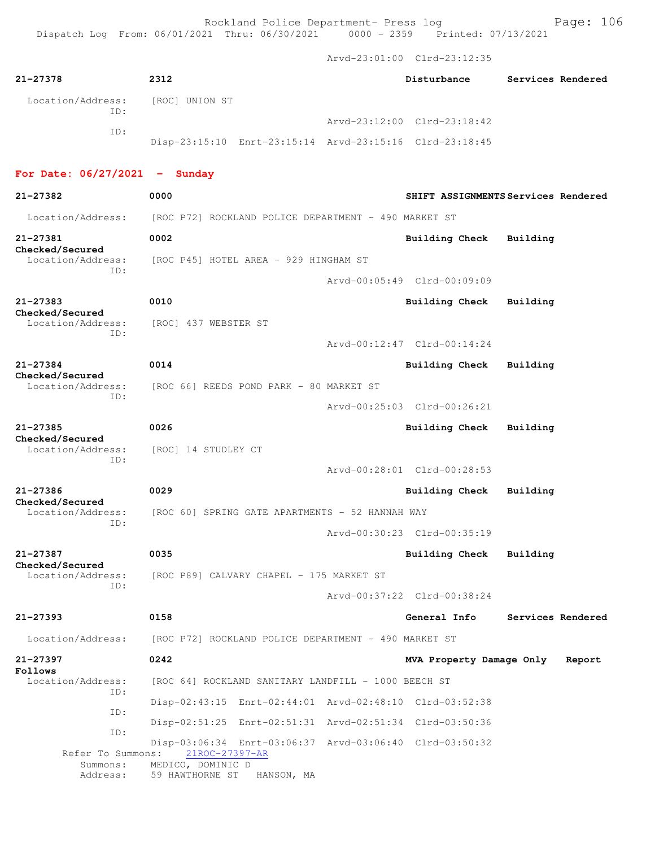Arvd-23:01:00 Clrd-23:12:35

| 21-27378                                    | 2312                                                                      |  | Disturbance                 | Services Rendered                   |  |
|---------------------------------------------|---------------------------------------------------------------------------|--|-----------------------------|-------------------------------------|--|
| Location/Address:<br>TD:                    | [ROC] UNION ST                                                            |  |                             |                                     |  |
| ID:                                         |                                                                           |  | Arvd-23:12:00 Clrd-23:18:42 |                                     |  |
|                                             | Disp-23:15:10 Enrt-23:15:14 Arvd-23:15:16 Clrd-23:18:45                   |  |                             |                                     |  |
| For Date: $06/27/2021$ - Sunday             |                                                                           |  |                             |                                     |  |
| 21-27382                                    | 0000                                                                      |  |                             | SHIFT ASSIGNMENTS Services Rendered |  |
| Location/Address:                           | [ROC P72] ROCKLAND POLICE DEPARTMENT - 490 MARKET ST                      |  |                             |                                     |  |
| 21-27381                                    | 0002                                                                      |  | Building Check              | Building                            |  |
| Checked/Secured<br>Location/Address:        | [ROC P45] HOTEL AREA - 929 HINGHAM ST                                     |  |                             |                                     |  |
| TD:                                         |                                                                           |  | Arvd-00:05:49 Clrd-00:09:09 |                                     |  |
| 21-27383<br>Checked/Secured                 | 0010                                                                      |  | Building Check              | Building                            |  |
| Location/Address:<br>ID:                    | [ROC] 437 WEBSTER ST                                                      |  |                             |                                     |  |
|                                             |                                                                           |  | Arvd-00:12:47 Clrd-00:14:24 |                                     |  |
| $21 - 27384$<br>Checked/Secured             | 0014                                                                      |  | Building Check              | Building                            |  |
| Location/Address:                           | [ROC 66] REEDS POND PARK - 80 MARKET ST                                   |  |                             |                                     |  |
| ID:                                         |                                                                           |  | Arvd-00:25:03 Clrd-00:26:21 |                                     |  |
| $21 - 27385$<br>Checked/Secured             | 0026                                                                      |  | Building Check              | Building                            |  |
| Location/Address:                           | [ROC] 14 STUDLEY CT                                                       |  |                             |                                     |  |
| ID:                                         |                                                                           |  | Arvd-00:28:01 Clrd-00:28:53 |                                     |  |
| 21-27386<br>Checked/Secured                 | 0029                                                                      |  | Building Check              | Building                            |  |
| Location/Address:<br>ID:                    | [ROC 60] SPRING GATE APARTMENTS - 52 HANNAH WAY                           |  |                             |                                     |  |
|                                             |                                                                           |  | Arvd-00:30:23 Clrd-00:35:19 |                                     |  |
| 21-27387                                    | 0035                                                                      |  | <b>Building Check</b>       | Building                            |  |
| Checked/Secured<br>Location/Address:<br>ID: | [ROC P89] CALVARY CHAPEL - 175 MARKET ST                                  |  |                             |                                     |  |
|                                             |                                                                           |  | Arvd-00:37:22 Clrd-00:38:24 |                                     |  |
| 21-27393                                    | 0158                                                                      |  | General Info                | Services Rendered                   |  |
| Location/Address:                           | [ROC P72] ROCKLAND POLICE DEPARTMENT - 490 MARKET ST                      |  |                             |                                     |  |
| 21-27397<br>Follows                         | 0242                                                                      |  | MVA Property Damage Only    | Report                              |  |
| Location/Address:<br>ID:                    | [ROC 64] ROCKLAND SANITARY LANDFILL - 1000 BEECH ST                       |  |                             |                                     |  |
| ID:                                         | Disp-02:43:15 Enrt-02:44:01 Arvd-02:48:10 Clrd-03:52:38                   |  |                             |                                     |  |
| ID:                                         | Disp-02:51:25 Enrt-02:51:31 Arvd-02:51:34 Clrd-03:50:36                   |  |                             |                                     |  |
| Refer To Summons:                           | Disp-03:06:34 Enrt-03:06:37 Arvd-03:06:40 Clrd-03:50:32<br>21ROC-27397-AR |  |                             |                                     |  |
| Summons:<br>Address:                        | MEDICO, DOMINIC D<br>59 HAWTHORNE ST<br>HANSON, MA                        |  |                             |                                     |  |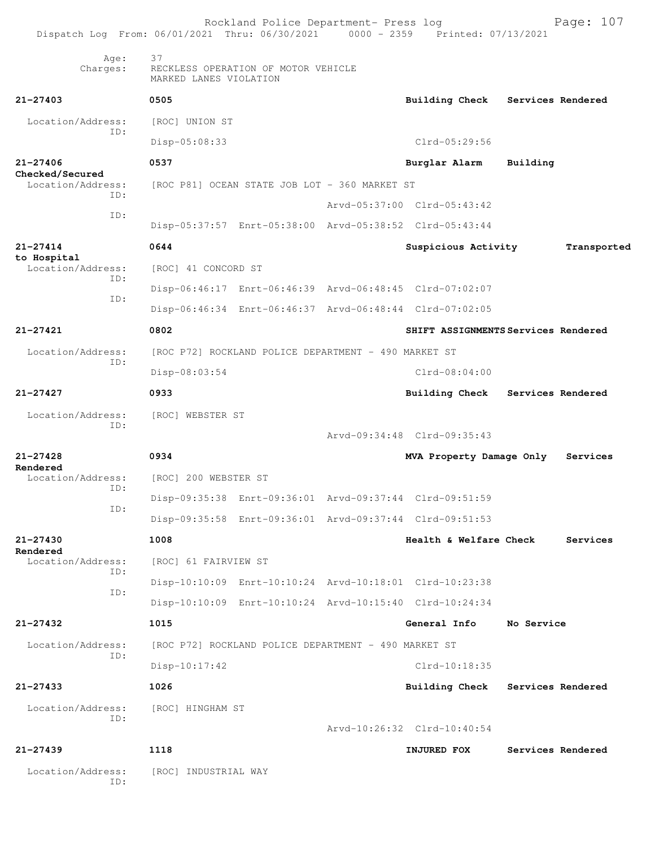| 37<br>Age:<br>Charges:<br>RECKLESS OPERATION OF MOTOR VEHICLE<br>MARKED LANES VIOLATION<br>$21 - 27403$<br>0505<br><b>Building Check</b><br>Services Rendered<br>Location/Address:<br>[ROC] UNION ST<br>ID:<br>Clrd-05:29:56<br>Disp-05:08:33<br>$21 - 27406$<br>0537<br>Burglar Alarm<br>Building<br>Checked/Secured<br>Location/Address:<br>[ROC P81] OCEAN STATE JOB LOT - 360 MARKET ST<br>TD:<br>Arvd-05:37:00 Clrd-05:43:42<br>ID:<br>Disp-05:37:57 Enrt-05:38:00 Arvd-05:38:52 Clrd-05:43:44<br>$21 - 27414$<br>0644<br>Suspicious Activity<br>to Hospital<br>Location/Address:<br>[ROC] 41 CONCORD ST<br>ID:<br>Disp-06:46:17 Enrt-06:46:39 Arvd-06:48:45 Clrd-07:02:07<br>ID:<br>Disp-06:46:34 Enrt-06:46:37 Arvd-06:48:44 Clrd-07:02:05<br>$21 - 27421$<br>0802<br>SHIFT ASSIGNMENTS Services Rendered<br>Location/Address:<br>[ROC P72] ROCKLAND POLICE DEPARTMENT - 490 MARKET ST<br>ID:<br>Disp-08:03:54<br>$Clrd-08:04:00$<br>$21 - 27427$<br>0933<br><b>Building Check</b><br>Services Rendered<br>Location/Address:<br>[ROC] WEBSTER ST<br>ID:<br>Arvd-09:34:48 Clrd-09:35:43<br>21-27428<br>0934<br>MVA Property Damage Only<br>Services<br>Rendered<br>Location/Address:<br>[ROC] 200 WEBSTER ST<br>ID:<br>Disp-09:35:38 Enrt-09:36:01 Arvd-09:37:44 Clrd-09:51:59<br>ID:<br>Disp-09:35:58 Enrt-09:36:01 Arvd-09:37:44 Clrd-09:51:53<br>$21 - 27430$ | Transported |
|------------------------------------------------------------------------------------------------------------------------------------------------------------------------------------------------------------------------------------------------------------------------------------------------------------------------------------------------------------------------------------------------------------------------------------------------------------------------------------------------------------------------------------------------------------------------------------------------------------------------------------------------------------------------------------------------------------------------------------------------------------------------------------------------------------------------------------------------------------------------------------------------------------------------------------------------------------------------------------------------------------------------------------------------------------------------------------------------------------------------------------------------------------------------------------------------------------------------------------------------------------------------------------------------------------------------------------------------------------------------|-------------|
|                                                                                                                                                                                                                                                                                                                                                                                                                                                                                                                                                                                                                                                                                                                                                                                                                                                                                                                                                                                                                                                                                                                                                                                                                                                                                                                                                                        |             |
|                                                                                                                                                                                                                                                                                                                                                                                                                                                                                                                                                                                                                                                                                                                                                                                                                                                                                                                                                                                                                                                                                                                                                                                                                                                                                                                                                                        |             |
|                                                                                                                                                                                                                                                                                                                                                                                                                                                                                                                                                                                                                                                                                                                                                                                                                                                                                                                                                                                                                                                                                                                                                                                                                                                                                                                                                                        |             |
|                                                                                                                                                                                                                                                                                                                                                                                                                                                                                                                                                                                                                                                                                                                                                                                                                                                                                                                                                                                                                                                                                                                                                                                                                                                                                                                                                                        |             |
|                                                                                                                                                                                                                                                                                                                                                                                                                                                                                                                                                                                                                                                                                                                                                                                                                                                                                                                                                                                                                                                                                                                                                                                                                                                                                                                                                                        |             |
|                                                                                                                                                                                                                                                                                                                                                                                                                                                                                                                                                                                                                                                                                                                                                                                                                                                                                                                                                                                                                                                                                                                                                                                                                                                                                                                                                                        |             |
|                                                                                                                                                                                                                                                                                                                                                                                                                                                                                                                                                                                                                                                                                                                                                                                                                                                                                                                                                                                                                                                                                                                                                                                                                                                                                                                                                                        |             |
|                                                                                                                                                                                                                                                                                                                                                                                                                                                                                                                                                                                                                                                                                                                                                                                                                                                                                                                                                                                                                                                                                                                                                                                                                                                                                                                                                                        |             |
|                                                                                                                                                                                                                                                                                                                                                                                                                                                                                                                                                                                                                                                                                                                                                                                                                                                                                                                                                                                                                                                                                                                                                                                                                                                                                                                                                                        |             |
|                                                                                                                                                                                                                                                                                                                                                                                                                                                                                                                                                                                                                                                                                                                                                                                                                                                                                                                                                                                                                                                                                                                                                                                                                                                                                                                                                                        |             |
|                                                                                                                                                                                                                                                                                                                                                                                                                                                                                                                                                                                                                                                                                                                                                                                                                                                                                                                                                                                                                                                                                                                                                                                                                                                                                                                                                                        |             |
|                                                                                                                                                                                                                                                                                                                                                                                                                                                                                                                                                                                                                                                                                                                                                                                                                                                                                                                                                                                                                                                                                                                                                                                                                                                                                                                                                                        |             |
|                                                                                                                                                                                                                                                                                                                                                                                                                                                                                                                                                                                                                                                                                                                                                                                                                                                                                                                                                                                                                                                                                                                                                                                                                                                                                                                                                                        |             |
|                                                                                                                                                                                                                                                                                                                                                                                                                                                                                                                                                                                                                                                                                                                                                                                                                                                                                                                                                                                                                                                                                                                                                                                                                                                                                                                                                                        |             |
|                                                                                                                                                                                                                                                                                                                                                                                                                                                                                                                                                                                                                                                                                                                                                                                                                                                                                                                                                                                                                                                                                                                                                                                                                                                                                                                                                                        |             |
|                                                                                                                                                                                                                                                                                                                                                                                                                                                                                                                                                                                                                                                                                                                                                                                                                                                                                                                                                                                                                                                                                                                                                                                                                                                                                                                                                                        |             |
|                                                                                                                                                                                                                                                                                                                                                                                                                                                                                                                                                                                                                                                                                                                                                                                                                                                                                                                                                                                                                                                                                                                                                                                                                                                                                                                                                                        |             |
|                                                                                                                                                                                                                                                                                                                                                                                                                                                                                                                                                                                                                                                                                                                                                                                                                                                                                                                                                                                                                                                                                                                                                                                                                                                                                                                                                                        |             |
|                                                                                                                                                                                                                                                                                                                                                                                                                                                                                                                                                                                                                                                                                                                                                                                                                                                                                                                                                                                                                                                                                                                                                                                                                                                                                                                                                                        |             |
|                                                                                                                                                                                                                                                                                                                                                                                                                                                                                                                                                                                                                                                                                                                                                                                                                                                                                                                                                                                                                                                                                                                                                                                                                                                                                                                                                                        |             |
|                                                                                                                                                                                                                                                                                                                                                                                                                                                                                                                                                                                                                                                                                                                                                                                                                                                                                                                                                                                                                                                                                                                                                                                                                                                                                                                                                                        |             |
|                                                                                                                                                                                                                                                                                                                                                                                                                                                                                                                                                                                                                                                                                                                                                                                                                                                                                                                                                                                                                                                                                                                                                                                                                                                                                                                                                                        |             |
| 1008<br>Health & Welfare Check<br>Services<br>Rendered                                                                                                                                                                                                                                                                                                                                                                                                                                                                                                                                                                                                                                                                                                                                                                                                                                                                                                                                                                                                                                                                                                                                                                                                                                                                                                                 |             |
| Location/Address:<br>[ROC] 61 FAIRVIEW ST<br>ID:                                                                                                                                                                                                                                                                                                                                                                                                                                                                                                                                                                                                                                                                                                                                                                                                                                                                                                                                                                                                                                                                                                                                                                                                                                                                                                                       |             |
| Disp-10:10:09 Enrt-10:10:24 Arvd-10:18:01 Clrd-10:23:38<br>ID:                                                                                                                                                                                                                                                                                                                                                                                                                                                                                                                                                                                                                                                                                                                                                                                                                                                                                                                                                                                                                                                                                                                                                                                                                                                                                                         |             |
| Disp-10:10:09 Enrt-10:10:24 Arvd-10:15:40 Clrd-10:24:34                                                                                                                                                                                                                                                                                                                                                                                                                                                                                                                                                                                                                                                                                                                                                                                                                                                                                                                                                                                                                                                                                                                                                                                                                                                                                                                |             |
| $21 - 27432$<br>1015<br>General Info<br>No Service                                                                                                                                                                                                                                                                                                                                                                                                                                                                                                                                                                                                                                                                                                                                                                                                                                                                                                                                                                                                                                                                                                                                                                                                                                                                                                                     |             |
| Location/Address:<br>[ROC P72] ROCKLAND POLICE DEPARTMENT - 490 MARKET ST<br>ID:                                                                                                                                                                                                                                                                                                                                                                                                                                                                                                                                                                                                                                                                                                                                                                                                                                                                                                                                                                                                                                                                                                                                                                                                                                                                                       |             |
| $Disp-10:17:42$<br>Clrd-10:18:35                                                                                                                                                                                                                                                                                                                                                                                                                                                                                                                                                                                                                                                                                                                                                                                                                                                                                                                                                                                                                                                                                                                                                                                                                                                                                                                                       |             |
| $21 - 27433$<br>1026<br>Building Check Services Rendered                                                                                                                                                                                                                                                                                                                                                                                                                                                                                                                                                                                                                                                                                                                                                                                                                                                                                                                                                                                                                                                                                                                                                                                                                                                                                                               |             |
| Location/Address:<br>[ROC] HINGHAM ST<br>ID:<br>Arvd-10:26:32 Clrd-10:40:54                                                                                                                                                                                                                                                                                                                                                                                                                                                                                                                                                                                                                                                                                                                                                                                                                                                                                                                                                                                                                                                                                                                                                                                                                                                                                            |             |
| 1118<br>$21 - 27439$<br>INJURED FOX<br>Services Rendered                                                                                                                                                                                                                                                                                                                                                                                                                                                                                                                                                                                                                                                                                                                                                                                                                                                                                                                                                                                                                                                                                                                                                                                                                                                                                                               |             |
| Location/Address:<br>[ROC] INDUSTRIAL WAY<br>ID:                                                                                                                                                                                                                                                                                                                                                                                                                                                                                                                                                                                                                                                                                                                                                                                                                                                                                                                                                                                                                                                                                                                                                                                                                                                                                                                       |             |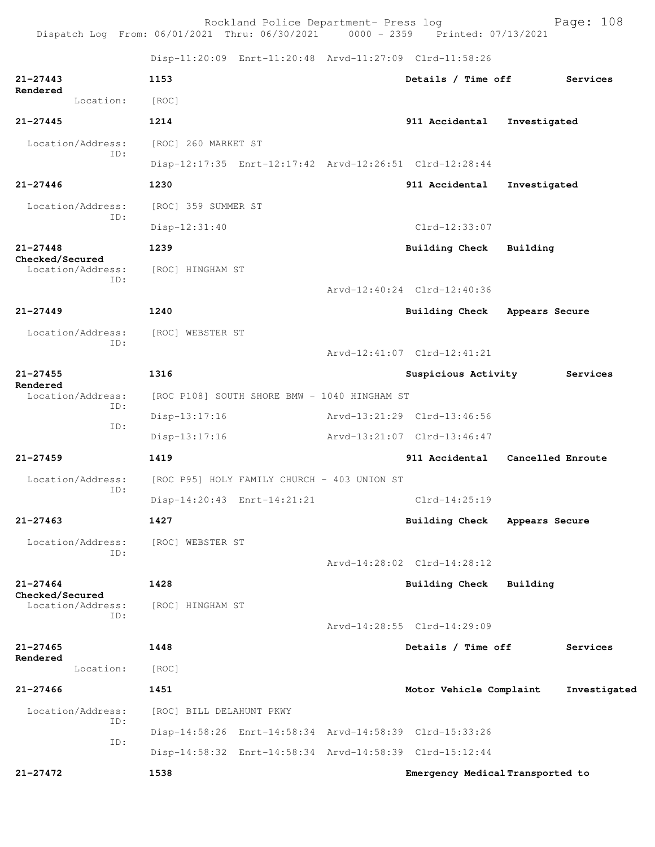Rockland Police Department- Press log Bookland Police Department- Press log<br>21 Thru: 06/30/2021 0000 - 2359 Printed: 07/13/2021 Dispatch Log From:  $06/01/2021$  Thru:  $06/30/2021$  0000 - 2359 Disp-11:20:09 Enrt-11:20:48 Arvd-11:27:09 Clrd-11:58:26 **21-27443 1153 Details / Time off Services Rendered**  Location: [ROC] **21-27445 1214 911 Accidental Investigated** Location/Address: [ROC] 260 MARKET ST ID: Disp-12:17:35 Enrt-12:17:42 Arvd-12:26:51 Clrd-12:28:44 **21-27446 1230 911 Accidental Investigated** Location/Address: [ROC] 359 SUMMER ST ID: Disp-12:31:40 Clrd-12:33:07 **21-27448 1239 Building Check Building Checked/Secured**  Location/Address: [ROC] HINGHAM ST ID: Arvd-12:40:24 Clrd-12:40:36 **21-27449 1240 Building Check Appears Secure** Location/Address: [ROC] WEBSTER ST ID: Arvd-12:41:07 Clrd-12:41:21 **21-27455 1316 Suspicious Activity Services Rendered**  Location/Address: [ROC P108] SOUTH SHORE BMW - 1040 HINGHAM ST ID: Disp-13:17:16 Arvd-13:21:29 Clrd-13:46:56 ID: Disp-13:17:16 Arvd-13:21:07 Clrd-13:46:47

Disp-14:20:43 Enrt-14:21:21 Clrd-14:25:19

**21-27463 1427 Building Check Appears Secure**

**21-27459 1419 911 Accidental Cancelled Enroute** Location/Address: [ROC P95] HOLY FAMILY CHURCH - 403 UNION ST

ID:

Location/Address: [ROC] WEBSTER ST ID:

**21-27464 1428 Building Check Building Checked/Secured** 

 Location/Address: [ROC] HINGHAM ST ID:

**21-27465 1448 Details / Time off Services Rendered**  Location: [ROC]

 ID: ID: Disp-14:58:32 Enrt-14:58:34 Arvd-14:58:39 Clrd-15:12:44

**21-27466 1451 Motor Vehicle Complaint Investigated**

 Location/Address: [ROC] BILL DELAHUNT PKWY Disp-14:58:26 Enrt-14:58:34 Arvd-14:58:39 Clrd-15:33:26

Arvd-14:28:02 Clrd-14:28:12

Arvd-14:28:55 Clrd-14:29:09

**21-27472 1538 Emergency Medical Transported to**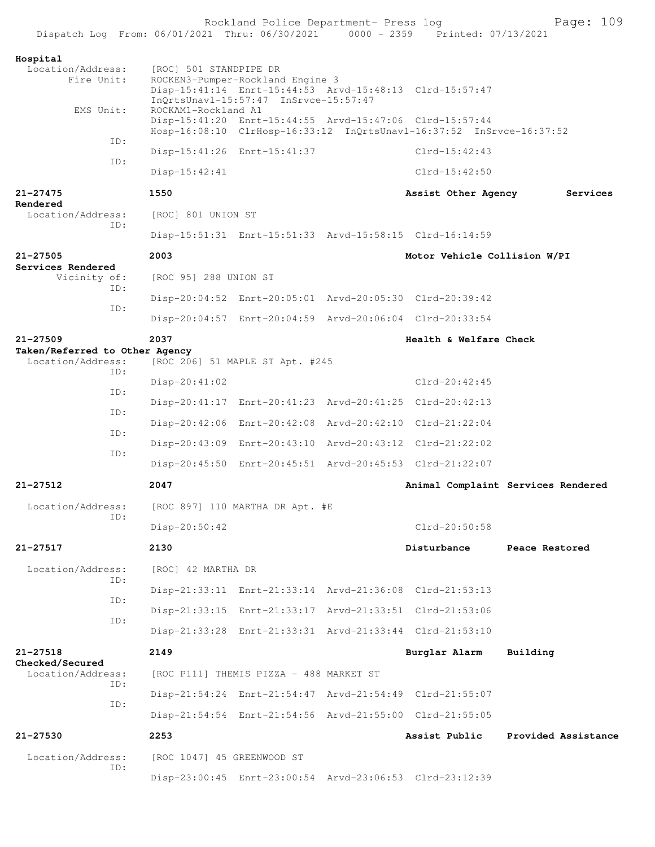|                                                                                |                            | Rockland Police Department- Press log   |                                                                      | Page: 109                          |
|--------------------------------------------------------------------------------|----------------------------|-----------------------------------------|----------------------------------------------------------------------|------------------------------------|
| Dispatch Log From: 06/01/2021 Thru: 06/30/2021 0000 - 2359 Printed: 07/13/2021 |                            |                                         |                                                                      |                                    |
| Hospital<br>Location/Address:                                                  | [ROC] 501 STANDPIPE DR     |                                         |                                                                      |                                    |
| Fire Unit:                                                                     |                            | ROCKEN3-Pumper-Rockland Engine 3        |                                                                      |                                    |
|                                                                                |                            | InQrtsUnavl-15:57:47 InSrvce-15:57:47   | Disp-15:41:14 Enrt-15:44:53 Arvd-15:48:13 Clrd-15:57:47              |                                    |
| EMS Unit:                                                                      | ROCKAM1-Rockland A1        |                                         | Disp-15:41:20 Enrt-15:44:55 Arvd-15:47:06 Clrd-15:57:44              |                                    |
| ID:                                                                            |                            |                                         | Hosp-16:08:10 ClrHosp-16:33:12 InQrtsUnavl-16:37:52 InSrvce-16:37:52 |                                    |
| ID:                                                                            |                            | Disp-15:41:26 Enrt-15:41:37             | $Clrd-15:42:43$                                                      |                                    |
|                                                                                | Disp-15:42:41              |                                         | $Clrd-15:42:50$                                                      |                                    |
| $21 - 27475$<br>Rendered                                                       | 1550                       |                                         | Assist Other Agency                                                  | Services                           |
| Location/Address:<br>ID:                                                       | [ROC] 801 UNION ST         |                                         |                                                                      |                                    |
|                                                                                |                            |                                         | Disp-15:51:31 Enrt-15:51:33 Arvd-15:58:15 Clrd-16:14:59              |                                    |
| $21 - 27505$<br>Services Rendered                                              | 2003                       |                                         | Motor Vehicle Collision W/PI                                         |                                    |
| Vicinity of:                                                                   | [ROC 95] 288 UNION ST      |                                         |                                                                      |                                    |
| ID:                                                                            |                            |                                         | Disp-20:04:52 Enrt-20:05:01 Arvd-20:05:30 Clrd-20:39:42              |                                    |
| ID:                                                                            |                            |                                         | Disp-20:04:57 Enrt-20:04:59 Arvd-20:06:04 Clrd-20:33:54              |                                    |
| $21 - 27509$                                                                   | 2037                       |                                         | Health & Welfare Check                                               |                                    |
| Taken/Referred to Other Agency<br>Location/Address:                            |                            | [ROC 206] 51 MAPLE ST Apt. #245         |                                                                      |                                    |
| ID:                                                                            | Disp-20:41:02              |                                         | $Clrd-20:42:45$                                                      |                                    |
| ID:                                                                            |                            |                                         | Disp-20:41:17 Enrt-20:41:23 Arvd-20:41:25 Clrd-20:42:13              |                                    |
| ID:                                                                            |                            |                                         | Disp-20:42:06 Enrt-20:42:08 Arvd-20:42:10 Clrd-21:22:04              |                                    |
| ID:                                                                            |                            |                                         | Disp-20:43:09 Enrt-20:43:10 Arvd-20:43:12 Clrd-21:22:02              |                                    |
| ID:                                                                            |                            |                                         | Disp-20:45:50 Enrt-20:45:51 Arvd-20:45:53 Clrd-21:22:07              |                                    |
| 21-27512                                                                       | 2047                       |                                         |                                                                      | Animal Complaint Services Rendered |
| Location/Address:                                                              |                            | [ROC 897] 110 MARTHA DR Apt. #E         |                                                                      |                                    |
| ID:                                                                            | Disp-20:50:42              |                                         | $Clrd-20:50:58$                                                      |                                    |
| $21 - 27517$                                                                   | 2130                       |                                         | Disturbance                                                          | Peace Restored                     |
| Location/Address:                                                              |                            |                                         |                                                                      |                                    |
| ID:                                                                            | [ROC] 42 MARTHA DR         |                                         |                                                                      |                                    |
| ID:                                                                            |                            |                                         | Disp-21:33:11 Enrt-21:33:14 Arvd-21:36:08 Clrd-21:53:13              |                                    |
| ID:                                                                            |                            |                                         | Disp-21:33:15 Enrt-21:33:17 Arvd-21:33:51 Clrd-21:53:06              |                                    |
|                                                                                |                            |                                         | Disp-21:33:28 Enrt-21:33:31 Arvd-21:33:44 Clrd-21:53:10              |                                    |
| $21 - 27518$<br>Checked/Secured                                                | 2149                       |                                         | Burglar Alarm                                                        | Building                           |
| Location/Address:<br>TD:                                                       |                            | [ROC P111] THEMIS PIZZA - 488 MARKET ST |                                                                      |                                    |
| ID:                                                                            |                            |                                         | Disp-21:54:24 Enrt-21:54:47 Arvd-21:54:49 Clrd-21:55:07              |                                    |
|                                                                                |                            |                                         | Disp-21:54:54 Enrt-21:54:56 Arvd-21:55:00 Clrd-21:55:05              |                                    |
| 21-27530                                                                       | 2253                       |                                         | Assist Public                                                        | Provided Assistance                |
| Location/Address:<br>ID:                                                       | [ROC 1047] 45 GREENWOOD ST |                                         |                                                                      |                                    |
|                                                                                |                            |                                         | Disp-23:00:45 Enrt-23:00:54 Arvd-23:06:53 Clrd-23:12:39              |                                    |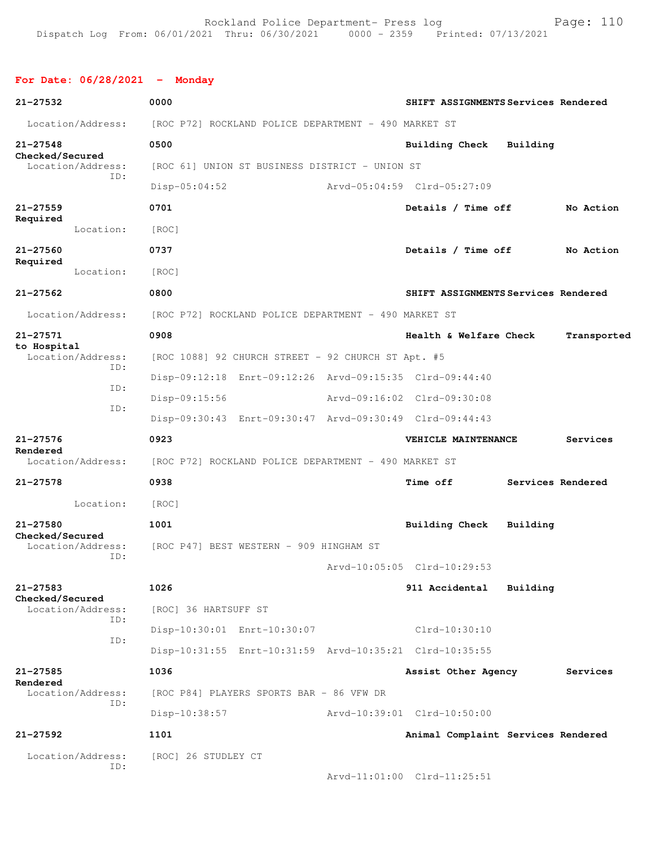## **For Date: 06/28/2021 - Monday**

| 21-27532                 |                          | 0000                                                 |                                                         |                             |                        |  | SHIFT ASSIGNMENTS Services Rendered |                   |
|--------------------------|--------------------------|------------------------------------------------------|---------------------------------------------------------|-----------------------------|------------------------|--|-------------------------------------|-------------------|
|                          | Location/Address:        |                                                      | [ROC P72] ROCKLAND POLICE DEPARTMENT - 490 MARKET ST    |                             |                        |  |                                     |                   |
| $21 - 27548$             |                          | 0500                                                 |                                                         |                             | Building Check         |  | Building                            |                   |
| Checked/Secured          | Location/Address:        |                                                      | [ROC 61] UNION ST BUSINESS DISTRICT - UNION ST          |                             |                        |  |                                     |                   |
|                          | ID:                      | $Disp-05:04:52$                                      |                                                         | Arvd-05:04:59 Clrd-05:27:09 |                        |  |                                     |                   |
| $21 - 27559$             |                          | 0701                                                 |                                                         |                             | Details / Time off     |  |                                     | No Action         |
| Required                 | Location:                | [ROC]                                                |                                                         |                             |                        |  |                                     |                   |
| 21-27560                 |                          | 0737                                                 |                                                         |                             | Details / Time off     |  |                                     | No Action         |
| Required                 | Location:                | [ROC]                                                |                                                         |                             |                        |  |                                     |                   |
| $21 - 27562$             |                          | 0800                                                 |                                                         |                             |                        |  | SHIFT ASSIGNMENTS Services Rendered |                   |
|                          | Location/Address:        |                                                      | [ROC P72] ROCKLAND POLICE DEPARTMENT - 490 MARKET ST    |                             |                        |  |                                     |                   |
| 21-27571                 |                          | 0908                                                 |                                                         |                             | Health & Welfare Check |  |                                     | Transported       |
| to Hospital              | Location/Address:        |                                                      | [ROC 1088] 92 CHURCH STREET - 92 CHURCH ST Apt. #5      |                             |                        |  |                                     |                   |
|                          | ID:                      |                                                      | Disp-09:12:18 Enrt-09:12:26 Arvd-09:15:35 Clrd-09:44:40 |                             |                        |  |                                     |                   |
|                          | TD:                      | $Disp-09:15:56$                                      |                                                         | Arvd-09:16:02 Clrd-09:30:08 |                        |  |                                     |                   |
|                          | ID:                      |                                                      | Disp-09:30:43 Enrt-09:30:47 Arvd-09:30:49 Clrd-09:44:43 |                             |                        |  |                                     |                   |
| $21 - 27576$             |                          | 0923                                                 |                                                         |                             | VEHICLE MAINTENANCE    |  |                                     | Services          |
| Rendered                 | Location/Address:        | [ROC P72] ROCKLAND POLICE DEPARTMENT - 490 MARKET ST |                                                         |                             |                        |  |                                     |                   |
| $21 - 27578$             |                          | 0938                                                 |                                                         |                             | <b>Time off</b>        |  |                                     | Services Rendered |
|                          | Location:                | [ROC]                                                |                                                         |                             |                        |  |                                     |                   |
| $21 - 27580$             |                          | 1001                                                 |                                                         |                             | Building Check         |  | Building                            |                   |
| Checked/Secured          | Location/Address:        | [ROC P47] BEST WESTERN - 909 HINGHAM ST              |                                                         |                             |                        |  |                                     |                   |
|                          | TD:                      |                                                      |                                                         | Arvd-10:05:05 Clrd-10:29:53 |                        |  |                                     |                   |
| $21 - 27583$             |                          | 1026                                                 |                                                         |                             | 911 Accidental         |  | Building                            |                   |
| Checked/Secured          | Location/Address:        | [ROC] 36 HARTSUFF ST                                 |                                                         |                             |                        |  |                                     |                   |
|                          | ID:                      |                                                      | Disp-10:30:01 Enrt-10:30:07                             |                             | Clrd-10:30:10          |  |                                     |                   |
|                          | ID:                      |                                                      | Disp-10:31:55 Enrt-10:31:59 Arvd-10:35:21 Clrd-10:35:55 |                             |                        |  |                                     |                   |
| $21 - 27585$<br>Rendered |                          | 1036                                                 |                                                         |                             | Assist Other Agency    |  |                                     | Services          |
|                          | Location/Address:        |                                                      | [ROC P84] PLAYERS SPORTS BAR - 86 VFW DR                |                             |                        |  |                                     |                   |
|                          | ID:                      | Disp-10:38:57                                        |                                                         | Arvd-10:39:01 Clrd-10:50:00 |                        |  |                                     |                   |
| $21 - 27592$             |                          | 1101                                                 |                                                         |                             |                        |  | Animal Complaint Services Rendered  |                   |
|                          | Location/Address:<br>ID: | [ROC] 26 STUDLEY CT                                  |                                                         |                             |                        |  |                                     |                   |
|                          |                          |                                                      |                                                         | Arvd-11:01:00 Clrd-11:25:51 |                        |  |                                     |                   |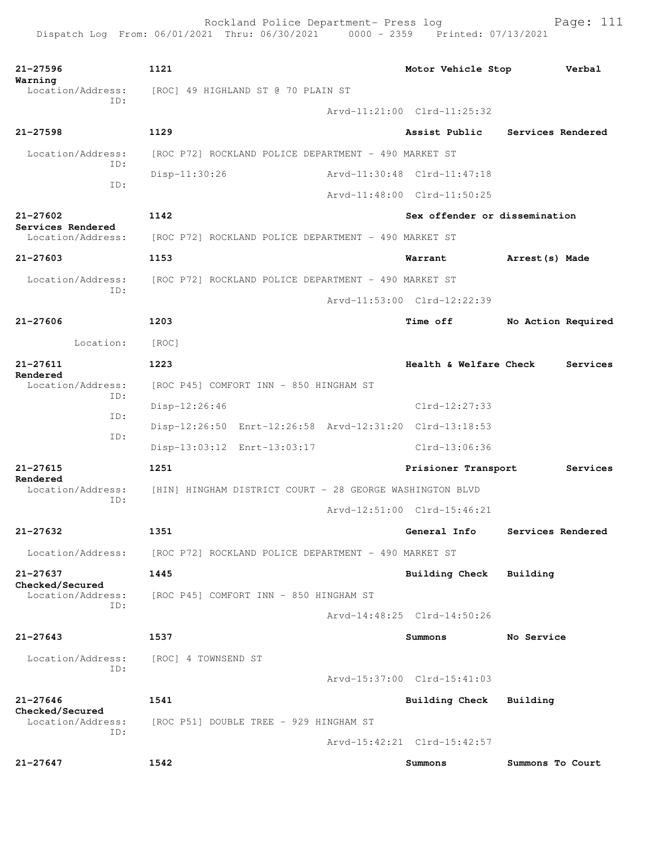| 21-27596<br>Warning                    | 1121                                                     | Motor Vehicle Stop            | Verbal             |  |  |  |
|----------------------------------------|----------------------------------------------------------|-------------------------------|--------------------|--|--|--|
| Location/Address:<br>TD:               | [ROC] 49 HIGHLAND ST @ 70 PLAIN ST                       |                               |                    |  |  |  |
|                                        |                                                          | Arvd-11:21:00 Clrd-11:25:32   |                    |  |  |  |
| $21 - 27598$                           | 1129                                                     | Assist Public                 | Services Rendered  |  |  |  |
| Location/Address:                      | [ROC P72] ROCKLAND POLICE DEPARTMENT - 490 MARKET ST     |                               |                    |  |  |  |
| ID:                                    | $Disp-11:30:26$                                          | Arvd-11:30:48 Clrd-11:47:18   |                    |  |  |  |
| ID:                                    |                                                          | Arvd-11:48:00 Clrd-11:50:25   |                    |  |  |  |
| $21 - 27602$                           | 1142                                                     | Sex offender or dissemination |                    |  |  |  |
| Services Rendered<br>Location/Address: | [ROC P72] ROCKLAND POLICE DEPARTMENT - 490 MARKET ST     |                               |                    |  |  |  |
| $21 - 27603$                           | 1153                                                     | Warrant                       | Arrest (s) Made    |  |  |  |
| Location/Address:                      | [ROC P72] ROCKLAND POLICE DEPARTMENT - 490 MARKET ST     |                               |                    |  |  |  |
| TD:                                    |                                                          | Arvd-11:53:00 Clrd-12:22:39   |                    |  |  |  |
| $21 - 27606$                           | 1203                                                     | <b>Time off</b>               | No Action Required |  |  |  |
| Location:                              | [ROC]                                                    |                               |                    |  |  |  |
| $21 - 27611$                           | 1223                                                     | Health & Welfare Check        | Services           |  |  |  |
| Rendered<br>Location/Address:<br>ID:   | [ROC P45] COMFORT INN - 850 HINGHAM ST                   |                               |                    |  |  |  |
| ID:                                    | $Disp-12:26:46$                                          | $Clrd-12:27:33$               |                    |  |  |  |
|                                        | Disp-12:26:50 Enrt-12:26:58 Arvd-12:31:20 Clrd-13:18:53  |                               |                    |  |  |  |
| ID:                                    | Disp-13:03:12 Enrt-13:03:17                              | Clrd-13:06:36                 |                    |  |  |  |
| $21 - 27615$                           | 1251                                                     | Prisioner Transport           | Services           |  |  |  |
| Rendered<br>Location/Address:          | [HIN] HINGHAM DISTRICT COURT - 28 GEORGE WASHINGTON BLVD |                               |                    |  |  |  |
| ID:                                    |                                                          | Arvd-12:51:00 Clrd-15:46:21   |                    |  |  |  |
| 21-27632                               | 1351                                                     | General Info                  | Services Rendered  |  |  |  |
| Location/Address:                      | [ROC P72] ROCKLAND POLICE DEPARTMENT - 490 MARKET ST     |                               |                    |  |  |  |
| 21-27637                               | 1445                                                     | <b>Building Check</b>         | Building           |  |  |  |
| Checked/Secured<br>Location/Address:   | [ROC P45] COMFORT INN - 850 HINGHAM ST                   |                               |                    |  |  |  |
| TD:                                    |                                                          | Arvd-14:48:25 Clrd-14:50:26   |                    |  |  |  |
| $21 - 27643$                           | 1537                                                     | Summons                       | No Service         |  |  |  |
| Location/Address:                      | [ROC] 4 TOWNSEND ST                                      |                               |                    |  |  |  |
| TD:                                    |                                                          | Arvd-15:37:00 Clrd-15:41:03   |                    |  |  |  |
| $21 - 27646$                           | 1541                                                     | <b>Building Check</b>         | Building           |  |  |  |
| Checked/Secured<br>Location/Address:   | [ROC P51] DOUBLE TREE - 929 HINGHAM ST                   |                               |                    |  |  |  |
| ID:                                    |                                                          | Arvd-15:42:21 Clrd-15:42:57   |                    |  |  |  |
| $21 - 27647$                           | 1542                                                     | Summons                       | Summons To Court   |  |  |  |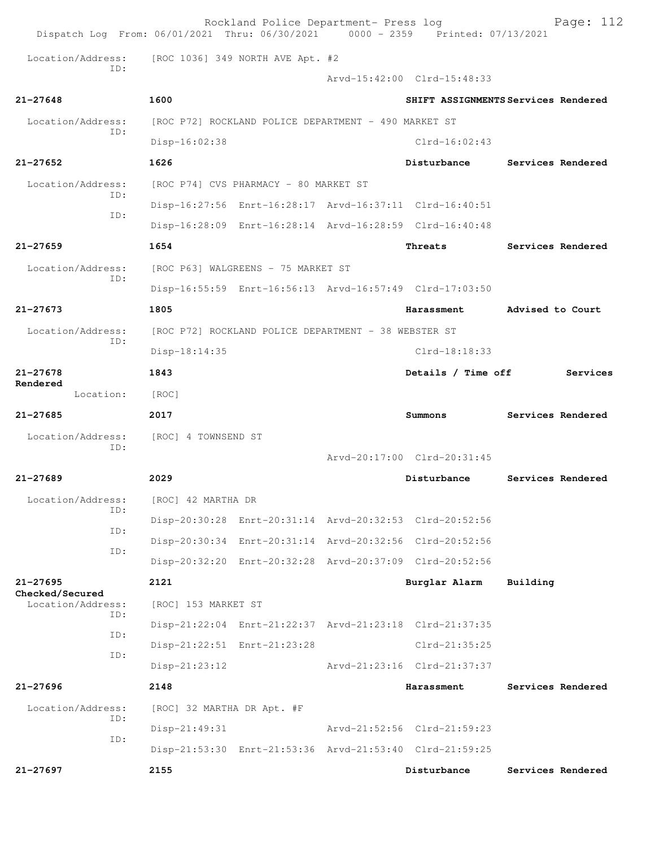|                                      |     |                                    | Rockland Police Department- Press log                |  | Dispatch Log From: 06/01/2021 Thru: 06/30/2021 0000 - 2359 Printed: 07/13/2021 | Page: 112                           |
|--------------------------------------|-----|------------------------------------|------------------------------------------------------|--|--------------------------------------------------------------------------------|-------------------------------------|
| Location/Address:                    |     |                                    | [ROC 1036] 349 NORTH AVE Apt. #2                     |  |                                                                                |                                     |
|                                      | TD: |                                    |                                                      |  | Arvd-15:42:00 Clrd-15:48:33                                                    |                                     |
| $21 - 27648$                         |     | 1600                               |                                                      |  |                                                                                | SHIFT ASSIGNMENTS Services Rendered |
| Location/Address:                    |     |                                    | [ROC P72] ROCKLAND POLICE DEPARTMENT - 490 MARKET ST |  |                                                                                |                                     |
|                                      | ID: | Disp-16:02:38                      |                                                      |  | $Clrd-16:02:43$                                                                |                                     |
| $21 - 27652$                         |     | 1626                               |                                                      |  | Disturbance                                                                    | Services Rendered                   |
| Location/Address:                    |     |                                    | [ROC P74] CVS PHARMACY - 80 MARKET ST                |  |                                                                                |                                     |
|                                      | ID: |                                    |                                                      |  | Disp-16:27:56 Enrt-16:28:17 Arvd-16:37:11 Clrd-16:40:51                        |                                     |
|                                      | ID: |                                    |                                                      |  | Disp-16:28:09 Enrt-16:28:14 Arvd-16:28:59 Clrd-16:40:48                        |                                     |
| $21 - 27659$                         |     | 1654                               |                                                      |  | Threats                                                                        | Services Rendered                   |
| Location/Address:                    |     | [ROC P63] WALGREENS - 75 MARKET ST |                                                      |  |                                                                                |                                     |
|                                      | TD: |                                    |                                                      |  | Disp-16:55:59 Enrt-16:56:13 Arvd-16:57:49 Clrd-17:03:50                        |                                     |
| $21 - 27673$                         |     | 1805                               |                                                      |  | Harassment                                                                     | Advised to Court                    |
| Location/Address:                    |     |                                    | [ROC P72] ROCKLAND POLICE DEPARTMENT - 38 WEBSTER ST |  |                                                                                |                                     |
|                                      | ID: | Disp-18:14:35                      |                                                      |  | $Clrd-18:18:33$                                                                |                                     |
| $21 - 27678$                         |     | 1843                               |                                                      |  | Details / Time off                                                             | Services                            |
| Rendered<br>Location:                |     | [ROC]                              |                                                      |  |                                                                                |                                     |
| $21 - 27685$                         |     | 2017                               |                                                      |  | Summons                                                                        | Services Rendered                   |
| Location/Address:                    |     | [ROC] 4 TOWNSEND ST                |                                                      |  |                                                                                |                                     |
|                                      | ID: |                                    |                                                      |  | Arvd-20:17:00 Clrd-20:31:45                                                    |                                     |
| $21 - 27689$                         |     | 2029                               |                                                      |  | Disturbance                                                                    | Services Rendered                   |
| Location/Address:                    |     | [ROC] 42 MARTHA DR                 |                                                      |  |                                                                                |                                     |
|                                      | ID: |                                    |                                                      |  | Disp-20:30:28 Enrt-20:31:14 Arvd-20:32:53 Clrd-20:52:56                        |                                     |
|                                      | ID: |                                    |                                                      |  | Disp-20:30:34 Enrt-20:31:14 Arvd-20:32:56 Clrd-20:52:56                        |                                     |
|                                      | ID: |                                    |                                                      |  | Disp-20:32:20 Enrt-20:32:28 Arvd-20:37:09 Clrd-20:52:56                        |                                     |
| $21 - 27695$                         |     | 2121                               |                                                      |  | Burglar Alarm                                                                  | Building                            |
| Checked/Secured<br>Location/Address: |     | [ROC] 153 MARKET ST                |                                                      |  |                                                                                |                                     |
|                                      | ID: |                                    |                                                      |  | Disp-21:22:04 Enrt-21:22:37 Arvd-21:23:18 Clrd-21:37:35                        |                                     |
|                                      | ID: |                                    | Disp-21:22:51 Enrt-21:23:28                          |  | $Clrd-21:35:25$                                                                |                                     |
|                                      | ID: | $Disp-21:23:12$                    |                                                      |  | Arvd-21:23:16 Clrd-21:37:37                                                    |                                     |
| 21-27696                             |     | 2148                               |                                                      |  | Harassment                                                                     | Services Rendered                   |
| Location/Address:                    |     | [ROC] 32 MARTHA DR Apt. #F         |                                                      |  |                                                                                |                                     |
|                                      | ID: | $Disp-21:49:31$                    |                                                      |  | Arvd-21:52:56 Clrd-21:59:23                                                    |                                     |
|                                      | ID: |                                    |                                                      |  | Disp-21:53:30 Enrt-21:53:36 Arvd-21:53:40 Clrd-21:59:25                        |                                     |
| 21-27697                             |     | 2155                               |                                                      |  | Disturbance                                                                    | Services Rendered                   |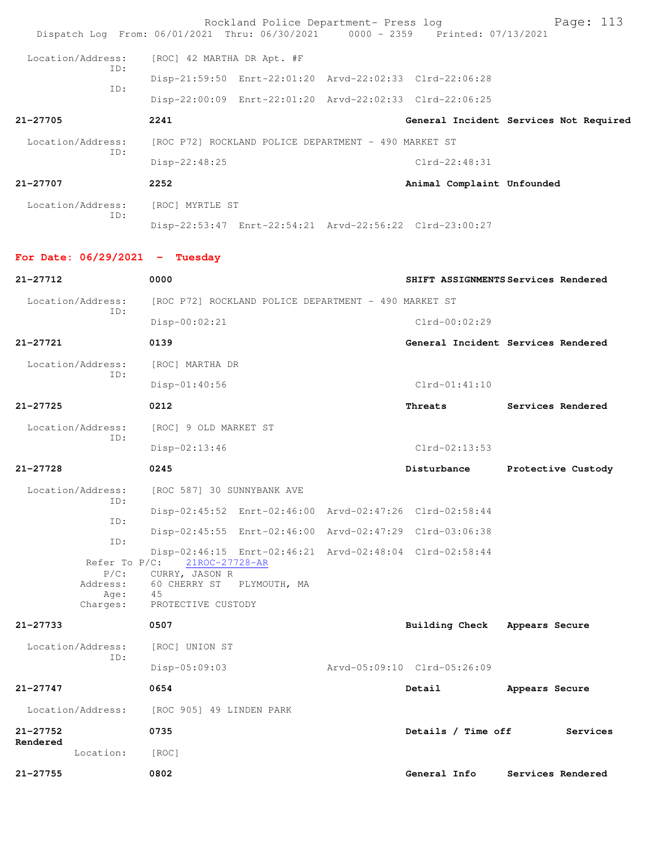| Dispatch Log From: 06/01/2021 Thru: 06/30/2021 0000 - 2359 Printed: 07/13/2021 |                                                       | Rockland Police Department- Press log                |                                                         | Page: 113                              |
|--------------------------------------------------------------------------------|-------------------------------------------------------|------------------------------------------------------|---------------------------------------------------------|----------------------------------------|
| Location/Address:                                                              | [ROC] 42 MARTHA DR Apt. #F                            |                                                      |                                                         |                                        |
| TD:                                                                            |                                                       |                                                      | Disp-21:59:50 Enrt-22:01:20 Arvd-22:02:33 Clrd-22:06:28 |                                        |
| ID:                                                                            |                                                       |                                                      | Disp-22:00:09 Enrt-22:01:20 Arvd-22:02:33 Clrd-22:06:25 |                                        |
| 21-27705                                                                       | 2241                                                  |                                                      |                                                         | General Incident Services Not Required |
| Location/Address:                                                              |                                                       | [ROC P72] ROCKLAND POLICE DEPARTMENT - 490 MARKET ST |                                                         |                                        |
| ID:                                                                            | Disp-22:48:25                                         |                                                      | $Clrd-22:48:31$                                         |                                        |
| 21-27707                                                                       | 2252                                                  |                                                      | Animal Complaint Unfounded                              |                                        |
| Location/Address:                                                              | [ROC] MYRTLE ST                                       |                                                      |                                                         |                                        |
| ID:                                                                            |                                                       |                                                      | Disp-22:53:47 Enrt-22:54:21 Arvd-22:56:22 Clrd-23:00:27 |                                        |
| For Date: $06/29/2021$ - Tuesday                                               |                                                       |                                                      |                                                         |                                        |
| 21-27712                                                                       | 0000                                                  |                                                      |                                                         | SHIFT ASSIGNMENTS Services Rendered    |
| Location/Address:                                                              |                                                       | [ROC P72] ROCKLAND POLICE DEPARTMENT - 490 MARKET ST |                                                         |                                        |
| ID:                                                                            | $Disp-00:02:21$                                       |                                                      | $Clrd-00:02:29$                                         |                                        |
| $21 - 27721$                                                                   | 0139                                                  |                                                      |                                                         | General Incident Services Rendered     |
| Location/Address:                                                              | [ROC] MARTHA DR                                       |                                                      |                                                         |                                        |
| ID:                                                                            | $Disp-01:40:56$                                       |                                                      | $Clrd-01:41:10$                                         |                                        |
| $21 - 27725$                                                                   | 0212                                                  |                                                      | Threats                                                 | Services Rendered                      |
| Location/Address:                                                              | [ROC] 9 OLD MARKET ST                                 |                                                      |                                                         |                                        |
| ID:                                                                            | Disp-02:13:46                                         |                                                      | $Clrd-02:13:53$                                         |                                        |
| 21-27728                                                                       | 0245                                                  |                                                      | Disturbance                                             | Protective Custody                     |
| Location/Address: [ROC 587] 30 SUNNYBANK AVE                                   |                                                       |                                                      |                                                         |                                        |
| ID:<br>ID:                                                                     |                                                       |                                                      | Disp-02:45:52 Enrt-02:46:00 Arvd-02:47:26 Clrd-02:58:44 |                                        |
| ID:                                                                            |                                                       |                                                      | Disp-02:45:55 Enrt-02:46:00 Arvd-02:47:29 Clrd-03:06:38 |                                        |
| Refer To $P/C$ :<br>$P/C$ :                                                    | 21ROC-27728-AR<br>CURRY, JASON R                      |                                                      | Disp-02:46:15 Enrt-02:46:21 Arvd-02:48:04 Clrd-02:58:44 |                                        |
| Address:<br>Age:<br>Charges:                                                   | 60 CHERRY ST PLYMOUTH, MA<br>45<br>PROTECTIVE CUSTODY |                                                      |                                                         |                                        |
| $21 - 27733$                                                                   | 0507                                                  |                                                      | Building Check Appears Secure                           |                                        |
| Location/Address:                                                              | [ROC] UNION ST                                        |                                                      |                                                         |                                        |
| ID:                                                                            | Disp-05:09:03                                         |                                                      | Arvd-05:09:10 Clrd-05:26:09                             |                                        |
| 21-27747                                                                       | 0654                                                  |                                                      | Detail                                                  | Appears Secure                         |
| Location/Address:                                                              | [ROC 905] 49 LINDEN PARK                              |                                                      |                                                         |                                        |
| $21 - 27752$                                                                   | 0735                                                  |                                                      | Details / Time off                                      | Services                               |
| Rendered<br>Location:                                                          | [ROC]                                                 |                                                      |                                                         |                                        |
| 21-27755                                                                       | 0802                                                  |                                                      | General Info                                            | Services Rendered                      |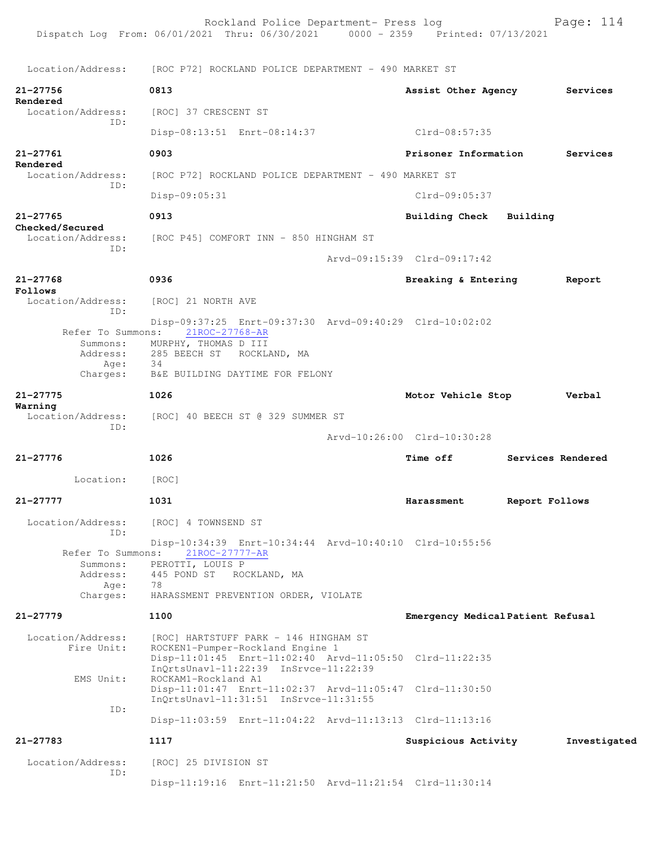Dispatch Log From: 06/01/2021 Thru: 06/30/2021 0000 - 2359 Printed: 07/13/2021 Location/Address: [ROC P72] ROCKLAND POLICE DEPARTMENT - 490 MARKET ST **21-27756 0813 Assist Other Agency Services Rendered**  Location/Address: [ROC] 37 CRESCENT ST ID: Disp-08:13:51 Enrt-08:14:37 Clrd-08:57:35 **21-27761 0903 Prisoner Information Services Rendered**  [ROC P72] ROCKLAND POLICE DEPARTMENT - 490 MARKET ST ID: Disp-09:05:31 Clrd-09:05:37 **21-27765 0913 Building Check Building Checked/Secured**  Location/Address: [ROC P45] COMFORT INN - 850 HINGHAM ST ID: Arvd-09:15:39 Clrd-09:17:42 **21-27768 0936 Breaking & Entering Report Follows**  [ROC] 21 NORTH AVE ID: Disp-09:37:25 Enrt-09:37:30 Arvd-09:40:29 Clrd-10:02:02 Refer To Summons: Summons: MURPHY, THOMAS D III<br>Address: 285 BEECH ST ROCKL 285 BEECH ST ROCKLAND, MA Age: Charges: B&E BUILDING DAYTIME FOR FELONY **21-27775 1026 Motor Vehicle Stop Verbal Warning**  Location/Address: [ROC] 40 BEECH ST @ 329 SUMMER ST ID: Arvd-10:26:00 Clrd-10:30:28 **21-27776 1026 Time off Services Rendered** Location: [ROC] **21-27777 1031 Harassment Report Follows** Location/Address: [ROC] 4 TOWNSEND ST ID: Disp-10:34:39 Enrt-10:34:44 Arvd-10:40:10 Clrd-10:55:56 Refer To Summons: Summons: PEROTTI, LOUIS P Address: 445 POND ST ROCKLAND, MA Age: 78 Charges: HARASSMENT PREVENTION ORDER, VIOLATE **21-27779 1100 Emergency Medical Patient Refusal** Location/Address: [ROC] HARTSTUFF PARK - 146 HINGHAM ST Fire Unit: ROCKEN1-Pumper-Rockland Engine 1 Disp-11:01:45 Enrt-11:02:40 Arvd-11:05:50 Clrd-11:22:35 InQrtsUnavl-11:22:39 InSrvce-11:22:39 EMS Unit: ROCKAM1-Rockland A1 Disp-11:01:47 Enrt-11:02:37 Arvd-11:05:47 Clrd-11:30:50 InQrtsUnavl-11:31:51 InSrvce-11:31:55 ID: Disp-11:03:59 Enrt-11:04:22 Arvd-11:13:13 Clrd-11:13:16 **21-27783 1117 Suspicious Activity Investigated** Location/Address: [ROC] 25 DIVISION ST ID: Disp-11:19:16 Enrt-11:21:50 Arvd-11:21:54 Clrd-11:30:14

Rockland Police Department- Press log Fage: 114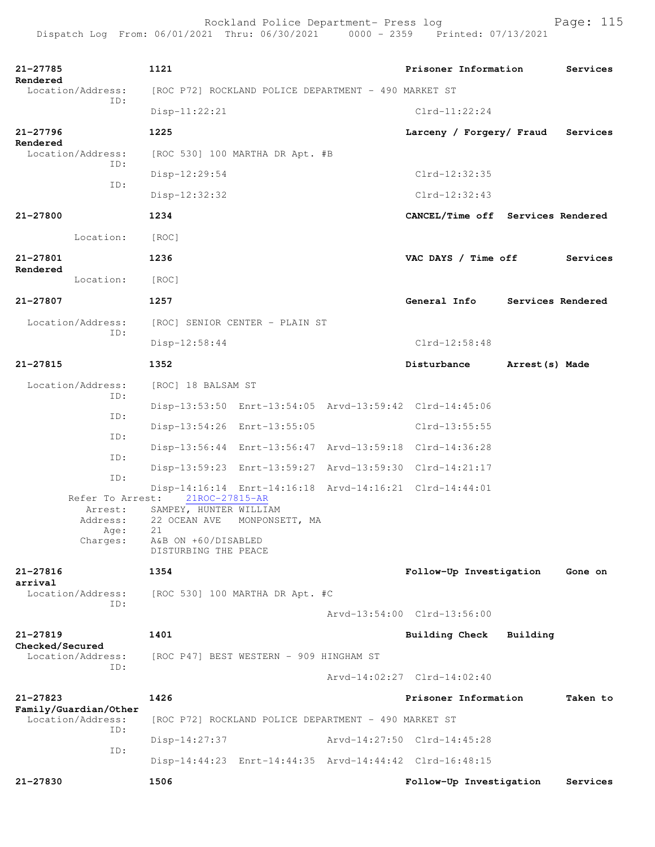| 21-27785<br>Rendered                                   | 1121                                                                                                                                                                                             |                                                      | Prisoner Information              |                   | Services |  |  |
|--------------------------------------------------------|--------------------------------------------------------------------------------------------------------------------------------------------------------------------------------------------------|------------------------------------------------------|-----------------------------------|-------------------|----------|--|--|
| Location/Address:                                      |                                                                                                                                                                                                  | [ROC P72] ROCKLAND POLICE DEPARTMENT - 490 MARKET ST |                                   |                   |          |  |  |
| ID:                                                    | $Disp-11:22:21$                                                                                                                                                                                  |                                                      | $Clrd-11:22:24$                   |                   |          |  |  |
| $21 - 27796$                                           | 1225                                                                                                                                                                                             |                                                      | Larceny / Forgery/ Fraud          |                   | Services |  |  |
| Rendered<br>Location/Address:                          | [ROC 530] 100 MARTHA DR Apt. #B                                                                                                                                                                  |                                                      |                                   |                   |          |  |  |
| ID:                                                    | Disp-12:29:54                                                                                                                                                                                    |                                                      | $Clrd-12:32:35$                   |                   |          |  |  |
| ID:                                                    | Disp-12:32:32                                                                                                                                                                                    |                                                      | $Clrd-12:32:43$                   |                   |          |  |  |
| 21-27800                                               | 1234                                                                                                                                                                                             |                                                      | CANCEL/Time off Services Rendered |                   |          |  |  |
| Location:                                              | [ROC]                                                                                                                                                                                            |                                                      |                                   |                   |          |  |  |
| 21-27801                                               | 1236                                                                                                                                                                                             |                                                      | VAC DAYS / Time off               |                   | Services |  |  |
| Rendered<br>Location:                                  | [ROC]                                                                                                                                                                                            |                                                      |                                   |                   |          |  |  |
| 21-27807                                               | 1257                                                                                                                                                                                             |                                                      | General Info                      | Services Rendered |          |  |  |
| Location/Address:                                      | [ROC] SENIOR CENTER - PLAIN ST                                                                                                                                                                   |                                                      |                                   |                   |          |  |  |
| ID:                                                    | Disp-12:58:44                                                                                                                                                                                    |                                                      | $Clrd-12:58:48$                   |                   |          |  |  |
| 21-27815                                               | 1352                                                                                                                                                                                             |                                                      | Disturbance                       | Arrest (s) Made   |          |  |  |
| Location/Address:                                      | [ROC] 18 BALSAM ST                                                                                                                                                                               |                                                      |                                   |                   |          |  |  |
| ID:                                                    | Disp-13:53:50 Enrt-13:54:05 Arvd-13:59:42 Clrd-14:45:06                                                                                                                                          |                                                      |                                   |                   |          |  |  |
| ID:                                                    | Disp-13:54:26 Enrt-13:55:05                                                                                                                                                                      |                                                      | $Clrd-13:55:55$                   |                   |          |  |  |
| ID:                                                    | Disp-13:56:44 Enrt-13:56:47 Arvd-13:59:18 Clrd-14:36:28                                                                                                                                          |                                                      |                                   |                   |          |  |  |
| ID:                                                    | Disp-13:59:23 Enrt-13:59:27 Arvd-13:59:30 Clrd-14:21:17                                                                                                                                          |                                                      |                                   |                   |          |  |  |
| ID:<br>Refer To Arrest:<br>Arrest:<br>Address:<br>Age: | Disp-14:16:14 Enrt-14:16:18 Arvd-14:16:21 Clrd-14:44:01<br>21ROC-27815-AR<br>SAMPEY, HUNTER WILLIAM<br>22 OCEAN AVE MONPONSETT, MA<br>21<br>Charges: A&B ON +60/DISABLED<br>DISTURBING THE PEACE |                                                      |                                   |                   |          |  |  |
| 21-27816                                               | 1354                                                                                                                                                                                             |                                                      | Follow-Up Investigation           |                   | Gone on  |  |  |
| arrival<br>Location/Address:                           | [ROC 530] 100 MARTHA DR Apt. #C                                                                                                                                                                  |                                                      |                                   |                   |          |  |  |
| ID:                                                    |                                                                                                                                                                                                  |                                                      | Arvd-13:54:00 Clrd-13:56:00       |                   |          |  |  |
| 21-27819                                               | 1401                                                                                                                                                                                             |                                                      | Building Check                    | Building          |          |  |  |
| Checked/Secured<br>Location/Address:                   | [ROC P47] BEST WESTERN - 909 HINGHAM ST                                                                                                                                                          |                                                      |                                   |                   |          |  |  |
| ID:                                                    |                                                                                                                                                                                                  |                                                      | Arvd-14:02:27 Clrd-14:02:40       |                   |          |  |  |
| $21 - 27823$                                           | 1426                                                                                                                                                                                             |                                                      | Prisoner Information              |                   | Taken to |  |  |
| Family/Guardian/Other<br>Location/Address:             | [ROC P72] ROCKLAND POLICE DEPARTMENT - 490 MARKET ST                                                                                                                                             |                                                      |                                   |                   |          |  |  |
| ID:<br>ID:                                             | $Disp-14:27:37$                                                                                                                                                                                  |                                                      | Arvd-14:27:50 Clrd-14:45:28       |                   |          |  |  |
|                                                        | Disp-14:44:23 Enrt-14:44:35 Arvd-14:44:42 Clrd-16:48:15                                                                                                                                          |                                                      |                                   |                   |          |  |  |
| 21-27830                                               | 1506                                                                                                                                                                                             |                                                      | Follow-Up Investigation           |                   | Services |  |  |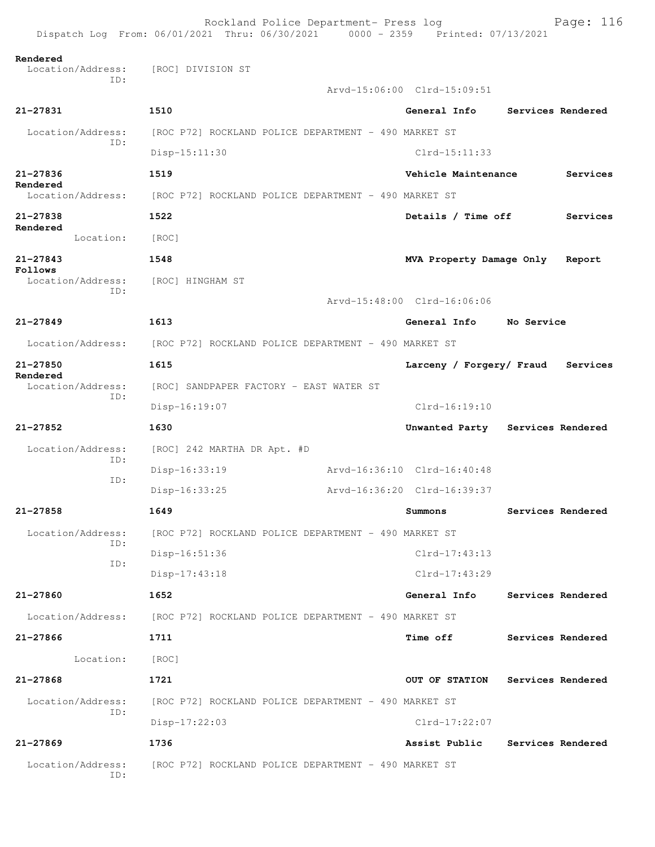|                                                        | Rockland Police Department- Press log<br>Dispatch Log From: 06/01/2021 Thru: 06/30/2021 0000 - 2359 Printed: 07/13/2021 |                             | Page: 116                        |
|--------------------------------------------------------|-------------------------------------------------------------------------------------------------------------------------|-----------------------------|----------------------------------|
| Rendered<br>Location/Address: [ROC] DIVISION ST<br>TD: |                                                                                                                         | Arvd-15:06:00 Clrd-15:09:51 |                                  |
| 21-27831                                               | 1510                                                                                                                    | General Info                | Services Rendered                |
| Location/Address:                                      | [ROC P72] ROCKLAND POLICE DEPARTMENT - 490 MARKET ST                                                                    |                             |                                  |
| ID:                                                    | $Disp-15:11:30$                                                                                                         | $Clrd-15:11:33$             |                                  |
| $21 - 27836$                                           | 1519                                                                                                                    | Vehicle Maintenance         | Services                         |
| Rendered<br>Location/Address:                          | [ROC P72] ROCKLAND POLICE DEPARTMENT - 490 MARKET ST                                                                    |                             |                                  |
| $21 - 27838$                                           | 1522                                                                                                                    | Details / Time off          | Services                         |
| Rendered<br>Location:                                  | [ROC]                                                                                                                   |                             |                                  |
| $21 - 27843$                                           | 1548                                                                                                                    | MVA Property Damage Only    | Report                           |
| Follows<br>Location/Address:                           | [ROC] HINGHAM ST                                                                                                        |                             |                                  |
| ID:                                                    |                                                                                                                         | Arvd-15:48:00 Clrd-16:06:06 |                                  |
| $21 - 27849$                                           | 1613                                                                                                                    | General Info                | No Service                       |
| Location/Address:                                      | [ROC P72] ROCKLAND POLICE DEPARTMENT - 490 MARKET ST                                                                    |                             |                                  |
| $21 - 27850$                                           | 1615                                                                                                                    | Larceny / Forgery/ Fraud    | Services                         |
| Rendered<br>Location/Address:                          | [ROC] SANDPAPER FACTORY - EAST WATER ST                                                                                 |                             |                                  |
| ID:                                                    | Disp-16:19:07                                                                                                           | $Clrd-16:19:10$             |                                  |
| 21-27852                                               | 1630                                                                                                                    |                             | Unwanted Party Services Rendered |
| Location/Address:                                      | [ROC] 242 MARTHA DR Apt. #D                                                                                             |                             |                                  |
| ID:<br>ID:                                             | Disp-16:33:19                                                                                                           | Arvd-16:36:10 Clrd-16:40:48 |                                  |
|                                                        | Disp-16:33:25                                                                                                           | Arvd-16:36:20 Clrd-16:39:37 |                                  |
| 21-27858                                               | 1649                                                                                                                    | Summons                     | Services Rendered                |
| Location/Address:                                      | [ROC P72] ROCKLAND POLICE DEPARTMENT - 490 MARKET ST                                                                    |                             |                                  |
| ID:<br>ID:                                             | Disp-16:51:36                                                                                                           | Clrd-17:43:13               |                                  |
|                                                        | $Disp-17:43:18$                                                                                                         | $Clrd-17:43:29$             |                                  |
| 21-27860                                               | 1652                                                                                                                    | General Info                | Services Rendered                |
| Location/Address:                                      | [ROC P72] ROCKLAND POLICE DEPARTMENT - 490 MARKET ST                                                                    |                             |                                  |
| 21-27866                                               | 1711                                                                                                                    | <b>Time off</b>             | Services Rendered                |
| Location:                                              | [ROC]                                                                                                                   |                             |                                  |
| 21-27868                                               | 1721                                                                                                                    | OUT OF STATION              | Services Rendered                |
| Location/Address:<br>ID:                               | [ROC P72] ROCKLAND POLICE DEPARTMENT - 490 MARKET ST                                                                    |                             |                                  |
|                                                        | $Disp-17:22:03$                                                                                                         | $Clrd-17:22:07$             |                                  |
| 21-27869                                               | 1736                                                                                                                    | Assist Public               | Services Rendered                |
| Location/Address:<br>ID:                               | [ROC P72] ROCKLAND POLICE DEPARTMENT - 490 MARKET ST                                                                    |                             |                                  |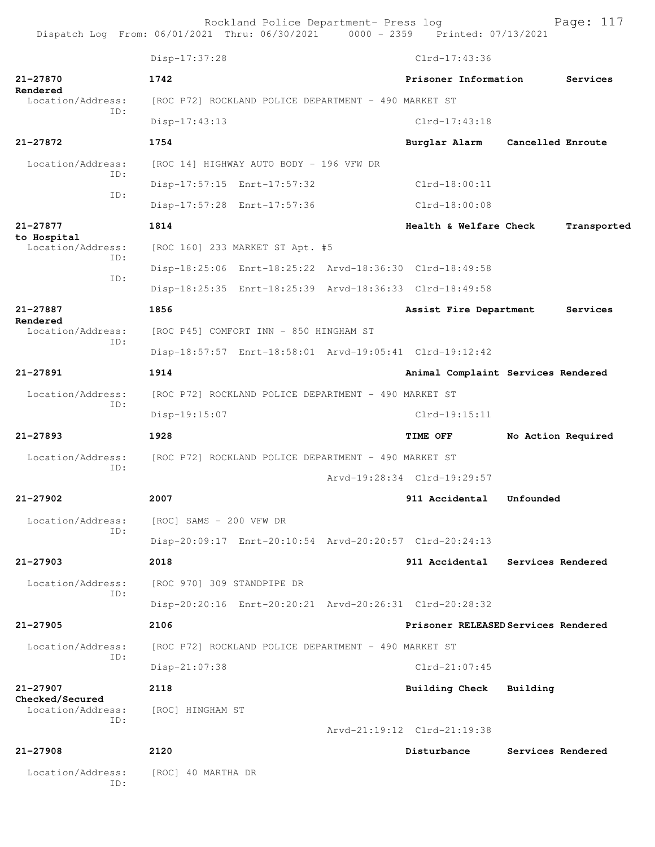Rockland Police Department- Press log entitled and Page: 117

|                                           | Disp-17:37:28              |                                                         | $Clrd-17:43:36$                     |                    |             |
|-------------------------------------------|----------------------------|---------------------------------------------------------|-------------------------------------|--------------------|-------------|
| 21-27870                                  | 1742                       |                                                         | Prisoner Information                |                    | Services    |
| Rendered<br>Location/Address:             |                            | [ROC P72] ROCKLAND POLICE DEPARTMENT - 490 MARKET ST    |                                     |                    |             |
| TD:                                       | Disp-17:43:13              |                                                         | $Clrd-17:43:18$                     |                    |             |
| 21-27872                                  | 1754                       |                                                         | Burglar Alarm                       | Cancelled Enroute  |             |
| Location/Address:                         |                            | [ROC 14] HIGHWAY AUTO BODY - 196 VFW DR                 |                                     |                    |             |
| ID:                                       |                            | Disp-17:57:15 Enrt-17:57:32                             | $Clrd-18:00:11$                     |                    |             |
| ID:                                       |                            | Disp-17:57:28 Enrt-17:57:36                             | Clrd-18:00:08                       |                    |             |
| 21-27877                                  | 1814                       |                                                         | Health & Welfare Check              |                    | Transported |
| to Hospital<br>Location/Address:          |                            | [ROC 160] 233 MARKET ST Apt. #5                         |                                     |                    |             |
| ID:                                       |                            | Disp-18:25:06 Enrt-18:25:22 Arvd-18:36:30 Clrd-18:49:58 |                                     |                    |             |
| ID:                                       |                            | Disp-18:25:35 Enrt-18:25:39 Arvd-18:36:33 Clrd-18:49:58 |                                     |                    |             |
| $21 - 27887$                              | 1856                       |                                                         | Assist Fire Department              |                    | Services    |
| Rendered<br>Location/Address:             |                            | [ROC P45] COMFORT INN - 850 HINGHAM ST                  |                                     |                    |             |
| ID:                                       |                            | Disp-18:57:57 Enrt-18:58:01 Arvd-19:05:41 Clrd-19:12:42 |                                     |                    |             |
| $21 - 27891$                              | 1914                       |                                                         | Animal Complaint Services Rendered  |                    |             |
| Location/Address:                         |                            | [ROC P72] ROCKLAND POLICE DEPARTMENT - 490 MARKET ST    |                                     |                    |             |
| ID:                                       | Disp-19:15:07              |                                                         | $Clrd-19:15:11$                     |                    |             |
| 21-27893                                  | 1928                       |                                                         | <b>TIME OFF</b>                     | No Action Required |             |
| Location/Address:                         |                            | [ROC P72] ROCKLAND POLICE DEPARTMENT - 490 MARKET ST    |                                     |                    |             |
| ID:                                       |                            |                                                         | Arvd-19:28:34 Clrd-19:29:57         |                    |             |
| $21 - 27902$                              | 2007                       |                                                         | 911 Accidental                      | Unfounded          |             |
| Location/Address: [ROC] SAMS - 200 VFW DR |                            |                                                         |                                     |                    |             |
| ID:                                       |                            | Disp-20:09:17 Enrt-20:10:54 Arvd-20:20:57 Clrd-20:24:13 |                                     |                    |             |
| $21 - 27903$                              | 2018                       |                                                         | 911 Accidental                      | Services Rendered  |             |
| Location/Address:                         | [ROC 970] 309 STANDPIPE DR |                                                         |                                     |                    |             |
| ID:                                       |                            | Disp-20:20:16 Enrt-20:20:21 Arvd-20:26:31 Clrd-20:28:32 |                                     |                    |             |
| $21 - 27905$                              | 2106                       |                                                         | Prisoner RELEASED Services Rendered |                    |             |
| Location/Address:                         |                            | [ROC P72] ROCKLAND POLICE DEPARTMENT - 490 MARKET ST    |                                     |                    |             |
| ID:                                       | Disp-21:07:38              |                                                         | $Clrd-21:07:45$                     |                    |             |
| $21 - 27907$                              | 2118                       |                                                         | <b>Building Check</b>               | Building           |             |
| Checked/Secured<br>Location/Address:      | [ROC] HINGHAM ST           |                                                         |                                     |                    |             |
| ID:                                       |                            |                                                         | Arvd-21:19:12 Clrd-21:19:38         |                    |             |
| $21 - 27908$                              | 2120                       |                                                         | Disturbance                         | Services Rendered  |             |
| Location/Address:<br>ID:                  | [ROC] 40 MARTHA DR         |                                                         |                                     |                    |             |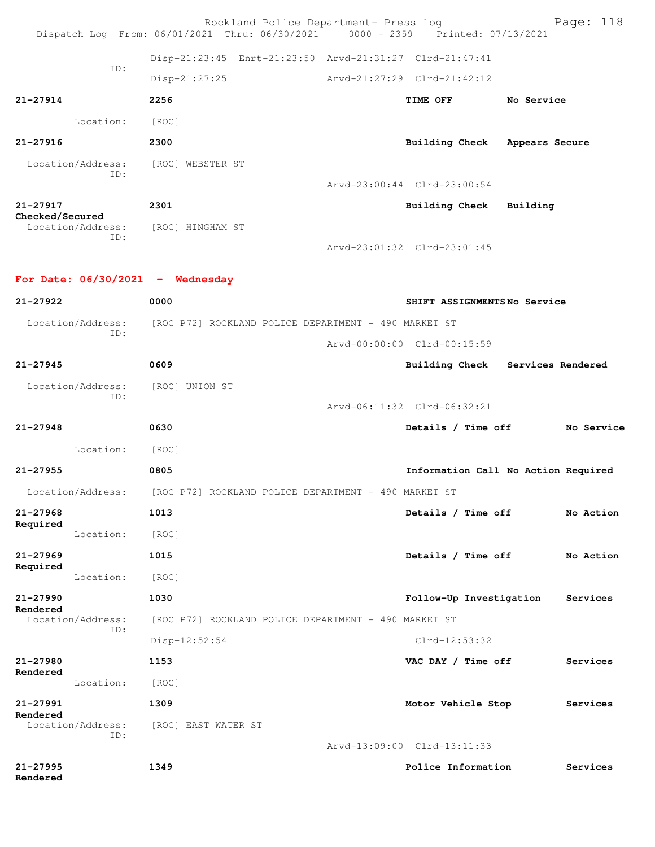|                                                       | Rockland Police Department- Press log<br>Dispatch Log From: 06/01/2021 Thru: 06/30/2021 0000 - 2359 Printed: 07/13/2021 | Page: 118                           |
|-------------------------------------------------------|-------------------------------------------------------------------------------------------------------------------------|-------------------------------------|
|                                                       | Disp-21:23:45 Enrt-21:23:50 Arvd-21:31:27 Clrd-21:47:41                                                                 |                                     |
| ID:                                                   | $Disp-21:27:25$                                                                                                         | Arvd-21:27:29 Clrd-21:42:12         |
| $21 - 27914$                                          | 2256                                                                                                                    | TIME OFF<br>No Service              |
| Location:                                             | [ROC]                                                                                                                   |                                     |
| 21-27916                                              | 2300                                                                                                                    | Building Check Appears Secure       |
| Location/Address:                                     | [ROC] WEBSTER ST                                                                                                        |                                     |
| TD:                                                   |                                                                                                                         | Arvd-23:00:44 Clrd-23:00:54         |
| 21-27917                                              | 2301                                                                                                                    | Building Check<br>Building          |
| Checked/Secured<br>Location/Address: [ROC] HINGHAM ST |                                                                                                                         |                                     |
| ID:                                                   |                                                                                                                         | Arvd-23:01:32 Clrd-23:01:45         |
|                                                       |                                                                                                                         |                                     |
| For Date: $06/30/2021$ - Wednesday                    |                                                                                                                         |                                     |
| 21-27922                                              | 0000                                                                                                                    | SHIFT ASSIGNMENTSNo Service         |
| Location/Address:<br>ID:                              | [ROC P72] ROCKLAND POLICE DEPARTMENT - 490 MARKET ST                                                                    |                                     |
|                                                       |                                                                                                                         | Arvd-00:00:00 Clrd-00:15:59         |
| $21 - 27945$                                          | 0609                                                                                                                    | Building Check Services Rendered    |
| Location/Address:<br>ID:                              | [ROC] UNION ST                                                                                                          |                                     |
|                                                       | 0630                                                                                                                    | Arvd-06:11:32 Clrd-06:32:21         |
| $21 - 27948$                                          |                                                                                                                         | Details / Time off<br>No Service    |
| Location:                                             | [ROC]                                                                                                                   |                                     |
| $21 - 27955$                                          | 0805                                                                                                                    | Information Call No Action Required |
| Location/Address:                                     | [ROC P72] ROCKLAND POLICE DEPARTMENT - 490 MARKET ST                                                                    |                                     |
| 21-27968<br>Required                                  | 1013                                                                                                                    | Details / Time off<br>No Action     |
| Location:                                             | [ROC]                                                                                                                   | No Action                           |
| $21 - 27969$<br>Required                              | 1015                                                                                                                    | Details / Time off                  |
| Location:<br>$21 - 27990$                             | [ROC]<br>1030                                                                                                           |                                     |
| Rendered                                              |                                                                                                                         | Follow-Up Investigation<br>Services |
| Location/Address:<br>TD:                              | [ROC P72] ROCKLAND POLICE DEPARTMENT - 490 MARKET ST<br>$Disp-12:52:54$                                                 | Clrd-12:53:32                       |
| 21-27980                                              | 1153                                                                                                                    | VAC DAY / Time off<br>Services      |
| Rendered<br>Location:                                 |                                                                                                                         |                                     |
| 21-27991                                              | [ROC]<br>1309                                                                                                           | Motor Vehicle Stop<br>Services      |
| Rendered<br>Location/Address:                         |                                                                                                                         |                                     |
| TD:                                                   | [ROC] EAST WATER ST                                                                                                     | Arvd-13:09:00 Clrd-13:11:33         |
| $21 - 27995$                                          | 1349                                                                                                                    | Police Information<br>Services      |
| Rendered                                              |                                                                                                                         |                                     |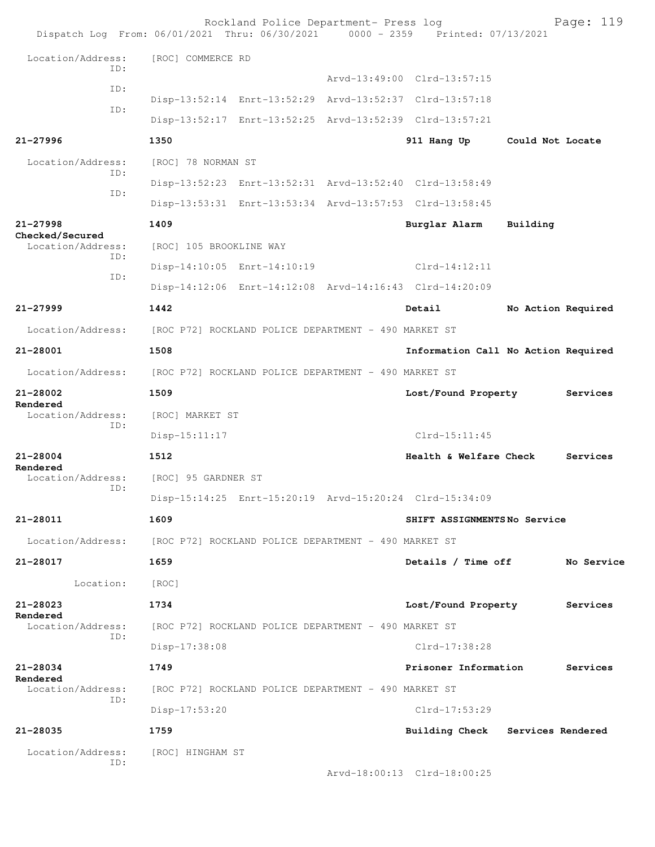| Dispatch Log From: 06/01/2021 Thru: 06/30/2021 0000 - 2359 Printed: 07/13/2021 |                                                         | Rockland Police Department- Press log                |  |                                                         |                    | Page: 119  |  |
|--------------------------------------------------------------------------------|---------------------------------------------------------|------------------------------------------------------|--|---------------------------------------------------------|--------------------|------------|--|
| Location/Address:                                                              | [ROC] COMMERCE RD                                       |                                                      |  |                                                         |                    |            |  |
| TD:                                                                            |                                                         |                                                      |  | Arvd-13:49:00 Clrd-13:57:15                             |                    |            |  |
| ID:                                                                            |                                                         |                                                      |  | Disp-13:52:14 Enrt-13:52:29 Arvd-13:52:37 Clrd-13:57:18 |                    |            |  |
| ID:                                                                            |                                                         |                                                      |  | Disp-13:52:17 Enrt-13:52:25 Arvd-13:52:39 Clrd-13:57:21 |                    |            |  |
| 21-27996                                                                       | 1350                                                    |                                                      |  | 911 Hang Up                                             | Could Not Locate   |            |  |
| Location/Address:                                                              | [ROC] 78 NORMAN ST                                      |                                                      |  |                                                         |                    |            |  |
| TD:                                                                            |                                                         |                                                      |  | Disp-13:52:23 Enrt-13:52:31 Arvd-13:52:40 Clrd-13:58:49 |                    |            |  |
| ID:                                                                            |                                                         |                                                      |  | Disp-13:53:31 Enrt-13:53:34 Arvd-13:57:53 Clrd-13:58:45 |                    |            |  |
| 21-27998                                                                       | 1409                                                    |                                                      |  | Burglar Alarm                                           | Building           |            |  |
| Checked/Secured<br>Location/Address:                                           | [ROC] 105 BROOKLINE WAY                                 |                                                      |  |                                                         |                    |            |  |
| ID:                                                                            |                                                         | Disp-14:10:05 Enrt-14:10:19                          |  | $Clrd-14:12:11$                                         |                    |            |  |
| ID:                                                                            |                                                         |                                                      |  | Disp-14:12:06 Enrt-14:12:08 Arvd-14:16:43 Clrd-14:20:09 |                    |            |  |
| 21-27999                                                                       | 1442                                                    |                                                      |  | Detail                                                  | No Action Required |            |  |
| Location/Address:                                                              |                                                         | [ROC P72] ROCKLAND POLICE DEPARTMENT - 490 MARKET ST |  |                                                         |                    |            |  |
| 21-28001                                                                       | 1508                                                    |                                                      |  | Information Call No Action Required                     |                    |            |  |
| Location/Address:                                                              | [ROC P72] ROCKLAND POLICE DEPARTMENT - 490 MARKET ST    |                                                      |  |                                                         |                    |            |  |
| 21-28002                                                                       | 1509                                                    |                                                      |  | Lost/Found Property                                     |                    | Services   |  |
| Rendered<br>Location/Address:                                                  | [ROC] MARKET ST                                         |                                                      |  |                                                         |                    |            |  |
| ID:                                                                            | Disp-15:11:17                                           |                                                      |  | $Clrd-15:11:45$                                         |                    |            |  |
| 21-28004                                                                       | 1512                                                    |                                                      |  | Health & Welfare Check                                  |                    | Services   |  |
| Rendered<br>Location/Address:                                                  | [ROC] 95 GARDNER ST                                     |                                                      |  |                                                         |                    |            |  |
| ID:                                                                            | Disp-15:14:25 Enrt-15:20:19 Arvd-15:20:24 Clrd-15:34:09 |                                                      |  |                                                         |                    |            |  |
| 21-28011                                                                       | 1609                                                    |                                                      |  | SHIFT ASSIGNMENTSNo Service                             |                    |            |  |
| Location/Address: [ROC P72] ROCKLAND POLICE DEPARTMENT - 490 MARKET ST         |                                                         |                                                      |  |                                                         |                    |            |  |
| 21-28017                                                                       | 1659                                                    |                                                      |  | Details / Time off                                      |                    | No Service |  |
| Location:                                                                      | [ROC]                                                   |                                                      |  |                                                         |                    |            |  |
| 21-28023                                                                       | 1734                                                    |                                                      |  | Lost/Found Property                                     |                    | Services   |  |
| Rendered<br>Location/Address:                                                  | [ROC P72] ROCKLAND POLICE DEPARTMENT - 490 MARKET ST    |                                                      |  |                                                         |                    |            |  |
| ID:                                                                            | Disp-17:38:08                                           |                                                      |  | Clrd-17:38:28                                           |                    |            |  |
| 21-28034                                                                       | 1749                                                    |                                                      |  | Prisoner Information                                    |                    | Services   |  |
| Rendered<br>Location/Address:                                                  |                                                         | [ROC P72] ROCKLAND POLICE DEPARTMENT - 490 MARKET ST |  |                                                         |                    |            |  |
| ID:                                                                            | $Disp-17:53:20$                                         |                                                      |  | Clrd-17:53:29                                           |                    |            |  |
| 21-28035                                                                       | 1759                                                    |                                                      |  | Building Check Services Rendered                        |                    |            |  |
| Location/Address:                                                              | [ROC] HINGHAM ST                                        |                                                      |  |                                                         |                    |            |  |
| ID:                                                                            |                                                         |                                                      |  | Arvd-18:00:13 Clrd-18:00:25                             |                    |            |  |